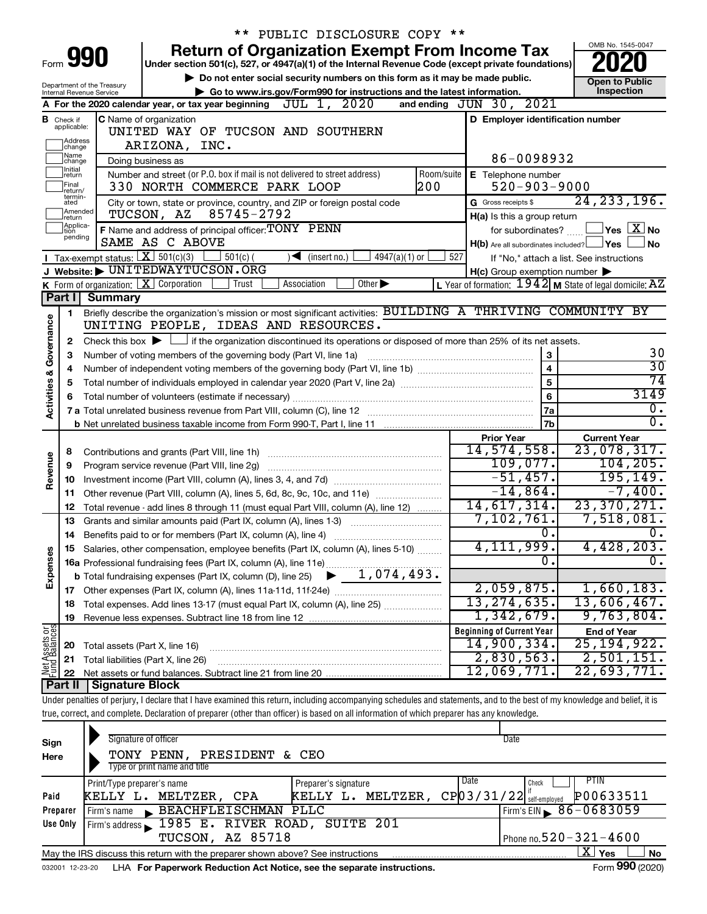|                         |                               |                                                                        | PUBLIC DISCLOSURE COPY **                                                                                                                                                  |                                                             |                                                                       |  |  |  |
|-------------------------|-------------------------------|------------------------------------------------------------------------|----------------------------------------------------------------------------------------------------------------------------------------------------------------------------|-------------------------------------------------------------|-----------------------------------------------------------------------|--|--|--|
|                         |                               |                                                                        | <b>Return of Organization Exempt From Income Tax</b>                                                                                                                       |                                                             | OMB No. 1545-0047                                                     |  |  |  |
|                         |                               | Form 990                                                               | Under section 501(c), 527, or 4947(a)(1) of the Internal Revenue Code (except private foundations)                                                                         |                                                             |                                                                       |  |  |  |
|                         |                               | Department of the Treasury                                             | Do not enter social security numbers on this form as it may be made public.                                                                                                |                                                             | <b>Open to Public</b>                                                 |  |  |  |
|                         |                               | Internal Revenue Service                                               | Go to www.irs.gov/Form990 for instructions and the latest information.                                                                                                     |                                                             | Inspection                                                            |  |  |  |
|                         |                               |                                                                        | JUL 1, 2020<br>A For the 2020 calendar year, or tax year beginning                                                                                                         | and ending JUN 30, 2021                                     |                                                                       |  |  |  |
|                         | <b>B</b> Check if applicable: |                                                                        | C Name of organization                                                                                                                                                     | D Employer identification number                            |                                                                       |  |  |  |
|                         | Address                       |                                                                        | UNITED WAY OF TUCSON AND SOUTHERN                                                                                                                                          |                                                             |                                                                       |  |  |  |
|                         | change                        |                                                                        | ARIZONA, INC.                                                                                                                                                              |                                                             |                                                                       |  |  |  |
|                         | Name<br> change<br>Initial    |                                                                        | Doing business as                                                                                                                                                          | 86-0098932                                                  |                                                                       |  |  |  |
|                         | return<br>Final               |                                                                        | Number and street (or P.O. box if mail is not delivered to street address)<br>Room/suite<br>200<br>330 NORTH COMMERCE PARK LOOP                                            | E Telephone number<br>$520 - 903 - 9000$                    |                                                                       |  |  |  |
|                         | return/<br>termin-            |                                                                        |                                                                                                                                                                            |                                                             | 24, 233, 196.                                                         |  |  |  |
|                         | ated<br>Amended               |                                                                        | City or town, state or province, country, and ZIP or foreign postal code<br>85745-2792<br>TUCSON, AZ                                                                       | G Gross receipts \$                                         |                                                                       |  |  |  |
|                         | return<br>Applica-<br>Ition   |                                                                        | F Name and address of principal officer: TONY PENN                                                                                                                         | H(a) Is this a group return<br>for subordinates?            | $\mathsf{\lvert}$ Yes $\mathsf{\lvert} \mathsf{X} \mathsf{\lvert}$ No |  |  |  |
|                         | pending                       |                                                                        | SAME AS C ABOVE                                                                                                                                                            | $H(b)$ Are all subordinates included? $\Box$ Yes            | No                                                                    |  |  |  |
|                         |                               | <b>I</b> Tax-exempt status: $X \overline{X}$ 501(c)(3)                 | $501(c)$ (<br>$\sqrt{\frac{1}{1}}$ (insert no.)<br>$4947(a)(1)$ or                                                                                                         | 527                                                         | If "No," attach a list. See instructions                              |  |  |  |
|                         |                               |                                                                        | J Website: DUNITEDWAYTUCSON.ORG                                                                                                                                            | $H(c)$ Group exemption number $\blacktriangleright$         |                                                                       |  |  |  |
|                         |                               |                                                                        | K Form of organization: $X$ Corporation<br>Trust<br>Association<br>Other $\blacktriangleright$                                                                             | L Year of formation: $1942$ M State of legal domicile: $AZ$ |                                                                       |  |  |  |
|                         | Part I                        | <b>Summary</b>                                                         |                                                                                                                                                                            |                                                             |                                                                       |  |  |  |
|                         | 1.                            |                                                                        | Briefly describe the organization's mission or most significant activities: BUILDING A THRIVING COMMUNITY BY                                                               |                                                             |                                                                       |  |  |  |
| Governance              |                               |                                                                        | UNITING PEOPLE, IDEAS AND RESOURCES.                                                                                                                                       |                                                             |                                                                       |  |  |  |
|                         | $\mathbf{2}$                  |                                                                        | Check this box $\blacktriangleright$ $\Box$ if the organization discontinued its operations or disposed of more than 25% of its net assets.                                |                                                             |                                                                       |  |  |  |
|                         | 3                             | 3<br>Number of voting members of the governing body (Part VI, line 1a) |                                                                                                                                                                            |                                                             |                                                                       |  |  |  |
|                         | 4                             |                                                                        | 4                                                                                                                                                                          | $\overline{30}$<br>74                                       |                                                                       |  |  |  |
|                         | 5                             | 5                                                                      |                                                                                                                                                                            |                                                             |                                                                       |  |  |  |
| <b>Activities &amp;</b> | 6                             |                                                                        |                                                                                                                                                                            | 6                                                           | 3149                                                                  |  |  |  |
|                         |                               |                                                                        |                                                                                                                                                                            | 7a                                                          | $0$ .                                                                 |  |  |  |
|                         |                               |                                                                        |                                                                                                                                                                            | 7b                                                          | $\overline{0}$ .                                                      |  |  |  |
|                         |                               |                                                                        |                                                                                                                                                                            | <b>Prior Year</b><br>14,574,558.                            | <b>Current Year</b>                                                   |  |  |  |
|                         | 8                             |                                                                        | Contributions and grants (Part VIII, line 1h)                                                                                                                              | 109,077.                                                    | 23,078,317.<br>104, 205.                                              |  |  |  |
| Revenue                 | 9                             |                                                                        | Program service revenue (Part VIII, line 2g)                                                                                                                               | $-51,457.$                                                  | 195, 149.                                                             |  |  |  |
|                         | 10                            |                                                                        |                                                                                                                                                                            | $-14,864.$                                                  | $-7,400.$                                                             |  |  |  |
|                         | 11<br>12                      |                                                                        | Other revenue (Part VIII, column (A), lines 5, 6d, 8c, 9c, 10c, and 11e)                                                                                                   | 14,617,314.                                                 | 23,370,271.                                                           |  |  |  |
|                         | 13                            |                                                                        | Total revenue - add lines 8 through 11 (must equal Part VIII, column (A), line 12)<br>Grants and similar amounts paid (Part IX, column (A), lines 1-3)                     | 7,102,761.                                                  | 7,518,081.                                                            |  |  |  |
|                         |                               |                                                                        |                                                                                                                                                                            | ο.                                                          | υ.                                                                    |  |  |  |
|                         | 15                            |                                                                        | Salaries, other compensation, employee benefits (Part IX, column (A), lines 5-10)                                                                                          | 4,111,999.                                                  | 4,428,203.                                                            |  |  |  |
|                         |                               |                                                                        |                                                                                                                                                                            | 0.                                                          | $\overline{0}$ .                                                      |  |  |  |
| Expenses                |                               |                                                                        |                                                                                                                                                                            |                                                             |                                                                       |  |  |  |
|                         |                               |                                                                        |                                                                                                                                                                            | 2,059,875.                                                  | 1,660,183.                                                            |  |  |  |
|                         | 18                            |                                                                        | Total expenses. Add lines 13-17 (must equal Part IX, column (A), line 25)                                                                                                  | 13, 274, 635.                                               | 13,606,467.                                                           |  |  |  |
|                         | 19                            |                                                                        |                                                                                                                                                                            | 1,342,679.                                                  | 9,763,804.                                                            |  |  |  |
|                         |                               |                                                                        |                                                                                                                                                                            | <b>Beginning of Current Year</b>                            | <b>End of Year</b>                                                    |  |  |  |
|                         | 20                            | Total assets (Part X, line 16)                                         |                                                                                                                                                                            | 14,900,334.                                                 | 25, 194, 922.                                                         |  |  |  |
|                         | 21                            |                                                                        | Total liabilities (Part X, line 26)                                                                                                                                        | 2,830,563.                                                  | 2,501,151.                                                            |  |  |  |
| Net Assets or           | 22                            |                                                                        |                                                                                                                                                                            | 12,069,771.                                                 | 22,693,771.                                                           |  |  |  |
|                         | Part II                       | <b>Signature Block</b>                                                 |                                                                                                                                                                            |                                                             |                                                                       |  |  |  |
|                         |                               |                                                                        | Under penalties of perjury, I declare that I have examined this return, including accompanying schedules and statements, and to the best of my knowledge and belief, it is |                                                             |                                                                       |  |  |  |
|                         |                               |                                                                        | true, correct, and complete. Declaration of preparer (other than officer) is based on all information of which preparer has any knowledge.                                 |                                                             |                                                                       |  |  |  |
|                         |                               |                                                                        |                                                                                                                                                                            |                                                             |                                                                       |  |  |  |
| Sign                    |                               |                                                                        | Signature of officer                                                                                                                                                       | Date                                                        |                                                                       |  |  |  |
| Here                    |                               |                                                                        | TONY PENN, PRESIDENT & CEO                                                                                                                                                 |                                                             |                                                                       |  |  |  |

|          | Type or print name and title                                                                              |                      |                                                       |                                  |  |  |  |  |
|----------|-----------------------------------------------------------------------------------------------------------|----------------------|-------------------------------------------------------|----------------------------------|--|--|--|--|
|          | Print/Type preparer's name                                                                                | Preparer's signature | Date                                                  | <b>PTIN</b><br>Check             |  |  |  |  |
| Paid     | KELLY L. MELTZER, CPA                                                                                     | MELTZER,<br>KELLY L. | $CP$ 0 3 / 3 1 / 2 2 $\frac{17}{\text{Self-emboved}}$ | P00633511                        |  |  |  |  |
| Preparer | BEACHFLEISCHMAN PLLC<br>Firm's name                                                                       |                      |                                                       | $I$ Firm's EIN $\, 86 - 0683059$ |  |  |  |  |
| Use Only | Firm's address 1985 E. RIVER ROAD, SUITE 201                                                              |                      |                                                       |                                  |  |  |  |  |
|          | Phone no. $520 - 321 - 4600$<br>TUCSON, AZ 85718                                                          |                      |                                                       |                                  |  |  |  |  |
|          | X.<br>Yes<br><b>No</b><br>May the IRS discuss this return with the preparer shown above? See instructions |                      |                                                       |                                  |  |  |  |  |
|          | $\sim$                                                                                                    |                      |                                                       |                                  |  |  |  |  |

032001 12-23-20 **For Paperwork Reduction Act Notice, see the separate instructions.**  LHA Form (2020)

Form **990** (2020)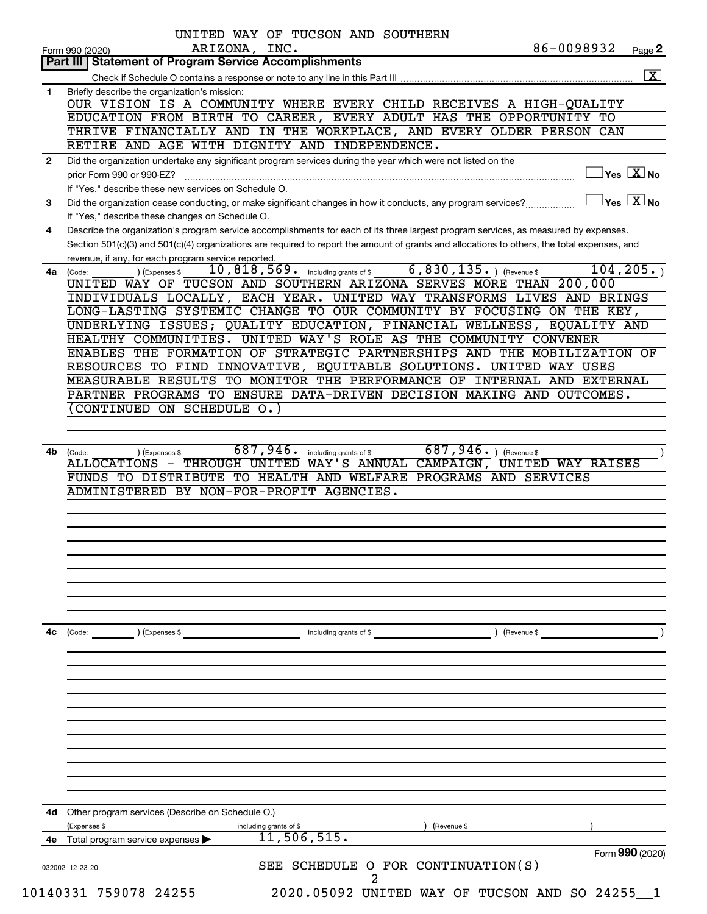| Part III   Statement of Program Service Accomplishments<br>Briefly describe the organization's mission:<br>OUR VISION IS A COMMUNITY WHERE EVERY CHILD RECEIVES A HIGH-QUALITY<br>EDUCATION FROM BIRTH TO CAREER, EVERY ADULT HAS THE OPPORTUNITY TO<br>THRIVE FINANCIALLY AND IN THE WORKPLACE, AND EVERY OLDER PERSON CAN<br>RETIRE AND AGE WITH DIGNITY AND INDEPENDENCE.<br>Did the organization undertake any significant program services during the year which were not listed on the<br>Yes $\boxed{\text{X}}$ No<br>prior Form 990 or 990-EZ?<br>$\mathcal{L} = \left\{ \mathcal{L} \in \mathbb{R}^n \mid \mathcal{L} \in \mathbb{R}^n \mid \mathcal{L} \in \mathbb{R}^n \mid \mathcal{L} \in \mathbb{R}^n \mid \mathcal{L} \in \mathbb{R}^n \mid \mathcal{L} \in \mathbb{R}^n \mid \mathcal{L} \in \mathbb{R}^n \mid \mathcal{L} \in \mathbb{R}^n \mid \mathcal{L} \in \mathbb{R}^n \mid \mathcal{L} \in \mathbb{R}^n \mid \mathcal{L} \in \mathbb{R}^n \mid \mathcal{L} \in \mathbb$<br>If "Yes," describe these new services on Schedule O.<br>$Yes \nX \nNo$<br>Did the organization cease conducting, or make significant changes in how it conducts, any program services?<br>If "Yes," describe these changes on Schedule O.<br>Describe the organization's program service accomplishments for each of its three largest program services, as measured by expenses.<br>Section 501(c)(3) and 501(c)(4) organizations are required to report the amount of grants and allocations to others, the total expenses, and<br>revenue, if any, for each program service reported.<br>6,830,135. (Revenue \$<br>10,818,569. including grants of \$<br>104, 205.<br>(Expenses \$<br>4a (Code:<br>UNITED WAY OF TUCSON AND SOUTHERN ARIZONA SERVES MORE THAN 200,000<br>LONG-LASTING SYSTEMIC CHANGE TO OUR COMMUNITY BY FOCUSING ON THE KEY,<br>UNDERLYING ISSUES; QUALITY EDUCATION, FINANCIAL WELLNESS, EQUALITY AND<br>HEALTHY COMMUNITIES. UNITED WAY'S ROLE AS THE COMMUNITY CONVENER<br>ENABLES THE FORMATION OF STRATEGIC PARTNERSHIPS AND THE MOBILIZATION OF<br>RESOURCES TO FIND INNOVATIVE, EQUITABLE SOLUTIONS. UNITED WAY USES<br>MEASURABLE RESULTS TO MONITOR THE PERFORMANCE OF INTERNAL AND EXTERNAL<br>PARTNER PROGRAMS TO ENSURE DATA-DRIVEN DECISION MAKING AND OUTCOMES.<br>CONTINUED ON SCHEDULE O.)<br>687,946.<br>$687, 946.$ (Revenue \$<br>4b<br>including grants of \$<br>) (Expenses \$<br>(Code:<br>ALLOCATIONS - THROUGH UNITED WAY'S ANNUAL CAMPAIGN, UNITED WAY RAISES<br>FUNDS TO DISTRIBUTE TO HEALTH AND WELFARE PROGRAMS AND SERVICES<br>ADMINISTERED BY NON-FOR-PROFIT AGENCIES.<br>including grants of \$<br>) (Revenue \$<br>(Code:<br>) (Expenses \$<br>Other program services (Describe on Schedule O.)<br>(Expenses \$<br>including grants of \$<br>(Revenue \$<br>11,506,515.<br>Total program service expenses<br>SEE SCHEDULE O FOR CONTINUATION(S)<br>032002 12-23-20<br>2 |              | 86-0098932<br>ARIZONA, INC.<br>Page 2<br>Form 990 (2020)               |
|----------------------------------------------------------------------------------------------------------------------------------------------------------------------------------------------------------------------------------------------------------------------------------------------------------------------------------------------------------------------------------------------------------------------------------------------------------------------------------------------------------------------------------------------------------------------------------------------------------------------------------------------------------------------------------------------------------------------------------------------------------------------------------------------------------------------------------------------------------------------------------------------------------------------------------------------------------------------------------------------------------------------------------------------------------------------------------------------------------------------------------------------------------------------------------------------------------------------------------------------------------------------------------------------------------------------------------------------------------------------------------------------------------------------------------------------------------------------------------------------------------------------------------------------------------------------------------------------------------------------------------------------------------------------------------------------------------------------------------------------------------------------------------------------------------------------------------------------------------------------------------------------------------------------------------------------------------------------------------------------------------------------------------------------------------------------------------------------------------------------------------------------------------------------------------------------------------------------------------------------------------------------------------------------------------------------------------------------------------------------------------------------------------------------------------------------------------------------------------------------------------------------------------------------------------------------------------------------------------------------------------------------------------------------------------------------------------------------------------------------------------------------------------------------------------------------------------------------------------------------------------------------------------------------------------|--------------|------------------------------------------------------------------------|
|                                                                                                                                                                                                                                                                                                                                                                                                                                                                                                                                                                                                                                                                                                                                                                                                                                                                                                                                                                                                                                                                                                                                                                                                                                                                                                                                                                                                                                                                                                                                                                                                                                                                                                                                                                                                                                                                                                                                                                                                                                                                                                                                                                                                                                                                                                                                                                                                                                                                                                                                                                                                                                                                                                                                                                                                                                                                                                                                  |              |                                                                        |
|                                                                                                                                                                                                                                                                                                                                                                                                                                                                                                                                                                                                                                                                                                                                                                                                                                                                                                                                                                                                                                                                                                                                                                                                                                                                                                                                                                                                                                                                                                                                                                                                                                                                                                                                                                                                                                                                                                                                                                                                                                                                                                                                                                                                                                                                                                                                                                                                                                                                                                                                                                                                                                                                                                                                                                                                                                                                                                                                  | 1            |                                                                        |
|                                                                                                                                                                                                                                                                                                                                                                                                                                                                                                                                                                                                                                                                                                                                                                                                                                                                                                                                                                                                                                                                                                                                                                                                                                                                                                                                                                                                                                                                                                                                                                                                                                                                                                                                                                                                                                                                                                                                                                                                                                                                                                                                                                                                                                                                                                                                                                                                                                                                                                                                                                                                                                                                                                                                                                                                                                                                                                                                  |              |                                                                        |
|                                                                                                                                                                                                                                                                                                                                                                                                                                                                                                                                                                                                                                                                                                                                                                                                                                                                                                                                                                                                                                                                                                                                                                                                                                                                                                                                                                                                                                                                                                                                                                                                                                                                                                                                                                                                                                                                                                                                                                                                                                                                                                                                                                                                                                                                                                                                                                                                                                                                                                                                                                                                                                                                                                                                                                                                                                                                                                                                  |              |                                                                        |
|                                                                                                                                                                                                                                                                                                                                                                                                                                                                                                                                                                                                                                                                                                                                                                                                                                                                                                                                                                                                                                                                                                                                                                                                                                                                                                                                                                                                                                                                                                                                                                                                                                                                                                                                                                                                                                                                                                                                                                                                                                                                                                                                                                                                                                                                                                                                                                                                                                                                                                                                                                                                                                                                                                                                                                                                                                                                                                                                  |              |                                                                        |
|                                                                                                                                                                                                                                                                                                                                                                                                                                                                                                                                                                                                                                                                                                                                                                                                                                                                                                                                                                                                                                                                                                                                                                                                                                                                                                                                                                                                                                                                                                                                                                                                                                                                                                                                                                                                                                                                                                                                                                                                                                                                                                                                                                                                                                                                                                                                                                                                                                                                                                                                                                                                                                                                                                                                                                                                                                                                                                                                  |              |                                                                        |
|                                                                                                                                                                                                                                                                                                                                                                                                                                                                                                                                                                                                                                                                                                                                                                                                                                                                                                                                                                                                                                                                                                                                                                                                                                                                                                                                                                                                                                                                                                                                                                                                                                                                                                                                                                                                                                                                                                                                                                                                                                                                                                                                                                                                                                                                                                                                                                                                                                                                                                                                                                                                                                                                                                                                                                                                                                                                                                                                  | $\mathbf{2}$ |                                                                        |
|                                                                                                                                                                                                                                                                                                                                                                                                                                                                                                                                                                                                                                                                                                                                                                                                                                                                                                                                                                                                                                                                                                                                                                                                                                                                                                                                                                                                                                                                                                                                                                                                                                                                                                                                                                                                                                                                                                                                                                                                                                                                                                                                                                                                                                                                                                                                                                                                                                                                                                                                                                                                                                                                                                                                                                                                                                                                                                                                  |              |                                                                        |
|                                                                                                                                                                                                                                                                                                                                                                                                                                                                                                                                                                                                                                                                                                                                                                                                                                                                                                                                                                                                                                                                                                                                                                                                                                                                                                                                                                                                                                                                                                                                                                                                                                                                                                                                                                                                                                                                                                                                                                                                                                                                                                                                                                                                                                                                                                                                                                                                                                                                                                                                                                                                                                                                                                                                                                                                                                                                                                                                  |              |                                                                        |
|                                                                                                                                                                                                                                                                                                                                                                                                                                                                                                                                                                                                                                                                                                                                                                                                                                                                                                                                                                                                                                                                                                                                                                                                                                                                                                                                                                                                                                                                                                                                                                                                                                                                                                                                                                                                                                                                                                                                                                                                                                                                                                                                                                                                                                                                                                                                                                                                                                                                                                                                                                                                                                                                                                                                                                                                                                                                                                                                  | 3            |                                                                        |
|                                                                                                                                                                                                                                                                                                                                                                                                                                                                                                                                                                                                                                                                                                                                                                                                                                                                                                                                                                                                                                                                                                                                                                                                                                                                                                                                                                                                                                                                                                                                                                                                                                                                                                                                                                                                                                                                                                                                                                                                                                                                                                                                                                                                                                                                                                                                                                                                                                                                                                                                                                                                                                                                                                                                                                                                                                                                                                                                  |              |                                                                        |
|                                                                                                                                                                                                                                                                                                                                                                                                                                                                                                                                                                                                                                                                                                                                                                                                                                                                                                                                                                                                                                                                                                                                                                                                                                                                                                                                                                                                                                                                                                                                                                                                                                                                                                                                                                                                                                                                                                                                                                                                                                                                                                                                                                                                                                                                                                                                                                                                                                                                                                                                                                                                                                                                                                                                                                                                                                                                                                                                  | 4            |                                                                        |
|                                                                                                                                                                                                                                                                                                                                                                                                                                                                                                                                                                                                                                                                                                                                                                                                                                                                                                                                                                                                                                                                                                                                                                                                                                                                                                                                                                                                                                                                                                                                                                                                                                                                                                                                                                                                                                                                                                                                                                                                                                                                                                                                                                                                                                                                                                                                                                                                                                                                                                                                                                                                                                                                                                                                                                                                                                                                                                                                  |              |                                                                        |
|                                                                                                                                                                                                                                                                                                                                                                                                                                                                                                                                                                                                                                                                                                                                                                                                                                                                                                                                                                                                                                                                                                                                                                                                                                                                                                                                                                                                                                                                                                                                                                                                                                                                                                                                                                                                                                                                                                                                                                                                                                                                                                                                                                                                                                                                                                                                                                                                                                                                                                                                                                                                                                                                                                                                                                                                                                                                                                                                  |              |                                                                        |
|                                                                                                                                                                                                                                                                                                                                                                                                                                                                                                                                                                                                                                                                                                                                                                                                                                                                                                                                                                                                                                                                                                                                                                                                                                                                                                                                                                                                                                                                                                                                                                                                                                                                                                                                                                                                                                                                                                                                                                                                                                                                                                                                                                                                                                                                                                                                                                                                                                                                                                                                                                                                                                                                                                                                                                                                                                                                                                                                  |              |                                                                        |
|                                                                                                                                                                                                                                                                                                                                                                                                                                                                                                                                                                                                                                                                                                                                                                                                                                                                                                                                                                                                                                                                                                                                                                                                                                                                                                                                                                                                                                                                                                                                                                                                                                                                                                                                                                                                                                                                                                                                                                                                                                                                                                                                                                                                                                                                                                                                                                                                                                                                                                                                                                                                                                                                                                                                                                                                                                                                                                                                  |              | INDIVIDUALS LOCALLY, EACH YEAR. UNITED WAY TRANSFORMS LIVES AND BRINGS |
|                                                                                                                                                                                                                                                                                                                                                                                                                                                                                                                                                                                                                                                                                                                                                                                                                                                                                                                                                                                                                                                                                                                                                                                                                                                                                                                                                                                                                                                                                                                                                                                                                                                                                                                                                                                                                                                                                                                                                                                                                                                                                                                                                                                                                                                                                                                                                                                                                                                                                                                                                                                                                                                                                                                                                                                                                                                                                                                                  |              |                                                                        |
|                                                                                                                                                                                                                                                                                                                                                                                                                                                                                                                                                                                                                                                                                                                                                                                                                                                                                                                                                                                                                                                                                                                                                                                                                                                                                                                                                                                                                                                                                                                                                                                                                                                                                                                                                                                                                                                                                                                                                                                                                                                                                                                                                                                                                                                                                                                                                                                                                                                                                                                                                                                                                                                                                                                                                                                                                                                                                                                                  |              |                                                                        |
|                                                                                                                                                                                                                                                                                                                                                                                                                                                                                                                                                                                                                                                                                                                                                                                                                                                                                                                                                                                                                                                                                                                                                                                                                                                                                                                                                                                                                                                                                                                                                                                                                                                                                                                                                                                                                                                                                                                                                                                                                                                                                                                                                                                                                                                                                                                                                                                                                                                                                                                                                                                                                                                                                                                                                                                                                                                                                                                                  |              |                                                                        |
|                                                                                                                                                                                                                                                                                                                                                                                                                                                                                                                                                                                                                                                                                                                                                                                                                                                                                                                                                                                                                                                                                                                                                                                                                                                                                                                                                                                                                                                                                                                                                                                                                                                                                                                                                                                                                                                                                                                                                                                                                                                                                                                                                                                                                                                                                                                                                                                                                                                                                                                                                                                                                                                                                                                                                                                                                                                                                                                                  |              |                                                                        |
|                                                                                                                                                                                                                                                                                                                                                                                                                                                                                                                                                                                                                                                                                                                                                                                                                                                                                                                                                                                                                                                                                                                                                                                                                                                                                                                                                                                                                                                                                                                                                                                                                                                                                                                                                                                                                                                                                                                                                                                                                                                                                                                                                                                                                                                                                                                                                                                                                                                                                                                                                                                                                                                                                                                                                                                                                                                                                                                                  |              |                                                                        |
|                                                                                                                                                                                                                                                                                                                                                                                                                                                                                                                                                                                                                                                                                                                                                                                                                                                                                                                                                                                                                                                                                                                                                                                                                                                                                                                                                                                                                                                                                                                                                                                                                                                                                                                                                                                                                                                                                                                                                                                                                                                                                                                                                                                                                                                                                                                                                                                                                                                                                                                                                                                                                                                                                                                                                                                                                                                                                                                                  |              |                                                                        |
|                                                                                                                                                                                                                                                                                                                                                                                                                                                                                                                                                                                                                                                                                                                                                                                                                                                                                                                                                                                                                                                                                                                                                                                                                                                                                                                                                                                                                                                                                                                                                                                                                                                                                                                                                                                                                                                                                                                                                                                                                                                                                                                                                                                                                                                                                                                                                                                                                                                                                                                                                                                                                                                                                                                                                                                                                                                                                                                                  |              |                                                                        |
|                                                                                                                                                                                                                                                                                                                                                                                                                                                                                                                                                                                                                                                                                                                                                                                                                                                                                                                                                                                                                                                                                                                                                                                                                                                                                                                                                                                                                                                                                                                                                                                                                                                                                                                                                                                                                                                                                                                                                                                                                                                                                                                                                                                                                                                                                                                                                                                                                                                                                                                                                                                                                                                                                                                                                                                                                                                                                                                                  |              |                                                                        |
|                                                                                                                                                                                                                                                                                                                                                                                                                                                                                                                                                                                                                                                                                                                                                                                                                                                                                                                                                                                                                                                                                                                                                                                                                                                                                                                                                                                                                                                                                                                                                                                                                                                                                                                                                                                                                                                                                                                                                                                                                                                                                                                                                                                                                                                                                                                                                                                                                                                                                                                                                                                                                                                                                                                                                                                                                                                                                                                                  |              |                                                                        |
|                                                                                                                                                                                                                                                                                                                                                                                                                                                                                                                                                                                                                                                                                                                                                                                                                                                                                                                                                                                                                                                                                                                                                                                                                                                                                                                                                                                                                                                                                                                                                                                                                                                                                                                                                                                                                                                                                                                                                                                                                                                                                                                                                                                                                                                                                                                                                                                                                                                                                                                                                                                                                                                                                                                                                                                                                                                                                                                                  |              |                                                                        |
|                                                                                                                                                                                                                                                                                                                                                                                                                                                                                                                                                                                                                                                                                                                                                                                                                                                                                                                                                                                                                                                                                                                                                                                                                                                                                                                                                                                                                                                                                                                                                                                                                                                                                                                                                                                                                                                                                                                                                                                                                                                                                                                                                                                                                                                                                                                                                                                                                                                                                                                                                                                                                                                                                                                                                                                                                                                                                                                                  |              |                                                                        |
|                                                                                                                                                                                                                                                                                                                                                                                                                                                                                                                                                                                                                                                                                                                                                                                                                                                                                                                                                                                                                                                                                                                                                                                                                                                                                                                                                                                                                                                                                                                                                                                                                                                                                                                                                                                                                                                                                                                                                                                                                                                                                                                                                                                                                                                                                                                                                                                                                                                                                                                                                                                                                                                                                                                                                                                                                                                                                                                                  |              |                                                                        |
|                                                                                                                                                                                                                                                                                                                                                                                                                                                                                                                                                                                                                                                                                                                                                                                                                                                                                                                                                                                                                                                                                                                                                                                                                                                                                                                                                                                                                                                                                                                                                                                                                                                                                                                                                                                                                                                                                                                                                                                                                                                                                                                                                                                                                                                                                                                                                                                                                                                                                                                                                                                                                                                                                                                                                                                                                                                                                                                                  |              |                                                                        |
|                                                                                                                                                                                                                                                                                                                                                                                                                                                                                                                                                                                                                                                                                                                                                                                                                                                                                                                                                                                                                                                                                                                                                                                                                                                                                                                                                                                                                                                                                                                                                                                                                                                                                                                                                                                                                                                                                                                                                                                                                                                                                                                                                                                                                                                                                                                                                                                                                                                                                                                                                                                                                                                                                                                                                                                                                                                                                                                                  |              |                                                                        |
|                                                                                                                                                                                                                                                                                                                                                                                                                                                                                                                                                                                                                                                                                                                                                                                                                                                                                                                                                                                                                                                                                                                                                                                                                                                                                                                                                                                                                                                                                                                                                                                                                                                                                                                                                                                                                                                                                                                                                                                                                                                                                                                                                                                                                                                                                                                                                                                                                                                                                                                                                                                                                                                                                                                                                                                                                                                                                                                                  |              |                                                                        |
|                                                                                                                                                                                                                                                                                                                                                                                                                                                                                                                                                                                                                                                                                                                                                                                                                                                                                                                                                                                                                                                                                                                                                                                                                                                                                                                                                                                                                                                                                                                                                                                                                                                                                                                                                                                                                                                                                                                                                                                                                                                                                                                                                                                                                                                                                                                                                                                                                                                                                                                                                                                                                                                                                                                                                                                                                                                                                                                                  |              |                                                                        |
|                                                                                                                                                                                                                                                                                                                                                                                                                                                                                                                                                                                                                                                                                                                                                                                                                                                                                                                                                                                                                                                                                                                                                                                                                                                                                                                                                                                                                                                                                                                                                                                                                                                                                                                                                                                                                                                                                                                                                                                                                                                                                                                                                                                                                                                                                                                                                                                                                                                                                                                                                                                                                                                                                                                                                                                                                                                                                                                                  | 4c           |                                                                        |
|                                                                                                                                                                                                                                                                                                                                                                                                                                                                                                                                                                                                                                                                                                                                                                                                                                                                                                                                                                                                                                                                                                                                                                                                                                                                                                                                                                                                                                                                                                                                                                                                                                                                                                                                                                                                                                                                                                                                                                                                                                                                                                                                                                                                                                                                                                                                                                                                                                                                                                                                                                                                                                                                                                                                                                                                                                                                                                                                  |              |                                                                        |
|                                                                                                                                                                                                                                                                                                                                                                                                                                                                                                                                                                                                                                                                                                                                                                                                                                                                                                                                                                                                                                                                                                                                                                                                                                                                                                                                                                                                                                                                                                                                                                                                                                                                                                                                                                                                                                                                                                                                                                                                                                                                                                                                                                                                                                                                                                                                                                                                                                                                                                                                                                                                                                                                                                                                                                                                                                                                                                                                  |              |                                                                        |
|                                                                                                                                                                                                                                                                                                                                                                                                                                                                                                                                                                                                                                                                                                                                                                                                                                                                                                                                                                                                                                                                                                                                                                                                                                                                                                                                                                                                                                                                                                                                                                                                                                                                                                                                                                                                                                                                                                                                                                                                                                                                                                                                                                                                                                                                                                                                                                                                                                                                                                                                                                                                                                                                                                                                                                                                                                                                                                                                  |              |                                                                        |
|                                                                                                                                                                                                                                                                                                                                                                                                                                                                                                                                                                                                                                                                                                                                                                                                                                                                                                                                                                                                                                                                                                                                                                                                                                                                                                                                                                                                                                                                                                                                                                                                                                                                                                                                                                                                                                                                                                                                                                                                                                                                                                                                                                                                                                                                                                                                                                                                                                                                                                                                                                                                                                                                                                                                                                                                                                                                                                                                  |              |                                                                        |
|                                                                                                                                                                                                                                                                                                                                                                                                                                                                                                                                                                                                                                                                                                                                                                                                                                                                                                                                                                                                                                                                                                                                                                                                                                                                                                                                                                                                                                                                                                                                                                                                                                                                                                                                                                                                                                                                                                                                                                                                                                                                                                                                                                                                                                                                                                                                                                                                                                                                                                                                                                                                                                                                                                                                                                                                                                                                                                                                  |              |                                                                        |
|                                                                                                                                                                                                                                                                                                                                                                                                                                                                                                                                                                                                                                                                                                                                                                                                                                                                                                                                                                                                                                                                                                                                                                                                                                                                                                                                                                                                                                                                                                                                                                                                                                                                                                                                                                                                                                                                                                                                                                                                                                                                                                                                                                                                                                                                                                                                                                                                                                                                                                                                                                                                                                                                                                                                                                                                                                                                                                                                  |              |                                                                        |
|                                                                                                                                                                                                                                                                                                                                                                                                                                                                                                                                                                                                                                                                                                                                                                                                                                                                                                                                                                                                                                                                                                                                                                                                                                                                                                                                                                                                                                                                                                                                                                                                                                                                                                                                                                                                                                                                                                                                                                                                                                                                                                                                                                                                                                                                                                                                                                                                                                                                                                                                                                                                                                                                                                                                                                                                                                                                                                                                  |              |                                                                        |
|                                                                                                                                                                                                                                                                                                                                                                                                                                                                                                                                                                                                                                                                                                                                                                                                                                                                                                                                                                                                                                                                                                                                                                                                                                                                                                                                                                                                                                                                                                                                                                                                                                                                                                                                                                                                                                                                                                                                                                                                                                                                                                                                                                                                                                                                                                                                                                                                                                                                                                                                                                                                                                                                                                                                                                                                                                                                                                                                  |              |                                                                        |
|                                                                                                                                                                                                                                                                                                                                                                                                                                                                                                                                                                                                                                                                                                                                                                                                                                                                                                                                                                                                                                                                                                                                                                                                                                                                                                                                                                                                                                                                                                                                                                                                                                                                                                                                                                                                                                                                                                                                                                                                                                                                                                                                                                                                                                                                                                                                                                                                                                                                                                                                                                                                                                                                                                                                                                                                                                                                                                                                  |              |                                                                        |
|                                                                                                                                                                                                                                                                                                                                                                                                                                                                                                                                                                                                                                                                                                                                                                                                                                                                                                                                                                                                                                                                                                                                                                                                                                                                                                                                                                                                                                                                                                                                                                                                                                                                                                                                                                                                                                                                                                                                                                                                                                                                                                                                                                                                                                                                                                                                                                                                                                                                                                                                                                                                                                                                                                                                                                                                                                                                                                                                  |              |                                                                        |
|                                                                                                                                                                                                                                                                                                                                                                                                                                                                                                                                                                                                                                                                                                                                                                                                                                                                                                                                                                                                                                                                                                                                                                                                                                                                                                                                                                                                                                                                                                                                                                                                                                                                                                                                                                                                                                                                                                                                                                                                                                                                                                                                                                                                                                                                                                                                                                                                                                                                                                                                                                                                                                                                                                                                                                                                                                                                                                                                  |              |                                                                        |
|                                                                                                                                                                                                                                                                                                                                                                                                                                                                                                                                                                                                                                                                                                                                                                                                                                                                                                                                                                                                                                                                                                                                                                                                                                                                                                                                                                                                                                                                                                                                                                                                                                                                                                                                                                                                                                                                                                                                                                                                                                                                                                                                                                                                                                                                                                                                                                                                                                                                                                                                                                                                                                                                                                                                                                                                                                                                                                                                  |              |                                                                        |
|                                                                                                                                                                                                                                                                                                                                                                                                                                                                                                                                                                                                                                                                                                                                                                                                                                                                                                                                                                                                                                                                                                                                                                                                                                                                                                                                                                                                                                                                                                                                                                                                                                                                                                                                                                                                                                                                                                                                                                                                                                                                                                                                                                                                                                                                                                                                                                                                                                                                                                                                                                                                                                                                                                                                                                                                                                                                                                                                  |              |                                                                        |
|                                                                                                                                                                                                                                                                                                                                                                                                                                                                                                                                                                                                                                                                                                                                                                                                                                                                                                                                                                                                                                                                                                                                                                                                                                                                                                                                                                                                                                                                                                                                                                                                                                                                                                                                                                                                                                                                                                                                                                                                                                                                                                                                                                                                                                                                                                                                                                                                                                                                                                                                                                                                                                                                                                                                                                                                                                                                                                                                  |              |                                                                        |
|                                                                                                                                                                                                                                                                                                                                                                                                                                                                                                                                                                                                                                                                                                                                                                                                                                                                                                                                                                                                                                                                                                                                                                                                                                                                                                                                                                                                                                                                                                                                                                                                                                                                                                                                                                                                                                                                                                                                                                                                                                                                                                                                                                                                                                                                                                                                                                                                                                                                                                                                                                                                                                                                                                                                                                                                                                                                                                                                  | 4d<br>4е     |                                                                        |
|                                                                                                                                                                                                                                                                                                                                                                                                                                                                                                                                                                                                                                                                                                                                                                                                                                                                                                                                                                                                                                                                                                                                                                                                                                                                                                                                                                                                                                                                                                                                                                                                                                                                                                                                                                                                                                                                                                                                                                                                                                                                                                                                                                                                                                                                                                                                                                                                                                                                                                                                                                                                                                                                                                                                                                                                                                                                                                                                  |              | Form 990 (2020)                                                        |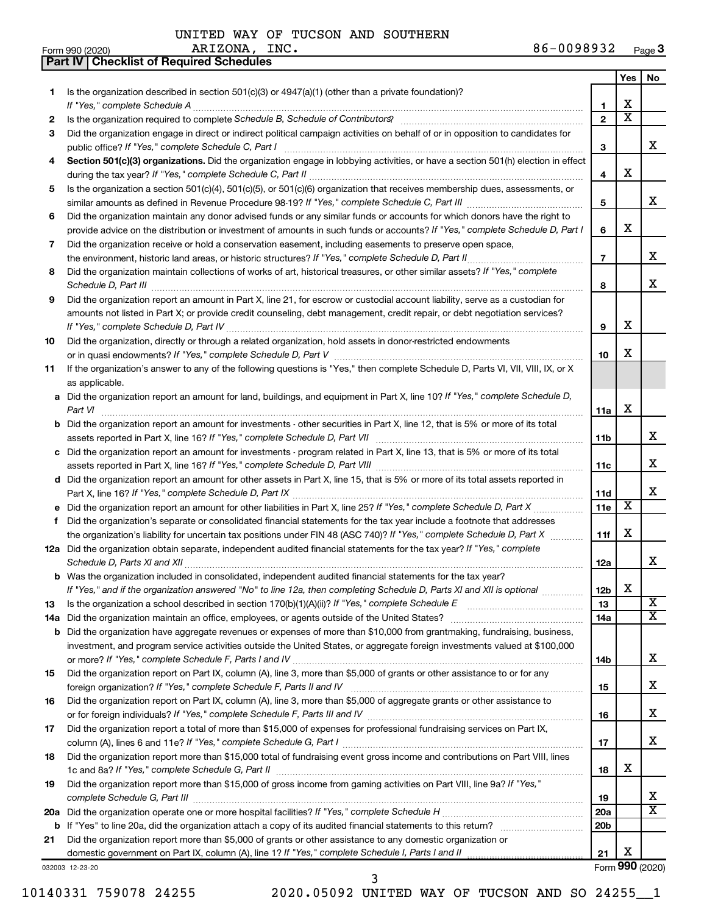ARIZONA, INC.

**Part IV Checklist of Required Schedules**

|     |                                                                                                                                                                                                                                                                                                                                                                      |                 | Yes                     | No                      |
|-----|----------------------------------------------------------------------------------------------------------------------------------------------------------------------------------------------------------------------------------------------------------------------------------------------------------------------------------------------------------------------|-----------------|-------------------------|-------------------------|
| 1   | Is the organization described in section $501(c)(3)$ or $4947(a)(1)$ (other than a private foundation)?                                                                                                                                                                                                                                                              |                 |                         |                         |
|     | If "Yes," complete Schedule A                                                                                                                                                                                                                                                                                                                                        | 1               | х                       |                         |
| 2   | Is the organization required to complete Schedule B, Schedule of Contributors? [11] the organization required to complete Schedule B, Schedule of Contributors?                                                                                                                                                                                                      | $\overline{2}$  | $\overline{\textbf{x}}$ |                         |
| З   | Did the organization engage in direct or indirect political campaign activities on behalf of or in opposition to candidates for                                                                                                                                                                                                                                      |                 |                         |                         |
|     |                                                                                                                                                                                                                                                                                                                                                                      | З               |                         | X                       |
| 4   | Section 501(c)(3) organizations. Did the organization engage in lobbying activities, or have a section 501(h) election in effect                                                                                                                                                                                                                                     |                 |                         |                         |
|     |                                                                                                                                                                                                                                                                                                                                                                      | 4               | х                       |                         |
| 5   | Is the organization a section 501(c)(4), 501(c)(5), or 501(c)(6) organization that receives membership dues, assessments, or                                                                                                                                                                                                                                         |                 |                         |                         |
|     |                                                                                                                                                                                                                                                                                                                                                                      | 5               |                         | X                       |
| 6   | Did the organization maintain any donor advised funds or any similar funds or accounts for which donors have the right to                                                                                                                                                                                                                                            |                 |                         |                         |
|     | provide advice on the distribution or investment of amounts in such funds or accounts? If "Yes," complete Schedule D, Part I                                                                                                                                                                                                                                         | 6               | х                       |                         |
| 7   | Did the organization receive or hold a conservation easement, including easements to preserve open space,                                                                                                                                                                                                                                                            |                 |                         | х                       |
|     |                                                                                                                                                                                                                                                                                                                                                                      | $\overline{7}$  |                         |                         |
| 8   | Did the organization maintain collections of works of art, historical treasures, or other similar assets? If "Yes," complete                                                                                                                                                                                                                                         | 8               |                         | x                       |
| 9   | Schedule D, Part III <b>Process Construction Construction Construction</b> Construction Construction Construction Construction Construction Construction Construction Construction Construction Construction Construction Construct<br>Did the organization report an amount in Part X, line 21, for escrow or custodial account liability, serve as a custodian for |                 |                         |                         |
|     | amounts not listed in Part X; or provide credit counseling, debt management, credit repair, or debt negotiation services?                                                                                                                                                                                                                                            |                 |                         |                         |
|     |                                                                                                                                                                                                                                                                                                                                                                      | 9               | х                       |                         |
| 10  | Did the organization, directly or through a related organization, hold assets in donor-restricted endowments                                                                                                                                                                                                                                                         |                 |                         |                         |
|     |                                                                                                                                                                                                                                                                                                                                                                      | 10              | х                       |                         |
| 11  | If the organization's answer to any of the following questions is "Yes," then complete Schedule D, Parts VI, VII, VIII, IX, or X                                                                                                                                                                                                                                     |                 |                         |                         |
|     | as applicable.                                                                                                                                                                                                                                                                                                                                                       |                 |                         |                         |
|     | a Did the organization report an amount for land, buildings, and equipment in Part X, line 10? If "Yes," complete Schedule D,                                                                                                                                                                                                                                        |                 |                         |                         |
|     | Part VI                                                                                                                                                                                                                                                                                                                                                              | 11a             | х                       |                         |
|     | <b>b</b> Did the organization report an amount for investments - other securities in Part X, line 12, that is 5% or more of its total                                                                                                                                                                                                                                |                 |                         |                         |
|     |                                                                                                                                                                                                                                                                                                                                                                      | 11b             |                         | X                       |
|     | c Did the organization report an amount for investments - program related in Part X, line 13, that is 5% or more of its total                                                                                                                                                                                                                                        |                 |                         |                         |
|     |                                                                                                                                                                                                                                                                                                                                                                      | 11c             |                         | х                       |
|     | d Did the organization report an amount for other assets in Part X, line 15, that is 5% or more of its total assets reported in                                                                                                                                                                                                                                      |                 |                         |                         |
|     |                                                                                                                                                                                                                                                                                                                                                                      | 11d             |                         | x                       |
|     |                                                                                                                                                                                                                                                                                                                                                                      | 11e             | X                       |                         |
| f   | Did the organization's separate or consolidated financial statements for the tax year include a footnote that addresses                                                                                                                                                                                                                                              |                 |                         |                         |
|     | the organization's liability for uncertain tax positions under FIN 48 (ASC 740)? If "Yes," complete Schedule D, Part X                                                                                                                                                                                                                                               | 11f             | х                       |                         |
|     | 12a Did the organization obtain separate, independent audited financial statements for the tax year? If "Yes," complete                                                                                                                                                                                                                                              |                 |                         |                         |
|     | Schedule D, Parts XI and XII                                                                                                                                                                                                                                                                                                                                         | 12a             |                         | х                       |
|     | <b>b</b> Was the organization included in consolidated, independent audited financial statements for the tax year?                                                                                                                                                                                                                                                   |                 | Χ                       |                         |
|     | If "Yes," and if the organization answered "No" to line 12a, then completing Schedule D, Parts XI and XII is optional <i>www.www</i>                                                                                                                                                                                                                                 | 12 <sub>b</sub> |                         | $\overline{\textbf{X}}$ |
| 13  |                                                                                                                                                                                                                                                                                                                                                                      | 13              |                         | $\overline{\mathbf{X}}$ |
| 14a |                                                                                                                                                                                                                                                                                                                                                                      | 14a             |                         |                         |
|     | <b>b</b> Did the organization have aggregate revenues or expenses of more than \$10,000 from grantmaking, fundraising, business,<br>investment, and program service activities outside the United States, or aggregate foreign investments valued at \$100,000                                                                                                       |                 |                         |                         |
|     |                                                                                                                                                                                                                                                                                                                                                                      | 14b             |                         | X                       |
| 15  | Did the organization report on Part IX, column (A), line 3, more than \$5,000 of grants or other assistance to or for any                                                                                                                                                                                                                                            |                 |                         |                         |
|     |                                                                                                                                                                                                                                                                                                                                                                      | 15              |                         | х                       |
| 16  | Did the organization report on Part IX, column (A), line 3, more than \$5,000 of aggregate grants or other assistance to                                                                                                                                                                                                                                             |                 |                         |                         |
|     |                                                                                                                                                                                                                                                                                                                                                                      | 16              |                         | х                       |
| 17  | Did the organization report a total of more than \$15,000 of expenses for professional fundraising services on Part IX,                                                                                                                                                                                                                                              |                 |                         |                         |
|     |                                                                                                                                                                                                                                                                                                                                                                      | 17              |                         | X                       |
| 18  | Did the organization report more than \$15,000 total of fundraising event gross income and contributions on Part VIII, lines                                                                                                                                                                                                                                         |                 |                         |                         |
|     |                                                                                                                                                                                                                                                                                                                                                                      | 18              | х                       |                         |
| 19  | Did the organization report more than \$15,000 of gross income from gaming activities on Part VIII, line 9a? If "Yes,"                                                                                                                                                                                                                                               |                 |                         |                         |
|     |                                                                                                                                                                                                                                                                                                                                                                      | 19              |                         | x                       |
|     |                                                                                                                                                                                                                                                                                                                                                                      | 20a             |                         | $\overline{\text{X}}$   |
|     | <b>b</b> If "Yes" to line 20a, did the organization attach a copy of its audited financial statements to this return?                                                                                                                                                                                                                                                | 20 <sub>b</sub> |                         |                         |
| 21  | Did the organization report more than \$5,000 of grants or other assistance to any domestic organization or                                                                                                                                                                                                                                                          |                 |                         |                         |
|     | domestic government on Part IX, column (A), line 1? If "Yes," complete Schedule I, Parts I and II                                                                                                                                                                                                                                                                    | 21              | х                       |                         |
|     | 032003 12-23-20                                                                                                                                                                                                                                                                                                                                                      |                 |                         | Form 990 (2020)         |

10140331 759078 24255 2020.05092 UNITED WAY OF TUCSON AND SO 24255\_\_1 3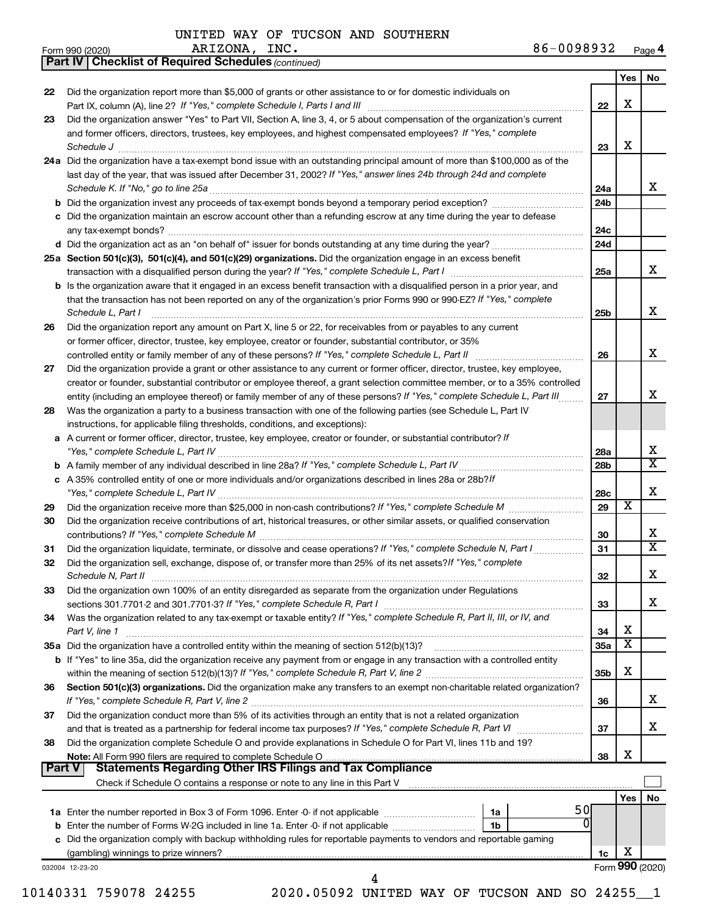*(continued)*

**Part IV Checklist of Required Schedules**

| Form 990 (2020) | INC .<br>ARIZONA, | 86-0098932 | Page 4 |
|-----------------|-------------------|------------|--------|
|-----------------|-------------------|------------|--------|

|          |                                                                                                                                                                                                                                              |                 | Yes | No                           |
|----------|----------------------------------------------------------------------------------------------------------------------------------------------------------------------------------------------------------------------------------------------|-----------------|-----|------------------------------|
| 22       | Did the organization report more than \$5,000 of grants or other assistance to or for domestic individuals on                                                                                                                                | 22              | X   |                              |
| 23       | Did the organization answer "Yes" to Part VII, Section A, line 3, 4, or 5 about compensation of the organization's current<br>and former officers, directors, trustees, key employees, and highest compensated employees? If "Yes," complete |                 |     |                              |
|          | Schedule J <b>www.communications.communications.communications.com</b>                                                                                                                                                                       | 23              | X   |                              |
|          | 24a Did the organization have a tax-exempt bond issue with an outstanding principal amount of more than \$100,000 as of the                                                                                                                  |                 |     |                              |
|          | last day of the year, that was issued after December 31, 2002? If "Yes," answer lines 24b through 24d and complete                                                                                                                           |                 |     |                              |
|          | Schedule K. If "No," go to line 25a                                                                                                                                                                                                          | 24a             |     | x                            |
|          |                                                                                                                                                                                                                                              | 24 <sub>b</sub> |     |                              |
|          | c Did the organization maintain an escrow account other than a refunding escrow at any time during the year to defease                                                                                                                       | 24c             |     |                              |
|          |                                                                                                                                                                                                                                              | 24d             |     |                              |
|          | 25a Section 501(c)(3), 501(c)(4), and 501(c)(29) organizations. Did the organization engage in an excess benefit                                                                                                                             |                 |     |                              |
|          | transaction with a disqualified person during the year? If "Yes," complete Schedule L, Part I manual manual manual manual manual manual manual manual manual manual manual manual manual manual manual manual manual manual ma               | 25a             |     | X                            |
|          | <b>b</b> Is the organization aware that it engaged in an excess benefit transaction with a disqualified person in a prior year, and                                                                                                          |                 |     |                              |
|          | that the transaction has not been reported on any of the organization's prior Forms 990 or 990-EZ? If "Yes," complete<br>Schedule L, Part I                                                                                                  | 25b             |     | x                            |
| 26       | Did the organization report any amount on Part X, line 5 or 22, for receivables from or payables to any current                                                                                                                              |                 |     |                              |
|          | or former officer, director, trustee, key employee, creator or founder, substantial contributor, or 35%                                                                                                                                      |                 |     |                              |
|          |                                                                                                                                                                                                                                              | 26              |     | X                            |
| 27       | Did the organization provide a grant or other assistance to any current or former officer, director, trustee, key employee,                                                                                                                  |                 |     |                              |
|          | creator or founder, substantial contributor or employee thereof, a grant selection committee member, or to a 35% controlled                                                                                                                  |                 |     | х                            |
|          | entity (including an employee thereof) or family member of any of these persons? If "Yes," complete Schedule L, Part III                                                                                                                     | 27              |     |                              |
| 28       | Was the organization a party to a business transaction with one of the following parties (see Schedule L, Part IV<br>instructions, for applicable filing thresholds, conditions, and exceptions):                                            |                 |     |                              |
|          | a A current or former officer, director, trustee, key employee, creator or founder, or substantial contributor? If                                                                                                                           |                 |     |                              |
|          |                                                                                                                                                                                                                                              | 28a             |     | х                            |
|          |                                                                                                                                                                                                                                              | 28 <sub>b</sub> |     | $\overline{\texttt{x}}$      |
|          | c A 35% controlled entity of one or more individuals and/or organizations described in lines 28a or 28b?/f                                                                                                                                   |                 |     |                              |
|          | "Yes," complete Schedule L, Part IV [111] [12] www.married.com/married.com/married.com/married.com/married.com/                                                                                                                              | 28c             |     | х                            |
| 29       |                                                                                                                                                                                                                                              | 29              | х   |                              |
| 30       | Did the organization receive contributions of art, historical treasures, or other similar assets, or qualified conservation                                                                                                                  |                 |     |                              |
|          |                                                                                                                                                                                                                                              | 30              |     | х<br>$\overline{\texttt{x}}$ |
| 31<br>32 | Did the organization liquidate, terminate, or dissolve and cease operations? If "Yes," complete Schedule N, Part I<br>Did the organization sell, exchange, dispose of, or transfer more than 25% of its net assets? If "Yes," complete       | 31              |     |                              |
|          | Schedule N, Part II                                                                                                                                                                                                                          | 32              |     | х                            |
| 33       | Did the organization own 100% of an entity disregarded as separate from the organization under Regulations                                                                                                                                   |                 |     |                              |
|          |                                                                                                                                                                                                                                              | 33              |     | x                            |
| 34       | Was the organization related to any tax-exempt or taxable entity? If "Yes," complete Schedule R, Part II, III, or IV, and                                                                                                                    |                 |     |                              |
|          | Part V, line 1                                                                                                                                                                                                                               | 34              | х   |                              |
|          |                                                                                                                                                                                                                                              | 35a             | X   |                              |
|          | b If "Yes" to line 35a, did the organization receive any payment from or engage in any transaction with a controlled entity                                                                                                                  |                 |     |                              |
|          |                                                                                                                                                                                                                                              | 35b             | х   |                              |
| 36       | Section 501(c)(3) organizations. Did the organization make any transfers to an exempt non-charitable related organization?                                                                                                                   | 36              |     | x                            |
| 37       | Did the organization conduct more than 5% of its activities through an entity that is not a related organization                                                                                                                             |                 |     |                              |
|          | and that is treated as a partnership for federal income tax purposes? If "Yes," complete Schedule R, Part VI                                                                                                                                 | 37              |     | X.                           |
| 38       | Did the organization complete Schedule O and provide explanations in Schedule O for Part VI, lines 11b and 19?                                                                                                                               |                 |     |                              |
|          |                                                                                                                                                                                                                                              | 38              | х   |                              |
| Part V   | <b>Statements Regarding Other IRS Filings and Tax Compliance</b>                                                                                                                                                                             |                 |     |                              |
|          |                                                                                                                                                                                                                                              |                 |     |                              |
|          | 50                                                                                                                                                                                                                                           |                 | Yes | No                           |
|          | 1a<br>0                                                                                                                                                                                                                                      |                 |     |                              |
|          |                                                                                                                                                                                                                                              |                 |     |                              |
|          |                                                                                                                                                                                                                                              |                 |     |                              |
|          | c Did the organization comply with backup withholding rules for reportable payments to vendors and reportable gaming                                                                                                                         | 1c              | Х   |                              |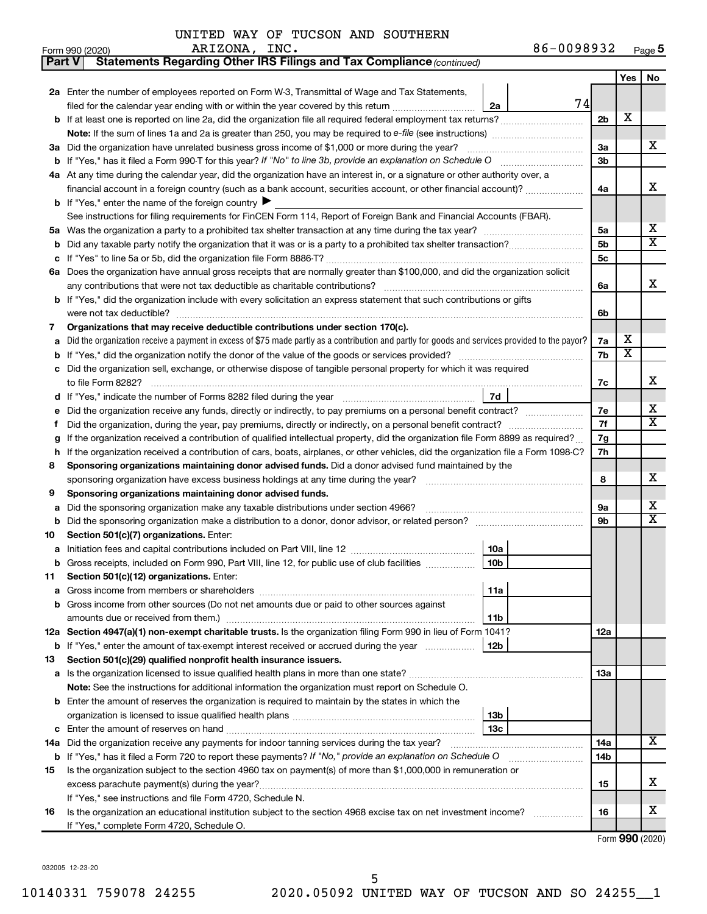| UNITED WAY OF TUCSON AND SOUTHERN |  |  |
|-----------------------------------|--|--|
|-----------------------------------|--|--|

| Part V  | Statements Regarding Other IRS Filings and Tax Compliance (continued)                                                                                                                                     |                |                         |                         |  |  |
|---------|-----------------------------------------------------------------------------------------------------------------------------------------------------------------------------------------------------------|----------------|-------------------------|-------------------------|--|--|
|         |                                                                                                                                                                                                           |                | Yes                     | No                      |  |  |
|         | 2a Enter the number of employees reported on Form W-3, Transmittal of Wage and Tax Statements,                                                                                                            |                |                         |                         |  |  |
|         | 74<br>filed for the calendar year ending with or within the year covered by this return<br>2a                                                                                                             |                |                         |                         |  |  |
|         |                                                                                                                                                                                                           | 2 <sub>b</sub> | X                       |                         |  |  |
|         |                                                                                                                                                                                                           |                |                         |                         |  |  |
| За      | Did the organization have unrelated business gross income of \$1,000 or more during the year?                                                                                                             |                |                         |                         |  |  |
|         |                                                                                                                                                                                                           |                |                         |                         |  |  |
|         | 4a At any time during the calendar year, did the organization have an interest in, or a signature or other authority over, a                                                                              |                |                         |                         |  |  |
|         | financial account in a foreign country (such as a bank account, securities account, or other financial account)?                                                                                          | 4a             |                         | х                       |  |  |
|         | <b>b</b> If "Yes," enter the name of the foreign country $\blacktriangleright$                                                                                                                            |                |                         |                         |  |  |
|         | See instructions for filing requirements for FinCEN Form 114, Report of Foreign Bank and Financial Accounts (FBAR).                                                                                       |                |                         |                         |  |  |
| 5a      |                                                                                                                                                                                                           | 5a             |                         | x                       |  |  |
| b       |                                                                                                                                                                                                           | 5b             |                         | $\overline{\textbf{x}}$ |  |  |
|         |                                                                                                                                                                                                           | 5с             |                         |                         |  |  |
|         | 6a Does the organization have annual gross receipts that are normally greater than \$100,000, and did the organization solicit                                                                            |                |                         |                         |  |  |
|         |                                                                                                                                                                                                           | 6a             |                         | х                       |  |  |
|         | b If "Yes," did the organization include with every solicitation an express statement that such contributions or gifts                                                                                    |                |                         |                         |  |  |
|         | were not tax deductible?                                                                                                                                                                                  | 6b             |                         |                         |  |  |
| 7       | Organizations that may receive deductible contributions under section 170(c).                                                                                                                             |                |                         |                         |  |  |
| a       | Did the organization receive a payment in excess of \$75 made partly as a contribution and partly for goods and services provided to the payor?                                                           | 7a             | х                       |                         |  |  |
| b       |                                                                                                                                                                                                           | 7b             | $\overline{\textbf{x}}$ |                         |  |  |
| c       | Did the organization sell, exchange, or otherwise dispose of tangible personal property for which it was required                                                                                         |                |                         |                         |  |  |
|         |                                                                                                                                                                                                           | 7c             |                         | х                       |  |  |
|         | 7d                                                                                                                                                                                                        |                |                         |                         |  |  |
|         | Did the organization receive any funds, directly or indirectly, to pay premiums on a personal benefit contract?                                                                                           | 7e             |                         | х                       |  |  |
| f       |                                                                                                                                                                                                           | 7f             |                         | $\overline{\mathbf{X}}$ |  |  |
| g       | If the organization received a contribution of qualified intellectual property, did the organization file Form 8899 as required?                                                                          | 7g             |                         |                         |  |  |
| h       | If the organization received a contribution of cars, boats, airplanes, or other vehicles, did the organization file a Form 1098-C?                                                                        | 7h             |                         |                         |  |  |
| 8       | Sponsoring organizations maintaining donor advised funds. Did a donor advised fund maintained by the                                                                                                      |                |                         |                         |  |  |
|         |                                                                                                                                                                                                           | 8              |                         | х                       |  |  |
| 9       | Sponsoring organizations maintaining donor advised funds.                                                                                                                                                 |                |                         | х                       |  |  |
| а       | Did the sponsoring organization make any taxable distributions under section 4966?                                                                                                                        | 9а<br>9b       |                         | $\overline{\mathbf{X}}$ |  |  |
| b       | Did the sponsoring organization make a distribution to a donor, donor advisor, or related person? [111] Did the sponsoring organization make a distribution to a donor, donor advisor, or related person? |                |                         |                         |  |  |
| 10      | Section 501(c)(7) organizations. Enter:<br>10a                                                                                                                                                            |                |                         |                         |  |  |
|         | <b>b</b> Gross receipts, included on Form 990, Part VIII, line 12, for public use of club facilities <i>manument</i><br>10b                                                                               |                |                         |                         |  |  |
|         | Section 501(c)(12) organizations. Enter:                                                                                                                                                                  |                |                         |                         |  |  |
| 11<br>а | 11a                                                                                                                                                                                                       |                |                         |                         |  |  |
|         | Gross income from other sources (Do not net amounts due or paid to other sources against                                                                                                                  |                |                         |                         |  |  |
|         | amounts due or received from them.)<br>11b                                                                                                                                                                |                |                         |                         |  |  |
|         | 12a Section 4947(a)(1) non-exempt charitable trusts. Is the organization filing Form 990 in lieu of Form 1041?                                                                                            | 12a            |                         |                         |  |  |
|         | 12b<br><b>b</b> If "Yes," enter the amount of tax-exempt interest received or accrued during the year                                                                                                     |                |                         |                         |  |  |
| 13      | Section 501(c)(29) qualified nonprofit health insurance issuers.                                                                                                                                          |                |                         |                         |  |  |
|         | a Is the organization licensed to issue qualified health plans in more than one state?                                                                                                                    | 13a            |                         |                         |  |  |
|         | Note: See the instructions for additional information the organization must report on Schedule O.                                                                                                         |                |                         |                         |  |  |
|         | <b>b</b> Enter the amount of reserves the organization is required to maintain by the states in which the                                                                                                 |                |                         |                         |  |  |
|         | 13b                                                                                                                                                                                                       |                |                         |                         |  |  |
| c       | 13c                                                                                                                                                                                                       |                |                         |                         |  |  |
|         | 14a Did the organization receive any payments for indoor tanning services during the tax year?                                                                                                            | 14a            |                         | x                       |  |  |
|         | <b>b</b> If "Yes," has it filed a Form 720 to report these payments? If "No," provide an explanation on Schedule O                                                                                        | 14b            |                         |                         |  |  |
| 15      | Is the organization subject to the section 4960 tax on payment(s) of more than \$1,000,000 in remuneration or                                                                                             |                |                         |                         |  |  |
|         | excess parachute payment(s) during the year?                                                                                                                                                              | 15             |                         | х                       |  |  |
|         | If "Yes," see instructions and file Form 4720, Schedule N.                                                                                                                                                |                |                         |                         |  |  |
| 16      | Is the organization an educational institution subject to the section 4968 excise tax on net investment income?                                                                                           | 16             |                         | x                       |  |  |
|         | If "Yes," complete Form 4720, Schedule O.                                                                                                                                                                 |                |                         |                         |  |  |

Form (2020) **990**

032005 12-23-20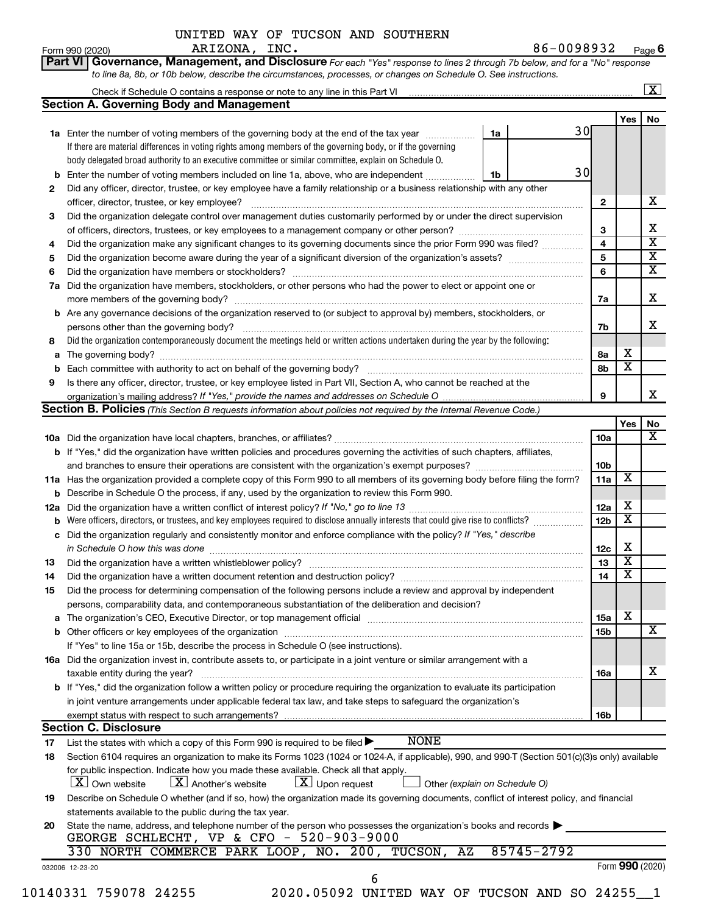#### **Yes No 1a 1b 1a** Enter the number of voting members of the governing body at the end of the tax year *www.www.* **2 3 4 5 6 7 a** Did the organization have members, stockholders, or other persons who had the power to elect or appoint one or **b** Enter the number of voting members included on line 1a, above, who are independent *controllering* **2 3 4 5 6 Part VI** Governance, Management, and Disclosure For each "Yes" response to lines 2 through 7b below, and for a "No" response *to line 8a, 8b, or 10b below, describe the circumstances, processes, or changes on Schedule O. See instructions.* If there are material differences in voting rights among members of the governing body, or if the governing body delegated broad authority to an executive committee or similar committee, explain on Schedule O.  $\mathsf{Form}\,990\,(2020)$   $\qquad \qquad \mathsf{AKLZUNA}$ ,  $\mathsf{INC}\,\bullet$   $\qquad \qquad \qquad \mathsf{MCL}$   $\qquad \qquad \mathsf{86-UU98932}$   $\qquad \qquad \mathsf{Page}\,$ Check if Schedule O contains a response or note to any line in this Part VI Did any officer, director, trustee, or key employee have a family relationship or a business relationship with any other officer, director, trustee, or key employee? ~~~~~~~~~~~~~~~~~~~~~~~~~~~~~~~~~~~~~~~~ Did the organization delegate control over management duties customarily performed by or under the direct supervision of officers, directors, trustees, or key employees to a management company or other person? ~~~~~~~~~~~~~~~ Did the organization make any significant changes to its governing documents since the prior Form 990 was filed? ............... Did the organization become aware during the year of a significant diversion of the organization's assets? \_\_\_\_\_\_\_\_\_\_\_\_\_\_\_\_\_\_\_\_\_\_\_\_\_\_\_\_ Did the organization have members or stockholders? ~~~~~~~~~~~~~~~~~~~~~~~~~~~~~~~~~~~ **6 Section A. Governing Body and Management**  $\boxed{\text{X}}$ ARIZONA, INC. 86-0098932 30 30 X X  $\overline{\text{x}}$  $\overline{\text{X}}$ X

~~~~~~~~~~~~~~~~~~~~~~~~~~~~~~~~~~~~~~~~~

**b** Are any governance decisions of the organization reserved to (or subject to approval by) members, stockholders, or

Is there any officer, director, trustee, or key employee listed in Part VII, Section A, who cannot be reached at the

Did the organization contemporaneously document the meetings held or written actions undertaken during the year by the following:

UNITED WAY OF TUCSON AND SOUTHERN

**a** The governing body? ~~~~~~~~~~~~~~~~~~~~~~~~~~~~~~~~~~~~~~~~~~~~~~~~~~~ **b** Each committee with authority to act on behalf of the governing body? ~~~~~~~~~~~~~~~~~~~~~~~~~~

more members of the governing body? ~~~~~~~~~~~~~~~~~~~~~~~~~~~~~~~~~~~~~~~~~~

*If "Yes," provide the names and addresses on Schedule O* organization's mailing address?

**8**

persons other than the governing body?

**9**

|    | <b>Section B. Policies</b> (This Section B requests information about policies not required by the Internal Revenue Code.)                                                                                                                                                                     |                 |                         |                         |
|----|------------------------------------------------------------------------------------------------------------------------------------------------------------------------------------------------------------------------------------------------------------------------------------------------|-----------------|-------------------------|-------------------------|
|    |                                                                                                                                                                                                                                                                                                |                 | <b>Yes</b>              | No                      |
|    |                                                                                                                                                                                                                                                                                                | 10a             |                         | X                       |
|    | b If "Yes," did the organization have written policies and procedures governing the activities of such chapters, affiliates,                                                                                                                                                                   |                 |                         |                         |
|    |                                                                                                                                                                                                                                                                                                | 10 <sub>b</sub> |                         |                         |
|    | 11a Has the organization provided a complete copy of this Form 990 to all members of its governing body before filing the form?                                                                                                                                                                | 11a             | $\overline{\text{x}}$   |                         |
| b  | Describe in Schedule O the process, if any, used by the organization to review this Form 990.                                                                                                                                                                                                  |                 |                         |                         |
|    |                                                                                                                                                                                                                                                                                                | 12a             | х                       |                         |
| b  | Were officers, directors, or trustees, and key employees required to disclose annually interests that could give rise to conflicts?                                                                                                                                                            | 12 <sub>b</sub> | $\overline{\texttt{x}}$ |                         |
| c  | Did the organization regularly and consistently monitor and enforce compliance with the policy? If "Yes," describe<br>in Schedule O how this was done                                                                                                                                          | 12c             | х                       |                         |
|    |                                                                                                                                                                                                                                                                                                | 13              | $\overline{\text{x}}$   |                         |
| 13 |                                                                                                                                                                                                                                                                                                | 14              | $\overline{\textbf{x}}$ |                         |
| 14 |                                                                                                                                                                                                                                                                                                |                 |                         |                         |
| 15 | Did the process for determining compensation of the following persons include a review and approval by independent<br>persons, comparability data, and contemporaneous substantiation of the deliberation and decision?                                                                        |                 |                         |                         |
|    |                                                                                                                                                                                                                                                                                                | 15a             | x                       |                         |
| a  | The organization's CEO, Executive Director, or top management official manufactured content of the organization's CEO, Executive Director, or top management official manufactured content of the state of the state of the st<br><b>b</b> Other officers or key employees of the organization | 15b             |                         | $\overline{\mathtt{x}}$ |
|    | If "Yes" to line 15a or 15b, describe the process in Schedule O (see instructions).                                                                                                                                                                                                            |                 |                         |                         |
|    | 16a Did the organization invest in, contribute assets to, or participate in a joint venture or similar arrangement with a                                                                                                                                                                      |                 |                         |                         |
|    | taxable entity during the year?                                                                                                                                                                                                                                                                | 16a             |                         | x                       |
|    | b If "Yes," did the organization follow a written policy or procedure requiring the organization to evaluate its participation                                                                                                                                                                 |                 |                         |                         |
|    | in joint venture arrangements under applicable federal tax law, and take steps to safeguard the organization's                                                                                                                                                                                 |                 |                         |                         |
|    |                                                                                                                                                                                                                                                                                                | <b>16b</b>      |                         |                         |
|    | <b>Section C. Disclosure</b>                                                                                                                                                                                                                                                                   |                 |                         |                         |
| 17 | <b>NONE</b><br>List the states with which a copy of this Form 990 is required to be filed $\blacktriangleright$                                                                                                                                                                                |                 |                         |                         |
| 18 | Section 6104 requires an organization to make its Forms 1023 (1024 or 1024-A, if applicable), 990, and 990-T (Section 501(c)(3)s only) available                                                                                                                                               |                 |                         |                         |
|    | for public inspection. Indicate how you made these available. Check all that apply.<br>$\lfloor x \rfloor$ Upon request<br>$\lfloor x \rfloor$ Own website<br>$\lfloor X \rfloor$ Another's website<br>Other (explain on Schedule O)                                                           |                 |                         |                         |
| 19 | Describe on Schedule O whether (and if so, how) the organization made its governing documents, conflict of interest policy, and financial                                                                                                                                                      |                 |                         |                         |
|    | statements available to the public during the tax year.                                                                                                                                                                                                                                        |                 |                         |                         |
| 20 | State the name, address, and telephone number of the person who possesses the organization's books and records                                                                                                                                                                                 |                 |                         |                         |
|    | GEORGE SCHLECHT, VP & CFO - 520-903-9000                                                                                                                                                                                                                                                       |                 |                         |                         |
|    | 85745-2792<br>330 NORTH COMMERCE PARK LOOP, NO. 200, TUCSON, AZ                                                                                                                                                                                                                                |                 |                         |                         |
|    | 032006 12-23-20                                                                                                                                                                                                                                                                                |                 |                         | Form 990 (2020)         |

10140331 759078 24255 2020.05092 UNITED WAY OF TUCSON AND SO 24255\_\_1

6

**7a**

X

X

X

**7b**

**8a 8b** X X

**9**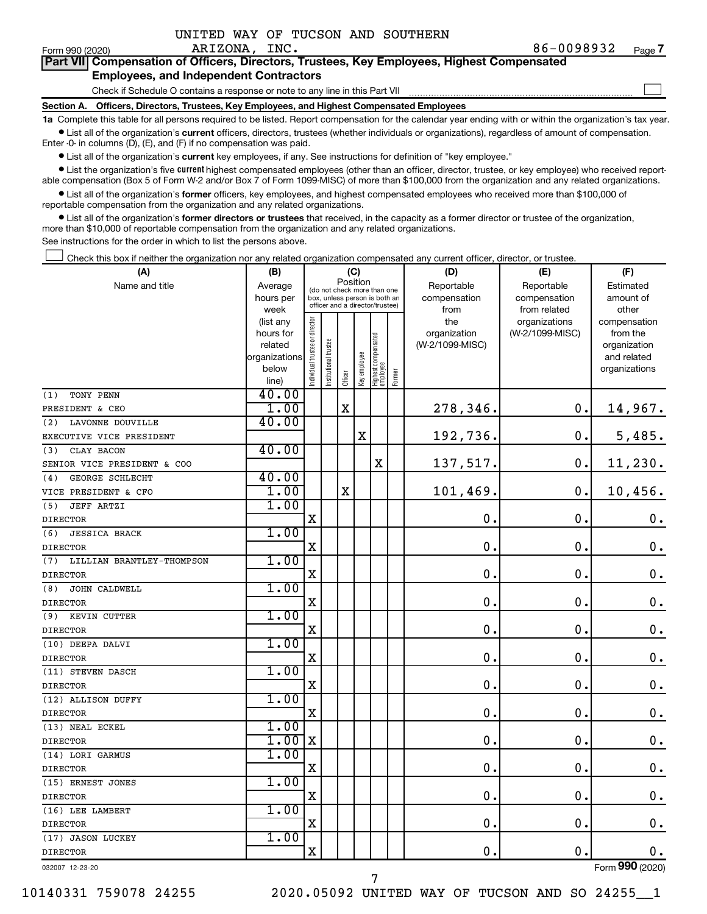| UNITED WAY OF TUCSON AND SOUTHERN |  |  |
|-----------------------------------|--|--|
|-----------------------------------|--|--|

 $\mathcal{L}^{\text{eff}}$ 

| Part VII Compensation of Officers, Directors, Trustees, Key Employees, Highest Compensated |  |  |  |
|--------------------------------------------------------------------------------------------|--|--|--|
| <b>Employees, and Independent Contractors</b>                                              |  |  |  |

Check if Schedule O contains a response or note to any line in this Part VII

**Section A. Officers, Directors, Trustees, Key Employees, and Highest Compensated Employees**

**1a**  Complete this table for all persons required to be listed. Report compensation for the calendar year ending with or within the organization's tax year.  $\bullet$  List all of the organization's current officers, directors, trustees (whether individuals or organizations), regardless of amount of compensation.

Enter -0- in columns (D), (E), and (F) if no compensation was paid.

**•** List all of the organization's current key employees, if any. See instructions for definition of "key employee."

• List the organization's five *current* highest compensated employees (other than an officer, director, trustee, or key employee) who received reportable compensation (Box 5 of Form W-2 and/or Box 7 of Form 1099-MISC) of more than \$100,000 from the organization and any related organizations.

 $\bullet$  List all of the organization's former officers, key employees, and highest compensated employees who received more than \$100,000 of reportable compensation from the organization and any related organizations.

**•** List all of the organization's former directors or trustees that received, in the capacity as a former director or trustee of the organization, more than \$10,000 of reportable compensation from the organization and any related organizations.

See instructions for the order in which to list the persons above.

Check this box if neither the organization nor any related organization compensated any current officer, director, or trustee.  $\mathcal{L}^{\text{eff}}$ 

| (A)                              | (B)                    |                                |                                                                  | (C)         |              |                                   |        | (D)                 | (E)                              | (F)                      |
|----------------------------------|------------------------|--------------------------------|------------------------------------------------------------------|-------------|--------------|-----------------------------------|--------|---------------------|----------------------------------|--------------------------|
| Name and title                   | Average                |                                | (do not check more than one                                      | Position    |              |                                   |        | Reportable          | Reportable                       | Estimated                |
|                                  | hours per              |                                | box, unless person is both an<br>officer and a director/trustee) |             |              |                                   |        | compensation        | compensation                     | amount of                |
|                                  | week                   |                                |                                                                  |             |              |                                   |        | from                | from related                     | other                    |
|                                  | (list any<br>hours for | Individual trustee or director |                                                                  |             |              |                                   |        | the<br>organization | organizations<br>(W-2/1099-MISC) | compensation<br>from the |
|                                  | related                |                                |                                                                  |             |              |                                   |        | (W-2/1099-MISC)     |                                  | organization             |
|                                  | organizations          |                                | Institutional trustee                                            |             |              |                                   |        |                     |                                  | and related              |
|                                  | below                  |                                |                                                                  |             | Key employee |                                   |        |                     |                                  | organizations            |
|                                  | line)                  |                                |                                                                  | Officer     |              | Highest compensated<br>  employee | Former |                     |                                  |                          |
| TONY PENN<br>(1)                 | 40.00                  |                                |                                                                  |             |              |                                   |        |                     |                                  |                          |
| PRESIDENT & CEO                  | 1.00                   |                                |                                                                  | $\mathbf X$ |              |                                   |        | 278,346.            | 0.                               | 14,967.                  |
| LAVONNE DOUVILLE<br>(2)          | 40.00                  |                                |                                                                  |             |              |                                   |        |                     |                                  |                          |
| EXECUTIVE VICE PRESIDENT         |                        |                                |                                                                  |             | $\mathbf X$  |                                   |        | 192,736.            | $\mathbf 0$ .                    | 5,485.                   |
| (3)<br>CLAY BACON                | 40.00                  |                                |                                                                  |             |              |                                   |        |                     |                                  |                          |
| SENIOR VICE PRESIDENT & COO      |                        |                                |                                                                  |             |              | X                                 |        | 137,517.            | $\mathbf 0$ .                    | 11,230.                  |
| GEORGE SCHLECHT<br>(4)           | 40.00                  |                                |                                                                  |             |              |                                   |        |                     |                                  |                          |
| VICE PRESIDENT & CFO             | 1.00                   |                                |                                                                  | $\mathbf X$ |              |                                   |        | 101, 469.           | $\mathbf 0$ .                    | 10,456.                  |
| <b>JEFF ARTZI</b><br>(5)         | 1.00                   |                                |                                                                  |             |              |                                   |        |                     |                                  |                          |
| <b>DIRECTOR</b>                  |                        | X                              |                                                                  |             |              |                                   |        | 0.                  | $\mathbf 0$ .                    | 0.                       |
| <b>JESSICA BRACK</b><br>(6)      | 1.00                   |                                |                                                                  |             |              |                                   |        |                     |                                  |                          |
| <b>DIRECTOR</b>                  |                        | $\mathbf X$                    |                                                                  |             |              |                                   |        | $\mathbf 0$         | $\mathbf 0$ .                    | $\mathbf 0$ .            |
| LILLIAN BRANTLEY-THOMPSON<br>(7) | 1.00                   |                                |                                                                  |             |              |                                   |        |                     |                                  |                          |
| <b>DIRECTOR</b>                  |                        | X                              |                                                                  |             |              |                                   |        | $\mathbf 0$ .       | $\mathbf 0$ .                    | $\mathbf 0$ .            |
| (8)<br>JOHN CALDWELL             | 1.00                   |                                |                                                                  |             |              |                                   |        |                     |                                  |                          |
| <b>DIRECTOR</b>                  |                        | X                              |                                                                  |             |              |                                   |        | $\mathbf 0$ .       | $\mathbf 0$ .                    | $\mathbf 0$ .            |
| (9)<br>KEVIN CUTTER              | 1.00                   |                                |                                                                  |             |              |                                   |        |                     |                                  |                          |
| <b>DIRECTOR</b>                  |                        | X                              |                                                                  |             |              |                                   |        | $\mathbf 0$ .       | $\mathbf 0$ .                    | $\mathbf 0$ .            |
| (10) DEEPA DALVI                 | 1.00                   |                                |                                                                  |             |              |                                   |        |                     |                                  |                          |
| <b>DIRECTOR</b>                  |                        | $\mathbf X$                    |                                                                  |             |              |                                   |        | 0.                  | $\mathbf 0$ .                    | $\mathbf 0$ .            |
| (11) STEVEN DASCH                | 1.00                   |                                |                                                                  |             |              |                                   |        |                     |                                  |                          |
| <b>DIRECTOR</b>                  |                        | $\mathbf X$                    |                                                                  |             |              |                                   |        | $\mathbf 0$         | $\mathbf 0$                      | $\mathbf 0$ .            |
| (12) ALLISON DUFFY               | 1.00                   |                                |                                                                  |             |              |                                   |        |                     |                                  |                          |
| <b>DIRECTOR</b>                  |                        | X                              |                                                                  |             |              |                                   |        | $\mathbf 0$         | $\mathbf 0$ .                    | $\mathbf 0$ .            |
| (13) NEAL ECKEL                  | 1.00                   |                                |                                                                  |             |              |                                   |        |                     |                                  |                          |
| <b>DIRECTOR</b>                  | 1.00                   | $\mathbf X$                    |                                                                  |             |              |                                   |        | $\mathbf 0$         | $\mathbf 0$ .                    | $\mathbf 0$ .            |
| (14) LORI GARMUS                 | 1.00                   |                                |                                                                  |             |              |                                   |        |                     |                                  |                          |
| <b>DIRECTOR</b>                  |                        | $\mathbf X$                    |                                                                  |             |              |                                   |        | $\mathbf 0$ .       | $\mathbf 0$ .                    | $\mathbf 0$ .            |
| (15) ERNEST JONES                | 1.00                   |                                |                                                                  |             |              |                                   |        |                     |                                  |                          |
| <b>DIRECTOR</b>                  |                        | $\mathbf X$                    |                                                                  |             |              |                                   |        | $\mathbf 0$         | $\mathbf 0$ .                    | 0.                       |
| (16) LEE LAMBERT                 | 1.00                   |                                |                                                                  |             |              |                                   |        |                     |                                  |                          |
| <b>DIRECTOR</b>                  |                        | X                              |                                                                  |             |              |                                   |        | 0.                  | $\mathbf 0$ .                    | $\mathbf 0$ .            |
| (17) JASON LUCKEY                | 1.00                   |                                |                                                                  |             |              |                                   |        |                     |                                  |                          |
| <b>DIRECTOR</b>                  |                        | X                              |                                                                  |             |              |                                   |        | 0.                  | $\mathbf 0$ .                    | $0$ .                    |
| 032007 12-23-20                  |                        |                                |                                                                  |             |              |                                   |        |                     |                                  | Form 990 (2020)          |

10140331 759078 24255 2020.05092 UNITED WAY OF TUCSON AND SO 24255\_\_1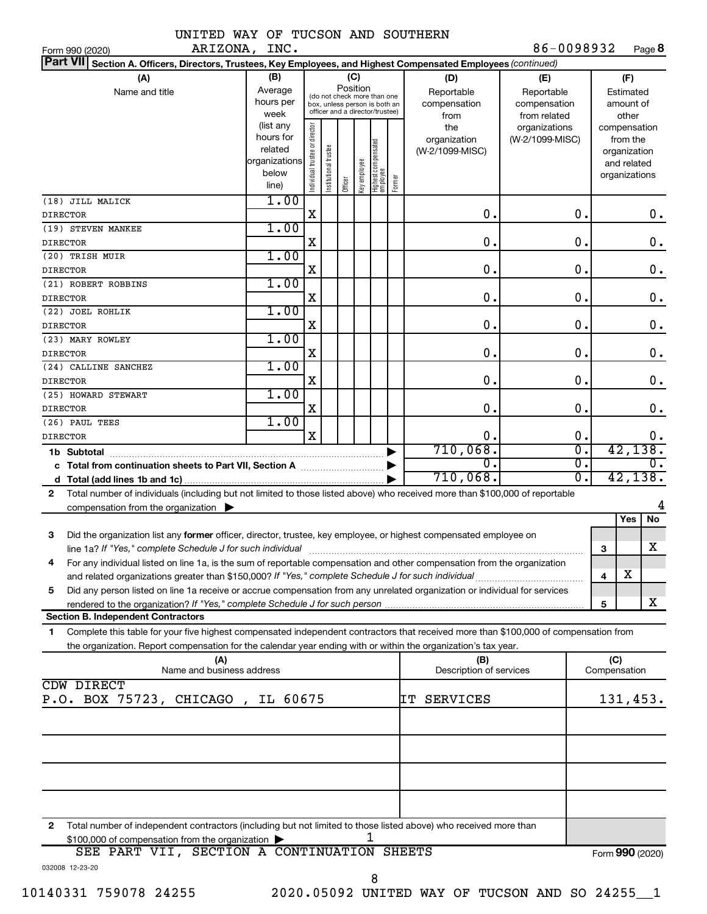| UNITED WAY OF TUCSON AND SOUTHERN                                                                                                                                                                        |                                                                      |                                |                       |                 |              |                                                                                                 |        |                                           |                                                   |               |                 |                                                                          |               |
|----------------------------------------------------------------------------------------------------------------------------------------------------------------------------------------------------------|----------------------------------------------------------------------|--------------------------------|-----------------------|-----------------|--------------|-------------------------------------------------------------------------------------------------|--------|-------------------------------------------|---------------------------------------------------|---------------|-----------------|--------------------------------------------------------------------------|---------------|
| ARIZONA, INC.<br>Form 990 (2020)                                                                                                                                                                         |                                                                      |                                |                       |                 |              |                                                                                                 |        |                                           | 86-0098932                                        |               |                 |                                                                          | Page 8        |
| <b>Part VII</b><br>Section A. Officers, Directors, Trustees, Key Employees, and Highest Compensated Employees (continued)                                                                                |                                                                      |                                |                       |                 |              |                                                                                                 |        |                                           |                                                   |               |                 |                                                                          |               |
| (A)<br>Name and title                                                                                                                                                                                    | (B)<br>Average<br>hours per<br>week                                  |                                |                       | (C)<br>Position |              | (do not check more than one<br>box, unless person is both an<br>officer and a director/trustee) |        | (D)<br>Reportable<br>compensation<br>from | (E)<br>Reportable<br>compensation<br>from related |               |                 | (F)<br>Estimated<br>amount of<br>other                                   |               |
|                                                                                                                                                                                                          | (list any<br>hours for<br>related<br>organizations<br>below<br>line) | Individual trustee or director | Institutional trustee | Officer         | key employee | Highest compensated<br>  employee                                                               | Former | the<br>organization<br>(W-2/1099-MISC)    | organizations<br>(W-2/1099-MISC)                  |               |                 | compensation<br>from the<br>organization<br>and related<br>organizations |               |
| (18) JILL MALICK<br><b>DIRECTOR</b>                                                                                                                                                                      | 1.00                                                                 | $\mathbf X$                    |                       |                 |              |                                                                                                 |        | $\mathbf 0$ .                             |                                                   | $\mathbf 0$ . |                 |                                                                          | 0.            |
| (19) STEVEN MANKEE                                                                                                                                                                                       | 1.00                                                                 |                                |                       |                 |              |                                                                                                 |        |                                           |                                                   |               |                 |                                                                          |               |
| <b>DIRECTOR</b>                                                                                                                                                                                          |                                                                      | $\mathbf X$                    |                       |                 |              |                                                                                                 |        | $\mathbf 0$ .                             |                                                   | 0.            |                 |                                                                          | 0.            |
| (20) TRISH MUIR                                                                                                                                                                                          | 1.00                                                                 |                                |                       |                 |              |                                                                                                 |        |                                           |                                                   |               |                 |                                                                          |               |
| <b>DIRECTOR</b>                                                                                                                                                                                          |                                                                      | $\mathbf X$                    |                       |                 |              |                                                                                                 |        | $\mathbf 0$ .                             |                                                   | 0.            |                 |                                                                          | 0.            |
| (21) ROBERT ROBBINS                                                                                                                                                                                      | 1.00                                                                 |                                |                       |                 |              |                                                                                                 |        |                                           |                                                   |               |                 |                                                                          |               |
| <b>DIRECTOR</b>                                                                                                                                                                                          |                                                                      | $\mathbf X$                    |                       |                 |              |                                                                                                 |        | $\mathbf 0$ .                             |                                                   | $\mathbf 0$ . |                 |                                                                          | $\mathbf 0$ . |
| (22) JOEL ROHLIK                                                                                                                                                                                         | 1.00                                                                 |                                |                       |                 |              |                                                                                                 |        |                                           |                                                   |               |                 |                                                                          |               |
| <b>DIRECTOR</b>                                                                                                                                                                                          |                                                                      | X                              |                       |                 |              |                                                                                                 |        | $\mathbf 0$ .                             |                                                   | $\mathbf 0$ . |                 |                                                                          | $\mathbf 0$ . |
| (23) MARY ROWLEY                                                                                                                                                                                         | 1.00                                                                 |                                |                       |                 |              |                                                                                                 |        |                                           |                                                   |               |                 |                                                                          |               |
| <b>DIRECTOR</b>                                                                                                                                                                                          |                                                                      | X                              |                       |                 |              |                                                                                                 |        | $\mathbf 0$ .                             |                                                   | $\mathbf 0$ . |                 |                                                                          | $\mathbf 0$ . |
| (24) CALLINE SANCHEZ<br><b>DIRECTOR</b>                                                                                                                                                                  | 1.00                                                                 | $\mathbf X$                    |                       |                 |              |                                                                                                 |        | $\mathbf 0$ .                             |                                                   | 0.            |                 |                                                                          | 0.            |
| (25) HOWARD STEWART                                                                                                                                                                                      | 1.00                                                                 |                                |                       |                 |              |                                                                                                 |        |                                           |                                                   |               |                 |                                                                          |               |
| <b>DIRECTOR</b>                                                                                                                                                                                          |                                                                      | X                              |                       |                 |              |                                                                                                 |        | $\mathbf 0$ .                             |                                                   | О.            |                 |                                                                          | 0.            |
| (26) PAUL TEES                                                                                                                                                                                           | 1.00                                                                 |                                |                       |                 |              |                                                                                                 |        |                                           |                                                   |               |                 |                                                                          |               |
| <b>DIRECTOR</b>                                                                                                                                                                                          |                                                                      | X                              |                       |                 |              |                                                                                                 |        | $\mathbf 0$ .                             |                                                   | $\mathbf 0$ . |                 |                                                                          | 0.            |
| 1b Subtotal                                                                                                                                                                                              |                                                                      |                                |                       |                 |              |                                                                                                 |        | 710,068.                                  |                                                   | σ.            |                 | 42, 138.                                                                 |               |
|                                                                                                                                                                                                          |                                                                      |                                |                       |                 |              |                                                                                                 |        | О.                                        |                                                   | σ.            |                 |                                                                          | о.            |
|                                                                                                                                                                                                          |                                                                      |                                |                       |                 |              |                                                                                                 |        | 710,068.                                  |                                                   | σ.            |                 | 42, 138.                                                                 |               |
| Total number of individuals (including but not limited to those listed above) who received more than \$100,000 of reportable<br>$\mathbf{2}$<br>compensation from the organization $\blacktriangleright$ |                                                                      |                                |                       |                 |              |                                                                                                 |        |                                           |                                                   |               |                 |                                                                          |               |
|                                                                                                                                                                                                          |                                                                      |                                |                       |                 |              |                                                                                                 |        |                                           |                                                   |               |                 | Yes                                                                      | No            |
| 3<br>Did the organization list any former officer, director, trustee, key employee, or highest compensated employee on                                                                                   |                                                                      |                                |                       |                 |              |                                                                                                 |        |                                           |                                                   |               |                 |                                                                          |               |
| line 1a? If "Yes," complete Schedule J for such individual manufactured content to the content of the complete                                                                                           |                                                                      |                                |                       |                 |              |                                                                                                 |        |                                           |                                                   |               | з               |                                                                          | $\mathbf X$   |
| For any individual listed on line 1a, is the sum of reportable compensation and other compensation from the organization<br>4                                                                            |                                                                      |                                |                       |                 |              |                                                                                                 |        |                                           |                                                   |               |                 |                                                                          |               |
|                                                                                                                                                                                                          |                                                                      |                                |                       |                 |              |                                                                                                 |        |                                           |                                                   |               | 4               | x                                                                        |               |
| Did any person listed on line 1a receive or accrue compensation from any unrelated organization or individual for services<br>5                                                                          |                                                                      |                                |                       |                 |              |                                                                                                 |        |                                           |                                                   |               |                 |                                                                          |               |
| <b>Section B. Independent Contractors</b>                                                                                                                                                                |                                                                      |                                |                       |                 |              |                                                                                                 |        |                                           |                                                   |               | 5               |                                                                          | x             |
| Complete this table for your five highest compensated independent contractors that received more than \$100,000 of compensation from                                                                     |                                                                      |                                |                       |                 |              |                                                                                                 |        |                                           |                                                   |               |                 |                                                                          |               |
| 1<br>the organization. Report compensation for the calendar year ending with or within the organization's tax year.                                                                                      |                                                                      |                                |                       |                 |              |                                                                                                 |        |                                           |                                                   |               |                 |                                                                          |               |
| (A)                                                                                                                                                                                                      |                                                                      |                                |                       |                 |              |                                                                                                 |        | (B)                                       |                                                   |               | (C)             |                                                                          |               |
| Name and business address                                                                                                                                                                                |                                                                      |                                |                       |                 |              |                                                                                                 |        | Description of services                   |                                                   |               | Compensation    |                                                                          |               |
| CDW DIRECT                                                                                                                                                                                               |                                                                      |                                |                       |                 |              |                                                                                                 |        |                                           |                                                   |               |                 |                                                                          |               |
| P.O. BOX 75723, CHICAGO, IL 60675                                                                                                                                                                        |                                                                      |                                |                       |                 |              |                                                                                                 |        | IT SERVICES                               |                                                   |               |                 | 131,453.                                                                 |               |
|                                                                                                                                                                                                          |                                                                      |                                |                       |                 |              |                                                                                                 |        |                                           |                                                   |               |                 |                                                                          |               |
|                                                                                                                                                                                                          |                                                                      |                                |                       |                 |              |                                                                                                 |        |                                           |                                                   |               |                 |                                                                          |               |
|                                                                                                                                                                                                          |                                                                      |                                |                       |                 |              |                                                                                                 |        |                                           |                                                   |               |                 |                                                                          |               |
|                                                                                                                                                                                                          |                                                                      |                                |                       |                 |              |                                                                                                 |        |                                           |                                                   |               |                 |                                                                          |               |
|                                                                                                                                                                                                          |                                                                      |                                |                       |                 |              |                                                                                                 |        |                                           |                                                   |               |                 |                                                                          |               |
|                                                                                                                                                                                                          |                                                                      |                                |                       |                 |              |                                                                                                 |        |                                           |                                                   |               |                 |                                                                          |               |
|                                                                                                                                                                                                          |                                                                      |                                |                       |                 |              |                                                                                                 |        |                                           |                                                   |               |                 |                                                                          |               |
| Total number of independent contractors (including but not limited to those listed above) who received more than<br>2<br>\$100,000 of compensation from the organization                                 |                                                                      |                                |                       |                 |              | 1                                                                                               |        |                                           |                                                   |               |                 |                                                                          |               |
| SEE PART VII, SECTION A CONTINUATION SHEETS                                                                                                                                                              |                                                                      |                                |                       |                 |              |                                                                                                 |        |                                           |                                                   |               | Form 990 (2020) |                                                                          |               |
| 032008 12-23-20                                                                                                                                                                                          |                                                                      |                                |                       |                 |              |                                                                                                 |        |                                           |                                                   |               |                 |                                                                          |               |

10140331 759078 24255 2020.05092 UNITED WAY OF TUCSON AND SO 24255\_\_1 8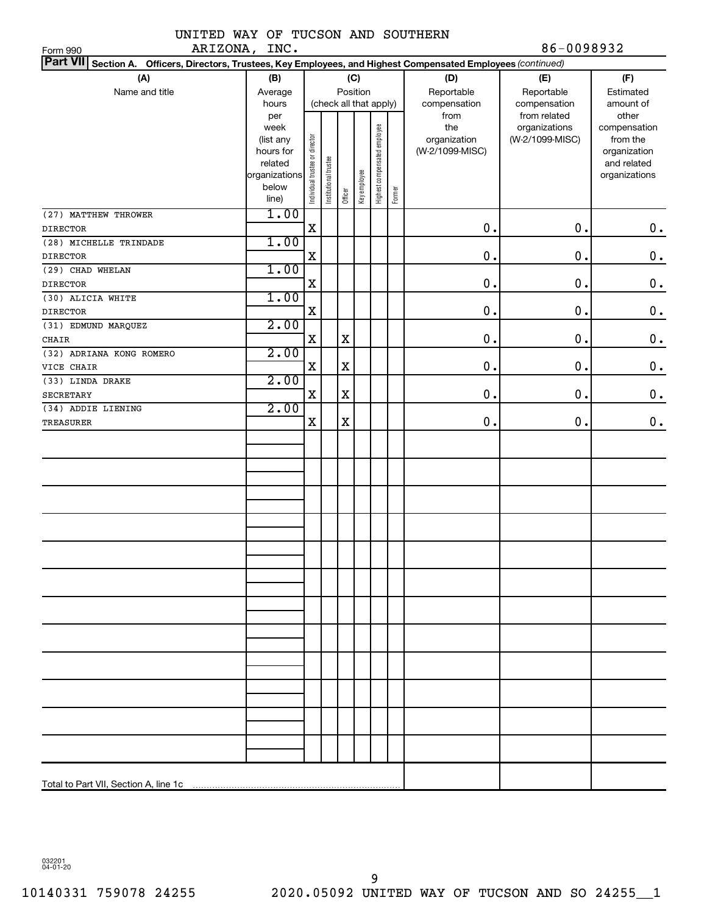|         |  |  | UNITED WAY OF TUCSON AND SOUTHERN |                |
|---------|--|--|-----------------------------------|----------------|
| ARTZONA |  |  |                                   | $86 - 0098932$ |

| ARIZONA, INC.<br>Form 990                                                                                                 |                                                                            |                                |                       |         |              |                              |        |                                                | 86-0098932                                       |                                                                                   |
|---------------------------------------------------------------------------------------------------------------------------|----------------------------------------------------------------------------|--------------------------------|-----------------------|---------|--------------|------------------------------|--------|------------------------------------------------|--------------------------------------------------|-----------------------------------------------------------------------------------|
| <b>Part VII</b><br>Section A. Officers, Directors, Trustees, Key Employees, and Highest Compensated Employees (continued) |                                                                            |                                |                       |         |              |                              |        |                                                |                                                  |                                                                                   |
| (A)                                                                                                                       | (B)                                                                        |                                |                       |         | (C)          |                              |        | (D)                                            | (E)                                              | (F)                                                                               |
| Name and title                                                                                                            | Average                                                                    |                                |                       |         | Position     |                              |        | Reportable                                     | Reportable                                       | Estimated                                                                         |
|                                                                                                                           | hours                                                                      |                                |                       |         |              | (check all that apply)       |        | compensation                                   | compensation                                     | amount of                                                                         |
|                                                                                                                           | per<br>week<br>(list any<br>hours for<br>related<br>organizations<br>below | Individual trustee or director | Institutional trustee | Officer | Key employee | Highest compensated employee | Former | from<br>the<br>organization<br>(W-2/1099-MISC) | from related<br>organizations<br>(W-2/1099-MISC) | other<br>compensation<br>from the<br>organization<br>and related<br>organizations |
|                                                                                                                           | line)<br>1.00                                                              |                                |                       |         |              |                              |        |                                                |                                                  |                                                                                   |
| (27) MATTHEW THROWER<br><b>DIRECTOR</b>                                                                                   |                                                                            | X                              |                       |         |              |                              |        | 0.                                             | 0.                                               | 0.                                                                                |
| (28) MICHELLE TRINDADE                                                                                                    | 1.00                                                                       |                                |                       |         |              |                              |        |                                                |                                                  |                                                                                   |
| <b>DIRECTOR</b>                                                                                                           |                                                                            | X                              |                       |         |              |                              |        | 0.                                             | 0.                                               | $\mathbf 0$ .                                                                     |
| (29) CHAD WHELAN                                                                                                          | 1.00                                                                       |                                |                       |         |              |                              |        |                                                |                                                  |                                                                                   |
| <b>DIRECTOR</b>                                                                                                           |                                                                            | X                              |                       |         |              |                              |        | 0.                                             | 0.                                               | $\mathbf 0$ .                                                                     |
| (30) ALICIA WHITE                                                                                                         | 1.00                                                                       |                                |                       |         |              |                              |        |                                                |                                                  |                                                                                   |
| <b>DIRECTOR</b>                                                                                                           |                                                                            | X                              |                       |         |              |                              |        | 0.                                             | 0.                                               | $\mathbf 0$ .                                                                     |
| (31) EDMUND MARQUEZ                                                                                                       | 2.00                                                                       |                                |                       |         |              |                              |        |                                                |                                                  |                                                                                   |
| <b>CHAIR</b>                                                                                                              |                                                                            | X                              |                       | X       |              |                              |        | 0.                                             | 0.                                               | $\mathbf 0$ .                                                                     |
| (32) ADRIANA KONG ROMERO                                                                                                  | 2.00                                                                       |                                |                       |         |              |                              |        |                                                |                                                  |                                                                                   |
| VICE CHAIR                                                                                                                |                                                                            | X                              |                       | X       |              |                              |        | 0.                                             | 0.                                               | $0$ .                                                                             |
| (33) LINDA DRAKE                                                                                                          | 2.00                                                                       |                                |                       |         |              |                              |        |                                                |                                                  |                                                                                   |
| <b>SECRETARY</b>                                                                                                          |                                                                            | X                              |                       | X       |              |                              |        | 0.                                             | 0.                                               | $\mathbf 0$ .                                                                     |
| (34) ADDIE LIENING                                                                                                        | 2.00                                                                       |                                |                       |         |              |                              |        |                                                |                                                  |                                                                                   |
| <b>TREASURER</b>                                                                                                          |                                                                            | X                              |                       | X       |              |                              |        | 0.                                             | 0.                                               | 0.                                                                                |
|                                                                                                                           |                                                                            |                                |                       |         |              |                              |        |                                                |                                                  |                                                                                   |
|                                                                                                                           |                                                                            |                                |                       |         |              |                              |        |                                                |                                                  |                                                                                   |
|                                                                                                                           |                                                                            |                                |                       |         |              |                              |        |                                                |                                                  |                                                                                   |
|                                                                                                                           |                                                                            |                                |                       |         |              |                              |        |                                                |                                                  |                                                                                   |
|                                                                                                                           |                                                                            |                                |                       |         |              |                              |        |                                                |                                                  |                                                                                   |
|                                                                                                                           |                                                                            |                                |                       |         |              |                              |        |                                                |                                                  |                                                                                   |
|                                                                                                                           |                                                                            |                                |                       |         |              |                              |        |                                                |                                                  |                                                                                   |
|                                                                                                                           |                                                                            |                                |                       |         |              |                              |        |                                                |                                                  |                                                                                   |
|                                                                                                                           |                                                                            |                                |                       |         |              |                              |        |                                                |                                                  |                                                                                   |
|                                                                                                                           |                                                                            |                                |                       |         |              |                              |        |                                                |                                                  |                                                                                   |
|                                                                                                                           |                                                                            |                                |                       |         |              |                              |        |                                                |                                                  |                                                                                   |
|                                                                                                                           |                                                                            |                                |                       |         |              |                              |        |                                                |                                                  |                                                                                   |
|                                                                                                                           |                                                                            |                                |                       |         |              |                              |        |                                                |                                                  |                                                                                   |
|                                                                                                                           |                                                                            |                                |                       |         |              |                              |        |                                                |                                                  |                                                                                   |
|                                                                                                                           |                                                                            |                                |                       |         |              |                              |        |                                                |                                                  |                                                                                   |
|                                                                                                                           |                                                                            |                                |                       |         |              |                              |        |                                                |                                                  |                                                                                   |
|                                                                                                                           |                                                                            |                                |                       |         |              |                              |        |                                                |                                                  |                                                                                   |
|                                                                                                                           |                                                                            |                                |                       |         |              |                              |        |                                                |                                                  |                                                                                   |
|                                                                                                                           |                                                                            |                                |                       |         |              |                              |        |                                                |                                                  |                                                                                   |
|                                                                                                                           |                                                                            |                                |                       |         |              |                              |        |                                                |                                                  |                                                                                   |
|                                                                                                                           |                                                                            |                                |                       |         |              |                              |        |                                                |                                                  |                                                                                   |
|                                                                                                                           |                                                                            |                                |                       |         |              |                              |        |                                                |                                                  |                                                                                   |
|                                                                                                                           |                                                                            |                                |                       |         |              |                              |        |                                                |                                                  |                                                                                   |
|                                                                                                                           |                                                                            |                                |                       |         |              |                              |        |                                                |                                                  |                                                                                   |

032201 04-01-20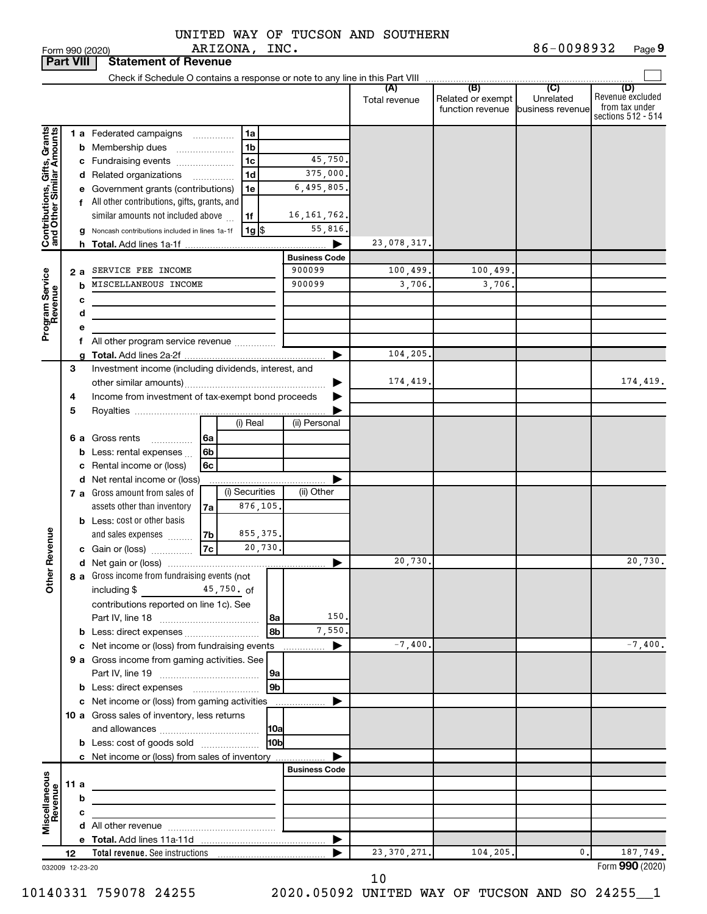|               |  |  | UNITED WAY OF TUCSON AND SOUTHERN |
|---------------|--|--|-----------------------------------|
| ARIZONA, INC. |  |  |                                   |

| <b>Part VIII</b>                                          |      |   | <b>Statement of Revenue</b>                                                |                      |                      |                                                                 |                             |                                                                 |
|-----------------------------------------------------------|------|---|----------------------------------------------------------------------------|----------------------|----------------------|-----------------------------------------------------------------|-----------------------------|-----------------------------------------------------------------|
|                                                           |      |   |                                                                            |                      |                      |                                                                 |                             |                                                                 |
|                                                           |      |   |                                                                            |                      | (A)<br>Total revenue | (B)<br>Related or exempt<br>function revenue   business revenue | $\overline{C}$<br>Unrelated | (D)<br>Revenue excluded<br>from tax under<br>sections 512 - 514 |
|                                                           |      |   | 1 a Federated campaigns<br>1a                                              |                      |                      |                                                                 |                             |                                                                 |
| Contributions, Gifts, Grants<br>and Other Similar Amounts |      |   | 1b<br><b>b</b> Membership dues                                             |                      |                      |                                                                 |                             |                                                                 |
|                                                           |      |   | 1 <sub>c</sub><br>c Fundraising events                                     | 45,750.              |                      |                                                                 |                             |                                                                 |
|                                                           |      |   | 1d<br>d Related organizations<br>$\overline{\phantom{a}}$                  | 375,000.             |                      |                                                                 |                             |                                                                 |
|                                                           |      |   | 1e<br>e Government grants (contributions)                                  | 6,495,805.           |                      |                                                                 |                             |                                                                 |
|                                                           |      |   | f All other contributions, gifts, grants, and                              |                      |                      |                                                                 |                             |                                                                 |
|                                                           |      |   | similar amounts not included above<br>1f                                   | 16, 161, 762.        |                      |                                                                 |                             |                                                                 |
|                                                           |      |   | $1g$ \$<br>Noncash contributions included in lines 1a-1f                   | 55,816.              |                      |                                                                 |                             |                                                                 |
|                                                           |      |   |                                                                            |                      | 23,078,317.          |                                                                 |                             |                                                                 |
|                                                           |      |   |                                                                            | <b>Business Code</b> |                      |                                                                 |                             |                                                                 |
| Program Service<br>Revenue                                | 2а   |   | SERVICE FEE INCOME                                                         | 900099               | 100, 499.            | 100,499.                                                        |                             |                                                                 |
|                                                           |      | b | MISCELLANEOUS INCOME                                                       | 900099               | 3,706.               | 3,706,                                                          |                             |                                                                 |
|                                                           |      | с |                                                                            |                      |                      |                                                                 |                             |                                                                 |
|                                                           |      | d | the control of the control of the control of the control of the control of |                      |                      |                                                                 |                             |                                                                 |
|                                                           |      |   | f All other program service revenue                                        |                      |                      |                                                                 |                             |                                                                 |
|                                                           |      |   |                                                                            |                      | 104,205.             |                                                                 |                             |                                                                 |
|                                                           | 3    |   | Investment income (including dividends, interest, and                      |                      |                      |                                                                 |                             |                                                                 |
|                                                           |      |   |                                                                            |                      | 174,419.             |                                                                 |                             | 174,419.                                                        |
|                                                           | 4    |   | Income from investment of tax-exempt bond proceeds                         |                      |                      |                                                                 |                             |                                                                 |
|                                                           | 5    |   |                                                                            |                      |                      |                                                                 |                             |                                                                 |
|                                                           |      |   | (i) Real                                                                   | (ii) Personal        |                      |                                                                 |                             |                                                                 |
|                                                           |      |   | <b>6 a</b> Gross rents<br>l 6a                                             |                      |                      |                                                                 |                             |                                                                 |
|                                                           |      |   | <b>b</b> Less: rental expenses $\ldots$<br>6b                              |                      |                      |                                                                 |                             |                                                                 |
|                                                           |      |   | c Rental income or (loss)<br>6c                                            |                      |                      |                                                                 |                             |                                                                 |
|                                                           |      |   | d Net rental income or (loss)                                              |                      |                      |                                                                 |                             |                                                                 |
|                                                           |      |   | (i) Securities<br>7 a Gross amount from sales of                           | (ii) Other           |                      |                                                                 |                             |                                                                 |
|                                                           |      |   | 876,105.<br>assets other than inventory<br>7a                              |                      |                      |                                                                 |                             |                                                                 |
|                                                           |      |   | <b>b</b> Less: cost or other basis                                         |                      |                      |                                                                 |                             |                                                                 |
| Revenue                                                   |      |   | 855, 375.<br>and sales expenses<br>7b<br>7c                                |                      |                      |                                                                 |                             |                                                                 |
|                                                           |      |   | 20,730.<br>c Gain or (loss)                                                |                      |                      |                                                                 |                             | 20,730.                                                         |
|                                                           |      |   | 8 a Gross income from fundraising events (not                              |                      | 20,730.              |                                                                 |                             |                                                                 |
| Ĕ                                                         |      |   | $45,750.$ of<br>including $$$                                              |                      |                      |                                                                 |                             |                                                                 |
|                                                           |      |   | contributions reported on line 1c). See                                    |                      |                      |                                                                 |                             |                                                                 |
|                                                           |      |   | l 8a                                                                       | 150.                 |                      |                                                                 |                             |                                                                 |
|                                                           |      |   | 8 <sub>b</sub>                                                             | 7,550.               |                      |                                                                 |                             |                                                                 |
|                                                           |      |   | c Net income or (loss) from fundraising events                             | ▶                    | $-7,400.$            |                                                                 |                             | $-7,400.$                                                       |
|                                                           |      |   | 9 a Gross income from gaming activities. See                               |                      |                      |                                                                 |                             |                                                                 |
|                                                           |      |   | 9a                                                                         |                      |                      |                                                                 |                             |                                                                 |
|                                                           |      |   | 9 <sub>b</sub>                                                             |                      |                      |                                                                 |                             |                                                                 |
|                                                           |      |   | c Net income or (loss) from gaming activities                              | .                    |                      |                                                                 |                             |                                                                 |
|                                                           |      |   | 10 a Gross sales of inventory, less returns                                |                      |                      |                                                                 |                             |                                                                 |
|                                                           |      |   | 10a                                                                        |                      |                      |                                                                 |                             |                                                                 |
|                                                           |      |   | 10 <sub>b</sub><br><b>b</b> Less: cost of goods sold                       |                      |                      |                                                                 |                             |                                                                 |
|                                                           |      |   | c Net income or (loss) from sales of inventory                             |                      |                      |                                                                 |                             |                                                                 |
|                                                           |      |   |                                                                            | <b>Business Code</b> |                      |                                                                 |                             |                                                                 |
|                                                           | 11 a |   | the control of the control of the control of the control of the control of |                      |                      |                                                                 |                             |                                                                 |
|                                                           |      | b |                                                                            |                      |                      |                                                                 |                             |                                                                 |
| Miscellaneous<br>Revenue                                  |      | с | the control of the control of the control of                               |                      |                      |                                                                 |                             |                                                                 |
|                                                           |      |   |                                                                            | ▶                    |                      |                                                                 |                             |                                                                 |
|                                                           | 12   |   |                                                                            |                      | 23, 370, 271.        | 104,205.                                                        | 0.                          | 187,749.                                                        |
| 032009 12-23-20                                           |      |   |                                                                            |                      |                      |                                                                 |                             | Form 990 (2020)                                                 |

10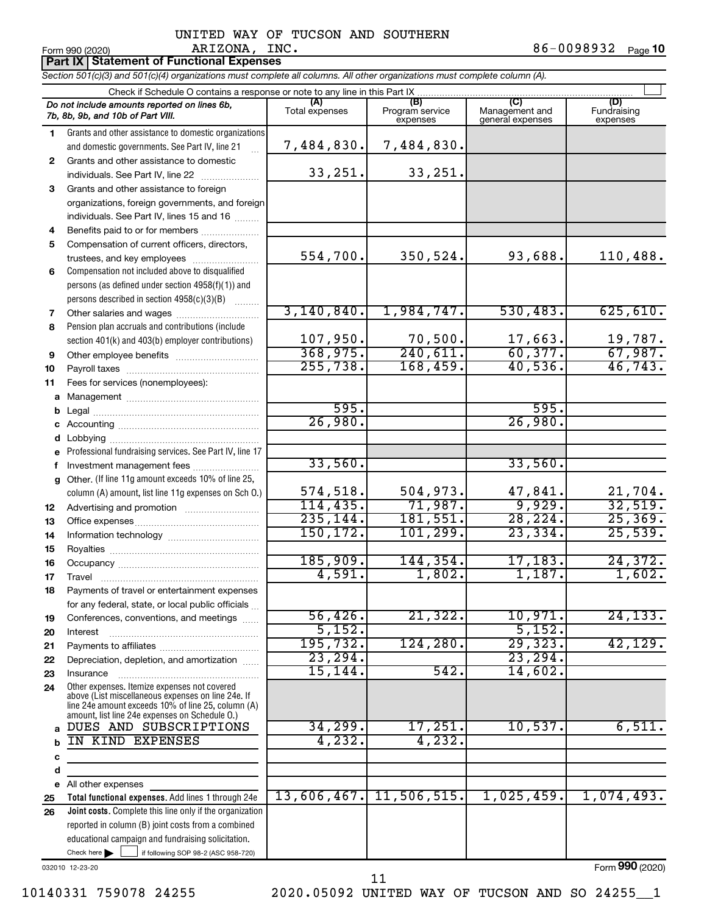**Part IX Statement of Functional Expenses**

*Section 501(c)(3) and 501(c)(4) organizations must complete all columns. All other organizations must complete column (A).*

|              | Check if Schedule O contains a response or note to any line in this Part IX                        |                       |                                    |                                    |                         |
|--------------|----------------------------------------------------------------------------------------------------|-----------------------|------------------------------------|------------------------------------|-------------------------|
|              | Do not include amounts reported on lines 6b,<br>7b, 8b, 9b, and 10b of Part VIII.                  | (A)<br>Total expenses | (B)<br>Program service<br>expenses | Management and<br>general expenses | Fundraising<br>expenses |
| 1            | Grants and other assistance to domestic organizations                                              |                       |                                    |                                    |                         |
|              | and domestic governments. See Part IV, line 21                                                     | 7,484,830.            | 7,484,830.                         |                                    |                         |
| $\mathbf{2}$ | Grants and other assistance to domestic                                                            |                       |                                    |                                    |                         |
|              | individuals. See Part IV, line 22                                                                  | 33, 251.              | 33,251.                            |                                    |                         |
| 3            | Grants and other assistance to foreign                                                             |                       |                                    |                                    |                         |
|              | organizations, foreign governments, and foreign                                                    |                       |                                    |                                    |                         |
|              | individuals. See Part IV, lines 15 and 16                                                          |                       |                                    |                                    |                         |
| 4            | Benefits paid to or for members                                                                    |                       |                                    |                                    |                         |
| 5            | Compensation of current officers, directors,                                                       |                       |                                    |                                    |                         |
|              | trustees, and key employees                                                                        | 554,700.              | 350,524.                           | 93,688.                            | 110,488.                |
| 6            | Compensation not included above to disqualified                                                    |                       |                                    |                                    |                         |
|              | persons (as defined under section 4958(f)(1)) and                                                  |                       |                                    |                                    |                         |
|              | persons described in section 4958(c)(3)(B)                                                         |                       |                                    |                                    |                         |
| 7            |                                                                                                    | 3,140,840.            | 1,984,747.                         | 530,483.                           | 625, 610.               |
| 8            | Pension plan accruals and contributions (include                                                   |                       |                                    |                                    |                         |
|              | section 401(k) and 403(b) employer contributions)                                                  | 107,950.              | 70,500.                            | $\frac{17,663}{60,377}$            | $\frac{19,787}{67,987}$ |
| 9            | Other employee benefits                                                                            | 368,975.              | 240,611.                           |                                    |                         |
| 10           |                                                                                                    | 255,738.              | 168,459.                           | 40,536.                            | 46,743.                 |
| 11           | Fees for services (nonemployees):                                                                  |                       |                                    |                                    |                         |
|              |                                                                                                    | 595.                  |                                    | 595.                               |                         |
| b            |                                                                                                    | 26,980.               |                                    | 26,980.                            |                         |
|              |                                                                                                    |                       |                                    |                                    |                         |
|              | e Professional fundraising services. See Part IV, line 17                                          |                       |                                    |                                    |                         |
|              | Investment management fees                                                                         | 33,560.               |                                    | 33,560.                            |                         |
|              | g Other. (If line 11g amount exceeds 10% of line 25,                                               |                       |                                    |                                    |                         |
|              | column (A) amount, list line 11g expenses on Sch O.)                                               | 574,518.              | 504,973.                           | 47,841.                            | 21,704.                 |
| 12           |                                                                                                    | 114,435.              | 71,987.                            | 9,929.                             | 32,519.                 |
| 13           |                                                                                                    | 235, 144.             | 181,551.                           | 28, 224.                           | 25, 369.                |
| 14           |                                                                                                    | 150, 172.             | 101, 299.                          | 23,334.                            | 25,539.                 |
| 15           |                                                                                                    |                       |                                    |                                    |                         |
| 16           |                                                                                                    | 185,909.              | 144, 354.                          | 17, 183.                           | 24,372.                 |
| 17           |                                                                                                    | 4,591.                | 1,802.                             | 1,187.                             | 1,602.                  |
| 18           | Payments of travel or entertainment expenses                                                       |                       |                                    |                                    |                         |
|              | for any federal, state, or local public officials                                                  |                       |                                    |                                    |                         |
| 19           | Conferences, conventions, and meetings                                                             | 56,426.               | 21,322.                            | 10,971.                            | 24, 133.                |
| 20           | Interest                                                                                           | 5,152.                |                                    | 5,152.                             |                         |
| 21           |                                                                                                    | 195,732.              | 124, 280.                          | 29,323.                            | 42, 129.                |
| 22           | Depreciation, depletion, and amortization                                                          | 23,294.               |                                    | 23,294.                            |                         |
| 23           | Insurance                                                                                          | 15, 144.              | 542.                               | 14,602.                            |                         |
| 24           | Other expenses. Itemize expenses not covered<br>above (List miscellaneous expenses on line 24e. If |                       |                                    |                                    |                         |
|              | line 24e amount exceeds 10% of line 25, column (A)                                                 |                       |                                    |                                    |                         |
|              | amount, list line 24e expenses on Schedule O.)<br>DUES AND SUBSCRIPTIONS                           | 34, 299.              | 17,251.                            | 10,537.                            | 6,511.                  |
|              | IN KIND EXPENSES                                                                                   | 4,232.                | 4,232.                             |                                    |                         |
|              |                                                                                                    |                       |                                    |                                    |                         |
| с<br>d       |                                                                                                    |                       |                                    |                                    |                         |
|              | e All other expenses                                                                               |                       |                                    |                                    |                         |
| 25           | Total functional expenses. Add lines 1 through 24e                                                 | 13,606,467.           | 11,506,515.                        | 1,025,459.                         | 1,074,493.              |
| 26           | Joint costs. Complete this line only if the organization                                           |                       |                                    |                                    |                         |
|              | reported in column (B) joint costs from a combined                                                 |                       |                                    |                                    |                         |
|              | educational campaign and fundraising solicitation.                                                 |                       |                                    |                                    |                         |
|              | Check here<br>if following SOP 98-2 (ASC 958-720)                                                  |                       |                                    |                                    |                         |
|              | 032010 12-23-20                                                                                    |                       |                                    |                                    | Form 990 (2020)         |

10140331 759078 24255 2020.05092 UNITED WAY OF TUCSON AND SO 24255\_\_1

11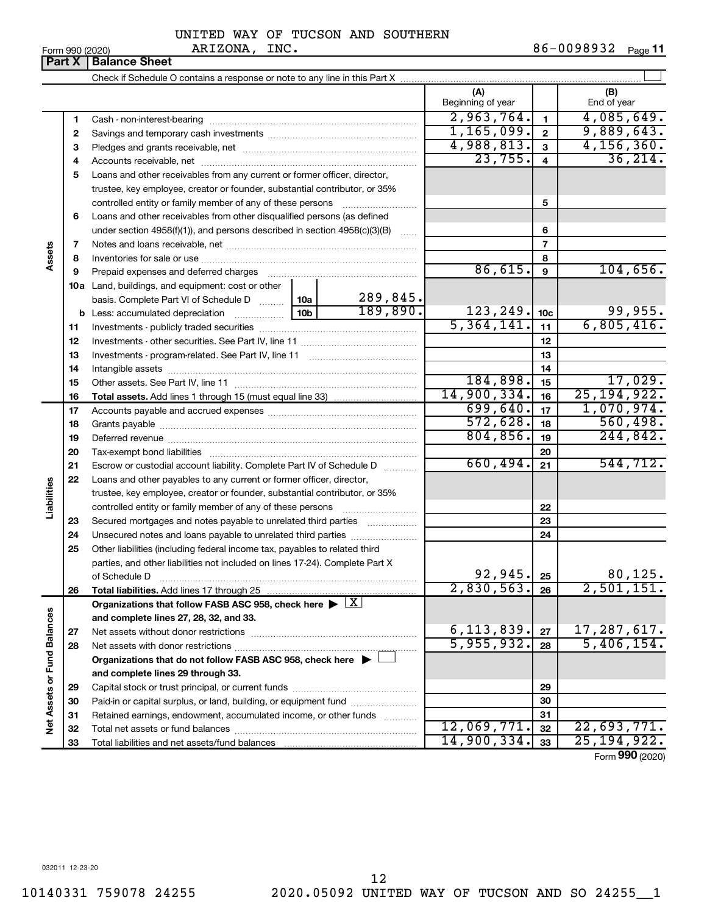|  | Form 990 (2020) |
|--|-----------------|
|  |                 |

Form 990 (2020) ARIZONA, INC. 86-0098932 <sub>Page</sub> 11

**Part X** Balance Sheet  $\mathbf{r}$ Check if Schedule O contains a response or note to any line in this Part X **(A) (B)** Beginning of year  $\parallel$  | End of year 2,963,764. 4,085,649. **1 1** Cash - non-interest-bearing ~~~~~~~~~~~~~~~~~~~~~~~~~ 1,165,099. 9,889,643. **2 2** Savings and temporary cash investments ~~~~~~~~~~~~~~~~~~ 4,988,813. 4,156,360. **3 3** Pledges and grants receivable, net ~~~~~~~~~~~~~~~~~~~~~ 23,755. 36,214. **4 4** Accounts receivable, net ~~~~~~~~~~~~~~~~~~~~~~~~~~ **5** Loans and other receivables from any current or former officer, director, trustee, key employee, creator or founder, substantial contributor, or 35% **5** controlled entity or family member of any of these persons ~~~~~~~~~ **6** Loans and other receivables from other disqualified persons (as defined **6** under section  $4958(f)(1)$ , and persons described in section  $4958(c)(3)(B)$ **7 7** Notes and loans receivable, net ~~~~~~~~~~~~~~~~~~~~~~~ **Assets 8 8** Inventories for sale or use ~~~~~~~~~~~~~~~~~~~~~~~~~~ 86,615. 104,656. **9 9** Prepaid expenses and deferred charges ~~~~~~~~~~~~~~~~~~ **10 a** Land, buildings, and equipment: cost or other 289,845. basis. Complete Part VI of Schedule D  $\frac{1}{10}$  10a  $189,890.$  123, 249.  $|10c|$  99, 955. **10c b** Less: accumulated depreciation  $\ldots$  [10b]  $5,364,141.$  11 6,805,416. **11 11** Investments - publicly traded securities ~~~~~~~~~~~~~~~~~~~ **12 12** Investments - other securities. See Part IV, line 11 ~~~~~~~~~~~~~~ **13 13** Investments - program-related. See Part IV, line 11 ~~~~~~~~~~~~~ **14 14** Intangible assets ~~~~~~~~~~~~~~~~~~~~~~~~~~~~~~ Other assets. See Part IV, line 11 ~~~~~~~~~~~~~~~~~~~~~~ 184,898. 15 **15 15** 14,900,334. 25,194,922. **16 16 Total assets.**  Add lines 1 through 15 (must equal line 33)  $699,640.$   $17$  | 1,070,974. **17 17** Accounts payable and accrued expenses ~~~~~~~~~~~~~~~~~~  $572,628.$  18  $560,498.$ **18 18** Grants payable ~~~~~~~~~~~~~~~~~~~~~~~~~~~~~~~  $804, 856$ . 19 244,842. **19 19** Deferred revenue ~~~~~~~~~~~~~~~~~~~~~~~~~~~~~~ **20 20** Tax-exempt bond liabilities ~~~~~~~~~~~~~~~~~~~~~~~~~ 660,494. 544,712. **21 21** Escrow or custodial account liability. Complete Part IV of Schedule D ........... **22** Loans and other payables to any current or former officer, director, **Liabilities** trustee, key employee, creator or founder, substantial contributor, or 35% **22** controlled entity or family member of any of these persons ~~~~~~~~~ **23** Secured mortgages and notes payable to unrelated third parties **23 24** Unsecured notes and loans payable to unrelated third parties **24 25** Other liabilities (including federal income tax, payables to related third parties, and other liabilities not included on lines 17-24). Complete Part X 92,945. 25 | 80,125. of Schedule D ~~~~~~~~~~~~~~~~~~~~~~~~~~~~~~~ **25** 2,830,563. 26 2,501,151. **26 26 Total liabilities.**  Add lines 17 through 25 Organizations that follow FASB ASC 958, check here  $\blacktriangleright \; \boxed{\text{X}}$ Net Assets or Fund Balances **Net Assets or Fund Balances and complete lines 27, 28, 32, and 33.** 6, 113, 839.  $|z_7|$  17, 287, 617. **27 27** Net assets without donor restrictions ~~~~~~~~~~~~~~~~~~~~  $5,955,932.$   $28$  5,406,154. **28 28** Net assets with donor restrictions ~~~~~~~~~~~~~~~~~~~~~~ **Organizations that do not follow FASB ASC 958, check here** | † **and complete lines 29 through 33. 29 29** Capital stock or trust principal, or current funds ~~~~~~~~~~~~~~~ **30 30** Paid-in or capital surplus, or land, building, or equipment fund ....................... **31 31** Retained earnings, endowment, accumulated income, or other funds ............ Total net assets or fund balances ~~~~~~~~~~~~~~~~~~~~~~ 12,069,771**.**| <sub>32</sub> | 22,693,771**. 32 32** 14,900,334. 25,194,922. **33 33** Total liabilities and net assets/fund balances

Form (2020) **990**

032011 12-23-20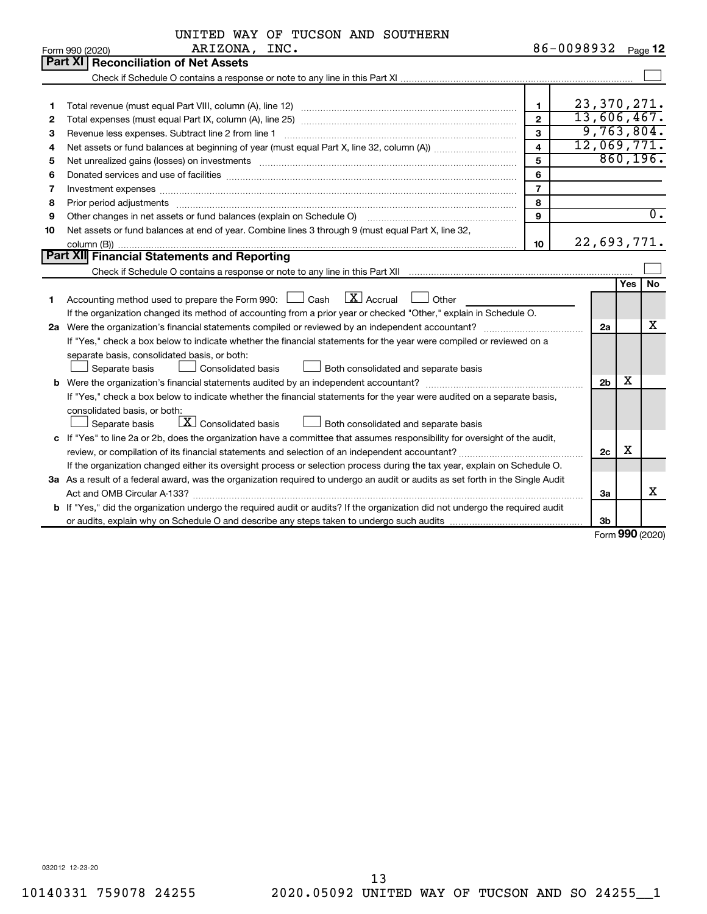|    | UNITED WAY OF TUCSON AND SOUTHERN                                                                                                                                                                                              |                |                |              |                  |
|----|--------------------------------------------------------------------------------------------------------------------------------------------------------------------------------------------------------------------------------|----------------|----------------|--------------|------------------|
|    | ARIZONA, INC.<br>Form 990 (2020)                                                                                                                                                                                               |                | 86-0098932     |              | Page 12          |
|    | Part XI<br><b>Reconciliation of Net Assets</b>                                                                                                                                                                                 |                |                |              |                  |
|    |                                                                                                                                                                                                                                |                |                |              |                  |
|    |                                                                                                                                                                                                                                |                |                |              |                  |
| 1  |                                                                                                                                                                                                                                | 1              | 23, 370, 271.  |              |                  |
| 2  |                                                                                                                                                                                                                                | $\mathbf{2}$   | 13,606,467.    |              |                  |
| 3  | Revenue less expenses. Subtract line 2 from line 1                                                                                                                                                                             | 3              | 9,763,804.     |              |                  |
| 4  |                                                                                                                                                                                                                                | 4              | 12,069,771.    |              |                  |
| 5  | Net unrealized gains (losses) on investments [111] matter in the contract of the contract of the contract of the contract of the contract of the contract of the contract of the contract of the contract of the contract of t | 5              |                |              | 860, 196.        |
| 6  |                                                                                                                                                                                                                                | 6              |                |              |                  |
| 7  | Investment expenses www.communication.com/www.communication.com/www.communication.com/www.com                                                                                                                                  | $\overline{7}$ |                |              |                  |
| 8  |                                                                                                                                                                                                                                | 8              |                |              |                  |
| 9  | Other changes in net assets or fund balances (explain on Schedule O)                                                                                                                                                           | 9              |                |              | $\overline{0}$ . |
| 10 | Net assets or fund balances at end of year. Combine lines 3 through 9 (must equal Part X, line 32,                                                                                                                             |                |                |              |                  |
|    |                                                                                                                                                                                                                                | 10             | 22,693,771.    |              |                  |
|    | Part XII Financial Statements and Reporting                                                                                                                                                                                    |                |                |              |                  |
|    |                                                                                                                                                                                                                                |                |                |              |                  |
|    |                                                                                                                                                                                                                                |                |                | <b>Yes</b>   | <b>No</b>        |
| 1  | $\overline{\mathbf{X}}$ Accrual<br>Accounting method used to prepare the Form 990: $\Box$ Cash<br>Other                                                                                                                        |                |                |              |                  |
|    | If the organization changed its method of accounting from a prior year or checked "Other," explain in Schedule O.                                                                                                              |                |                |              |                  |
|    |                                                                                                                                                                                                                                |                | 2a             |              | х                |
|    | If "Yes," check a box below to indicate whether the financial statements for the year were compiled or reviewed on a                                                                                                           |                |                |              |                  |
|    | separate basis, consolidated basis, or both:                                                                                                                                                                                   |                |                |              |                  |
|    | Separate basis<br><b>Consolidated basis</b><br>Both consolidated and separate basis                                                                                                                                            |                |                |              |                  |
|    |                                                                                                                                                                                                                                |                | 2 <sub>b</sub> | х            |                  |
|    | If "Yes," check a box below to indicate whether the financial statements for the year were audited on a separate basis,                                                                                                        |                |                |              |                  |
|    | consolidated basis, or both:                                                                                                                                                                                                   |                |                |              |                  |
|    | $\boxed{\textbf{X}}$ Consolidated basis<br>Separate basis<br>Both consolidated and separate basis                                                                                                                              |                |                |              |                  |
|    | c If "Yes" to line 2a or 2b, does the organization have a committee that assumes responsibility for oversight of the audit,                                                                                                    |                |                |              |                  |
|    |                                                                                                                                                                                                                                |                | 2c             | х            |                  |
|    | If the organization changed either its oversight process or selection process during the tax year, explain on Schedule O.                                                                                                      |                |                |              |                  |
|    | 3a As a result of a federal award, was the organization required to undergo an audit or audits as set forth in the Single Audit                                                                                                |                |                |              |                  |
|    |                                                                                                                                                                                                                                |                | За             |              | x                |
|    | b If "Yes," did the organization undergo the required audit or audits? If the organization did not undergo the required audit                                                                                                  |                |                |              |                  |
|    |                                                                                                                                                                                                                                |                | 3b             |              |                  |
|    |                                                                                                                                                                                                                                |                |                | $\mathbf{A}$ |                  |

Form (2020) **990**

032012 12-23-20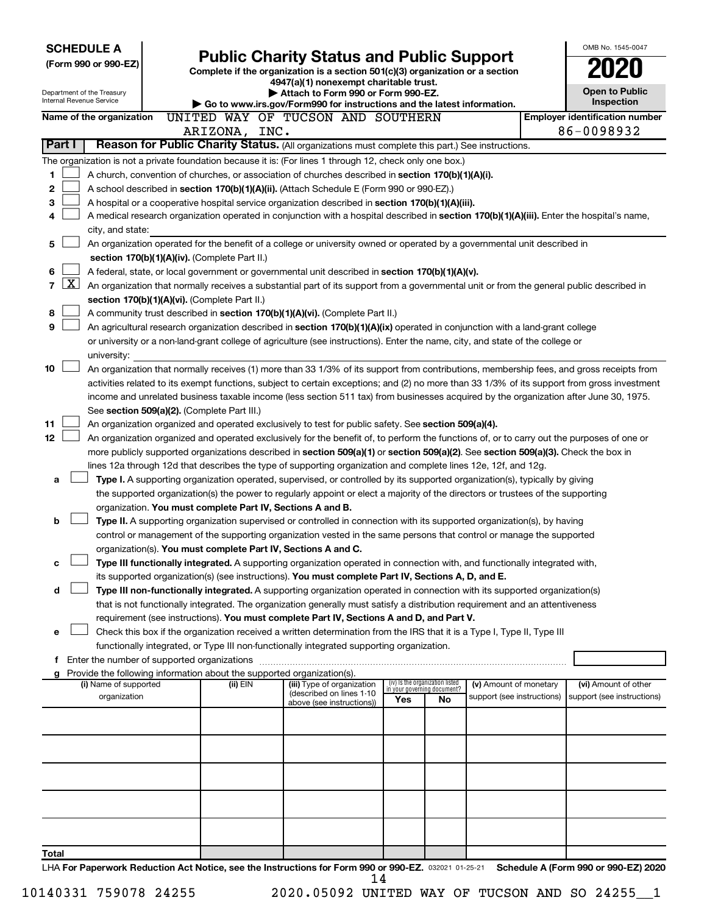| <b>SCHEDULE A</b>                                                        |                                                               |                                                                                                                                                                                                                                                                                          |     |                                                                |                                                      | OMB No. 1545-0047                                  |
|--------------------------------------------------------------------------|---------------------------------------------------------------|------------------------------------------------------------------------------------------------------------------------------------------------------------------------------------------------------------------------------------------------------------------------------------------|-----|----------------------------------------------------------------|------------------------------------------------------|----------------------------------------------------|
| (Form 990 or 990-EZ)                                                     |                                                               | <b>Public Charity Status and Public Support</b><br>Complete if the organization is a section 501(c)(3) organization or a section                                                                                                                                                         |     |                                                                |                                                      |                                                    |
|                                                                          |                                                               | 4947(a)(1) nonexempt charitable trust.                                                                                                                                                                                                                                                   |     |                                                                |                                                      |                                                    |
| Department of the Treasury<br>Internal Revenue Service                   |                                                               | Attach to Form 990 or Form 990-EZ.                                                                                                                                                                                                                                                       |     |                                                                |                                                      | <b>Open to Public</b>                              |
|                                                                          |                                                               | ► Go to www.irs.gov/Form990 for instructions and the latest information.                                                                                                                                                                                                                 |     |                                                                |                                                      | Inspection                                         |
| Name of the organization                                                 |                                                               | UNITED WAY OF TUCSON AND SOUTHERN                                                                                                                                                                                                                                                        |     |                                                                |                                                      | <b>Employer identification number</b>              |
| Part I                                                                   | ARIZONA, INC.                                                 | Reason for Public Charity Status. (All organizations must complete this part.) See instructions.                                                                                                                                                                                         |     |                                                                |                                                      | 86-0098932                                         |
|                                                                          |                                                               |                                                                                                                                                                                                                                                                                          |     |                                                                |                                                      |                                                    |
| 1                                                                        |                                                               | The organization is not a private foundation because it is: (For lines 1 through 12, check only one box.)                                                                                                                                                                                |     |                                                                |                                                      |                                                    |
| 2                                                                        |                                                               | A church, convention of churches, or association of churches described in section 170(b)(1)(A)(i).<br>A school described in section 170(b)(1)(A)(ii). (Attach Schedule E (Form 990 or 990-EZ).)                                                                                          |     |                                                                |                                                      |                                                    |
| з                                                                        |                                                               | A hospital or a cooperative hospital service organization described in section 170(b)(1)(A)(iii).                                                                                                                                                                                        |     |                                                                |                                                      |                                                    |
| 4                                                                        |                                                               | A medical research organization operated in conjunction with a hospital described in section 170(b)(1)(A)(iii). Enter the hospital's name,                                                                                                                                               |     |                                                                |                                                      |                                                    |
| city, and state:                                                         |                                                               |                                                                                                                                                                                                                                                                                          |     |                                                                |                                                      |                                                    |
| 5                                                                        |                                                               | An organization operated for the benefit of a college or university owned or operated by a governmental unit described in                                                                                                                                                                |     |                                                                |                                                      |                                                    |
|                                                                          | section 170(b)(1)(A)(iv). (Complete Part II.)                 |                                                                                                                                                                                                                                                                                          |     |                                                                |                                                      |                                                    |
| 6                                                                        |                                                               | A federal, state, or local government or governmental unit described in section 170(b)(1)(A)(v).                                                                                                                                                                                         |     |                                                                |                                                      |                                                    |
| $\mathbf{X}$<br>7                                                        |                                                               | An organization that normally receives a substantial part of its support from a governmental unit or from the general public described in                                                                                                                                                |     |                                                                |                                                      |                                                    |
|                                                                          | section 170(b)(1)(A)(vi). (Complete Part II.)                 |                                                                                                                                                                                                                                                                                          |     |                                                                |                                                      |                                                    |
| 8                                                                        |                                                               | A community trust described in section 170(b)(1)(A)(vi). (Complete Part II.)                                                                                                                                                                                                             |     |                                                                |                                                      |                                                    |
| 9                                                                        |                                                               | An agricultural research organization described in section 170(b)(1)(A)(ix) operated in conjunction with a land-grant college                                                                                                                                                            |     |                                                                |                                                      |                                                    |
|                                                                          |                                                               | or university or a non-land-grant college of agriculture (see instructions). Enter the name, city, and state of the college or                                                                                                                                                           |     |                                                                |                                                      |                                                    |
| university:<br>10                                                        |                                                               |                                                                                                                                                                                                                                                                                          |     |                                                                |                                                      |                                                    |
|                                                                          |                                                               | An organization that normally receives (1) more than 33 1/3% of its support from contributions, membership fees, and gross receipts from<br>activities related to its exempt functions, subject to certain exceptions; and (2) no more than 33 1/3% of its support from gross investment |     |                                                                |                                                      |                                                    |
|                                                                          |                                                               | income and unrelated business taxable income (less section 511 tax) from businesses acquired by the organization after June 30, 1975.                                                                                                                                                    |     |                                                                |                                                      |                                                    |
|                                                                          | See section 509(a)(2). (Complete Part III.)                   |                                                                                                                                                                                                                                                                                          |     |                                                                |                                                      |                                                    |
| 11                                                                       |                                                               | An organization organized and operated exclusively to test for public safety. See section 509(a)(4).                                                                                                                                                                                     |     |                                                                |                                                      |                                                    |
| 12 <sub>2</sub>                                                          |                                                               | An organization organized and operated exclusively for the benefit of, to perform the functions of, or to carry out the purposes of one or                                                                                                                                               |     |                                                                |                                                      |                                                    |
|                                                                          |                                                               | more publicly supported organizations described in section 509(a)(1) or section 509(a)(2). See section 509(a)(3). Check the box in                                                                                                                                                       |     |                                                                |                                                      |                                                    |
|                                                                          |                                                               | lines 12a through 12d that describes the type of supporting organization and complete lines 12e, 12f, and 12g.                                                                                                                                                                           |     |                                                                |                                                      |                                                    |
| a                                                                        |                                                               | Type I. A supporting organization operated, supervised, or controlled by its supported organization(s), typically by giving                                                                                                                                                              |     |                                                                |                                                      |                                                    |
|                                                                          |                                                               | the supported organization(s) the power to regularly appoint or elect a majority of the directors or trustees of the supporting                                                                                                                                                          |     |                                                                |                                                      |                                                    |
|                                                                          | organization. You must complete Part IV, Sections A and B.    |                                                                                                                                                                                                                                                                                          |     |                                                                |                                                      |                                                    |
| b                                                                        |                                                               | Type II. A supporting organization supervised or controlled in connection with its supported organization(s), by having                                                                                                                                                                  |     |                                                                |                                                      |                                                    |
|                                                                          |                                                               | control or management of the supporting organization vested in the same persons that control or manage the supported                                                                                                                                                                     |     |                                                                |                                                      |                                                    |
|                                                                          | organization(s). You must complete Part IV, Sections A and C. | Type III functionally integrated. A supporting organization operated in connection with, and functionally integrated with,                                                                                                                                                               |     |                                                                |                                                      |                                                    |
|                                                                          |                                                               | its supported organization(s) (see instructions). You must complete Part IV, Sections A, D, and E.                                                                                                                                                                                       |     |                                                                |                                                      |                                                    |
| d                                                                        |                                                               | Type III non-functionally integrated. A supporting organization operated in connection with its supported organization(s)                                                                                                                                                                |     |                                                                |                                                      |                                                    |
|                                                                          |                                                               | that is not functionally integrated. The organization generally must satisfy a distribution requirement and an attentiveness                                                                                                                                                             |     |                                                                |                                                      |                                                    |
|                                                                          |                                                               | requirement (see instructions). You must complete Part IV, Sections A and D, and Part V.                                                                                                                                                                                                 |     |                                                                |                                                      |                                                    |
| e                                                                        |                                                               | Check this box if the organization received a written determination from the IRS that it is a Type I, Type II, Type III                                                                                                                                                                  |     |                                                                |                                                      |                                                    |
|                                                                          |                                                               | functionally integrated, or Type III non-functionally integrated supporting organization.                                                                                                                                                                                                |     |                                                                |                                                      |                                                    |
| f Enter the number of supported organizations                            |                                                               |                                                                                                                                                                                                                                                                                          |     |                                                                |                                                      |                                                    |
| g Provide the following information about the supported organization(s). |                                                               |                                                                                                                                                                                                                                                                                          |     |                                                                |                                                      |                                                    |
| (i) Name of supported<br>organization                                    | (ii) EIN                                                      | (iii) Type of organization<br>(described on lines 1-10                                                                                                                                                                                                                                   |     | (iv) Is the organization listed<br>in your governing document? | (v) Amount of monetary<br>support (see instructions) | (vi) Amount of other<br>support (see instructions) |
|                                                                          |                                                               | above (see instructions))                                                                                                                                                                                                                                                                | Yes | No.                                                            |                                                      |                                                    |
|                                                                          |                                                               |                                                                                                                                                                                                                                                                                          |     |                                                                |                                                      |                                                    |
|                                                                          |                                                               |                                                                                                                                                                                                                                                                                          |     |                                                                |                                                      |                                                    |
|                                                                          |                                                               |                                                                                                                                                                                                                                                                                          |     |                                                                |                                                      |                                                    |
|                                                                          |                                                               |                                                                                                                                                                                                                                                                                          |     |                                                                |                                                      |                                                    |
|                                                                          |                                                               |                                                                                                                                                                                                                                                                                          |     |                                                                |                                                      |                                                    |
|                                                                          |                                                               |                                                                                                                                                                                                                                                                                          |     |                                                                |                                                      |                                                    |
|                                                                          |                                                               |                                                                                                                                                                                                                                                                                          |     |                                                                |                                                      |                                                    |
|                                                                          |                                                               |                                                                                                                                                                                                                                                                                          |     |                                                                |                                                      |                                                    |
|                                                                          |                                                               |                                                                                                                                                                                                                                                                                          |     |                                                                |                                                      |                                                    |
| Total                                                                    |                                                               |                                                                                                                                                                                                                                                                                          |     |                                                                |                                                      |                                                    |
|                                                                          |                                                               | LHA For Paperwork Reduction Act Notice, see the Instructions for Form 990 or 990-EZ, 032021 01-25-21 Schedule A (Form 990 or 990-EZ) 2020                                                                                                                                                |     |                                                                |                                                      |                                                    |

032021 01-25-21 **For Paperwork Reduction Act Notice, see the Instructions for Form 990 or 990-EZ. Schedule A (Form 990 or 990-EZ) 2020** LHA 14

10140331 759078 24255 2020.05092 UNITED WAY OF TUCSON AND SO 24255\_\_1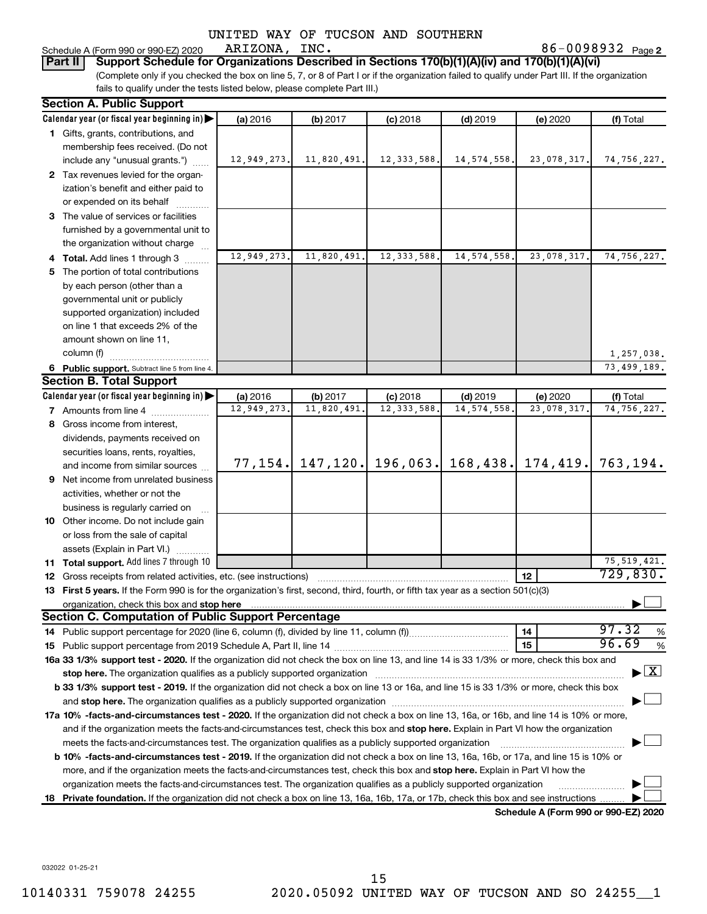86-0098932 Page 2

(Complete only if you checked the box on line 5, 7, or 8 of Part I or if the organization failed to qualify under Part III. If the organization **Part II** | Support Schedule for Organizations Described in Sections 170(b)(1)(A)(iv) and 170(b)(1)(A)(vi)

fails to qualify under the tests listed below, please complete Part III.)

ARIZONA, INC.

Schedule A (Form 990 or 990-EZ) 2020

|    | <b>Section A. Public Support</b>                                                                                                                                                                                               |                         |                        |                             |                             |                                                  |                                          |
|----|--------------------------------------------------------------------------------------------------------------------------------------------------------------------------------------------------------------------------------|-------------------------|------------------------|-----------------------------|-----------------------------|--------------------------------------------------|------------------------------------------|
|    | Calendar year (or fiscal year beginning in)                                                                                                                                                                                    | (a) 2016                | (b) 2017               | $(c)$ 2018                  | $(d)$ 2019                  | (e) 2020                                         | (f) Total                                |
|    | 1 Gifts, grants, contributions, and                                                                                                                                                                                            |                         |                        |                             |                             |                                                  |                                          |
|    | membership fees received. (Do not                                                                                                                                                                                              |                         |                        |                             |                             |                                                  |                                          |
|    | include any "unusual grants.")                                                                                                                                                                                                 | 12,949,273.             | 11,820,491.            | 12, 333, 588.               | 14,574,558.                 | 23,078,317.                                      | 74,756,227.                              |
|    | 2 Tax revenues levied for the organ-                                                                                                                                                                                           |                         |                        |                             |                             |                                                  |                                          |
|    | ization's benefit and either paid to                                                                                                                                                                                           |                         |                        |                             |                             |                                                  |                                          |
|    | or expended on its behalf                                                                                                                                                                                                      |                         |                        |                             |                             |                                                  |                                          |
|    | 3 The value of services or facilities                                                                                                                                                                                          |                         |                        |                             |                             |                                                  |                                          |
|    | furnished by a governmental unit to                                                                                                                                                                                            |                         |                        |                             |                             |                                                  |                                          |
|    | the organization without charge                                                                                                                                                                                                |                         |                        |                             |                             |                                                  |                                          |
|    | 4 Total. Add lines 1 through 3                                                                                                                                                                                                 | 12,949,273.             | 11,820,491.            | 12, 333, 588.               | 14, 574, 558.               | 23,078,317.                                      | 74,756,227.                              |
|    | 5 The portion of total contributions                                                                                                                                                                                           |                         |                        |                             |                             |                                                  |                                          |
|    | by each person (other than a                                                                                                                                                                                                   |                         |                        |                             |                             |                                                  |                                          |
|    | governmental unit or publicly                                                                                                                                                                                                  |                         |                        |                             |                             |                                                  |                                          |
|    | supported organization) included                                                                                                                                                                                               |                         |                        |                             |                             |                                                  |                                          |
|    | on line 1 that exceeds 2% of the                                                                                                                                                                                               |                         |                        |                             |                             |                                                  |                                          |
|    | amount shown on line 11,                                                                                                                                                                                                       |                         |                        |                             |                             |                                                  |                                          |
|    | column (f)                                                                                                                                                                                                                     |                         |                        |                             |                             |                                                  |                                          |
|    |                                                                                                                                                                                                                                |                         |                        |                             |                             |                                                  | 1,257,038.                               |
|    | 6 Public support. Subtract line 5 from line 4.<br><b>Section B. Total Support</b>                                                                                                                                              |                         |                        |                             |                             |                                                  | 73,499,189.                              |
|    | Calendar year (or fiscal year beginning in)                                                                                                                                                                                    |                         |                        |                             |                             |                                                  |                                          |
|    |                                                                                                                                                                                                                                | (a) 2016<br>12,949,273. | (b) 2017<br>11,820,491 | $(c)$ 2018<br>12, 333, 588. | $(d)$ 2019<br>14, 574, 558. | (e) 2020<br>23,078,317.                          | (f) Total<br>74,756,227.                 |
|    | 7 Amounts from line 4                                                                                                                                                                                                          |                         |                        |                             |                             |                                                  |                                          |
|    | 8 Gross income from interest,                                                                                                                                                                                                  |                         |                        |                             |                             |                                                  |                                          |
|    | dividends, payments received on                                                                                                                                                                                                |                         |                        |                             |                             |                                                  |                                          |
|    | securities loans, rents, royalties,                                                                                                                                                                                            |                         |                        |                             |                             | 77, 154. 147, 120. 196, 063. 168, 438. 174, 419. |                                          |
|    | and income from similar sources                                                                                                                                                                                                |                         |                        |                             |                             |                                                  | 763,194.                                 |
|    | <b>9</b> Net income from unrelated business                                                                                                                                                                                    |                         |                        |                             |                             |                                                  |                                          |
|    | activities, whether or not the                                                                                                                                                                                                 |                         |                        |                             |                             |                                                  |                                          |
|    | business is regularly carried on                                                                                                                                                                                               |                         |                        |                             |                             |                                                  |                                          |
|    | 10 Other income. Do not include gain                                                                                                                                                                                           |                         |                        |                             |                             |                                                  |                                          |
|    | or loss from the sale of capital                                                                                                                                                                                               |                         |                        |                             |                             |                                                  |                                          |
|    | assets (Explain in Part VI.)                                                                                                                                                                                                   |                         |                        |                             |                             |                                                  |                                          |
|    | 11 Total support. Add lines 7 through 10                                                                                                                                                                                       |                         |                        |                             |                             |                                                  | 75, 519, 421.                            |
| 12 | Gross receipts from related activities, etc. (see instructions)                                                                                                                                                                |                         |                        |                             |                             | 12                                               | 729,830.                                 |
|    | 13 First 5 years. If the Form 990 is for the organization's first, second, third, fourth, or fifth tax year as a section 501(c)(3)                                                                                             |                         |                        |                             |                             |                                                  |                                          |
|    |                                                                                                                                                                                                                                |                         |                        |                             |                             |                                                  |                                          |
|    | Section C. Computation of Public Support Percentage                                                                                                                                                                            |                         |                        |                             |                             |                                                  |                                          |
|    |                                                                                                                                                                                                                                |                         |                        |                             |                             | 14                                               | 97.32<br>%                               |
| 15 |                                                                                                                                                                                                                                |                         |                        |                             |                             | 15                                               | 96.69<br>%                               |
|    | 16a 33 1/3% support test - 2020. If the organization did not check the box on line 13, and line 14 is 33 1/3% or more, check this box and                                                                                      |                         |                        |                             |                             |                                                  |                                          |
|    |                                                                                                                                                                                                                                |                         |                        |                             |                             |                                                  | $\blacktriangleright$ $\boxed{\text{X}}$ |
|    | b 33 1/3% support test - 2019. If the organization did not check a box on line 13 or 16a, and line 15 is 33 1/3% or more, check this box                                                                                       |                         |                        |                             |                             |                                                  |                                          |
|    | and stop here. The organization qualifies as a publicly supported organization [11] manuscription [11] and stop here. The organization [11] and stop here. The organization [11] and stop here. The organization [11] and stop |                         |                        |                             |                             |                                                  |                                          |
|    | 17a 10% -facts-and-circumstances test - 2020. If the organization did not check a box on line 13, 16a, or 16b, and line 14 is 10% or more,                                                                                     |                         |                        |                             |                             |                                                  |                                          |
|    | and if the organization meets the facts-and-circumstances test, check this box and stop here. Explain in Part VI how the organization                                                                                          |                         |                        |                             |                             |                                                  |                                          |
|    | meets the facts-and-circumstances test. The organization qualifies as a publicly supported organization                                                                                                                        |                         |                        |                             |                             |                                                  |                                          |
|    | <b>b 10%</b> -facts-and-circumstances test - 2019. If the organization did not check a box on line 13, 16a, 16b, or 17a, and line 15 is 10% or                                                                                 |                         |                        |                             |                             |                                                  |                                          |
|    | more, and if the organization meets the facts-and-circumstances test, check this box and stop here. Explain in Part VI how the                                                                                                 |                         |                        |                             |                             |                                                  |                                          |
|    | organization meets the facts-and-circumstances test. The organization qualifies as a publicly supported organization                                                                                                           |                         |                        |                             |                             |                                                  |                                          |
|    | 18 Private foundation. If the organization did not check a box on line 13, 16a, 16b, 17a, or 17b, check this box and see instructions                                                                                          |                         |                        |                             |                             |                                                  |                                          |
|    |                                                                                                                                                                                                                                |                         |                        |                             |                             | Schedule A (Form 990 or 990-F7) 2020             |                                          |

**Schedule A (Form 990 or 990-EZ) 2020**

032022 01-25-21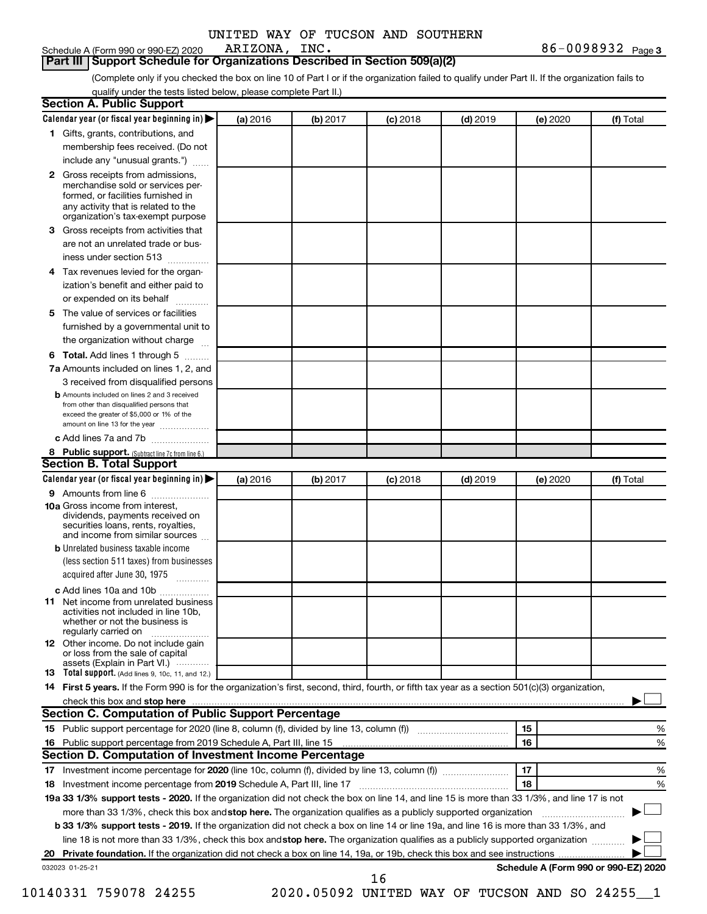Schedule A (Form 990 or 990-EZ) 2020 ARIZONA, INC.

**3** ARIZONA, INC. 86-0098932

**Part III | Support Schedule for Organizations Described in Section 509(a)(2)** 

(Complete only if you checked the box on line 10 of Part I or if the organization failed to qualify under Part II. If the organization fails to qualify under the tests listed below, please complete Part II.)

|              | Calendar year (or fiscal year beginning in)                                                                                                                                                                                                                                     | (a) 2016 | (b) 2017 | $(c)$ 2018 | $(d)$ 2019                                   |    | (e) 2020 | (f) Total                            |
|--------------|---------------------------------------------------------------------------------------------------------------------------------------------------------------------------------------------------------------------------------------------------------------------------------|----------|----------|------------|----------------------------------------------|----|----------|--------------------------------------|
|              | 1 Gifts, grants, contributions, and                                                                                                                                                                                                                                             |          |          |            |                                              |    |          |                                      |
|              | membership fees received. (Do not                                                                                                                                                                                                                                               |          |          |            |                                              |    |          |                                      |
|              | include any "unusual grants.")                                                                                                                                                                                                                                                  |          |          |            |                                              |    |          |                                      |
| $\mathbf{2}$ | Gross receipts from admissions,<br>merchandise sold or services per-<br>formed, or facilities furnished in<br>any activity that is related to the<br>organization's tax-exempt purpose                                                                                          |          |          |            |                                              |    |          |                                      |
| 3            | Gross receipts from activities that                                                                                                                                                                                                                                             |          |          |            |                                              |    |          |                                      |
|              | are not an unrelated trade or bus-                                                                                                                                                                                                                                              |          |          |            |                                              |    |          |                                      |
|              | iness under section 513                                                                                                                                                                                                                                                         |          |          |            |                                              |    |          |                                      |
| 4            | Tax revenues levied for the organ-                                                                                                                                                                                                                                              |          |          |            |                                              |    |          |                                      |
|              | ization's benefit and either paid to<br>or expended on its behalf<br>.                                                                                                                                                                                                          |          |          |            |                                              |    |          |                                      |
| 5            | The value of services or facilities                                                                                                                                                                                                                                             |          |          |            |                                              |    |          |                                      |
|              | furnished by a governmental unit to                                                                                                                                                                                                                                             |          |          |            |                                              |    |          |                                      |
|              | the organization without charge                                                                                                                                                                                                                                                 |          |          |            |                                              |    |          |                                      |
|              | 6 Total. Add lines 1 through 5                                                                                                                                                                                                                                                  |          |          |            |                                              |    |          |                                      |
|              | 7a Amounts included on lines 1, 2, and                                                                                                                                                                                                                                          |          |          |            |                                              |    |          |                                      |
|              | 3 received from disqualified persons                                                                                                                                                                                                                                            |          |          |            |                                              |    |          |                                      |
|              | <b>b</b> Amounts included on lines 2 and 3 received<br>from other than disqualified persons that<br>exceed the greater of \$5,000 or 1% of the<br>amount on line 13 for the year                                                                                                |          |          |            |                                              |    |          |                                      |
|              | c Add lines 7a and 7b                                                                                                                                                                                                                                                           |          |          |            |                                              |    |          |                                      |
|              | 8 Public support. (Subtract line 7c from line 6.)                                                                                                                                                                                                                               |          |          |            |                                              |    |          |                                      |
|              | <b>Section B. Total Support</b>                                                                                                                                                                                                                                                 |          |          |            |                                              |    |          |                                      |
|              | Calendar year (or fiscal year beginning in)                                                                                                                                                                                                                                     | (a) 2016 | (b) 2017 | $(c)$ 2018 | $(d)$ 2019                                   |    | (e) 2020 | (f) Total                            |
|              | 9 Amounts from line 6                                                                                                                                                                                                                                                           |          |          |            |                                              |    |          |                                      |
|              | <b>10a</b> Gross income from interest,<br>dividends, payments received on<br>securities loans, rents, royalties,<br>and income from similar sources                                                                                                                             |          |          |            |                                              |    |          |                                      |
|              | <b>b</b> Unrelated business taxable income                                                                                                                                                                                                                                      |          |          |            |                                              |    |          |                                      |
|              | (less section 511 taxes) from businesses<br>acquired after June 30, 1975                                                                                                                                                                                                        |          |          |            |                                              |    |          |                                      |
|              | c Add lines 10a and 10b                                                                                                                                                                                                                                                         |          |          |            |                                              |    |          |                                      |
|              | 11 Net income from unrelated business<br>activities not included in line 10b.<br>whether or not the business is<br>regularly carried on                                                                                                                                         |          |          |            |                                              |    |          |                                      |
|              | <b>12</b> Other income. Do not include gain<br>or loss from the sale of capital<br>assets (Explain in Part VI.)                                                                                                                                                                 |          |          |            |                                              |    |          |                                      |
|              | <b>13</b> Total support. (Add lines 9, 10c, 11, and 12.)                                                                                                                                                                                                                        |          |          |            |                                              |    |          |                                      |
|              | 14 First 5 years. If the Form 990 is for the organization's first, second, third, fourth, or fifth tax year as a section 501(c)(3) organization,                                                                                                                                |          |          |            |                                              |    |          |                                      |
|              |                                                                                                                                                                                                                                                                                 |          |          |            |                                              |    |          |                                      |
|              | <b>Section C. Computation of Public Support Percentage</b>                                                                                                                                                                                                                      |          |          |            |                                              |    |          |                                      |
|              |                                                                                                                                                                                                                                                                                 |          |          |            |                                              | 15 |          | %                                    |
|              |                                                                                                                                                                                                                                                                                 |          |          |            |                                              | 16 |          | %                                    |
|              | Section D. Computation of Investment Income Percentage                                                                                                                                                                                                                          |          |          |            |                                              |    |          |                                      |
|              |                                                                                                                                                                                                                                                                                 |          |          |            |                                              | 17 |          | %                                    |
|              |                                                                                                                                                                                                                                                                                 |          |          |            |                                              | 18 |          | %                                    |
|              | 19a 33 1/3% support tests - 2020. If the organization did not check the box on line 14, and line 15 is more than 33 1/3%, and line 17 is not                                                                                                                                    |          |          |            |                                              |    |          |                                      |
|              | more than 33 1/3%, check this box and stop here. The organization qualifies as a publicly supported organization                                                                                                                                                                |          |          |            |                                              |    |          |                                      |
|              | <b>b 33 1/3% support tests - 2019.</b> If the organization did not check a box on line 14 or line 19a, and line 16 is more than 33 1/3%, and<br>line 18 is not more than 33 1/3%, check this box and stop here. The organization qualifies as a publicly supported organization |          |          |            |                                              |    |          |                                      |
|              |                                                                                                                                                                                                                                                                                 |          |          |            |                                              |    |          |                                      |
|              | 032023 01-25-21                                                                                                                                                                                                                                                                 |          |          |            |                                              |    |          | Schedule A (Form 990 or 990-EZ) 2020 |
|              |                                                                                                                                                                                                                                                                                 |          |          | 16         |                                              |    |          |                                      |
|              | 10140331 759078 24255                                                                                                                                                                                                                                                           |          |          |            | 2020.05092 UNITED WAY OF TUCSON AND SO 24255 |    |          |                                      |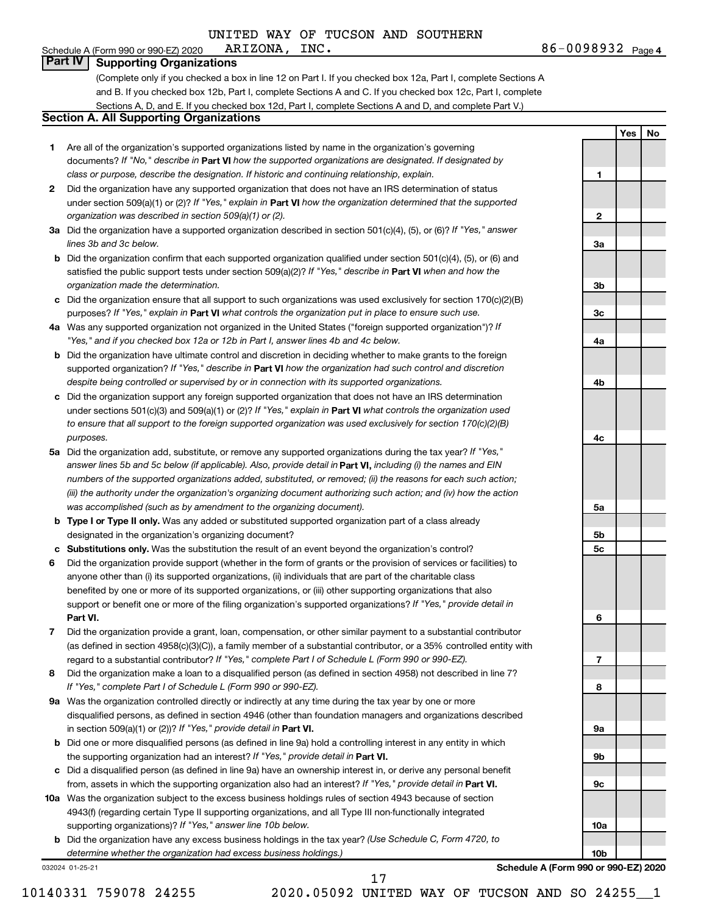**1**

**2**

**3a**

**3b**

**3c**

**4a**

**4b**

**4c**

**5a**

**5b 5c**

**6**

**7**

**8**

**9a**

**9b**

**9c**

**10a**

**Yes No**

#### Schedule A (Form 990 or 990-EZ) 2020  $ARIZONA, INC.$ **Part IV Supporting Organizations**

(Complete only if you checked a box in line 12 on Part I. If you checked box 12a, Part I, complete Sections A and B. If you checked box 12b, Part I, complete Sections A and C. If you checked box 12c, Part I, complete Sections A, D, and E. If you checked box 12d, Part I, complete Sections A and D, and complete Part V.)

#### **Section A. All Supporting Organizations**

- **1** Are all of the organization's supported organizations listed by name in the organization's governing documents? If "No," describe in Part VI how the supported organizations are designated. If designated by *class or purpose, describe the designation. If historic and continuing relationship, explain.*
- **2** Did the organization have any supported organization that does not have an IRS determination of status under section 509(a)(1) or (2)? If "Yes," explain in Part **VI** how the organization determined that the supported *organization was described in section 509(a)(1) or (2).*
- **3a** Did the organization have a supported organization described in section 501(c)(4), (5), or (6)? If "Yes," answer *lines 3b and 3c below.*
- **b** Did the organization confirm that each supported organization qualified under section 501(c)(4), (5), or (6) and satisfied the public support tests under section 509(a)(2)? If "Yes," describe in Part VI when and how the *organization made the determination.*
- **c** Did the organization ensure that all support to such organizations was used exclusively for section 170(c)(2)(B) purposes? If "Yes," explain in Part VI what controls the organization put in place to ensure such use.
- **4 a** *If* Was any supported organization not organized in the United States ("foreign supported organization")? *"Yes," and if you checked box 12a or 12b in Part I, answer lines 4b and 4c below.*
- **b** Did the organization have ultimate control and discretion in deciding whether to make grants to the foreign supported organization? If "Yes," describe in Part VI how the organization had such control and discretion *despite being controlled or supervised by or in connection with its supported organizations.*
- **c** Did the organization support any foreign supported organization that does not have an IRS determination under sections 501(c)(3) and 509(a)(1) or (2)? If "Yes," explain in Part VI what controls the organization used *to ensure that all support to the foreign supported organization was used exclusively for section 170(c)(2)(B) purposes.*
- **5a** Did the organization add, substitute, or remove any supported organizations during the tax year? If "Yes," answer lines 5b and 5c below (if applicable). Also, provide detail in **Part VI,** including (i) the names and EIN *numbers of the supported organizations added, substituted, or removed; (ii) the reasons for each such action; (iii) the authority under the organization's organizing document authorizing such action; and (iv) how the action was accomplished (such as by amendment to the organizing document).*
- **b Type I or Type II only.** Was any added or substituted supported organization part of a class already designated in the organization's organizing document?
- **c Substitutions only.**  Was the substitution the result of an event beyond the organization's control?
- **6** Did the organization provide support (whether in the form of grants or the provision of services or facilities) to **Part VI.** support or benefit one or more of the filing organization's supported organizations? If "Yes," provide detail in anyone other than (i) its supported organizations, (ii) individuals that are part of the charitable class benefited by one or more of its supported organizations, or (iii) other supporting organizations that also
- **7** Did the organization provide a grant, loan, compensation, or other similar payment to a substantial contributor regard to a substantial contributor? If "Yes," complete Part I of Schedule L (Form 990 or 990-EZ). (as defined in section 4958(c)(3)(C)), a family member of a substantial contributor, or a 35% controlled entity with
- **8** Did the organization make a loan to a disqualified person (as defined in section 4958) not described in line 7? *If "Yes," complete Part I of Schedule L (Form 990 or 990-EZ).*
- **9 a** Was the organization controlled directly or indirectly at any time during the tax year by one or more in section 509(a)(1) or (2))? If "Yes," provide detail in **Part VI.** disqualified persons, as defined in section 4946 (other than foundation managers and organizations described
- **b** Did one or more disqualified persons (as defined in line 9a) hold a controlling interest in any entity in which the supporting organization had an interest? If "Yes," provide detail in Part VI.
- **c** Did a disqualified person (as defined in line 9a) have an ownership interest in, or derive any personal benefit from, assets in which the supporting organization also had an interest? If "Yes," provide detail in Part VI.
- **10 a** Was the organization subject to the excess business holdings rules of section 4943 because of section supporting organizations)? If "Yes," answer line 10b below. 4943(f) (regarding certain Type II supporting organizations, and all Type III non-functionally integrated
	- **b** Did the organization have any excess business holdings in the tax year? (Use Schedule C, Form 4720, to *determine whether the organization had excess business holdings.)*

032024 01-25-21

**10b Schedule A (Form 990 or 990-EZ) 2020**

10140331 759078 24255 2020.05092 UNITED WAY OF TUCSON AND SO 24255\_\_1

17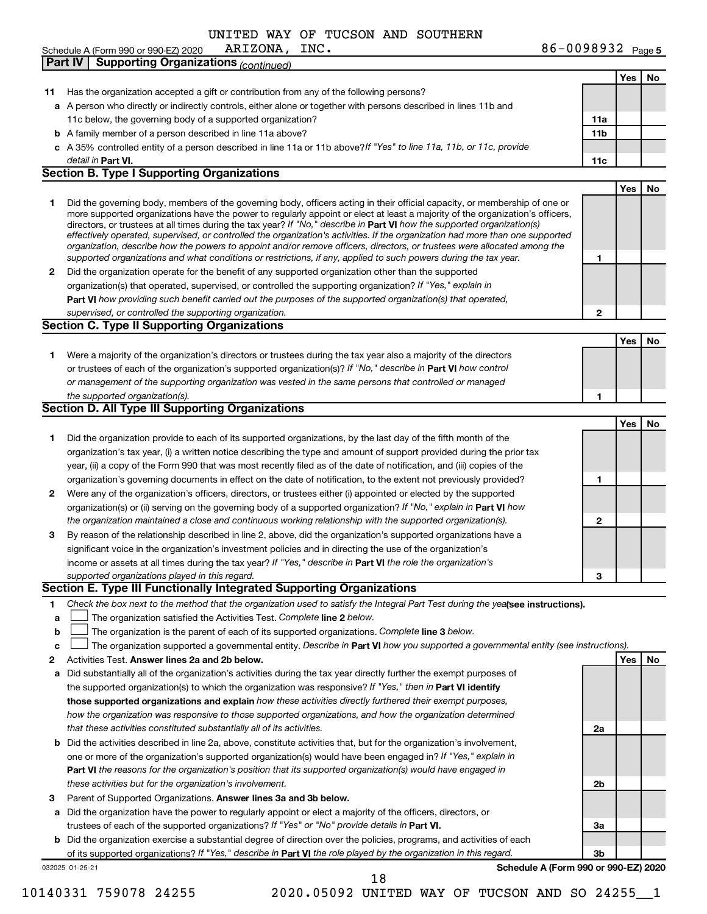Schedule A (Form 990 or 990-EZ) 2020 **Part IV | Supporting Organizations** (*continued*) ARIZONA, INC.

|              |                                                                                                                                                                                                                                                            |              | Yes | No |
|--------------|------------------------------------------------------------------------------------------------------------------------------------------------------------------------------------------------------------------------------------------------------------|--------------|-----|----|
| 11           | Has the organization accepted a gift or contribution from any of the following persons?                                                                                                                                                                    |              |     |    |
|              | a A person who directly or indirectly controls, either alone or together with persons described in lines 11b and                                                                                                                                           |              |     |    |
|              | 11c below, the governing body of a supported organization?                                                                                                                                                                                                 | 11a          |     |    |
|              | <b>b</b> A family member of a person described in line 11a above?                                                                                                                                                                                          | 11b          |     |    |
|              | c A 35% controlled entity of a person described in line 11a or 11b above? If "Yes" to line 11a, 11b, or 11c, provide                                                                                                                                       |              |     |    |
|              | detail in Part VI.                                                                                                                                                                                                                                         | 11c          |     |    |
|              | <b>Section B. Type I Supporting Organizations</b>                                                                                                                                                                                                          |              |     |    |
|              |                                                                                                                                                                                                                                                            |              | Yes | No |
| 1.           | Did the governing body, members of the governing body, officers acting in their official capacity, or membership of one or                                                                                                                                 |              |     |    |
|              | more supported organizations have the power to regularly appoint or elect at least a majority of the organization's officers,                                                                                                                              |              |     |    |
|              | directors, or trustees at all times during the tax year? If "No," describe in Part VI how the supported organization(s)                                                                                                                                    |              |     |    |
|              | effectively operated, supervised, or controlled the organization's activities. If the organization had more than one supported<br>organization, describe how the powers to appoint and/or remove officers, directors, or trustees were allocated among the |              |     |    |
|              | supported organizations and what conditions or restrictions, if any, applied to such powers during the tax year.                                                                                                                                           | 1            |     |    |
| $\mathbf{2}$ | Did the organization operate for the benefit of any supported organization other than the supported                                                                                                                                                        |              |     |    |
|              | organization(s) that operated, supervised, or controlled the supporting organization? If "Yes," explain in                                                                                                                                                 |              |     |    |
|              | Part VI how providing such benefit carried out the purposes of the supported organization(s) that operated,                                                                                                                                                |              |     |    |
|              | supervised, or controlled the supporting organization.                                                                                                                                                                                                     | $\mathbf{2}$ |     |    |
|              | <b>Section C. Type II Supporting Organizations</b>                                                                                                                                                                                                         |              |     |    |
|              |                                                                                                                                                                                                                                                            |              | Yes | No |
| 1.           | Were a majority of the organization's directors or trustees during the tax year also a majority of the directors                                                                                                                                           |              |     |    |
|              | or trustees of each of the organization's supported organization(s)? If "No," describe in Part VI how control                                                                                                                                              |              |     |    |
|              | or management of the supporting organization was vested in the same persons that controlled or managed                                                                                                                                                     |              |     |    |
|              | the supported organization(s).                                                                                                                                                                                                                             | 1            |     |    |
|              | Section D. All Type III Supporting Organizations                                                                                                                                                                                                           |              |     |    |
|              |                                                                                                                                                                                                                                                            |              | Yes | No |
| 1.           | Did the organization provide to each of its supported organizations, by the last day of the fifth month of the                                                                                                                                             |              |     |    |
|              | organization's tax year, (i) a written notice describing the type and amount of support provided during the prior tax                                                                                                                                      |              |     |    |
|              | year, (ii) a copy of the Form 990 that was most recently filed as of the date of notification, and (iii) copies of the                                                                                                                                     |              |     |    |
|              | organization's governing documents in effect on the date of notification, to the extent not previously provided?                                                                                                                                           | 1            |     |    |
| 2            | Were any of the organization's officers, directors, or trustees either (i) appointed or elected by the supported                                                                                                                                           |              |     |    |
|              | organization(s) or (ii) serving on the governing body of a supported organization? If "No," explain in Part VI how                                                                                                                                         |              |     |    |
|              | the organization maintained a close and continuous working relationship with the supported organization(s).                                                                                                                                                | $\mathbf{2}$ |     |    |
| 3            | By reason of the relationship described in line 2, above, did the organization's supported organizations have a                                                                                                                                            |              |     |    |
|              | significant voice in the organization's investment policies and in directing the use of the organization's                                                                                                                                                 |              |     |    |
|              | income or assets at all times during the tax year? If "Yes," describe in Part VI the role the organization's                                                                                                                                               |              |     |    |
|              | supported organizations played in this regard.                                                                                                                                                                                                             | 3            |     |    |
|              | Section E. Type III Functionally Integrated Supporting Organizations                                                                                                                                                                                       |              |     |    |
| 1            | Check the box next to the method that the organization used to satisfy the Integral Part Test during the yealsee instructions).                                                                                                                            |              |     |    |
| a            | The organization satisfied the Activities Test. Complete line 2 below.                                                                                                                                                                                     |              |     |    |
| b            | The organization is the parent of each of its supported organizations. Complete line 3 below.                                                                                                                                                              |              |     |    |
| c            | The organization supported a governmental entity. Describe in Part VI how you supported a governmental entity (see instructions).                                                                                                                          |              |     |    |
| 2            | Activities Test. Answer lines 2a and 2b below.                                                                                                                                                                                                             |              | Yes | No |
| a            | Did substantially all of the organization's activities during the tax year directly further the exempt purposes of                                                                                                                                         |              |     |    |
|              | the supported organization(s) to which the organization was responsive? If "Yes," then in Part VI identify                                                                                                                                                 |              |     |    |
|              | those supported organizations and explain how these activities directly furthered their exempt purposes,                                                                                                                                                   |              |     |    |
|              | how the organization was responsive to those supported organizations, and how the organization determined                                                                                                                                                  |              |     |    |
|              | that these activities constituted substantially all of its activities.                                                                                                                                                                                     | 2a           |     |    |
| b            | Did the activities described in line 2a, above, constitute activities that, but for the organization's involvement,                                                                                                                                        |              |     |    |
|              | one or more of the organization's supported organization(s) would have been engaged in? If "Yes," explain in                                                                                                                                               |              |     |    |
|              | <b>Part VI</b> the reasons for the organization's position that its supported organization(s) would have engaged in                                                                                                                                        |              |     |    |
|              | these activities but for the organization's involvement.                                                                                                                                                                                                   | 2b           |     |    |
| з            | Parent of Supported Organizations. Answer lines 3a and 3b below.                                                                                                                                                                                           |              |     |    |
| a            | Did the organization have the power to regularly appoint or elect a majority of the officers, directors, or                                                                                                                                                |              |     |    |
|              | trustees of each of the supported organizations? If "Yes" or "No" provide details in Part VI.                                                                                                                                                              | За           |     |    |
| b            | Did the organization exercise a substantial degree of direction over the policies, programs, and activities of each                                                                                                                                        |              |     |    |
|              | of its supported organizations? If "Yes," describe in Part VI the role played by the organization in this regard.                                                                                                                                          | 3b           |     |    |
|              |                                                                                                                                                                                                                                                            |              |     |    |

032025 01-25-21

**Schedule A (Form 990 or 990-EZ) 2020**

18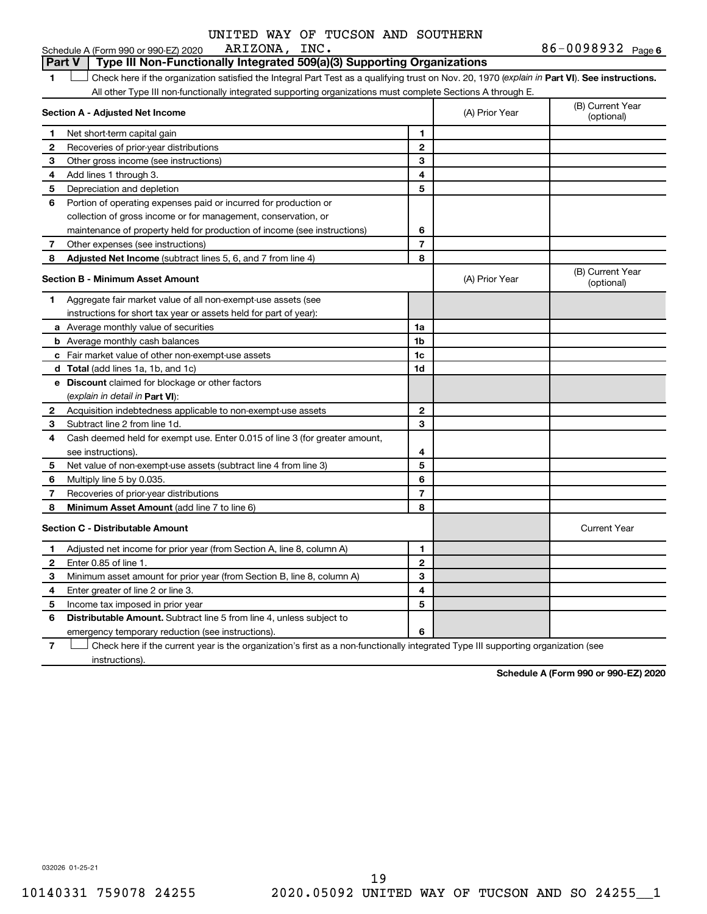#### Schedule A (Form 990 or 990-EZ) 2020  $ARIZONA, INC.$ **Part V** Type III Non-Functionally Integrated 509(a)(3) Supporting Organizations

1 Check here if the organization satisfied the Integral Part Test as a qualifying trust on Nov. 20, 1970 (explain in Part VI). See instructions. All other Type III non-functionally integrated supporting organizations must complete Sections A through E.

|              | Section A - Adjusted Net Income                                             |                | (A) Prior Year | (B) Current Year<br>(optional) |
|--------------|-----------------------------------------------------------------------------|----------------|----------------|--------------------------------|
| 1            | Net short-term capital gain                                                 | 1              |                |                                |
| 2            | Recoveries of prior-year distributions                                      | $\mathbf{2}$   |                |                                |
| 3            | Other gross income (see instructions)                                       | 3              |                |                                |
| 4            | Add lines 1 through 3.                                                      | 4              |                |                                |
| 5            | Depreciation and depletion                                                  | 5              |                |                                |
| 6            | Portion of operating expenses paid or incurred for production or            |                |                |                                |
|              | collection of gross income or for management, conservation, or              |                |                |                                |
|              | maintenance of property held for production of income (see instructions)    | 6              |                |                                |
| 7            | Other expenses (see instructions)                                           | $\overline{7}$ |                |                                |
| 8            | Adjusted Net Income (subtract lines 5, 6, and 7 from line 4)                | 8              |                |                                |
|              | <b>Section B - Minimum Asset Amount</b>                                     |                | (A) Prior Year | (B) Current Year<br>(optional) |
| 1.           | Aggregate fair market value of all non-exempt-use assets (see               |                |                |                                |
|              | instructions for short tax year or assets held for part of year):           |                |                |                                |
|              | a Average monthly value of securities                                       | 1a             |                |                                |
|              | <b>b</b> Average monthly cash balances                                      | 1b             |                |                                |
|              | c Fair market value of other non-exempt-use assets                          | 1c             |                |                                |
|              | d Total (add lines 1a, 1b, and 1c)                                          | 1d             |                |                                |
|              | <b>e</b> Discount claimed for blockage or other factors                     |                |                |                                |
|              | (explain in detail in Part VI):                                             |                |                |                                |
| 2            | Acquisition indebtedness applicable to non-exempt-use assets                | $\mathbf{2}$   |                |                                |
| 3            | Subtract line 2 from line 1d.                                               | 3              |                |                                |
| 4            | Cash deemed held for exempt use. Enter 0.015 of line 3 (for greater amount, |                |                |                                |
|              | see instructions)                                                           | 4              |                |                                |
| 5            | Net value of non-exempt-use assets (subtract line 4 from line 3)            | 5              |                |                                |
| 6            | Multiply line 5 by 0.035.                                                   | 6              |                |                                |
| 7            | Recoveries of prior-year distributions                                      | $\overline{7}$ |                |                                |
| 8            | Minimum Asset Amount (add line 7 to line 6)                                 | 8              |                |                                |
|              | <b>Section C - Distributable Amount</b>                                     |                |                | <b>Current Year</b>            |
| 1            | Adjusted net income for prior year (from Section A, line 8, column A)       | 1              |                |                                |
| $\mathbf{2}$ | Enter 0.85 of line 1.                                                       | $\mathbf{2}$   |                |                                |
| З            | Minimum asset amount for prior year (from Section B, line 8, column A)      | 3              |                |                                |
| 4            | Enter greater of line 2 or line 3.                                          | 4              |                |                                |
| 5            | Income tax imposed in prior year                                            | 5              |                |                                |
| 6            | <b>Distributable Amount.</b> Subtract line 5 from line 4, unless subject to |                |                |                                |
|              | emergency temporary reduction (see instructions).                           | 6              |                |                                |
|              |                                                                             |                |                |                                |

**7** Check here if the current year is the organization's first as a non-functionally integrated Type III supporting organization (see instructions).

**Schedule A (Form 990 or 990-EZ) 2020**

032026 01-25-21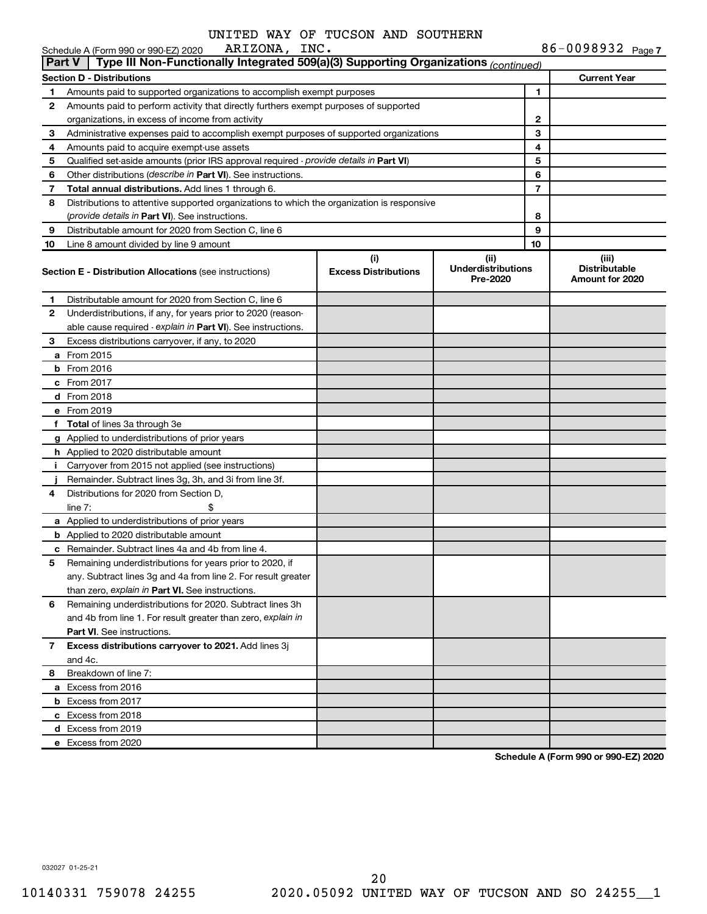|               | ARIZONA, INC.<br>Schedule A (Form 990 or 990-EZ) 2020                                         |                                    |                                               |                | 86-0098932 Page 7                                |
|---------------|-----------------------------------------------------------------------------------------------|------------------------------------|-----------------------------------------------|----------------|--------------------------------------------------|
| <b>Part V</b> | Type III Non-Functionally Integrated 509(a)(3) Supporting Organizations (continued)           |                                    |                                               |                |                                                  |
|               | <b>Section D - Distributions</b>                                                              |                                    |                                               |                | <b>Current Year</b>                              |
| 1             | Amounts paid to supported organizations to accomplish exempt purposes                         |                                    |                                               | 1              |                                                  |
| 2             | Amounts paid to perform activity that directly furthers exempt purposes of supported          |                                    |                                               |                |                                                  |
|               | organizations, in excess of income from activity                                              |                                    | 2                                             |                |                                                  |
| 3             | Administrative expenses paid to accomplish exempt purposes of supported organizations         |                                    |                                               | 3              |                                                  |
| 4             | Amounts paid to acquire exempt-use assets                                                     |                                    |                                               | 4              |                                                  |
| 5             | Qualified set-aside amounts (prior IRS approval required - <i>provide details in</i> Part VI) |                                    |                                               | 5              |                                                  |
| 6             | Other distributions ( <i>describe in Part VI</i> ). See instructions.                         |                                    |                                               | 6              |                                                  |
| 7             | <b>Total annual distributions.</b> Add lines 1 through 6.                                     |                                    |                                               | $\overline{7}$ |                                                  |
| 8             | Distributions to attentive supported organizations to which the organization is responsive    |                                    |                                               |                |                                                  |
|               | ( <i>provide details in Part VI</i> ). See instructions.                                      |                                    |                                               | 8              |                                                  |
| 9             | Distributable amount for 2020 from Section C, line 6                                          |                                    |                                               | 9              |                                                  |
| 10            | Line 8 amount divided by line 9 amount                                                        |                                    |                                               | 10             |                                                  |
|               | <b>Section E - Distribution Allocations (see instructions)</b>                                | (i)<br><b>Excess Distributions</b> | (ii)<br><b>Underdistributions</b><br>Pre-2020 |                | (iii)<br><b>Distributable</b><br>Amount for 2020 |
| 1.            | Distributable amount for 2020 from Section C, line 6                                          |                                    |                                               |                |                                                  |
| 2             | Underdistributions, if any, for years prior to 2020 (reason-                                  |                                    |                                               |                |                                                  |
|               | able cause required - explain in Part VI). See instructions.                                  |                                    |                                               |                |                                                  |
| 3             | Excess distributions carryover, if any, to 2020                                               |                                    |                                               |                |                                                  |
|               | <b>a</b> From 2015                                                                            |                                    |                                               |                |                                                  |
|               | $b$ From 2016                                                                                 |                                    |                                               |                |                                                  |
|               | $c$ From 2017                                                                                 |                                    |                                               |                |                                                  |
|               | <b>d</b> From 2018                                                                            |                                    |                                               |                |                                                  |
|               | e From 2019                                                                                   |                                    |                                               |                |                                                  |
|               | f Total of lines 3a through 3e                                                                |                                    |                                               |                |                                                  |
|               | <b>g</b> Applied to underdistributions of prior years                                         |                                    |                                               |                |                                                  |
|               | <b>h</b> Applied to 2020 distributable amount                                                 |                                    |                                               |                |                                                  |
| п.            | Carryover from 2015 not applied (see instructions)                                            |                                    |                                               |                |                                                  |
|               | Remainder. Subtract lines 3g, 3h, and 3i from line 3f.                                        |                                    |                                               |                |                                                  |
| 4             | Distributions for 2020 from Section D,                                                        |                                    |                                               |                |                                                  |
|               | line $7:$                                                                                     |                                    |                                               |                |                                                  |
|               | a Applied to underdistributions of prior years                                                |                                    |                                               |                |                                                  |
|               | <b>b</b> Applied to 2020 distributable amount                                                 |                                    |                                               |                |                                                  |
|               | <b>c</b> Remainder. Subtract lines 4a and 4b from line 4.                                     |                                    |                                               |                |                                                  |
|               | Remaining underdistributions for years prior to 2020, if                                      |                                    |                                               |                |                                                  |
|               | any. Subtract lines 3g and 4a from line 2. For result greater                                 |                                    |                                               |                |                                                  |
|               | than zero, explain in Part VI. See instructions.                                              |                                    |                                               |                |                                                  |
| 6             | Remaining underdistributions for 2020. Subtract lines 3h                                      |                                    |                                               |                |                                                  |
|               | and 4b from line 1. For result greater than zero, explain in                                  |                                    |                                               |                |                                                  |
|               | <b>Part VI.</b> See instructions.                                                             |                                    |                                               |                |                                                  |
| 7             | Excess distributions carryover to 2021. Add lines 3j                                          |                                    |                                               |                |                                                  |
|               | and 4c.                                                                                       |                                    |                                               |                |                                                  |
| 8             | Breakdown of line 7:                                                                          |                                    |                                               |                |                                                  |
|               | a Excess from 2016                                                                            |                                    |                                               |                |                                                  |
|               | <b>b</b> Excess from 2017                                                                     |                                    |                                               |                |                                                  |
|               | c Excess from 2018                                                                            |                                    |                                               |                |                                                  |
|               | d Excess from 2019                                                                            |                                    |                                               |                |                                                  |
|               | e Excess from 2020                                                                            |                                    |                                               |                |                                                  |

**Schedule A (Form 990 or 990-EZ) 2020**

032027 01-25-21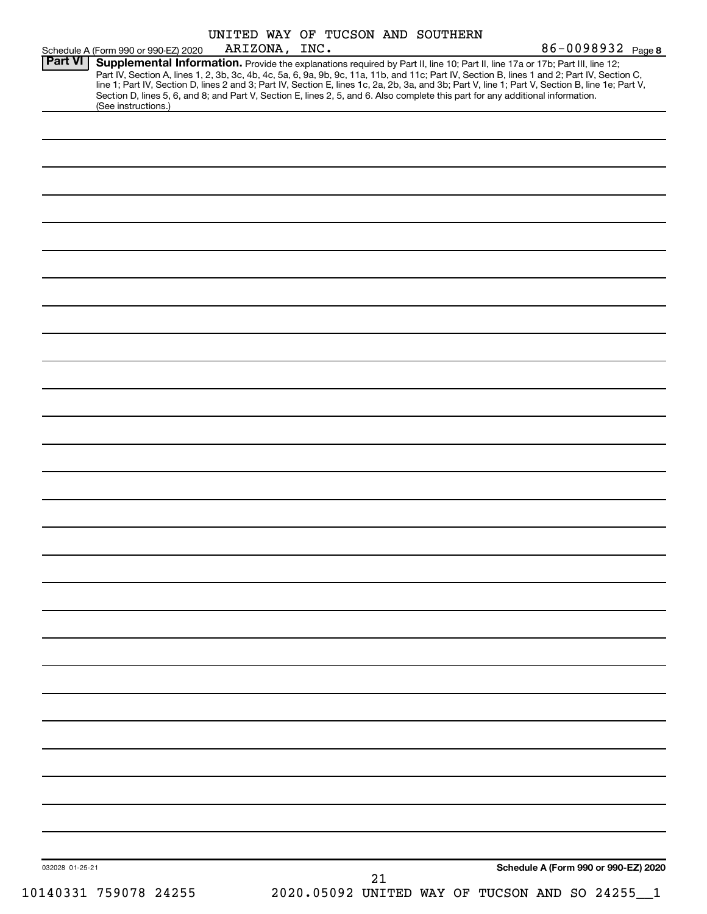|                 | Schedule A (Form 990 or 990-EZ) 2020 | ARIZONA, INC. |  |    | UNITED WAY OF TUCSON AND SOUTHERN | 86-0098932 Page 8                                                                                                                                                                                                                                                                                                                                                                                                                                                                                                                                                    |
|-----------------|--------------------------------------|---------------|--|----|-----------------------------------|----------------------------------------------------------------------------------------------------------------------------------------------------------------------------------------------------------------------------------------------------------------------------------------------------------------------------------------------------------------------------------------------------------------------------------------------------------------------------------------------------------------------------------------------------------------------|
| <b>Part VI</b>  | (See instructions.)                  |               |  |    |                                   | Supplemental Information. Provide the explanations required by Part II, line 10; Part II, line 17a or 17b; Part III, line 12;<br>Part IV, Section A, lines 1, 2, 3b, 3c, 4b, 4c, 5a, 6, 9a, 9b, 9c, 11a, 11b, and 11c; Part IV, Section B, lines 1 and 2; Part IV, Section C,<br>line 1; Part IV, Section D, lines 2 and 3; Part IV, Section E, lines 1c, 2a, 2b, 3a, and 3b; Part V, line 1; Part V, Section B, line 1e; Part V,<br>Section D, lines 5, 6, and 8; and Part V, Section E, lines 2, 5, and 6. Also complete this part for any additional information. |
|                 |                                      |               |  |    |                                   |                                                                                                                                                                                                                                                                                                                                                                                                                                                                                                                                                                      |
|                 |                                      |               |  |    |                                   |                                                                                                                                                                                                                                                                                                                                                                                                                                                                                                                                                                      |
|                 |                                      |               |  |    |                                   |                                                                                                                                                                                                                                                                                                                                                                                                                                                                                                                                                                      |
|                 |                                      |               |  |    |                                   |                                                                                                                                                                                                                                                                                                                                                                                                                                                                                                                                                                      |
|                 |                                      |               |  |    |                                   |                                                                                                                                                                                                                                                                                                                                                                                                                                                                                                                                                                      |
|                 |                                      |               |  |    |                                   |                                                                                                                                                                                                                                                                                                                                                                                                                                                                                                                                                                      |
|                 |                                      |               |  |    |                                   |                                                                                                                                                                                                                                                                                                                                                                                                                                                                                                                                                                      |
|                 |                                      |               |  |    |                                   |                                                                                                                                                                                                                                                                                                                                                                                                                                                                                                                                                                      |
|                 |                                      |               |  |    |                                   |                                                                                                                                                                                                                                                                                                                                                                                                                                                                                                                                                                      |
|                 |                                      |               |  |    |                                   |                                                                                                                                                                                                                                                                                                                                                                                                                                                                                                                                                                      |
|                 |                                      |               |  |    |                                   |                                                                                                                                                                                                                                                                                                                                                                                                                                                                                                                                                                      |
|                 |                                      |               |  |    |                                   |                                                                                                                                                                                                                                                                                                                                                                                                                                                                                                                                                                      |
|                 |                                      |               |  |    |                                   |                                                                                                                                                                                                                                                                                                                                                                                                                                                                                                                                                                      |
|                 |                                      |               |  |    |                                   |                                                                                                                                                                                                                                                                                                                                                                                                                                                                                                                                                                      |
|                 |                                      |               |  |    |                                   |                                                                                                                                                                                                                                                                                                                                                                                                                                                                                                                                                                      |
|                 |                                      |               |  |    |                                   |                                                                                                                                                                                                                                                                                                                                                                                                                                                                                                                                                                      |
|                 |                                      |               |  |    |                                   |                                                                                                                                                                                                                                                                                                                                                                                                                                                                                                                                                                      |
|                 |                                      |               |  |    |                                   |                                                                                                                                                                                                                                                                                                                                                                                                                                                                                                                                                                      |
|                 |                                      |               |  |    |                                   |                                                                                                                                                                                                                                                                                                                                                                                                                                                                                                                                                                      |
|                 |                                      |               |  |    |                                   |                                                                                                                                                                                                                                                                                                                                                                                                                                                                                                                                                                      |
|                 |                                      |               |  |    |                                   |                                                                                                                                                                                                                                                                                                                                                                                                                                                                                                                                                                      |
|                 |                                      |               |  |    |                                   |                                                                                                                                                                                                                                                                                                                                                                                                                                                                                                                                                                      |
|                 |                                      |               |  |    |                                   |                                                                                                                                                                                                                                                                                                                                                                                                                                                                                                                                                                      |
|                 |                                      |               |  |    |                                   |                                                                                                                                                                                                                                                                                                                                                                                                                                                                                                                                                                      |
| 032028 01-25-21 |                                      |               |  | 21 |                                   | Schedule A (Form 990 or 990-EZ) 2020                                                                                                                                                                                                                                                                                                                                                                                                                                                                                                                                 |
|                 | 10140331 759078 24255                |               |  |    |                                   | 2020.05092 UNITED WAY OF TUCSON AND SO 24255_1                                                                                                                                                                                                                                                                                                                                                                                                                                                                                                                       |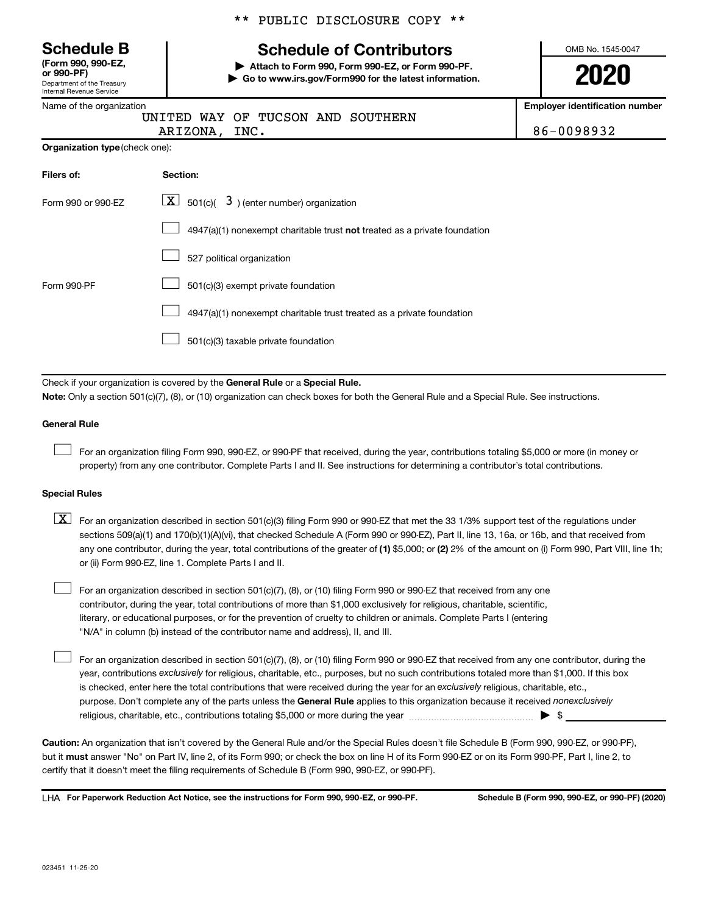Department of the Treasury Internal Revenue Service **(Form 990, 990-EZ,**

Name of the organization

\*\* PUBLIC DISCLOSURE COPY \*\*

# **Schedule B Schedule of Contributors**

**or 990-PF) | Attach to Form 990, Form 990-EZ, or Form 990-PF. | Go to www.irs.gov/Form990 for the latest information.** OMB No. 1545-0047

**2020**

**Employer identification number**

86-0098932

|               |  |  | UNITED WAY OF TUCSON AND SOUTHERN |
|---------------|--|--|-----------------------------------|
| ARIZONA, INC. |  |  |                                   |

**Organization type** (check one):

| Filers of:         | Section:                                                                           |
|--------------------|------------------------------------------------------------------------------------|
| Form 990 or 990-EZ | $\boxed{\textbf{X}}$ 501(c)( 3) (enter number) organization                        |
|                    | $4947(a)(1)$ nonexempt charitable trust <b>not</b> treated as a private foundation |
|                    | 527 political organization                                                         |
| Form 990-PF        | 501(c)(3) exempt private foundation                                                |
|                    | 4947(a)(1) nonexempt charitable trust treated as a private foundation              |
|                    | 501(c)(3) taxable private foundation                                               |

Check if your organization is covered by the General Rule or a Special Rule.

**Note:**  Only a section 501(c)(7), (8), or (10) organization can check boxes for both the General Rule and a Special Rule. See instructions.

#### **General Rule**

 $\mathcal{L}^{\text{eff}}$ 

 $\mathcal{L}^{\text{eff}}$ 

For an organization filing Form 990, 990-EZ, or 990-PF that received, during the year, contributions totaling \$5,000 or more (in money or property) from any one contributor. Complete Parts I and II. See instructions for determining a contributor's total contributions.

#### **Special Rules**

any one contributor, during the year, total contributions of the greater of (1) \$5,000; or (2) 2% of the amount on (i) Form 990, Part VIII, line 1h;  $\boxed{\text{X}}$  For an organization described in section 501(c)(3) filing Form 990 or 990-EZ that met the 33 1/3% support test of the regulations under sections 509(a)(1) and 170(b)(1)(A)(vi), that checked Schedule A (Form 990 or 990-EZ), Part II, line 13, 16a, or 16b, and that received from or (ii) Form 990-EZ, line 1. Complete Parts I and II.

For an organization described in section 501(c)(7), (8), or (10) filing Form 990 or 990-EZ that received from any one contributor, during the year, total contributions of more than \$1,000 exclusively for religious, charitable, scientific, literary, or educational purposes, or for the prevention of cruelty to children or animals. Complete Parts I (entering "N/A" in column (b) instead of the contributor name and address), II, and III.  $\mathcal{L}^{\text{eff}}$ 

purpose. Don't complete any of the parts unless the General Rule applies to this organization because it received nonexclusively year, contributions exclusively for religious, charitable, etc., purposes, but no such contributions totaled more than \$1,000. If this box is checked, enter here the total contributions that were received during the year for an exclusively religious, charitable, etc., For an organization described in section 501(c)(7), (8), or (10) filing Form 990 or 990-EZ that received from any one contributor, during the religious, charitable, etc., contributions totaling \$5,000 or more during the year  $\ldots$  $\ldots$  $\ldots$  $\ldots$  $\ldots$  $\ldots$ 

**Caution:**  An organization that isn't covered by the General Rule and/or the Special Rules doesn't file Schedule B (Form 990, 990-EZ, or 990-PF),  **must** but it answer "No" on Part IV, line 2, of its Form 990; or check the box on line H of its Form 990-EZ or on its Form 990-PF, Part I, line 2, to certify that it doesn't meet the filing requirements of Schedule B (Form 990, 990-EZ, or 990-PF).

LHA For Paperwork Reduction Act Notice, see the instructions for Form 990, 990-EZ, or 990-PF. Schedule B (Form 990, 990-EZ, or 990-PF) (2020)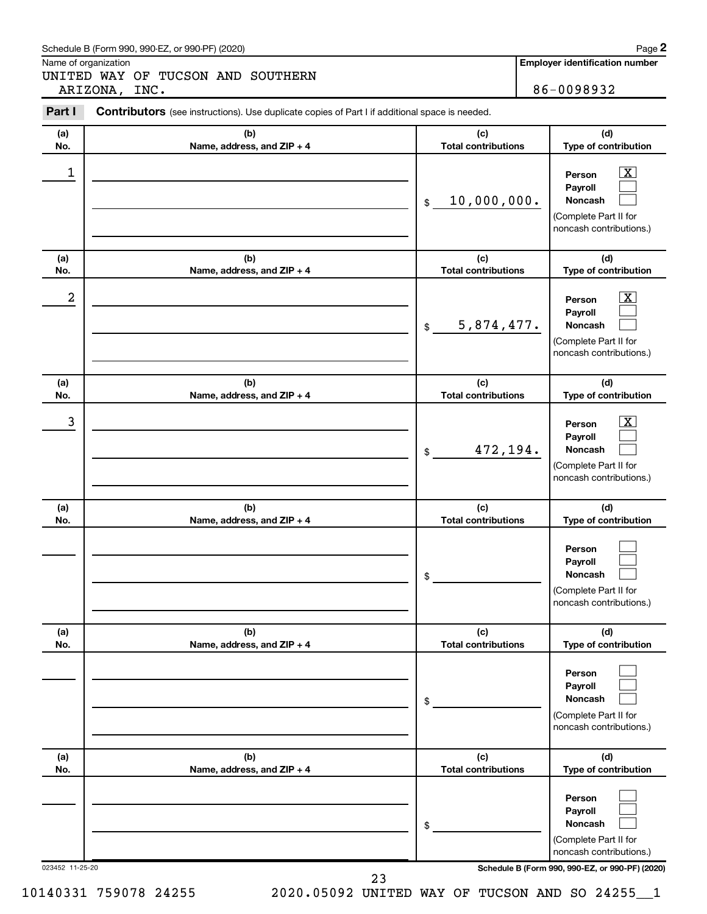#### Schedule B (Form 990, 990-EZ, or 990-PF) (2020)

Name of organization

UNITED WAY OF TUCSON AND SOUTHERN ARIZONA, INC. 86-0098932

**Employer identification number**

| Contributors (see instructions). Use duplicate copies of Part I if additional space is needed. |                                   |                                                                                                                                     |
|------------------------------------------------------------------------------------------------|-----------------------------------|-------------------------------------------------------------------------------------------------------------------------------------|
| (b)<br>Name, address, and ZIP + 4                                                              | (c)<br><b>Total contributions</b> | (d)<br>Type of contribution                                                                                                         |
|                                                                                                | 10,000,000.<br>\$                 | $\boxed{\textbf{X}}$<br>Person<br>Payroll<br>Noncash<br>(Complete Part II for<br>noncash contributions.)                            |
| (b)<br>Name, address, and ZIP + 4                                                              | (c)<br><b>Total contributions</b> | (d)<br>Type of contribution                                                                                                         |
|                                                                                                | 5,874,477.<br>\$                  | $\mathbf{X}$<br>Person<br>Payroll<br>Noncash<br>(Complete Part II for<br>noncash contributions.)                                    |
| (b)<br>Name, address, and ZIP + 4                                                              | (c)<br><b>Total contributions</b> | (d)<br>Type of contribution                                                                                                         |
|                                                                                                | 472,194.<br>\$                    | $\boxed{\mathbf{X}}$<br>Person<br>Payroll<br>Noncash<br>(Complete Part II for<br>noncash contributions.)                            |
| (b)<br>Name, address, and ZIP + 4                                                              | (c)<br><b>Total contributions</b> | (d)<br>Type of contribution                                                                                                         |
|                                                                                                | \$                                | Person<br>Payroll<br>Noncash<br>(Complete Part II for<br>noncash contributions.)                                                    |
| (b)<br>Name, address, and ZIP + 4                                                              | (c)<br><b>Total contributions</b> | (d)<br>Type of contribution                                                                                                         |
|                                                                                                | \$                                | Person<br>Payroll<br>Noncash<br>(Complete Part II for<br>noncash contributions.)                                                    |
| (b)<br>Name, address, and ZIP + 4                                                              | (c)<br><b>Total contributions</b> | (d)<br>Type of contribution                                                                                                         |
|                                                                                                | \$                                | Person<br>Payroll<br>Noncash<br>(Complete Part II for<br>noncash contributions.)<br>Schedule B (Form 990, 990-EZ, or 990-PF) (2020) |
|                                                                                                | 023452 11-25-20                   |                                                                                                                                     |

10140331 759078 24255 2020.05092 UNITED WAY OF TUCSON AND SO 24255\_\_1

**2**

23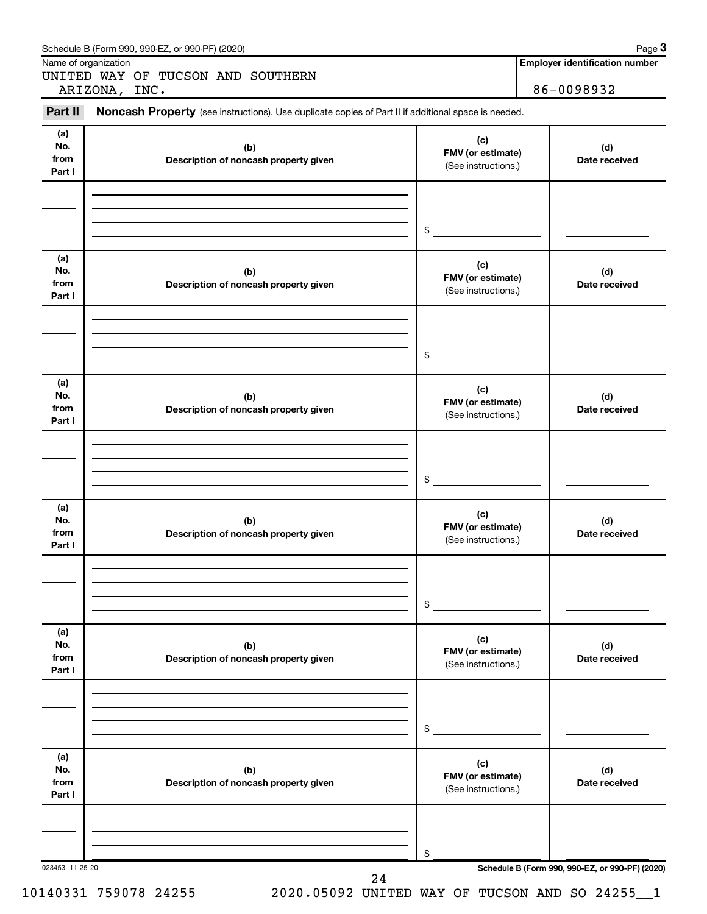| Part II                      | ARIZONA, INC.<br>Noncash Property (see instructions). Use duplicate copies of Part II if additional space is needed. |                                                 | 86-0098932           |
|------------------------------|----------------------------------------------------------------------------------------------------------------------|-------------------------------------------------|----------------------|
|                              |                                                                                                                      |                                                 |                      |
| (a)<br>No.<br>from<br>Part I | (b)<br>Description of noncash property given                                                                         | (c)<br>FMV (or estimate)<br>(See instructions.) | (d)<br>Date received |
|                              |                                                                                                                      |                                                 |                      |
|                              |                                                                                                                      | $\mathfrak s$                                   |                      |
| (a)<br>No.<br>from<br>Part I | (b)<br>Description of noncash property given                                                                         | (c)<br>FMV (or estimate)<br>(See instructions.) | (d)<br>Date received |
|                              |                                                                                                                      |                                                 |                      |
|                              |                                                                                                                      | $\mathfrak{S}$                                  |                      |
| (a)<br>No.<br>from<br>Part I | (b)<br>Description of noncash property given                                                                         | (c)<br>FMV (or estimate)<br>(See instructions.) | (d)<br>Date received |
|                              |                                                                                                                      |                                                 |                      |
|                              |                                                                                                                      | $\mathfrak s$                                   |                      |
| (a)<br>No.<br>from<br>Part I | (b)<br>Description of noncash property given                                                                         | (c)<br>FMV (or estimate)<br>(See instructions.) | (d)<br>Date received |
|                              |                                                                                                                      |                                                 |                      |
|                              |                                                                                                                      | \$                                              |                      |
| (a)<br>No.<br>from<br>Part I | (b)<br>Description of noncash property given                                                                         | (c)<br>FMV (or estimate)<br>(See instructions.) | (d)<br>Date received |
|                              |                                                                                                                      |                                                 |                      |
|                              |                                                                                                                      | \$                                              |                      |
| (a)<br>No.<br>from<br>Part I | (b)<br>Description of noncash property given                                                                         | (c)<br>FMV (or estimate)<br>(See instructions.) | (d)<br>Date received |
|                              |                                                                                                                      |                                                 |                      |
|                              |                                                                                                                      | \$                                              |                      |

Schedule B (Form 990, 990-EZ, or 990-PF) (2020)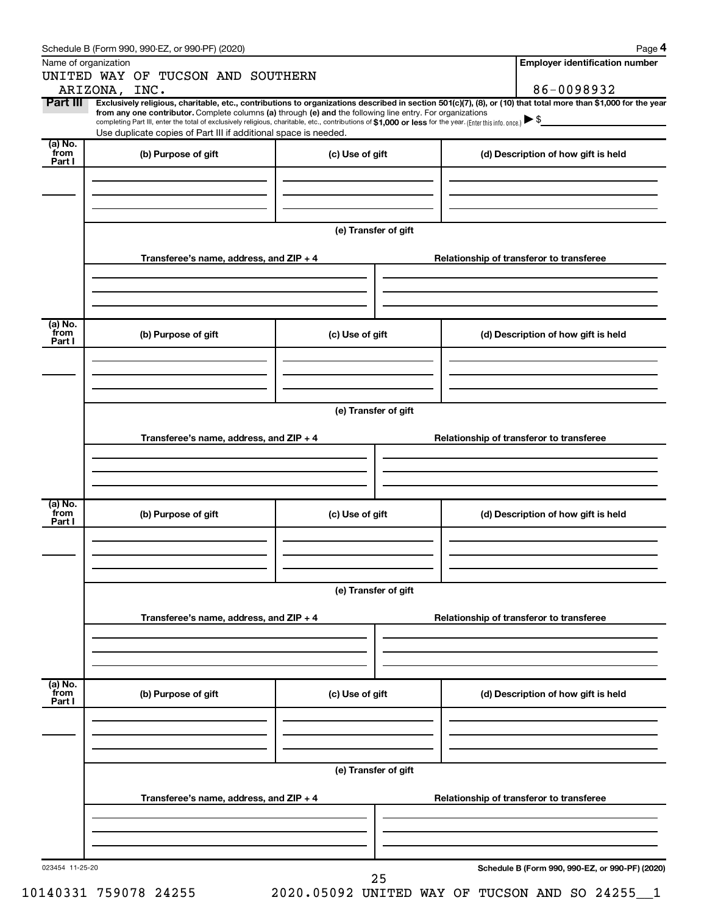|                           | Schedule B (Form 990, 990-EZ, or 990-PF) (2020)                                                                                                                                                                                                                                            |                      | Page 4                                                                                                                                                         |  |  |  |  |
|---------------------------|--------------------------------------------------------------------------------------------------------------------------------------------------------------------------------------------------------------------------------------------------------------------------------------------|----------------------|----------------------------------------------------------------------------------------------------------------------------------------------------------------|--|--|--|--|
|                           | Name of organization                                                                                                                                                                                                                                                                       |                      | <b>Employer identification number</b>                                                                                                                          |  |  |  |  |
|                           | UNITED WAY OF TUCSON AND SOUTHERN<br>ARIZONA, INC.                                                                                                                                                                                                                                         |                      | 86-0098932                                                                                                                                                     |  |  |  |  |
| Part III                  |                                                                                                                                                                                                                                                                                            |                      | Exclusively religious, charitable, etc., contributions to organizations described in section 501(c)(7), (8), or (10) that total more than \$1,000 for the year |  |  |  |  |
|                           | from any one contributor. Complete columns (a) through (e) and the following line entry. For organizations<br>completing Part III, enter the total of exclusively religious, charitable, etc., contributions of \$1,000 or less for the year. (Enter this info. once.) $\triangleright$ \$ |                      |                                                                                                                                                                |  |  |  |  |
|                           | Use duplicate copies of Part III if additional space is needed.                                                                                                                                                                                                                            |                      |                                                                                                                                                                |  |  |  |  |
| (a) No.<br>from<br>Part I | (b) Purpose of gift                                                                                                                                                                                                                                                                        | (c) Use of gift      | (d) Description of how gift is held                                                                                                                            |  |  |  |  |
|                           |                                                                                                                                                                                                                                                                                            |                      |                                                                                                                                                                |  |  |  |  |
|                           |                                                                                                                                                                                                                                                                                            |                      |                                                                                                                                                                |  |  |  |  |
|                           |                                                                                                                                                                                                                                                                                            | (e) Transfer of gift |                                                                                                                                                                |  |  |  |  |
|                           |                                                                                                                                                                                                                                                                                            |                      |                                                                                                                                                                |  |  |  |  |
|                           | Transferee's name, address, and $ZIP + 4$                                                                                                                                                                                                                                                  |                      | Relationship of transferor to transferee                                                                                                                       |  |  |  |  |
|                           |                                                                                                                                                                                                                                                                                            |                      |                                                                                                                                                                |  |  |  |  |
|                           |                                                                                                                                                                                                                                                                                            |                      |                                                                                                                                                                |  |  |  |  |
| (a) No.<br>from<br>Part I | (b) Purpose of gift                                                                                                                                                                                                                                                                        | (c) Use of gift      | (d) Description of how gift is held                                                                                                                            |  |  |  |  |
|                           |                                                                                                                                                                                                                                                                                            |                      |                                                                                                                                                                |  |  |  |  |
|                           |                                                                                                                                                                                                                                                                                            |                      |                                                                                                                                                                |  |  |  |  |
|                           |                                                                                                                                                                                                                                                                                            |                      |                                                                                                                                                                |  |  |  |  |
|                           | (e) Transfer of gift                                                                                                                                                                                                                                                                       |                      |                                                                                                                                                                |  |  |  |  |
|                           | Transferee's name, address, and $ZIP + 4$                                                                                                                                                                                                                                                  |                      | Relationship of transferor to transferee                                                                                                                       |  |  |  |  |
|                           |                                                                                                                                                                                                                                                                                            |                      |                                                                                                                                                                |  |  |  |  |
|                           |                                                                                                                                                                                                                                                                                            |                      |                                                                                                                                                                |  |  |  |  |
| (a) No.<br>from           | (b) Purpose of gift                                                                                                                                                                                                                                                                        | (c) Use of gift      | (d) Description of how gift is held                                                                                                                            |  |  |  |  |
| Part I                    |                                                                                                                                                                                                                                                                                            |                      |                                                                                                                                                                |  |  |  |  |
|                           |                                                                                                                                                                                                                                                                                            |                      |                                                                                                                                                                |  |  |  |  |
|                           |                                                                                                                                                                                                                                                                                            |                      |                                                                                                                                                                |  |  |  |  |
|                           |                                                                                                                                                                                                                                                                                            | (e) Transfer of gift |                                                                                                                                                                |  |  |  |  |
|                           | Transferee's name, address, and ZIP + 4                                                                                                                                                                                                                                                    |                      | Relationship of transferor to transferee                                                                                                                       |  |  |  |  |
|                           |                                                                                                                                                                                                                                                                                            |                      |                                                                                                                                                                |  |  |  |  |
|                           |                                                                                                                                                                                                                                                                                            |                      |                                                                                                                                                                |  |  |  |  |
| (a) No.<br>from           |                                                                                                                                                                                                                                                                                            |                      |                                                                                                                                                                |  |  |  |  |
| Part I                    | (b) Purpose of gift                                                                                                                                                                                                                                                                        | (c) Use of gift      | (d) Description of how gift is held                                                                                                                            |  |  |  |  |
|                           |                                                                                                                                                                                                                                                                                            |                      |                                                                                                                                                                |  |  |  |  |
|                           |                                                                                                                                                                                                                                                                                            |                      |                                                                                                                                                                |  |  |  |  |
|                           | (e) Transfer of gift                                                                                                                                                                                                                                                                       |                      |                                                                                                                                                                |  |  |  |  |
|                           | Transferee's name, address, and ZIP + 4                                                                                                                                                                                                                                                    |                      | Relationship of transferor to transferee                                                                                                                       |  |  |  |  |
|                           |                                                                                                                                                                                                                                                                                            |                      |                                                                                                                                                                |  |  |  |  |
|                           |                                                                                                                                                                                                                                                                                            |                      |                                                                                                                                                                |  |  |  |  |
|                           |                                                                                                                                                                                                                                                                                            |                      |                                                                                                                                                                |  |  |  |  |
| 023454 11-25-20           |                                                                                                                                                                                                                                                                                            |                      | Schedule B (Form 990, 990-EZ, or 990-PF) (2020)                                                                                                                |  |  |  |  |

10140331 759078 24255 2020.05092 UNITED WAY OF TUCSON AND SO 24255\_\_1

25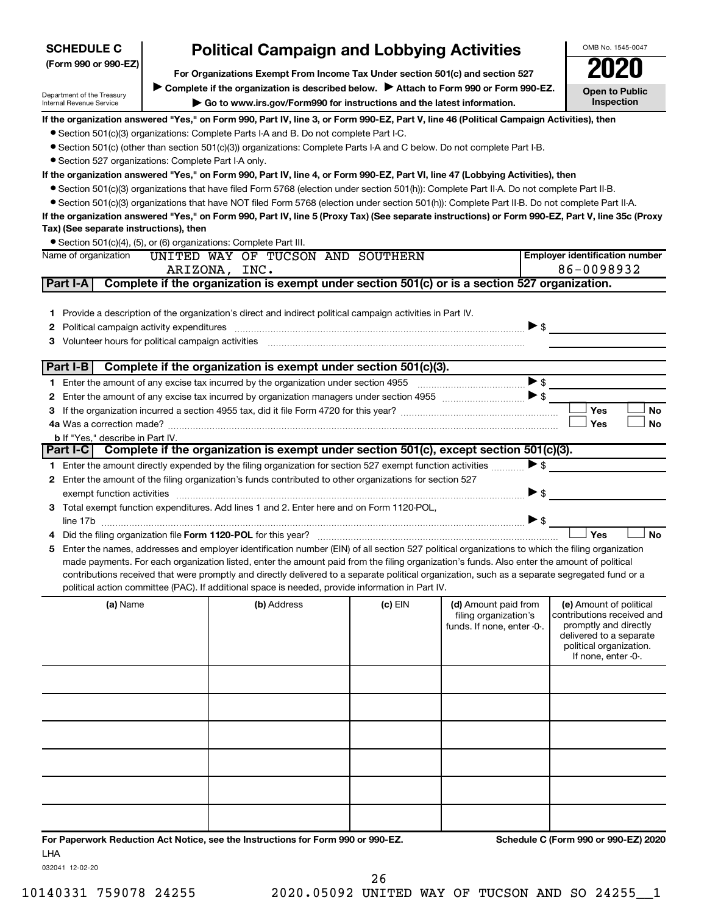| <b>SCHEDULE C</b>                                    | <b>Political Campaign and Lobbying Activities</b>                             | OMB No. 1545-0047                                                                                                                                                                                                                                                                                   |           |                                               |                          |                                                       |
|------------------------------------------------------|-------------------------------------------------------------------------------|-----------------------------------------------------------------------------------------------------------------------------------------------------------------------------------------------------------------------------------------------------------------------------------------------------|-----------|-----------------------------------------------|--------------------------|-------------------------------------------------------|
| (Form 990 or 990-EZ)                                 | For Organizations Exempt From Income Tax Under section 501(c) and section 527 |                                                                                                                                                                                                                                                                                                     |           |                                               |                          |                                                       |
| Department of the Treasury                           |                                                                               | Complete if the organization is described below. > Attach to Form 990 or Form 990-EZ.                                                                                                                                                                                                               |           |                                               |                          | <b>Open to Public</b>                                 |
| Internal Revenue Service                             |                                                                               | Go to www.irs.gov/Form990 for instructions and the latest information.                                                                                                                                                                                                                              |           |                                               |                          | Inspection                                            |
|                                                      |                                                                               | If the organization answered "Yes," on Form 990, Part IV, line 3, or Form 990-EZ, Part V, line 46 (Political Campaign Activities), then                                                                                                                                                             |           |                                               |                          |                                                       |
|                                                      |                                                                               | • Section 501(c)(3) organizations: Complete Parts I-A and B. Do not complete Part I-C.                                                                                                                                                                                                              |           |                                               |                          |                                                       |
|                                                      |                                                                               | • Section 501(c) (other than section 501(c)(3)) organizations: Complete Parts I-A and C below. Do not complete Part I-B.                                                                                                                                                                            |           |                                               |                          |                                                       |
| • Section 527 organizations: Complete Part I-A only. |                                                                               |                                                                                                                                                                                                                                                                                                     |           |                                               |                          |                                                       |
|                                                      |                                                                               | If the organization answered "Yes," on Form 990, Part IV, line 4, or Form 990-EZ, Part VI, line 47 (Lobbying Activities), then                                                                                                                                                                      |           |                                               |                          |                                                       |
|                                                      |                                                                               | • Section 501(c)(3) organizations that have filed Form 5768 (election under section 501(h)): Complete Part II-A. Do not complete Part II-B.                                                                                                                                                         |           |                                               |                          |                                                       |
|                                                      |                                                                               | • Section 501(c)(3) organizations that have NOT filed Form 5768 (election under section 501(h)): Complete Part II-B. Do not complete Part II-A.<br>If the organization answered "Yes," on Form 990, Part IV, line 5 (Proxy Tax) (See separate instructions) or Form 990-EZ, Part V, line 35c (Proxy |           |                                               |                          |                                                       |
| Tax) (See separate instructions), then               |                                                                               |                                                                                                                                                                                                                                                                                                     |           |                                               |                          |                                                       |
|                                                      |                                                                               | • Section 501(c)(4), (5), or (6) organizations: Complete Part III.                                                                                                                                                                                                                                  |           |                                               |                          |                                                       |
| Name of organization                                 |                                                                               | UNITED WAY OF TUCSON AND SOUTHERN                                                                                                                                                                                                                                                                   |           |                                               |                          | <b>Employer identification number</b>                 |
|                                                      |                                                                               | ARIZONA, INC.                                                                                                                                                                                                                                                                                       |           |                                               |                          | 86-0098932                                            |
| Part I-A                                             |                                                                               | Complete if the organization is exempt under section 501(c) or is a section 527 organization.                                                                                                                                                                                                       |           |                                               |                          |                                                       |
|                                                      |                                                                               |                                                                                                                                                                                                                                                                                                     |           |                                               |                          |                                                       |
|                                                      |                                                                               | 1 Provide a description of the organization's direct and indirect political campaign activities in Part IV.                                                                                                                                                                                         |           |                                               |                          |                                                       |
| 2                                                    |                                                                               | Political campaign activity expenditures [111] matter continuum matter contract and contract and contract and contract and contract and contract and contract and contract and contract and contract and contract and contract                                                                      |           |                                               | $\triangleright$ \$      |                                                       |
| 3 Volunteer hours for political campaign activities  |                                                                               |                                                                                                                                                                                                                                                                                                     |           |                                               |                          |                                                       |
|                                                      |                                                                               |                                                                                                                                                                                                                                                                                                     |           |                                               |                          |                                                       |
| Part I-B                                             |                                                                               | Complete if the organization is exempt under section 501(c)(3).                                                                                                                                                                                                                                     |           |                                               |                          |                                                       |
|                                                      |                                                                               |                                                                                                                                                                                                                                                                                                     |           |                                               | >                        |                                                       |
|                                                      |                                                                               |                                                                                                                                                                                                                                                                                                     |           |                                               |                          | Yes<br>No                                             |
|                                                      |                                                                               |                                                                                                                                                                                                                                                                                                     |           |                                               |                          | <b>Yes</b><br>No                                      |
| <b>b</b> If "Yes," describe in Part IV.              |                                                                               |                                                                                                                                                                                                                                                                                                     |           |                                               |                          |                                                       |
|                                                      |                                                                               | Part I-C Complete if the organization is exempt under section 501(c), except section 501(c)(3).                                                                                                                                                                                                     |           |                                               |                          |                                                       |
|                                                      |                                                                               | 1 Enter the amount directly expended by the filing organization for section 527 exempt function activities                                                                                                                                                                                          |           |                                               | $\blacktriangleright$ \$ |                                                       |
|                                                      |                                                                               | 2 Enter the amount of the filing organization's funds contributed to other organizations for section 527                                                                                                                                                                                            |           |                                               |                          |                                                       |
| exempt function activities                           |                                                                               |                                                                                                                                                                                                                                                                                                     |           |                                               | $\blacktriangleright$ \$ |                                                       |
|                                                      |                                                                               | 3 Total exempt function expenditures. Add lines 1 and 2. Enter here and on Form 1120-POL,                                                                                                                                                                                                           |           |                                               |                          |                                                       |
|                                                      |                                                                               |                                                                                                                                                                                                                                                                                                     |           |                                               | $\blacktriangleright$ \$ |                                                       |
|                                                      |                                                                               | Did the filing organization file Form 1120-POL for this year?                                                                                                                                                                                                                                       |           |                                               |                          | Yes<br><b>No</b>                                      |
|                                                      |                                                                               | 5 Enter the names, addresses and employer identification number (EIN) of all section 527 political organizations to which the filing organization                                                                                                                                                   |           |                                               |                          |                                                       |
|                                                      |                                                                               | made payments. For each organization listed, enter the amount paid from the filing organization's funds. Also enter the amount of political                                                                                                                                                         |           |                                               |                          |                                                       |
|                                                      |                                                                               | contributions received that were promptly and directly delivered to a separate political organization, such as a separate segregated fund or a<br>political action committee (PAC). If additional space is needed, provide information in Part IV.                                                  |           |                                               |                          |                                                       |
|                                                      |                                                                               |                                                                                                                                                                                                                                                                                                     |           |                                               |                          |                                                       |
| (a) Name                                             |                                                                               | (b) Address                                                                                                                                                                                                                                                                                         | $(c)$ EIN | (d) Amount paid from<br>filing organization's |                          | (e) Amount of political<br>contributions received and |
|                                                      |                                                                               |                                                                                                                                                                                                                                                                                                     |           | funds. If none, enter -0-.                    |                          | promptly and directly                                 |
|                                                      |                                                                               |                                                                                                                                                                                                                                                                                                     |           |                                               |                          | delivered to a separate<br>political organization.    |
|                                                      |                                                                               |                                                                                                                                                                                                                                                                                                     |           |                                               |                          | If none, enter -0-.                                   |
|                                                      |                                                                               |                                                                                                                                                                                                                                                                                                     |           |                                               |                          |                                                       |
|                                                      |                                                                               |                                                                                                                                                                                                                                                                                                     |           |                                               |                          |                                                       |
|                                                      |                                                                               |                                                                                                                                                                                                                                                                                                     |           |                                               |                          |                                                       |
|                                                      |                                                                               |                                                                                                                                                                                                                                                                                                     |           |                                               |                          |                                                       |
|                                                      |                                                                               |                                                                                                                                                                                                                                                                                                     |           |                                               |                          |                                                       |
|                                                      |                                                                               |                                                                                                                                                                                                                                                                                                     |           |                                               |                          |                                                       |
|                                                      |                                                                               |                                                                                                                                                                                                                                                                                                     |           |                                               |                          |                                                       |
|                                                      |                                                                               |                                                                                                                                                                                                                                                                                                     |           |                                               |                          |                                                       |
|                                                      |                                                                               |                                                                                                                                                                                                                                                                                                     |           |                                               |                          |                                                       |
|                                                      |                                                                               |                                                                                                                                                                                                                                                                                                     |           |                                               |                          |                                                       |
|                                                      |                                                                               |                                                                                                                                                                                                                                                                                                     |           |                                               |                          |                                                       |
|                                                      |                                                                               | For Penerwork Reduction Act Notice, see the Instructions for Form 000 or 000-F7                                                                                                                                                                                                                     |           |                                               |                          | Schedule C (Form 990 or 990-F7) 2020                  |

**For Paperwork Reduction Act Notice, see the Instructions for Form 990 or 990-EZ. Schedule C (Form 990 or 990-EZ) 2020** LHA

032041 12-02-20

26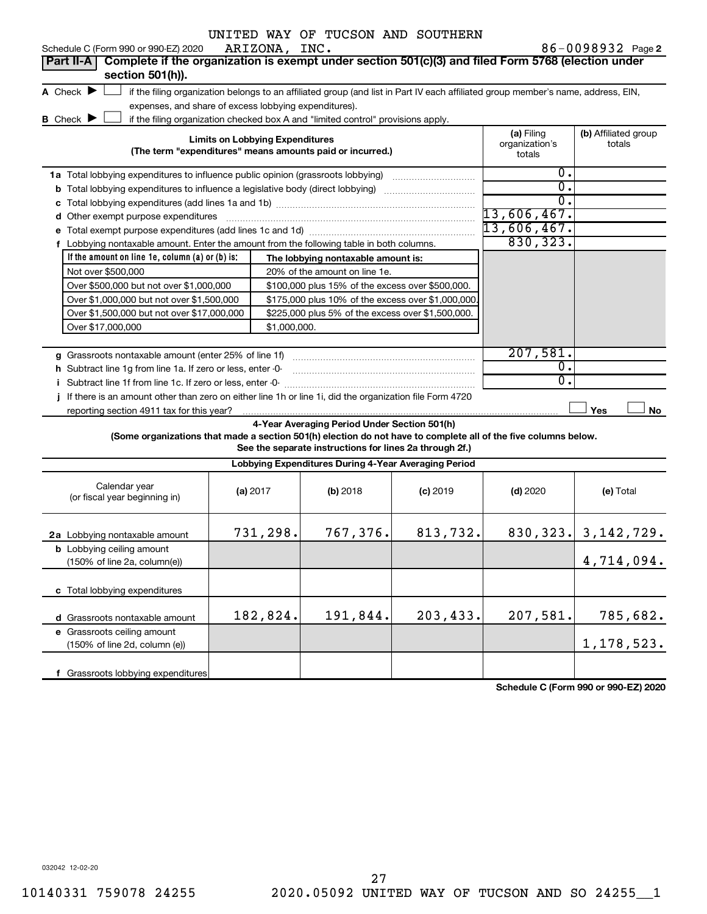| Schedule C (Form 990 or 990-EZ) 2020                                                                                                                 | ARIZONA, INC.                                         | UNITED WAY OF TUCSON AND SOUTHERN                                                                                                 |            |                  | 86-0098932 Page 2        |
|------------------------------------------------------------------------------------------------------------------------------------------------------|-------------------------------------------------------|-----------------------------------------------------------------------------------------------------------------------------------|------------|------------------|--------------------------|
| Complete if the organization is exempt under section 501(c)(3) and filed Form 5768 (election under<br>Part II-A                                      |                                                       |                                                                                                                                   |            |                  |                          |
| section 501(h)).                                                                                                                                     |                                                       |                                                                                                                                   |            |                  |                          |
| A Check $\blacktriangleright$                                                                                                                        |                                                       | if the filing organization belongs to an affiliated group (and list in Part IV each affiliated group member's name, address, EIN, |            |                  |                          |
|                                                                                                                                                      | expenses, and share of excess lobbying expenditures). |                                                                                                                                   |            |                  |                          |
| <b>B</b> Check <b>D</b>                                                                                                                              |                                                       | if the filing organization checked box A and "limited control" provisions apply.                                                  |            |                  |                          |
| <b>Limits on Lobbying Expenditures</b><br>(The term "expenditures" means amounts paid or incurred.)                                                  | (a) Filing<br>organization's<br>totals                | (b) Affiliated group<br>totals                                                                                                    |            |                  |                          |
| <b>1a</b> Total lobbying expenditures to influence public opinion (grassroots lobbying)                                                              |                                                       |                                                                                                                                   |            | 0.               |                          |
| <b>b</b> Total lobbying expenditures to influence a legislative body (direct lobbying) <i>manumumumum</i>                                            |                                                       |                                                                                                                                   |            | 0.               |                          |
| с                                                                                                                                                    |                                                       |                                                                                                                                   |            | $\overline{0}$ . |                          |
| Other exempt purpose expenditures<br>d                                                                                                               |                                                       |                                                                                                                                   |            | 13,606,467.      |                          |
|                                                                                                                                                      |                                                       |                                                                                                                                   |            | $13,606,467$ .   |                          |
| f Lobbying nontaxable amount. Enter the amount from the following table in both columns.                                                             |                                                       |                                                                                                                                   |            | 830, 323.        |                          |
| If the amount on line 1e, column $(a)$ or $(b)$ is:                                                                                                  |                                                       | The lobbying nontaxable amount is:                                                                                                |            |                  |                          |
| Not over \$500,000                                                                                                                                   |                                                       | 20% of the amount on line 1e.                                                                                                     |            |                  |                          |
| Over \$500,000 but not over \$1,000,000                                                                                                              |                                                       | \$100,000 plus 15% of the excess over \$500,000.                                                                                  |            |                  |                          |
| Over \$1,000,000 but not over \$1,500,000                                                                                                            |                                                       | \$175,000 plus 10% of the excess over \$1,000,000                                                                                 |            |                  |                          |
| Over \$1,500,000 but not over \$17,000,000                                                                                                           |                                                       | \$225,000 plus 5% of the excess over \$1,500,000.                                                                                 |            |                  |                          |
| Over \$17,000,000                                                                                                                                    | \$1,000,000.                                          |                                                                                                                                   |            |                  |                          |
|                                                                                                                                                      |                                                       |                                                                                                                                   |            |                  |                          |
| g Grassroots nontaxable amount (enter 25% of line 1f)                                                                                                |                                                       |                                                                                                                                   |            | 207,581.         |                          |
| h Subtract line 1g from line 1a. If zero or less, enter -0-                                                                                          | $\overline{0}$ .<br>0.                                |                                                                                                                                   |            |                  |                          |
| Subtract line 1f from line 1c. If zero or less, enter -0-                                                                                            |                                                       |                                                                                                                                   |            |                  |                          |
| If there is an amount other than zero on either line 1h or line 1i, did the organization file Form 4720<br>reporting section 4911 tax for this year? |                                                       |                                                                                                                                   |            |                  | Yes<br>No                |
|                                                                                                                                                      |                                                       | 4-Year Averaging Period Under Section 501(h)                                                                                      |            |                  |                          |
| (Some organizations that made a section 501(h) election do not have to complete all of the five columns below.                                       |                                                       |                                                                                                                                   |            |                  |                          |
|                                                                                                                                                      |                                                       | See the separate instructions for lines 2a through 2f.)                                                                           |            |                  |                          |
|                                                                                                                                                      |                                                       | Lobbying Expenditures During 4-Year Averaging Period                                                                              |            |                  |                          |
| Calendar year<br>(or fiscal year beginning in)                                                                                                       | (a) 2017                                              | (b) 2018                                                                                                                          | $(c)$ 2019 | $(d)$ 2020       | (e) Total                |
| <b>2a</b> Lobbying nontaxable amount                                                                                                                 | 731,298.                                              | 767,376.                                                                                                                          | 813,732.   |                  | $830, 323.$ 3, 142, 729. |
| <b>b</b> Lobbying ceiling amount<br>(150% of line 2a, column(e))                                                                                     |                                                       |                                                                                                                                   |            |                  | 4,714,094.               |
| c Total lobbying expenditures                                                                                                                        |                                                       |                                                                                                                                   |            |                  |                          |
| d Grassroots nontaxable amount                                                                                                                       | 182,824.                                              | 191,844.                                                                                                                          | 203,433.   | 207,581.         | 785,682.                 |
| e Grassroots ceiling amount<br>(150% of line 2d, column (e))                                                                                         |                                                       |                                                                                                                                   |            |                  | 1,178,523.               |
| f Grassroots lobbying expenditures                                                                                                                   |                                                       |                                                                                                                                   |            |                  |                          |
|                                                                                                                                                      |                                                       |                                                                                                                                   |            |                  |                          |

**Schedule C (Form 990 or 990-EZ) 2020**

032042 12-02-20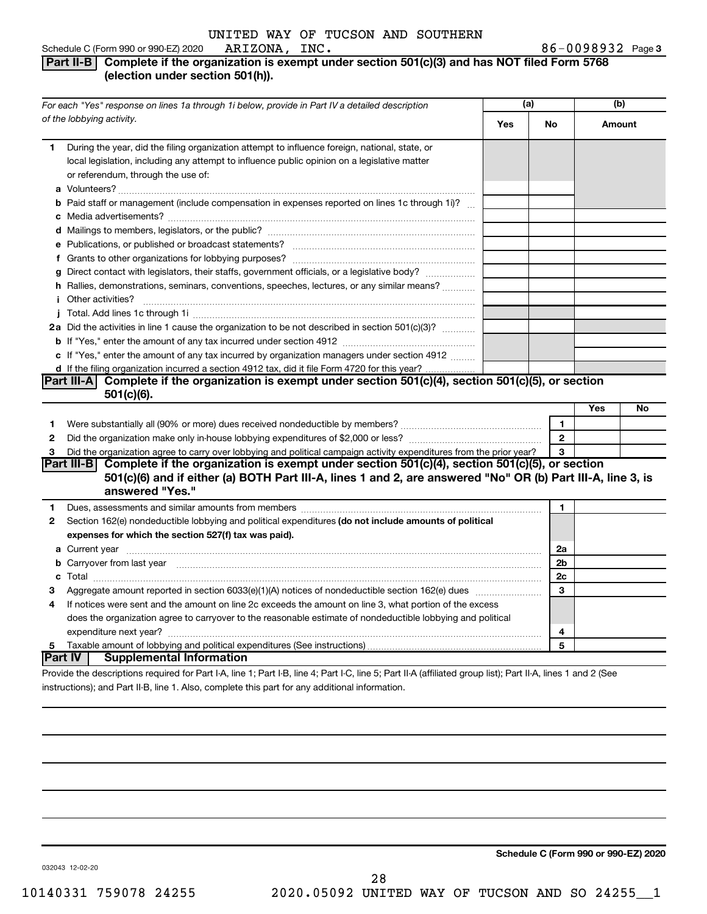#### Schedule C (Form 990 or 990-EZ) 2020 **Part II-B** Complete if the organization is exempt under section 501(c)(3) and has NOT filed Form 5768 **(election under section 501(h)).** ARIZONA, INC.

| For each "Yes" response on lines 1a through 1i below, provide in Part IV a detailed description |                                                                                                                                                                                                                                                  | (a) |              | (b)    |    |
|-------------------------------------------------------------------------------------------------|--------------------------------------------------------------------------------------------------------------------------------------------------------------------------------------------------------------------------------------------------|-----|--------------|--------|----|
|                                                                                                 | of the lobbying activity.                                                                                                                                                                                                                        | Yes | No           | Amount |    |
| 1.                                                                                              | During the year, did the filing organization attempt to influence foreign, national, state, or<br>local legislation, including any attempt to influence public opinion on a legislative matter<br>or referendum, through the use of:             |     |              |        |    |
|                                                                                                 | <b>b</b> Paid staff or management (include compensation in expenses reported on lines 1c through 1i)?                                                                                                                                            |     |              |        |    |
|                                                                                                 |                                                                                                                                                                                                                                                  |     |              |        |    |
|                                                                                                 |                                                                                                                                                                                                                                                  |     |              |        |    |
|                                                                                                 |                                                                                                                                                                                                                                                  |     |              |        |    |
|                                                                                                 | g Direct contact with legislators, their staffs, government officials, or a legislative body?                                                                                                                                                    |     |              |        |    |
|                                                                                                 | h Rallies, demonstrations, seminars, conventions, speeches, lectures, or any similar means?                                                                                                                                                      |     |              |        |    |
|                                                                                                 |                                                                                                                                                                                                                                                  |     |              |        |    |
|                                                                                                 |                                                                                                                                                                                                                                                  |     |              |        |    |
|                                                                                                 | 2a Did the activities in line 1 cause the organization to be not described in section 501(c)(3)?                                                                                                                                                 |     |              |        |    |
|                                                                                                 |                                                                                                                                                                                                                                                  |     |              |        |    |
|                                                                                                 | c If "Yes," enter the amount of any tax incurred by organization managers under section 4912                                                                                                                                                     |     |              |        |    |
|                                                                                                 | d If the filing organization incurred a section 4912 tax, did it file Form 4720 for this year?                                                                                                                                                   |     |              |        |    |
|                                                                                                 | Part III-A Complete if the organization is exempt under section 501(c)(4), section 501(c)(5), or section                                                                                                                                         |     |              |        |    |
|                                                                                                 | 501(c)(6).                                                                                                                                                                                                                                       |     |              |        |    |
|                                                                                                 |                                                                                                                                                                                                                                                  |     |              | Yes    | No |
| 1                                                                                               |                                                                                                                                                                                                                                                  |     | 1            |        |    |
| $\mathbf{2}$                                                                                    |                                                                                                                                                                                                                                                  |     | $\mathbf{2}$ |        |    |
| 3                                                                                               | Did the organization agree to carry over lobbying and political campaign activity expenditures from the prior year?                                                                                                                              |     | 3            |        |    |
|                                                                                                 | Part III-B Complete if the organization is exempt under section $501(c)(4)$ , section $501(c)(5)$ , or section<br>501(c)(6) and if either (a) BOTH Part III-A, lines 1 and 2, are answered "No" OR (b) Part III-A, line 3, is<br>answered "Yes." |     |              |        |    |
| 1                                                                                               | Dues, assessments and similar amounts from members [111] Dues, assessments and similar amounts and similar amounts from members [111] Dues, assessments and similar amounts from members [11] Dues and Supply and Supply and S                   |     | 1            |        |    |
| $\mathbf{2}$                                                                                    | Section 162(e) nondeductible lobbying and political expenditures (do not include amounts of political                                                                                                                                            |     |              |        |    |
|                                                                                                 | expenses for which the section 527(f) tax was paid).                                                                                                                                                                                             |     |              |        |    |
|                                                                                                 |                                                                                                                                                                                                                                                  |     | 2a           |        |    |
|                                                                                                 | b Carryover from last year manufactured and contract the contract of the contract of the contract of the contract of contract of contract of contract of contract of contract of contract of contract of contract of contract                    |     | 2b           |        |    |
|                                                                                                 |                                                                                                                                                                                                                                                  |     | 2c           |        |    |
| 3                                                                                               |                                                                                                                                                                                                                                                  |     | 3            |        |    |
| 4                                                                                               | If notices were sent and the amount on line 2c exceeds the amount on line 3, what portion of the excess                                                                                                                                          |     |              |        |    |
|                                                                                                 | does the organization agree to carryover to the reasonable estimate of nondeductible lobbying and political                                                                                                                                      |     |              |        |    |
|                                                                                                 |                                                                                                                                                                                                                                                  |     | 4            |        |    |
| 5                                                                                               |                                                                                                                                                                                                                                                  |     | 5            |        |    |
|                                                                                                 | <b>Part IV   Supplemental Information</b>                                                                                                                                                                                                        |     |              |        |    |
|                                                                                                 | Drouide the deserintions required for Dart LA Jine 1: Dart LD Jine 4: Dart LC Jine E: Dart II A (officiend aroun light): Dart II A Jines 1 and 2 (Ceo                                                                                            |     |              |        |    |

Provide the descriptions required for Part I-A, line 1; Part I-B, line 4; Part I-C, line 5; Part II-A (affiliated group list); Part II-A, lines 1 and 2 (See instructions); and Part II-B, line 1. Also, complete this part for any additional information.

**Schedule C (Form 990 or 990-EZ) 2020**

032043 12-02-20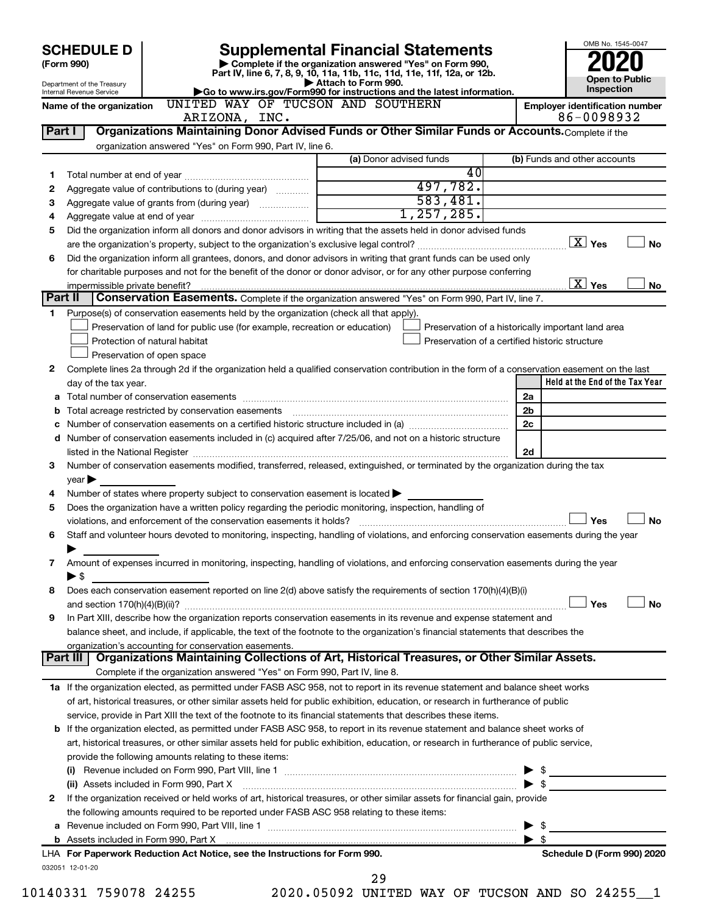|        | <b>SCHEDULE D</b>                                                                                                            | <b>Supplemental Financial Statements</b>                                                                                                                                                                                                                 | OMB No. 1545-0047       |              |                |                                                    |  |  |
|--------|------------------------------------------------------------------------------------------------------------------------------|----------------------------------------------------------------------------------------------------------------------------------------------------------------------------------------------------------------------------------------------------------|-------------------------|--------------|----------------|----------------------------------------------------|--|--|
|        | (Form 990)                                                                                                                   | Complete if the organization answered "Yes" on Form 990,<br>Part IV, line 6, 7, 8, 9, 10, 11a, 11b, 11c, 11d, 11e, 11f, 12a, or 12b.                                                                                                                     |                         |              |                |                                                    |  |  |
|        | Department of the Treasury<br>Internal Revenue Service                                                                       | Go to www.irs.gov/Form990 for instructions and the latest information.                                                                                                                                                                                   | Attach to Form 990.     |              |                | <b>Open to Public</b><br>Inspection                |  |  |
|        | Name of the organization                                                                                                     | UNITED WAY OF TUCSON AND SOUTHERN                                                                                                                                                                                                                        |                         |              |                | <b>Employer identification number</b>              |  |  |
|        |                                                                                                                              | ARIZONA, INC.                                                                                                                                                                                                                                            |                         |              |                | 86-0098932                                         |  |  |
| Part I |                                                                                                                              | Organizations Maintaining Donor Advised Funds or Other Similar Funds or Accounts. Complete if the                                                                                                                                                        |                         |              |                |                                                    |  |  |
|        |                                                                                                                              | organization answered "Yes" on Form 990, Part IV, line 6.                                                                                                                                                                                                |                         |              |                |                                                    |  |  |
|        |                                                                                                                              |                                                                                                                                                                                                                                                          | (a) Donor advised funds |              |                | (b) Funds and other accounts                       |  |  |
| 1      |                                                                                                                              |                                                                                                                                                                                                                                                          |                         | 40           |                |                                                    |  |  |
| 2      |                                                                                                                              | Aggregate value of contributions to (during year)                                                                                                                                                                                                        |                         | 497,782.     |                |                                                    |  |  |
| З      |                                                                                                                              |                                                                                                                                                                                                                                                          |                         | 583,481.     |                |                                                    |  |  |
| 4      |                                                                                                                              |                                                                                                                                                                                                                                                          |                         | 1, 257, 285. |                |                                                    |  |  |
| 5      |                                                                                                                              | Did the organization inform all donors and donor advisors in writing that the assets held in donor advised funds                                                                                                                                         |                         |              |                | $\boxed{\text{X}}$ Yes                             |  |  |
|        |                                                                                                                              |                                                                                                                                                                                                                                                          |                         |              |                | <b>No</b>                                          |  |  |
| 6      |                                                                                                                              | Did the organization inform all grantees, donors, and donor advisors in writing that grant funds can be used only                                                                                                                                        |                         |              |                |                                                    |  |  |
|        | impermissible private benefit?                                                                                               | for charitable purposes and not for the benefit of the donor or donor advisor, or for any other purpose conferring                                                                                                                                       |                         |              |                | $\overline{X}$ Yes<br>No                           |  |  |
|        | Part II                                                                                                                      | Conservation Easements. Complete if the organization answered "Yes" on Form 990, Part IV, line 7.                                                                                                                                                        |                         |              |                |                                                    |  |  |
| 1      |                                                                                                                              | Purpose(s) of conservation easements held by the organization (check all that apply).                                                                                                                                                                    |                         |              |                |                                                    |  |  |
|        |                                                                                                                              | Preservation of land for public use (for example, recreation or education)                                                                                                                                                                               |                         |              |                | Preservation of a historically important land area |  |  |
|        |                                                                                                                              | Protection of natural habitat                                                                                                                                                                                                                            |                         |              |                | Preservation of a certified historic structure     |  |  |
|        |                                                                                                                              | Preservation of open space                                                                                                                                                                                                                               |                         |              |                |                                                    |  |  |
| 2      |                                                                                                                              | Complete lines 2a through 2d if the organization held a qualified conservation contribution in the form of a conservation easement on the last                                                                                                           |                         |              |                |                                                    |  |  |
|        | day of the tax year.                                                                                                         |                                                                                                                                                                                                                                                          |                         |              |                | Held at the End of the Tax Year                    |  |  |
|        |                                                                                                                              |                                                                                                                                                                                                                                                          |                         |              | 2a             |                                                    |  |  |
| b      |                                                                                                                              | Total acreage restricted by conservation easements                                                                                                                                                                                                       |                         |              | 2 <sub>b</sub> |                                                    |  |  |
| с      |                                                                                                                              |                                                                                                                                                                                                                                                          |                         |              | 2c             |                                                    |  |  |
|        |                                                                                                                              | d Number of conservation easements included in (c) acquired after 7/25/06, and not on a historic structure                                                                                                                                               |                         |              |                |                                                    |  |  |
|        |                                                                                                                              |                                                                                                                                                                                                                                                          |                         |              | 2d             |                                                    |  |  |
| 3      |                                                                                                                              | Number of conservation easements modified, transferred, released, extinguished, or terminated by the organization during the tax                                                                                                                         |                         |              |                |                                                    |  |  |
|        | year                                                                                                                         |                                                                                                                                                                                                                                                          |                         |              |                |                                                    |  |  |
| 4      |                                                                                                                              | Number of states where property subject to conservation easement is located $\blacktriangleright$                                                                                                                                                        |                         |              |                |                                                    |  |  |
| 5      |                                                                                                                              | Does the organization have a written policy regarding the periodic monitoring, inspection, handling of                                                                                                                                                   |                         |              |                |                                                    |  |  |
|        |                                                                                                                              | violations, and enforcement of the conservation easements it holds?                                                                                                                                                                                      |                         |              |                | Yes<br><b>No</b>                                   |  |  |
| 6      |                                                                                                                              | Staff and volunteer hours devoted to monitoring, inspecting, handling of violations, and enforcing conservation easements during the year                                                                                                                |                         |              |                |                                                    |  |  |
|        |                                                                                                                              |                                                                                                                                                                                                                                                          |                         |              |                |                                                    |  |  |
| 7      |                                                                                                                              | Amount of expenses incurred in monitoring, inspecting, handling of violations, and enforcing conservation easements during the year                                                                                                                      |                         |              |                |                                                    |  |  |
|        | ► \$                                                                                                                         |                                                                                                                                                                                                                                                          |                         |              |                |                                                    |  |  |
| 8      |                                                                                                                              | Does each conservation easement reported on line 2(d) above satisfy the requirements of section 170(h)(4)(B)(i)                                                                                                                                          |                         |              |                |                                                    |  |  |
|        |                                                                                                                              |                                                                                                                                                                                                                                                          |                         |              |                | Yes<br><b>No</b>                                   |  |  |
| 9      |                                                                                                                              | In Part XIII, describe how the organization reports conservation easements in its revenue and expense statement and<br>balance sheet, and include, if applicable, the text of the footnote to the organization's financial statements that describes the |                         |              |                |                                                    |  |  |
|        |                                                                                                                              | organization's accounting for conservation easements.                                                                                                                                                                                                    |                         |              |                |                                                    |  |  |
|        | Part III l                                                                                                                   | Organizations Maintaining Collections of Art, Historical Treasures, or Other Similar Assets.                                                                                                                                                             |                         |              |                |                                                    |  |  |
|        |                                                                                                                              | Complete if the organization answered "Yes" on Form 990, Part IV, line 8.                                                                                                                                                                                |                         |              |                |                                                    |  |  |
|        |                                                                                                                              | 1a If the organization elected, as permitted under FASB ASC 958, not to report in its revenue statement and balance sheet works                                                                                                                          |                         |              |                |                                                    |  |  |
|        |                                                                                                                              | of art, historical treasures, or other similar assets held for public exhibition, education, or research in furtherance of public                                                                                                                        |                         |              |                |                                                    |  |  |
|        |                                                                                                                              | service, provide in Part XIII the text of the footnote to its financial statements that describes these items.                                                                                                                                           |                         |              |                |                                                    |  |  |
|        |                                                                                                                              | <b>b</b> If the organization elected, as permitted under FASB ASC 958, to report in its revenue statement and balance sheet works of                                                                                                                     |                         |              |                |                                                    |  |  |
|        |                                                                                                                              | art, historical treasures, or other similar assets held for public exhibition, education, or research in furtherance of public service,                                                                                                                  |                         |              |                |                                                    |  |  |
|        |                                                                                                                              | provide the following amounts relating to these items:                                                                                                                                                                                                   |                         |              |                |                                                    |  |  |
|        |                                                                                                                              |                                                                                                                                                                                                                                                          | $\triangleright$ \$     |              |                |                                                    |  |  |
|        | (ii) Assets included in Form 990, Part X [11] Marson Marson Marson Marson Marson Marson Marson Marson Marson M               |                                                                                                                                                                                                                                                          |                         |              |                |                                                    |  |  |
| 2      | If the organization received or held works of art, historical treasures, or other similar assets for financial gain, provide |                                                                                                                                                                                                                                                          |                         |              |                |                                                    |  |  |
|        |                                                                                                                              | the following amounts required to be reported under FASB ASC 958 relating to these items:                                                                                                                                                                |                         |              |                |                                                    |  |  |
| а      |                                                                                                                              |                                                                                                                                                                                                                                                          |                         |              |                | $\blacktriangleright$ \$                           |  |  |
|        |                                                                                                                              |                                                                                                                                                                                                                                                          |                         |              |                | $\blacktriangleright$ \$                           |  |  |
|        |                                                                                                                              | LHA For Paperwork Reduction Act Notice, see the Instructions for Form 990.                                                                                                                                                                               |                         |              |                | Schedule D (Form 990) 2020                         |  |  |
|        | 032051 12-01-20                                                                                                              |                                                                                                                                                                                                                                                          |                         |              |                |                                                    |  |  |
|        | 140331 759078 24255                                                                                                          |                                                                                                                                                                                                                                                          | 29                      |              |                | 2020 05092 UNITED WAY OF TUCCON AND CO 24255       |  |  |

10140331 759078 24255 2020.05092 UNITED WAY OF TUCSON AND SO 24255\_\_1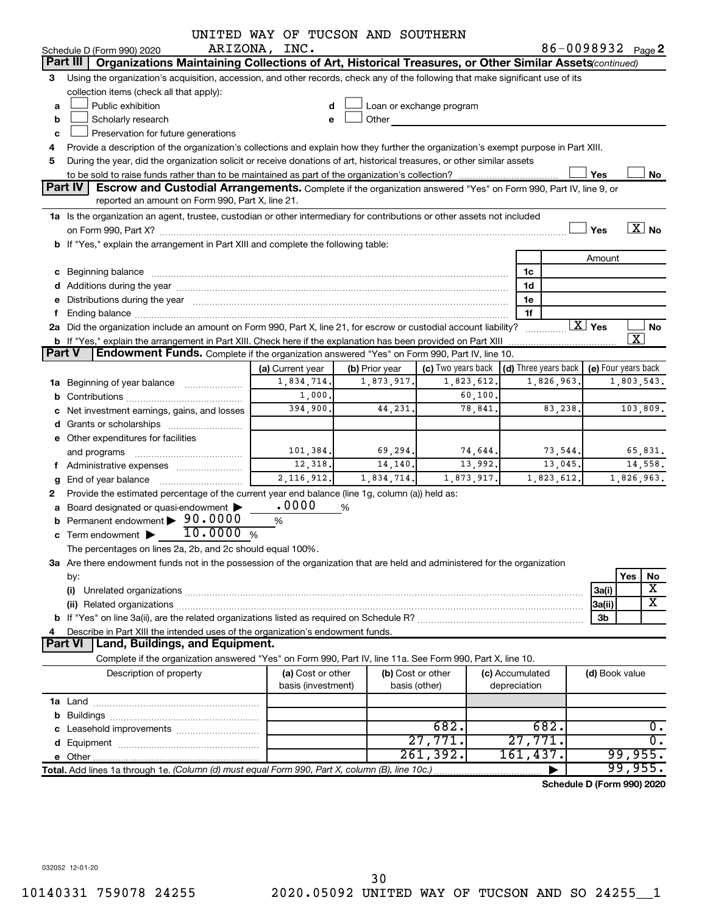|        |                                                                                                                                                                                                                                | UNITED WAY OF TUCSON AND SOUTHERN       |            |                                    |                                 |            |                        |                               |
|--------|--------------------------------------------------------------------------------------------------------------------------------------------------------------------------------------------------------------------------------|-----------------------------------------|------------|------------------------------------|---------------------------------|------------|------------------------|-------------------------------|
|        | Schedule D (Form 990) 2020                                                                                                                                                                                                     | ARIZONA, INC.                           |            |                                    |                                 |            |                        | 86-0098932 Page 2             |
|        | Part III<br>Organizations Maintaining Collections of Art, Historical Treasures, or Other Similar Assets (continued)                                                                                                            |                                         |            |                                    |                                 |            |                        |                               |
| 3      | Using the organization's acquisition, accession, and other records, check any of the following that make significant use of its                                                                                                |                                         |            |                                    |                                 |            |                        |                               |
|        | collection items (check all that apply):                                                                                                                                                                                       |                                         |            |                                    |                                 |            |                        |                               |
| a      | Public exhibition                                                                                                                                                                                                              |                                         |            | Loan or exchange program           |                                 |            |                        |                               |
| b      | Scholarly research                                                                                                                                                                                                             | e                                       | Other      |                                    |                                 |            |                        |                               |
| c      | Preservation for future generations                                                                                                                                                                                            |                                         |            |                                    |                                 |            |                        |                               |
| 4      | Provide a description of the organization's collections and explain how they further the organization's exempt purpose in Part XIII.                                                                                           |                                         |            |                                    |                                 |            |                        |                               |
| 5      | During the year, did the organization solicit or receive donations of art, historical treasures, or other similar assets                                                                                                       |                                         |            |                                    |                                 |            |                        |                               |
|        |                                                                                                                                                                                                                                |                                         |            |                                    |                                 |            | Yes                    | No                            |
|        | <b>Part IV</b><br>Escrow and Custodial Arrangements. Complete if the organization answered "Yes" on Form 990, Part IV, line 9, or                                                                                              |                                         |            |                                    |                                 |            |                        |                               |
|        | reported an amount on Form 990, Part X, line 21.                                                                                                                                                                               |                                         |            |                                    |                                 |            |                        |                               |
|        | 1a Is the organization an agent, trustee, custodian or other intermediary for contributions or other assets not included                                                                                                       |                                         |            |                                    |                                 |            |                        | $\overline{\text{X}}$ No      |
|        |                                                                                                                                                                                                                                |                                         |            |                                    |                                 |            | Yes                    |                               |
|        | b If "Yes," explain the arrangement in Part XIII and complete the following table:                                                                                                                                             |                                         |            |                                    |                                 |            |                        |                               |
|        |                                                                                                                                                                                                                                |                                         |            |                                    |                                 |            | Amount                 |                               |
|        |                                                                                                                                                                                                                                |                                         |            |                                    | 1c                              |            |                        |                               |
|        |                                                                                                                                                                                                                                |                                         |            |                                    | 1d                              |            |                        |                               |
|        | e Distributions during the year manufactured and contain an account of the year manufactured and the year manufactured and the year manufactured and the year manufactured and the year manufactured and the year manufactured |                                         |            |                                    | 1e                              |            |                        |                               |
|        |                                                                                                                                                                                                                                |                                         |            |                                    | 1f                              |            | $\boxed{\text{X}}$ Yes |                               |
|        | 2a Did the organization include an amount on Form 990, Part X, line 21, for escrow or custodial account liability?                                                                                                             |                                         |            |                                    |                                 |            |                        | No<br>$\overline{\texttt{x}}$ |
| Part V | <b>b</b> If "Yes," explain the arrangement in Part XIII. Check here if the explanation has been provided on Part XIII<br>Endowment Funds. Complete if the organization answered "Yes" on Form 990, Part IV, line 10.           |                                         |            |                                    |                                 |            |                        |                               |
|        |                                                                                                                                                                                                                                |                                         |            |                                    |                                 |            |                        | (e) Four years back           |
|        | (c) Two years back $\vert$ (d) Three years back $\vert$<br>(b) Prior year<br>(a) Current year<br>1,823,612.<br>1,826,963.                                                                                                      |                                         |            |                                    |                                 |            |                        |                               |
|        | <b>1a</b> Beginning of year balance                                                                                                                                                                                            | 1,834,714.                              | 1,873,917. |                                    |                                 |            |                        | 1,803,543.                    |
|        |                                                                                                                                                                                                                                | 1,000.                                  |            | 60, 100.                           |                                 |            |                        |                               |
|        | c Net investment earnings, gains, and losses                                                                                                                                                                                   | 394,900.                                | 44,231.    | 78,841.                            |                                 | 83,238.    |                        | 103,809.                      |
|        |                                                                                                                                                                                                                                |                                         |            |                                    |                                 |            |                        |                               |
|        | e Other expenditures for facilities                                                                                                                                                                                            |                                         |            |                                    |                                 |            |                        |                               |
|        | and programs                                                                                                                                                                                                                   | 101,384.                                | 69,294.    | 74,644.                            |                                 | 73,544.    |                        | 65,831.                       |
|        | f Administrative expenses                                                                                                                                                                                                      | 12,318.                                 | 14,140.    | 13,992.                            |                                 | 13,045.    |                        | 14,558.                       |
| g      | End of year balance                                                                                                                                                                                                            | 2, 116, 912.                            | 1,834,714. | 1,873,917.                         |                                 | 1,823,612. |                        | 1,826,963.                    |
|        | Provide the estimated percentage of the current year end balance (line 1g, column (a)) held as:                                                                                                                                |                                         |            |                                    |                                 |            |                        |                               |
|        | a Board designated or quasi-endowment                                                                                                                                                                                          | .0000                                   | %          |                                    |                                 |            |                        |                               |
|        | Permanent endowment > 90.0000<br>10.0000%                                                                                                                                                                                      | %                                       |            |                                    |                                 |            |                        |                               |
|        | $\mathbf c$ Term endowment $\blacktriangleright$                                                                                                                                                                               |                                         |            |                                    |                                 |            |                        |                               |
|        | The percentages on lines 2a, 2b, and 2c should equal 100%.                                                                                                                                                                     |                                         |            |                                    |                                 |            |                        |                               |
|        | 3a Are there endowment funds not in the possession of the organization that are held and administered for the organization                                                                                                     |                                         |            |                                    |                                 |            |                        |                               |
|        | by:                                                                                                                                                                                                                            |                                         |            |                                    |                                 |            |                        | Yes<br>No<br>х                |
|        | (i)                                                                                                                                                                                                                            |                                         |            |                                    |                                 |            | 3a(i)                  | $\overline{\textbf{x}}$       |
|        |                                                                                                                                                                                                                                |                                         |            |                                    |                                 |            | 3a(ii)                 |                               |
|        |                                                                                                                                                                                                                                |                                         |            |                                    |                                 |            | 3b                     |                               |
|        | Describe in Part XIII the intended uses of the organization's endowment funds.<br>Land, Buildings, and Equipment.<br><b>Part VI</b>                                                                                            |                                         |            |                                    |                                 |            |                        |                               |
|        |                                                                                                                                                                                                                                |                                         |            |                                    |                                 |            |                        |                               |
|        | Complete if the organization answered "Yes" on Form 990, Part IV, line 11a. See Form 990, Part X, line 10.                                                                                                                     |                                         |            |                                    |                                 |            |                        |                               |
|        | Description of property                                                                                                                                                                                                        | (a) Cost or other<br>basis (investment) |            | (b) Cost or other<br>basis (other) | (c) Accumulated<br>depreciation |            | (d) Book value         |                               |
|        |                                                                                                                                                                                                                                |                                         |            |                                    |                                 |            |                        |                               |
|        |                                                                                                                                                                                                                                |                                         |            |                                    |                                 |            |                        |                               |
|        |                                                                                                                                                                                                                                |                                         |            | 682.                               |                                 | 682.       |                        | ο.                            |
|        |                                                                                                                                                                                                                                |                                         |            | 27,771.                            | 27,771.                         |            |                        | $\overline{0}$ .              |
|        |                                                                                                                                                                                                                                |                                         |            | 261,392.                           | 161,437.                        |            |                        | 99,955.                       |
|        |                                                                                                                                                                                                                                |                                         |            |                                    |                                 |            |                        | 99,955.                       |
|        | Total. Add lines 1a through 1e. (Column (d) must equal Form 990, Part X, column (B), line 10c.)                                                                                                                                |                                         |            |                                    |                                 |            |                        |                               |
|        |                                                                                                                                                                                                                                |                                         |            |                                    |                                 |            |                        | Schedule D (Form 990) 2020    |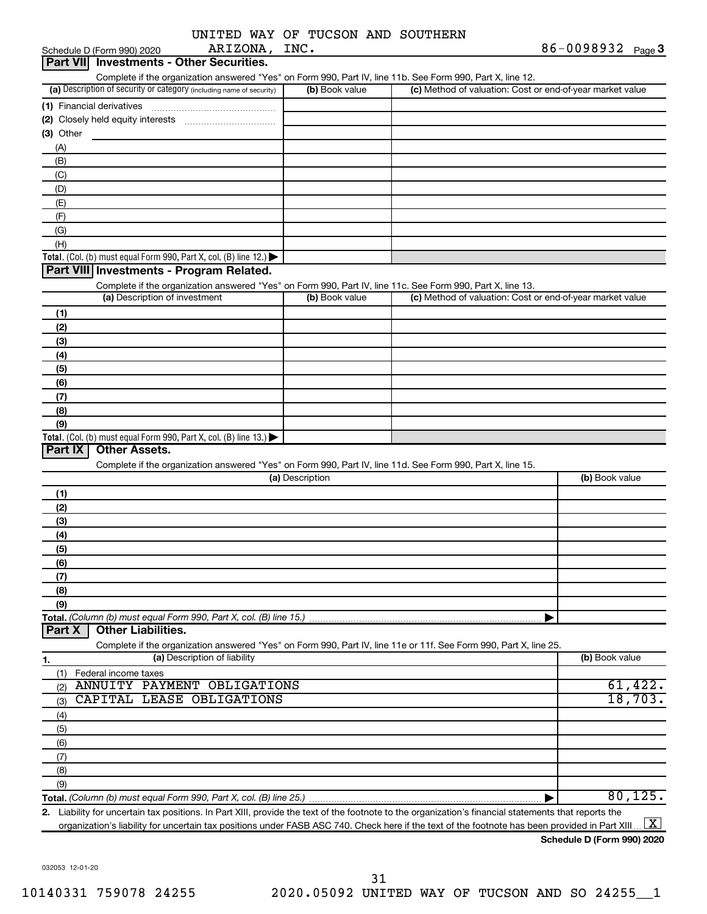|               |  |  | UNITED WAY OF TUCSON AND SOUTHERN |
|---------------|--|--|-----------------------------------|
| ARIZONA, INC. |  |  |                                   |

|            | Schedule D (Form 990) 2020                                           | ARIZONA,                     | INC.            |                                                                                                                                                      | 86-0098932 $_{Page}$ 3 |
|------------|----------------------------------------------------------------------|------------------------------|-----------------|------------------------------------------------------------------------------------------------------------------------------------------------------|------------------------|
|            | Part VII Investments - Other Securities.                             |                              |                 |                                                                                                                                                      |                        |
|            |                                                                      |                              |                 | Complete if the organization answered "Yes" on Form 990, Part IV, line 11b. See Form 990, Part X, line 12.                                           |                        |
|            | (a) Description of security or category (including name of security) |                              | (b) Book value  | (c) Method of valuation: Cost or end-of-year market value                                                                                            |                        |
|            |                                                                      |                              |                 |                                                                                                                                                      |                        |
|            |                                                                      |                              |                 |                                                                                                                                                      |                        |
| (3) Other  |                                                                      |                              |                 |                                                                                                                                                      |                        |
| (A)        |                                                                      |                              |                 |                                                                                                                                                      |                        |
| (B)        |                                                                      |                              |                 |                                                                                                                                                      |                        |
| (C)        |                                                                      |                              |                 |                                                                                                                                                      |                        |
| (D)        |                                                                      |                              |                 |                                                                                                                                                      |                        |
| (E)        |                                                                      |                              |                 |                                                                                                                                                      |                        |
| (F)        |                                                                      |                              |                 |                                                                                                                                                      |                        |
| (G)        |                                                                      |                              |                 |                                                                                                                                                      |                        |
| (H)        |                                                                      |                              |                 |                                                                                                                                                      |                        |
|            | Total. (Col. (b) must equal Form 990, Part X, col. (B) line 12.)     |                              |                 |                                                                                                                                                      |                        |
|            | Part VIII Investments - Program Related.                             |                              |                 |                                                                                                                                                      |                        |
|            |                                                                      |                              |                 | Complete if the organization answered "Yes" on Form 990, Part IV, line 11c. See Form 990, Part X, line 13.                                           |                        |
|            | (a) Description of investment                                        |                              | (b) Book value  | (c) Method of valuation: Cost or end-of-year market value                                                                                            |                        |
| (1)        |                                                                      |                              |                 |                                                                                                                                                      |                        |
| (2)        |                                                                      |                              |                 |                                                                                                                                                      |                        |
| (3)        |                                                                      |                              |                 |                                                                                                                                                      |                        |
| (4)        |                                                                      |                              |                 |                                                                                                                                                      |                        |
| (5)        |                                                                      |                              |                 |                                                                                                                                                      |                        |
| (6)        |                                                                      |                              |                 |                                                                                                                                                      |                        |
| (7)        |                                                                      |                              |                 |                                                                                                                                                      |                        |
| (8)        |                                                                      |                              |                 |                                                                                                                                                      |                        |
| (9)        |                                                                      |                              |                 |                                                                                                                                                      |                        |
|            | Total. (Col. (b) must equal Form 990, Part X, col. (B) line $13.$ )  |                              |                 |                                                                                                                                                      |                        |
| Part IX    | <b>Other Assets.</b>                                                 |                              |                 |                                                                                                                                                      |                        |
|            |                                                                      |                              |                 | Complete if the organization answered "Yes" on Form 990, Part IV, line 11d. See Form 990, Part X, line 15.                                           |                        |
|            |                                                                      |                              | (a) Description |                                                                                                                                                      | (b) Book value         |
| (1)        |                                                                      |                              |                 |                                                                                                                                                      |                        |
| (2)        |                                                                      |                              |                 |                                                                                                                                                      |                        |
| (3)        |                                                                      |                              |                 |                                                                                                                                                      |                        |
| (4)        |                                                                      |                              |                 |                                                                                                                                                      |                        |
| (5)        |                                                                      |                              |                 |                                                                                                                                                      |                        |
| (6)        |                                                                      |                              |                 |                                                                                                                                                      |                        |
| (7)        |                                                                      |                              |                 |                                                                                                                                                      |                        |
| (8)        |                                                                      |                              |                 |                                                                                                                                                      |                        |
| (9)        |                                                                      |                              |                 |                                                                                                                                                      |                        |
|            | Total. (Column (b) must equal Form 990, Part X, col. (B) line 15.)   |                              |                 |                                                                                                                                                      |                        |
| Part X     | <b>Other Liabilities.</b>                                            |                              |                 |                                                                                                                                                      |                        |
|            |                                                                      |                              |                 | Complete if the organization answered "Yes" on Form 990, Part IV, line 11e or 11f. See Form 990, Part X, line 25.                                    |                        |
| 1.         |                                                                      | (a) Description of liability |                 |                                                                                                                                                      | (b) Book value         |
| (1)        | Federal income taxes                                                 |                              |                 |                                                                                                                                                      |                        |
| (2)        | ANNUITY PAYMENT OBLIGATIONS                                          |                              |                 |                                                                                                                                                      | 61,422.                |
|            | CAPITAL LEASE OBLIGATIONS                                            |                              |                 |                                                                                                                                                      | 18,703.                |
| (3)<br>(4) |                                                                      |                              |                 |                                                                                                                                                      |                        |
|            |                                                                      |                              |                 |                                                                                                                                                      |                        |
| (5)        |                                                                      |                              |                 |                                                                                                                                                      |                        |
| (6)        |                                                                      |                              |                 |                                                                                                                                                      |                        |
| (7)        |                                                                      |                              |                 |                                                                                                                                                      |                        |
| (8)        |                                                                      |                              |                 |                                                                                                                                                      |                        |
| (9)        |                                                                      |                              |                 |                                                                                                                                                      |                        |
|            |                                                                      |                              |                 |                                                                                                                                                      | 80, 125.               |
|            |                                                                      |                              |                 | 2. Liability for uncertain tax positions. In Part XIII, provide the text of the footnote to the organization's financial statements that reports the |                        |

organization's liability for uncertain tax positions under FASB ASC 740. Check here if the text of the footnote has been provided in Part XIII…  $\boxed{\mathrm{X}}$ 

032053 12-01-20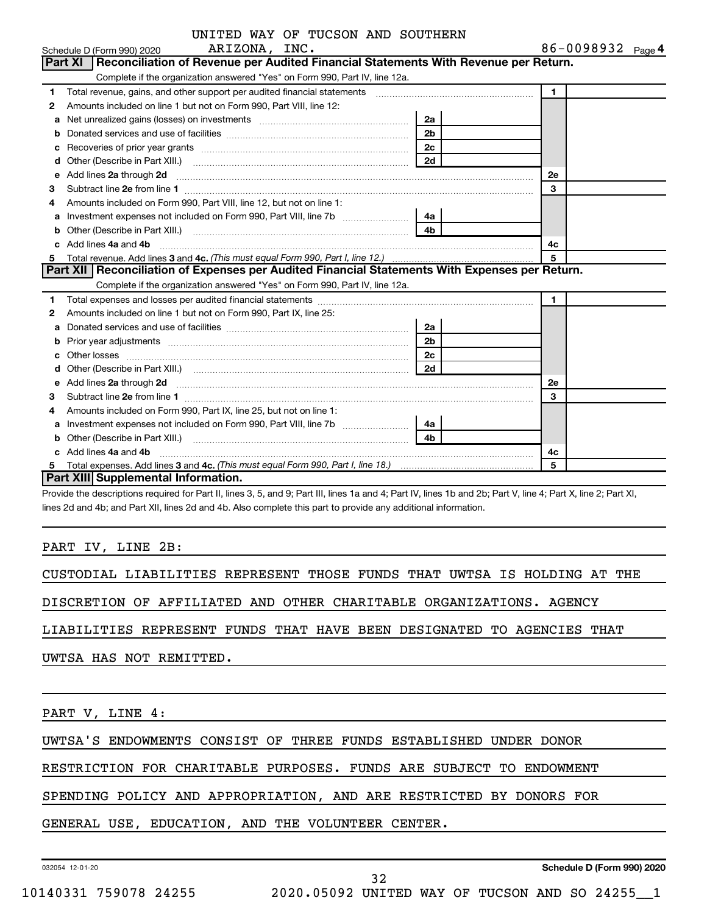| UNITED WAY OF TUCSON AND SOUTHERN |  |  |  |  |  |  |
|-----------------------------------|--|--|--|--|--|--|
|-----------------------------------|--|--|--|--|--|--|

|    | Schedule D (Form 990) 2020 ARIZONA, INC.                                                                                                                                                                                            |                | 86-0098932 Page 4 |  |
|----|-------------------------------------------------------------------------------------------------------------------------------------------------------------------------------------------------------------------------------------|----------------|-------------------|--|
|    | Part XI   Reconciliation of Revenue per Audited Financial Statements With Revenue per Return.                                                                                                                                       |                |                   |  |
|    | Complete if the organization answered "Yes" on Form 990, Part IV, line 12a.                                                                                                                                                         |                |                   |  |
| 1. | Total revenue, gains, and other support per audited financial statements [[[[[[[[[[[[[[[[[[[[[[[[]]]]]]]]]]]]                                                                                                                       |                | $\mathbf{1}$      |  |
| 2  | Amounts included on line 1 but not on Form 990, Part VIII, line 12:                                                                                                                                                                 |                |                   |  |
| a  | Net unrealized gains (losses) on investments [111] [12] matter was uncontracted by the unrealized gains (losses) on investments [11] matter was uncontracted by the unreality of the unreality of the unreality of the unreali      | 2a             |                   |  |
| b  |                                                                                                                                                                                                                                     | 2 <sub>b</sub> |                   |  |
| C  |                                                                                                                                                                                                                                     | 2c             |                   |  |
| d  |                                                                                                                                                                                                                                     | 2d             |                   |  |
| e  | Add lines 2a through 2d <b>[10]</b> [20] <b>All and Primes 22</b> through 2d <b>[10] html</b>                                                                                                                                       |                | <b>2e</b>         |  |
| З  |                                                                                                                                                                                                                                     |                | 3                 |  |
| 4  | Amounts included on Form 990, Part VIII, line 12, but not on line 1:                                                                                                                                                                |                |                   |  |
|    | Investment expenses not included on Form 990, Part VIII, line 7b                                                                                                                                                                    | - 4a l         |                   |  |
| b  |                                                                                                                                                                                                                                     | 4 <sub>h</sub> |                   |  |
| c. | Add lines 4a and 4b                                                                                                                                                                                                                 |                | 4с                |  |
| 5  |                                                                                                                                                                                                                                     |                | 5                 |  |
|    | Part XII   Reconciliation of Expenses per Audited Financial Statements With Expenses per Return.                                                                                                                                    |                |                   |  |
|    | Complete if the organization answered "Yes" on Form 990, Part IV, line 12a.                                                                                                                                                         |                |                   |  |
| 1  |                                                                                                                                                                                                                                     |                | $\blacksquare$    |  |
| 2  | Amounts included on line 1 but not on Form 990, Part IX, line 25:                                                                                                                                                                   |                |                   |  |
| a  |                                                                                                                                                                                                                                     | _2a            |                   |  |
| b  | Prior year adjustments [111] Prior year adjustments [11] Masseum Masseum Masseum Masseum Masseum Masseum Mass                                                                                                                       | 2 <sub>b</sub> |                   |  |
| с  |                                                                                                                                                                                                                                     | 2 <sub>c</sub> |                   |  |
| d  |                                                                                                                                                                                                                                     | 2d             |                   |  |
| е  | Add lines 2a through 2d <b>[10]</b> University of the contract of the state of the contract of the contract of the state of the state of the state of the state of the state of the state of the state of the state of the state of |                | 2е                |  |
| З  |                                                                                                                                                                                                                                     |                | 3                 |  |
| 4  | Amounts included on Form 990, Part IX, line 25, but not on line 1:                                                                                                                                                                  |                |                   |  |
| а  | Investment expenses not included on Form 990, Part VIII, line 7b [ <i>[[[[[[[[[[[[]]]</i> ]                                                                                                                                         | - 4a l         |                   |  |
| b  |                                                                                                                                                                                                                                     | 4 <sub>b</sub> |                   |  |
|    | Add lines 4a and 4b                                                                                                                                                                                                                 |                | 4с                |  |
| 5  |                                                                                                                                                                                                                                     |                | 5                 |  |
|    | <b>Part XIII Supplemental Information.</b>                                                                                                                                                                                          |                |                   |  |

Provide the descriptions required for Part II, lines 3, 5, and 9; Part III, lines 1a and 4; Part IV, lines 1b and 2b; Part V, line 4; Part X, line 2; Part XI, lines 2d and 4b; and Part XII, lines 2d and 4b. Also complete this part to provide any additional information.

#### PART IV, LINE 2B:

CUSTODIAL LIABILITIES REPRESENT THOSE FUNDS THAT UWTSA IS HOLDING AT THE

DISCRETION OF AFFILIATED AND OTHER CHARITABLE ORGANIZATIONS. AGENCY

LIABILITIES REPRESENT FUNDS THAT HAVE BEEN DESIGNATED TO AGENCIES THAT

UWTSA HAS NOT REMITTED.

PART V, LINE 4:

UWTSA'S ENDOWMENTS CONSIST OF THREE FUNDS ESTABLISHED UNDER DONOR

RESTRICTION FOR CHARITABLE PURPOSES. FUNDS ARE SUBJECT TO ENDOWMENT

SPENDING POLICY AND APPROPRIATION, AND ARE RESTRICTED BY DONORS FOR

32

GENERAL USE, EDUCATION, AND THE VOLUNTEER CENTER.

032054 12-01-20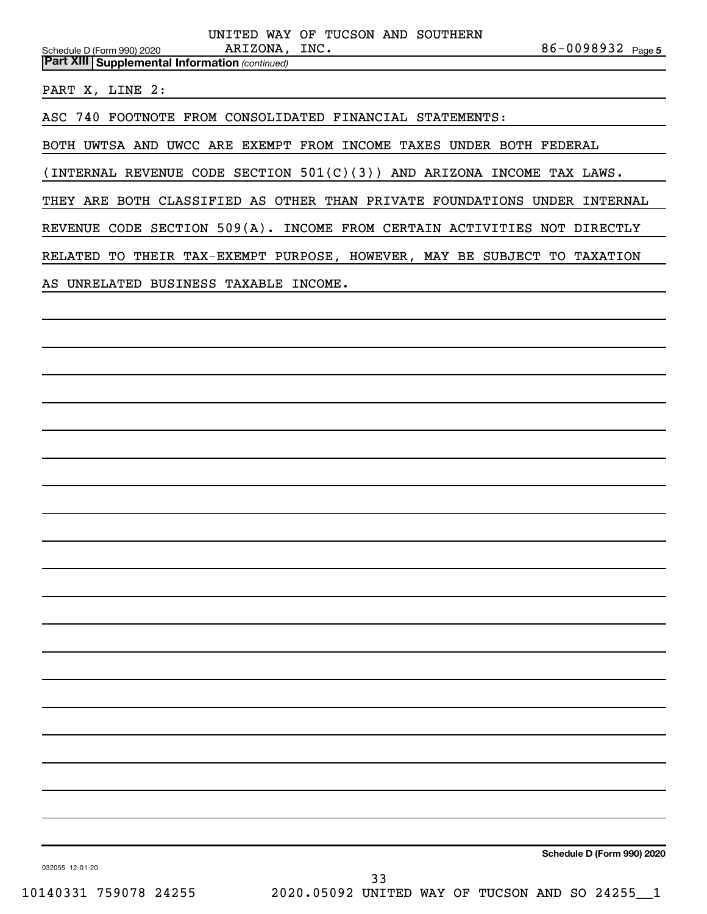|                                                       | UNITED WAY OF TUCSON AND SOUTHERN                                         |                   |
|-------------------------------------------------------|---------------------------------------------------------------------------|-------------------|
| Schedule D (Form 990) 2020                            | ARIZONA, INC.                                                             | 86-0098932 Page 5 |
| <b>Part XIII Supplemental Information (continued)</b> |                                                                           |                   |
| PART X, LINE 2:                                       |                                                                           |                   |
|                                                       | ASC 740 FOOTNOTE FROM CONSOLIDATED FINANCIAL STATEMENTS:                  |                   |
|                                                       | BOTH UWTSA AND UWCC ARE EXEMPT FROM INCOME TAXES UNDER BOTH FEDERAL       |                   |
|                                                       | (INTERNAL REVENUE CODE SECTION $501(C)(3)$ ) AND ARIZONA INCOME TAX LAWS. |                   |
|                                                       | THEY ARE BOTH CLASSIFIED AS OTHER THAN PRIVATE FOUNDATIONS UNDER INTERNAL |                   |

REVENUE CODE SECTION 509(A). INCOME FROM CERTAIN ACTIVITIES NOT DIRECTLY

RELATED TO THEIR TAX-EXEMPT PURPOSE, HOWEVER, MAY BE SUBJECT TO TAXATION

AS UNRELATED BUSINESS TAXABLE INCOME.

**Schedule D (Form 990) 2020**

032055 12-01-20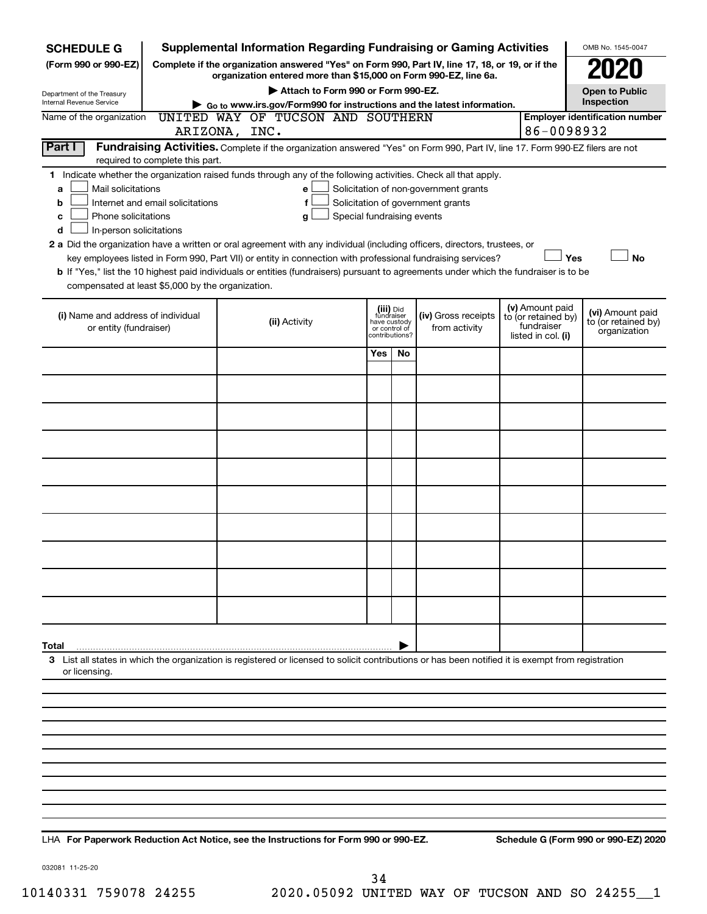| <b>SCHEDULE G</b>                                                                        |                                                                                                       | <b>Supplemental Information Regarding Fundraising or Gaming Activities</b>                                                                                                                                                                |              |                                                            |                                                                            |  |                                                                            | OMB No. 1545-0047                                       |  |
|------------------------------------------------------------------------------------------|-------------------------------------------------------------------------------------------------------|-------------------------------------------------------------------------------------------------------------------------------------------------------------------------------------------------------------------------------------------|--------------|------------------------------------------------------------|----------------------------------------------------------------------------|--|----------------------------------------------------------------------------|---------------------------------------------------------|--|
| (Form 990 or 990-EZ)                                                                     |                                                                                                       | Complete if the organization answered "Yes" on Form 990, Part IV, line 17, 18, or 19, or if the<br>organization entered more than \$15,000 on Form 990-EZ, line 6a.                                                                       |              |                                                            |                                                                            |  |                                                                            |                                                         |  |
| Department of the Treasury                                                               |                                                                                                       | Attach to Form 990 or Form 990-EZ.                                                                                                                                                                                                        |              |                                                            |                                                                            |  |                                                                            | Open to Public                                          |  |
| Internal Revenue Service                                                                 | Inspection<br>$\triangleright$ Go to www.irs.gov/Form990 for instructions and the latest information. |                                                                                                                                                                                                                                           |              |                                                            |                                                                            |  |                                                                            |                                                         |  |
| Name of the organization                                                                 |                                                                                                       | UNITED WAY OF TUCSON AND SOUTHERN<br>ARIZONA, INC.                                                                                                                                                                                        |              |                                                            |                                                                            |  | 86-0098932                                                                 | <b>Employer identification number</b>                   |  |
| Part I                                                                                   |                                                                                                       | Fundraising Activities. Complete if the organization answered "Yes" on Form 990, Part IV, line 17. Form 990-EZ filers are not                                                                                                             |              |                                                            |                                                                            |  |                                                                            |                                                         |  |
|                                                                                          | required to complete this part.                                                                       |                                                                                                                                                                                                                                           |              |                                                            |                                                                            |  |                                                                            |                                                         |  |
| Mail solicitations<br>a<br>b<br>Phone solicitations<br>c<br>In-person solicitations<br>d | Internet and email solicitations                                                                      | 1 Indicate whether the organization raised funds through any of the following activities. Check all that apply.<br>e<br>f<br>Special fundraising events<br>g                                                                              |              |                                                            | Solicitation of non-government grants<br>Solicitation of government grants |  |                                                                            |                                                         |  |
|                                                                                          |                                                                                                       | 2 a Did the organization have a written or oral agreement with any individual (including officers, directors, trustees, or<br>key employees listed in Form 990, Part VII) or entity in connection with professional fundraising services? |              |                                                            |                                                                            |  | Yes                                                                        | <b>No</b>                                               |  |
|                                                                                          |                                                                                                       | b If "Yes," list the 10 highest paid individuals or entities (fundraisers) pursuant to agreements under which the fundraiser is to be                                                                                                     |              |                                                            |                                                                            |  |                                                                            |                                                         |  |
| compensated at least \$5,000 by the organization.                                        |                                                                                                       |                                                                                                                                                                                                                                           |              |                                                            |                                                                            |  |                                                                            |                                                         |  |
| (i) Name and address of individual<br>or entity (fundraiser)                             |                                                                                                       | (ii) Activity                                                                                                                                                                                                                             | have custody | (iii) Did<br>fundraiser<br>or control of<br>contributions? | (iv) Gross receipts<br>from activity                                       |  | (v) Amount paid<br>to (or retained by)<br>fundraiser<br>listed in col. (i) | (vi) Amount paid<br>to (or retained by)<br>organization |  |
|                                                                                          |                                                                                                       |                                                                                                                                                                                                                                           | Yes          | No                                                         |                                                                            |  |                                                                            |                                                         |  |
|                                                                                          |                                                                                                       |                                                                                                                                                                                                                                           |              |                                                            |                                                                            |  |                                                                            |                                                         |  |
|                                                                                          |                                                                                                       |                                                                                                                                                                                                                                           |              |                                                            |                                                                            |  |                                                                            |                                                         |  |
|                                                                                          |                                                                                                       |                                                                                                                                                                                                                                           |              |                                                            |                                                                            |  |                                                                            |                                                         |  |
|                                                                                          |                                                                                                       |                                                                                                                                                                                                                                           |              |                                                            |                                                                            |  |                                                                            |                                                         |  |
|                                                                                          |                                                                                                       |                                                                                                                                                                                                                                           |              |                                                            |                                                                            |  |                                                                            |                                                         |  |
|                                                                                          |                                                                                                       |                                                                                                                                                                                                                                           |              |                                                            |                                                                            |  |                                                                            |                                                         |  |
|                                                                                          |                                                                                                       |                                                                                                                                                                                                                                           |              |                                                            |                                                                            |  |                                                                            |                                                         |  |
|                                                                                          |                                                                                                       |                                                                                                                                                                                                                                           |              |                                                            |                                                                            |  |                                                                            |                                                         |  |
|                                                                                          |                                                                                                       |                                                                                                                                                                                                                                           |              |                                                            |                                                                            |  |                                                                            |                                                         |  |
| Total                                                                                    |                                                                                                       |                                                                                                                                                                                                                                           |              |                                                            |                                                                            |  |                                                                            |                                                         |  |
| or licensing.                                                                            |                                                                                                       | 3 List all states in which the organization is registered or licensed to solicit contributions or has been notified it is exempt from registration                                                                                        |              |                                                            |                                                                            |  |                                                                            |                                                         |  |
|                                                                                          |                                                                                                       |                                                                                                                                                                                                                                           |              |                                                            |                                                                            |  |                                                                            |                                                         |  |
|                                                                                          |                                                                                                       |                                                                                                                                                                                                                                           |              |                                                            |                                                                            |  |                                                                            |                                                         |  |
|                                                                                          |                                                                                                       |                                                                                                                                                                                                                                           |              |                                                            |                                                                            |  |                                                                            |                                                         |  |
|                                                                                          |                                                                                                       |                                                                                                                                                                                                                                           |              |                                                            |                                                                            |  |                                                                            |                                                         |  |
|                                                                                          |                                                                                                       |                                                                                                                                                                                                                                           |              |                                                            |                                                                            |  |                                                                            |                                                         |  |
|                                                                                          |                                                                                                       |                                                                                                                                                                                                                                           |              |                                                            |                                                                            |  |                                                                            |                                                         |  |
|                                                                                          |                                                                                                       |                                                                                                                                                                                                                                           |              |                                                            |                                                                            |  |                                                                            |                                                         |  |
|                                                                                          |                                                                                                       |                                                                                                                                                                                                                                           |              |                                                            |                                                                            |  |                                                                            |                                                         |  |

**For Paperwork Reduction Act Notice, see the Instructions for Form 990 or 990-EZ. Schedule G (Form 990 or 990-EZ) 2020** LHA

032081 11-25-20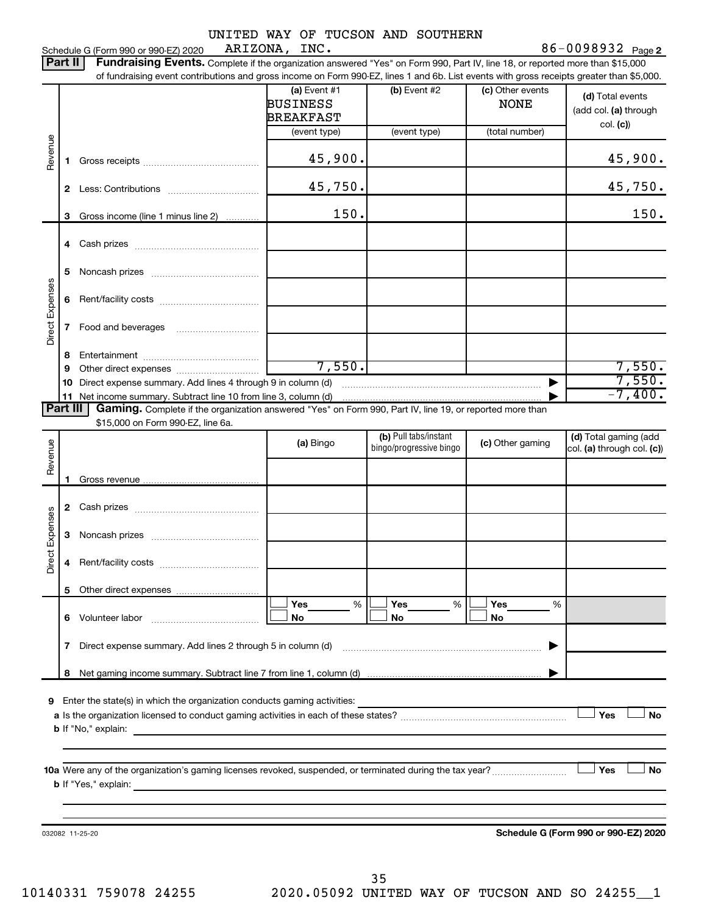86-0098932 Page 2 Schedule G (Form 990 or 990-EZ) 2020 ARIZONA, INC.  $86-0098932$  Page

|                 | Part II | <b>Fundraising Events.</b> Complete if the organization answered "Yes" on Form 990, Part IV, line 18, or reported more than \$15,000      |                                                       |                                                  |                                 |                                                     |
|-----------------|---------|-------------------------------------------------------------------------------------------------------------------------------------------|-------------------------------------------------------|--------------------------------------------------|---------------------------------|-----------------------------------------------------|
|                 |         | of fundraising event contributions and gross income on Form 990-EZ, lines 1 and 6b. List events with gross receipts greater than \$5,000. | (a) Event $#1$<br><b>BUSINESS</b><br><b>BREAKFAST</b> | (b) Event #2                                     | (c) Other events<br><b>NONE</b> | (d) Total events<br>(add col. (a) through           |
|                 |         |                                                                                                                                           | (event type)                                          | (event type)                                     | (total number)                  | col. (c)                                            |
| Revenue         | 1.      |                                                                                                                                           | 45,900.                                               |                                                  |                                 | 45,900.                                             |
|                 |         |                                                                                                                                           | 45,750.                                               |                                                  |                                 | 45,750.                                             |
|                 | 3       | Gross income (line 1 minus line 2)                                                                                                        | 150.                                                  |                                                  |                                 | 150.                                                |
|                 |         |                                                                                                                                           |                                                       |                                                  |                                 |                                                     |
|                 | 5       |                                                                                                                                           |                                                       |                                                  |                                 |                                                     |
| Direct Expenses | 6       |                                                                                                                                           |                                                       |                                                  |                                 |                                                     |
|                 | 7       |                                                                                                                                           |                                                       |                                                  |                                 |                                                     |
|                 | 8       |                                                                                                                                           |                                                       |                                                  |                                 |                                                     |
|                 | 9       |                                                                                                                                           | 7,550.                                                |                                                  |                                 | 7,550.                                              |
|                 | 10      |                                                                                                                                           |                                                       |                                                  |                                 | 7,550.<br>$-7,400.$                                 |
| <b>Part III</b> |         | Gaming. Complete if the organization answered "Yes" on Form 990, Part IV, line 19, or reported more than                                  |                                                       |                                                  |                                 |                                                     |
|                 |         | \$15,000 on Form 990-EZ, line 6a.                                                                                                         |                                                       |                                                  |                                 |                                                     |
| Revenue         |         |                                                                                                                                           | (a) Bingo                                             | (b) Pull tabs/instant<br>bingo/progressive bingo | (c) Other gaming                | (d) Total gaming (add<br>col. (a) through col. (c)) |
|                 | 1.      |                                                                                                                                           |                                                       |                                                  |                                 |                                                     |
|                 |         |                                                                                                                                           |                                                       |                                                  |                                 |                                                     |
|                 |         |                                                                                                                                           |                                                       |                                                  |                                 |                                                     |
| Direct Expenses | 3       |                                                                                                                                           |                                                       |                                                  |                                 |                                                     |
|                 |         |                                                                                                                                           |                                                       |                                                  |                                 |                                                     |
|                 |         |                                                                                                                                           |                                                       |                                                  |                                 |                                                     |
|                 |         |                                                                                                                                           | Yes<br>$\%$<br>No                                     | Yes<br>%<br>No                                   | Yes<br>%<br>No                  |                                                     |
|                 | 7       |                                                                                                                                           |                                                       |                                                  |                                 |                                                     |
|                 |         |                                                                                                                                           |                                                       |                                                  |                                 |                                                     |
|                 |         |                                                                                                                                           |                                                       |                                                  |                                 | Yes<br><b>No</b>                                    |
|                 |         | 10a Were any of the organization's gaming licenses revoked, suspended, or terminated during the tax year?                                 |                                                       |                                                  |                                 | Yes<br>No                                           |
|                 |         | 032082 11-25-20                                                                                                                           |                                                       |                                                  |                                 | Schedule G (Form 990 or 990-EZ) 2020                |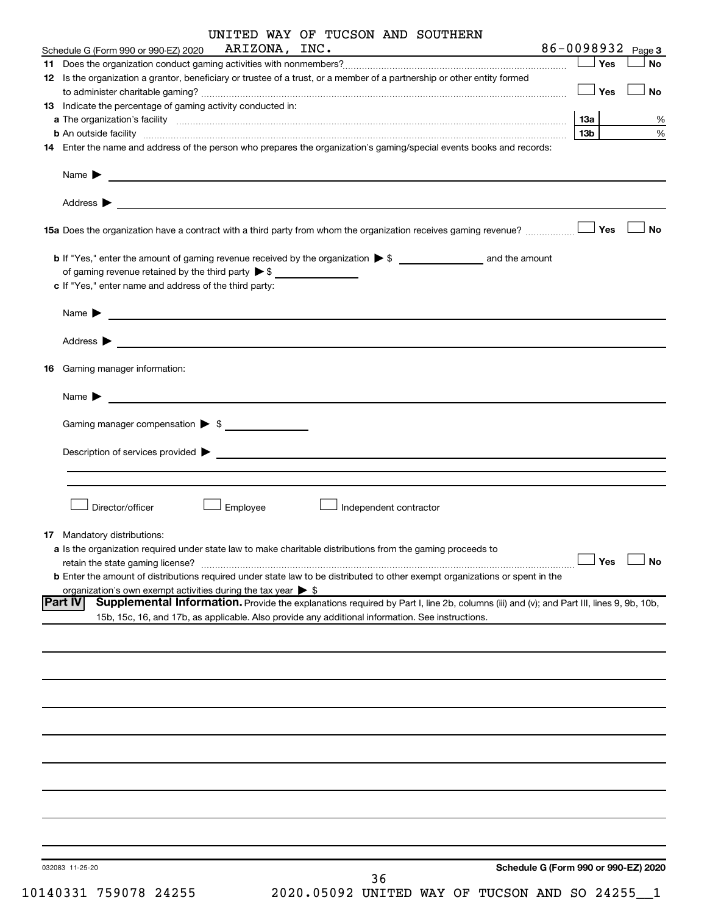|    |                                                                                                                                                                                                                                                       |               | UNITED WAY OF TUCSON AND SOUTHERN                 |                                      |                   |           |
|----|-------------------------------------------------------------------------------------------------------------------------------------------------------------------------------------------------------------------------------------------------------|---------------|---------------------------------------------------|--------------------------------------|-------------------|-----------|
|    | Schedule G (Form 990 or 990-EZ) 2020                                                                                                                                                                                                                  | ARIZONA, INC. | <u> 1989 - Johann Barbara, martxa alemaniar a</u> |                                      | 86-0098932 Page 3 |           |
|    |                                                                                                                                                                                                                                                       |               |                                                   |                                      | $\Box$ Yes        | No        |
|    | 12 Is the organization a grantor, beneficiary or trustee of a trust, or a member of a partnership or other entity formed                                                                                                                              |               |                                                   |                                      | $\Box$ Yes        | <b>No</b> |
|    | 13 Indicate the percentage of gaming activity conducted in:                                                                                                                                                                                           |               |                                                   |                                      |                   |           |
|    |                                                                                                                                                                                                                                                       |               |                                                   |                                      | 1За               | %         |
|    | b An outside facility www.communications.com/news/communications.com/news/communications.com/news/communication<br>14 Enter the name and address of the person who prepares the organization's gaming/special events books and records:               |               |                                                   |                                      | 13b l             | $\%$      |
|    |                                                                                                                                                                                                                                                       |               |                                                   |                                      |                   |           |
|    | Name $\blacktriangleright$<br><u> 1989 - Johann Barn, fransk politik amerikansk politik (d. 1989)</u><br>Address $\blacktriangleright$                                                                                                                |               |                                                   |                                      |                   |           |
|    |                                                                                                                                                                                                                                                       |               |                                                   |                                      |                   | <b>No</b> |
|    | <b>15a</b> Does the organization have a contract with a third party from whom the organization receives gaming revenue? $\ldots$                                                                                                                      |               |                                                   |                                      |                   |           |
|    |                                                                                                                                                                                                                                                       |               |                                                   |                                      |                   |           |
|    | of gaming revenue retained by the third party $\triangleright$ \$<br>c If "Yes," enter name and address of the third party:                                                                                                                           |               |                                                   |                                      |                   |           |
|    |                                                                                                                                                                                                                                                       |               |                                                   |                                      |                   |           |
|    | Name $\blacktriangleright$<br><u> 1989 - John Harry Harry Harry Harry Harry Harry Harry Harry Harry Harry Harry Harry Harry Harry Harry Harry H</u>                                                                                                   |               |                                                   |                                      |                   |           |
|    | Address $\blacktriangleright$<br><u> 2002 - Andrea Andrew Maria (h. 1878).</u>                                                                                                                                                                        |               |                                                   |                                      |                   |           |
| 16 | Gaming manager information:                                                                                                                                                                                                                           |               |                                                   |                                      |                   |           |
|    | Name $\blacktriangleright$                                                                                                                                                                                                                            |               |                                                   |                                      |                   |           |
|    | Gaming manager compensation > \$                                                                                                                                                                                                                      |               |                                                   |                                      |                   |           |
|    | Description of services provided > example and the contract of the contract of the contract of the contract of                                                                                                                                        |               |                                                   |                                      |                   |           |
|    |                                                                                                                                                                                                                                                       |               |                                                   |                                      |                   |           |
|    | Director/officer                                                                                                                                                                                                                                      | Employee      | Independent contractor                            |                                      |                   |           |
|    | 17 Mandatory distributions:                                                                                                                                                                                                                           |               |                                                   |                                      |                   |           |
|    | a Is the organization required under state law to make charitable distributions from the gaming proceeds to                                                                                                                                           |               |                                                   |                                      |                   |           |
|    | retain the state gaming license?                                                                                                                                                                                                                      |               |                                                   |                                      | Yes               | <b>No</b> |
|    | b Enter the amount of distributions required under state law to be distributed to other exempt organizations or spent in the<br>organization's own exempt activities during the tax year $\triangleright$ \$                                          |               |                                                   |                                      |                   |           |
|    | Part IV<br>Supplemental Information. Provide the explanations required by Part I, line 2b, columns (iii) and (v); and Part III, lines 9, 9b, 10b,<br>15b, 15c, 16, and 17b, as applicable. Also provide any additional information. See instructions. |               |                                                   |                                      |                   |           |
|    |                                                                                                                                                                                                                                                       |               |                                                   |                                      |                   |           |
|    |                                                                                                                                                                                                                                                       |               |                                                   |                                      |                   |           |
|    |                                                                                                                                                                                                                                                       |               |                                                   |                                      |                   |           |
|    |                                                                                                                                                                                                                                                       |               |                                                   |                                      |                   |           |
|    |                                                                                                                                                                                                                                                       |               |                                                   |                                      |                   |           |
|    |                                                                                                                                                                                                                                                       |               |                                                   |                                      |                   |           |
|    |                                                                                                                                                                                                                                                       |               |                                                   |                                      |                   |           |
|    |                                                                                                                                                                                                                                                       |               |                                                   |                                      |                   |           |
|    |                                                                                                                                                                                                                                                       |               |                                                   |                                      |                   |           |
|    | 032083 11-25-20                                                                                                                                                                                                                                       |               |                                                   | Schedule G (Form 990 or 990-EZ) 2020 |                   |           |
|    |                                                                                                                                                                                                                                                       |               | 36                                                |                                      |                   |           |

10140331 759078 24255 2020.05092 UNITED WAY OF TUCSON AND SO 24255\_\_1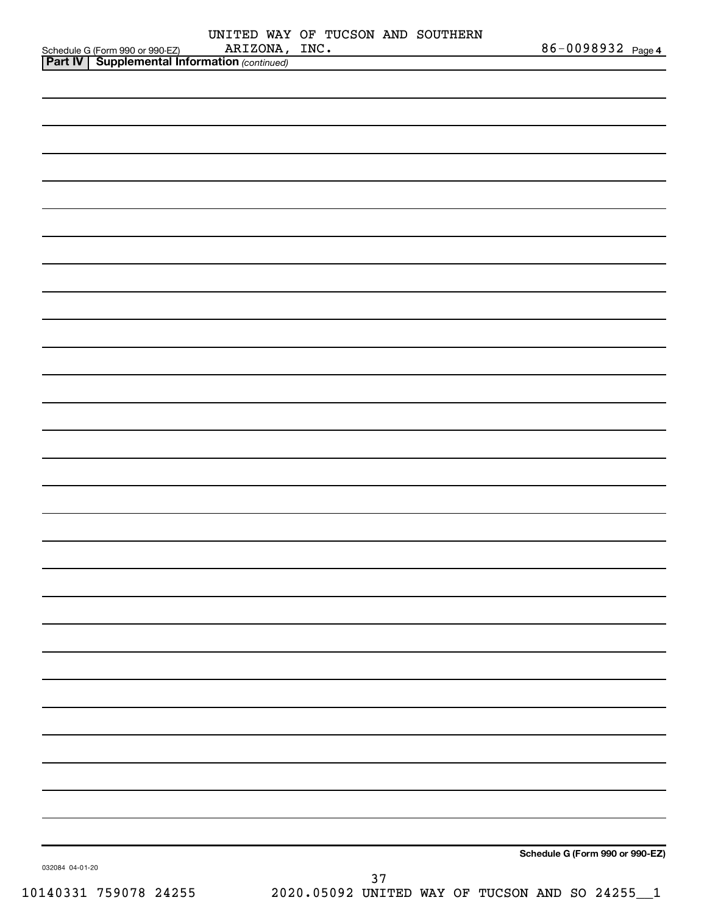|                 | Schedule G (Form 990 or 990-EZ) ARIZONA,<br><b>Part IV</b> Supplemental Information (continued) | UNITED WAY OF TUCSON AND SOUTHERN<br>ARIZONA, INC. |    | 86-0098932 Page 4                              |
|-----------------|-------------------------------------------------------------------------------------------------|----------------------------------------------------|----|------------------------------------------------|
|                 |                                                                                                 |                                                    |    |                                                |
|                 |                                                                                                 |                                                    |    |                                                |
|                 |                                                                                                 |                                                    |    |                                                |
|                 |                                                                                                 |                                                    |    |                                                |
|                 |                                                                                                 |                                                    |    |                                                |
|                 |                                                                                                 |                                                    |    |                                                |
|                 |                                                                                                 |                                                    |    |                                                |
|                 |                                                                                                 |                                                    |    |                                                |
|                 |                                                                                                 |                                                    |    |                                                |
|                 |                                                                                                 |                                                    |    |                                                |
|                 |                                                                                                 |                                                    |    |                                                |
|                 |                                                                                                 |                                                    |    |                                                |
|                 |                                                                                                 |                                                    |    |                                                |
|                 |                                                                                                 |                                                    |    |                                                |
|                 |                                                                                                 |                                                    |    |                                                |
|                 |                                                                                                 |                                                    |    |                                                |
|                 |                                                                                                 |                                                    |    |                                                |
|                 |                                                                                                 |                                                    |    |                                                |
|                 |                                                                                                 |                                                    |    |                                                |
|                 |                                                                                                 |                                                    |    |                                                |
|                 |                                                                                                 |                                                    |    |                                                |
|                 |                                                                                                 |                                                    |    |                                                |
|                 |                                                                                                 |                                                    |    |                                                |
|                 |                                                                                                 |                                                    |    |                                                |
|                 |                                                                                                 |                                                    |    |                                                |
|                 |                                                                                                 |                                                    |    |                                                |
|                 |                                                                                                 |                                                    |    |                                                |
|                 |                                                                                                 |                                                    |    |                                                |
|                 |                                                                                                 |                                                    |    |                                                |
|                 |                                                                                                 |                                                    |    |                                                |
|                 |                                                                                                 |                                                    |    |                                                |
|                 |                                                                                                 |                                                    |    |                                                |
|                 |                                                                                                 |                                                    |    |                                                |
|                 |                                                                                                 |                                                    |    |                                                |
|                 |                                                                                                 |                                                    |    |                                                |
|                 |                                                                                                 |                                                    |    |                                                |
|                 |                                                                                                 |                                                    |    |                                                |
|                 |                                                                                                 |                                                    |    |                                                |
|                 |                                                                                                 |                                                    |    |                                                |
|                 |                                                                                                 |                                                    |    |                                                |
|                 |                                                                                                 |                                                    |    | Schedule G (Form 990 or 990-EZ)                |
| 032084 04-01-20 |                                                                                                 |                                                    |    |                                                |
|                 | 10140331 759078 24255                                                                           |                                                    | 37 | 2020.05092 UNITED WAY OF TUCSON AND SO 24255_1 |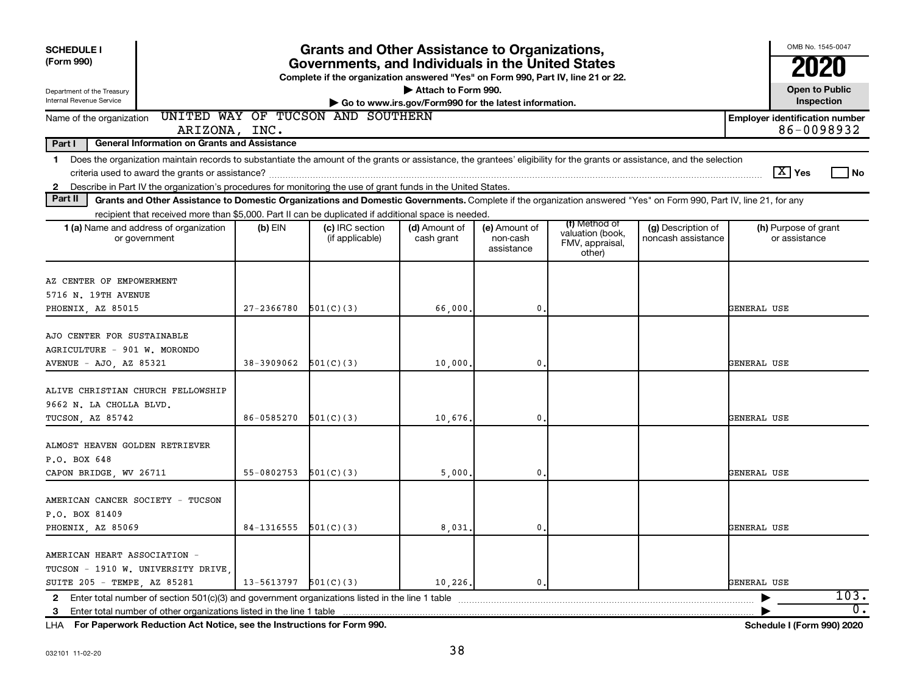| <b>SCHEDULE I</b><br>(Form 990)                                                                                                                                                                                                                                                                                                                         | <b>Grants and Other Assistance to Organizations,</b><br>Governments, and Individuals in the United States<br>Complete if the organization answered "Yes" on Form 990, Part IV, line 21 or 22. |                                    |                                                                              |                                         |                                                                |                                          |                                       |  |  |  |  |
|---------------------------------------------------------------------------------------------------------------------------------------------------------------------------------------------------------------------------------------------------------------------------------------------------------------------------------------------------------|-----------------------------------------------------------------------------------------------------------------------------------------------------------------------------------------------|------------------------------------|------------------------------------------------------------------------------|-----------------------------------------|----------------------------------------------------------------|------------------------------------------|---------------------------------------|--|--|--|--|
| Department of the Treasury<br>Internal Revenue Service                                                                                                                                                                                                                                                                                                  |                                                                                                                                                                                               |                                    | Attach to Form 990.<br>Go to www.irs.gov/Form990 for the latest information. |                                         |                                                                |                                          | <b>Open to Public</b><br>Inspection   |  |  |  |  |
| UNITED WAY OF TUCSON AND SOUTHERN<br><b>Employer identification number</b><br>Name of the organization<br>86-0098932<br>ARIZONA, INC.                                                                                                                                                                                                                   |                                                                                                                                                                                               |                                    |                                                                              |                                         |                                                                |                                          |                                       |  |  |  |  |
| Part I<br><b>General Information on Grants and Assistance</b>                                                                                                                                                                                                                                                                                           |                                                                                                                                                                                               |                                    |                                                                              |                                         |                                                                |                                          |                                       |  |  |  |  |
| Does the organization maintain records to substantiate the amount of the grants or assistance, the grantees' eligibility for the grants or assistance, and the selection<br>$\mathbf{1}$<br>$ \mathbf{X} $ Yes<br>l No<br>Describe in Part IV the organization's procedures for monitoring the use of grant funds in the United States.<br>$\mathbf{2}$ |                                                                                                                                                                                               |                                    |                                                                              |                                         |                                                                |                                          |                                       |  |  |  |  |
| Part II                                                                                                                                                                                                                                                                                                                                                 | Grants and Other Assistance to Domestic Organizations and Domestic Governments. Complete if the organization answered "Yes" on Form 990, Part IV, line 21, for any                            |                                    |                                                                              |                                         |                                                                |                                          |                                       |  |  |  |  |
| recipient that received more than \$5,000. Part II can be duplicated if additional space is needed.<br>1 (a) Name and address of organization<br>or government                                                                                                                                                                                          | $(b)$ EIN                                                                                                                                                                                     | (c) IRC section<br>(if applicable) | (d) Amount of<br>cash grant                                                  | (e) Amount of<br>non-cash<br>assistance | (f) Method of<br>valuation (book,<br>FMV, appraisal,<br>other) | (g) Description of<br>noncash assistance | (h) Purpose of grant<br>or assistance |  |  |  |  |
| AZ CENTER OF EMPOWERMENT<br>5716 N. 19TH AVENUE<br>PHOENIX, AZ 85015                                                                                                                                                                                                                                                                                    | $27 - 2366780$                                                                                                                                                                                | 501(C)(3)                          | 66,000.                                                                      | $\mathbf{0}$                            |                                                                |                                          | GENERAL USE                           |  |  |  |  |
| AJO CENTER FOR SUSTAINABLE<br>AGRICULTURE - 901 W. MORONDO<br>AVENUE - AJO, AZ 85321                                                                                                                                                                                                                                                                    | 38-3909062                                                                                                                                                                                    | 501(C)(3)                          | 10,000                                                                       | $\mathbf{0}$                            |                                                                |                                          | GENERAL USE                           |  |  |  |  |
| ALIVE CHRISTIAN CHURCH FELLOWSHIP<br>9662 N. LA CHOLLA BLVD.<br>TUCSON, AZ 85742                                                                                                                                                                                                                                                                        | 86-0585270                                                                                                                                                                                    | 501(C)(3)                          | 10,676.                                                                      | $\mathbf{0}$                            |                                                                |                                          | GENERAL USE                           |  |  |  |  |
| ALMOST HEAVEN GOLDEN RETRIEVER<br>P.O. BOX 648<br>CAPON BRIDGE, WV 26711                                                                                                                                                                                                                                                                                | 55-0802753                                                                                                                                                                                    | 501(C)(3)                          | 5,000                                                                        | $\mathbf{0}$                            |                                                                |                                          | GENERAL USE                           |  |  |  |  |
| AMERICAN CANCER SOCIETY - TUCSON<br>P.O. BOX 81409<br>PHOENIX, AZ 85069                                                                                                                                                                                                                                                                                 | 84-1316555                                                                                                                                                                                    | 501(C)(3)                          | 8,031                                                                        | $\mathbf{0}$                            |                                                                |                                          | GENERAL USE                           |  |  |  |  |
| AMERICAN HEART ASSOCIATION -<br>TUCSON - 1910 W. UNIVERSITY DRIVE<br>SUITE 205 - TEMPE, AZ 85281                                                                                                                                                                                                                                                        | 13-5613797                                                                                                                                                                                    | 501(C)(3)                          | 10,226.                                                                      | 0.                                      |                                                                |                                          | GENERAL USE<br>103.                   |  |  |  |  |
| 2 Enter total number of section $501(c)(3)$ and government organizations listed in the line 1 table<br>3 Enter total number of other organizations listed in the line 1 table                                                                                                                                                                           |                                                                                                                                                                                               |                                    |                                                                              |                                         |                                                                |                                          | $\overline{0}$ .                      |  |  |  |  |

**For Paperwork Reduction Act Notice, see the Instructions for Form 990. Schedule I (Form 990) 2020** LHA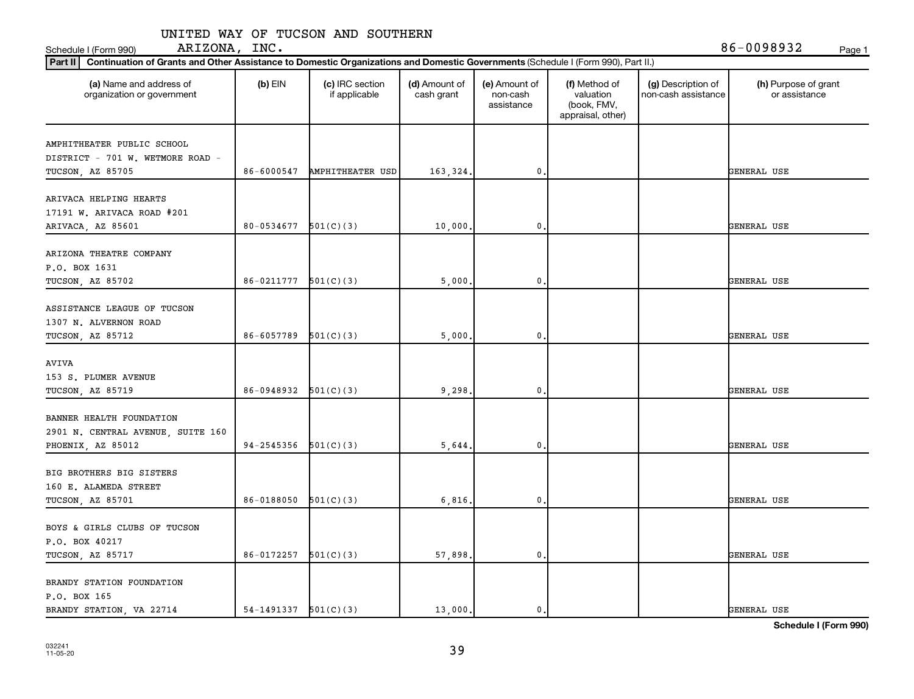| (a) Name and address of<br>organization or government          | (b) $EIN$                | (c) IRC section<br>if applicable | (d) Amount of<br>cash grant | (e) Amount of<br>non-cash<br>assistance | (f) Method of<br>valuation<br>(book, FMV,<br>appraisal, other) | (g) Description of<br>non-cash assistance | (h) Purpose of grant<br>or assistance |
|----------------------------------------------------------------|--------------------------|----------------------------------|-----------------------------|-----------------------------------------|----------------------------------------------------------------|-------------------------------------------|---------------------------------------|
| AMPHITHEATER PUBLIC SCHOOL<br>DISTRICT - 701 W. WETMORE ROAD - |                          |                                  |                             |                                         |                                                                |                                           |                                       |
| TUCSON, AZ 85705                                               | 86-6000547               | <b>AMPHITHEATER USD</b>          | 163,324.                    | $\mathbf{0}$                            |                                                                |                                           | GENERAL USE                           |
| ARIVACA HELPING HEARTS<br>17191 W. ARIVACA ROAD #201           | 80-0534677               | 501(C)(3)                        |                             | $\pmb{0}$                               |                                                                |                                           | GENERAL USE                           |
| ARIVACA, AZ 85601                                              |                          |                                  | 10,000                      |                                         |                                                                |                                           |                                       |
| ARIZONA THEATRE COMPANY<br>P.O. BOX 1631                       |                          |                                  |                             |                                         |                                                                |                                           |                                       |
| TUCSON, AZ 85702                                               | 86-0211777               | 501(C)(3)                        | 5,000                       | 0                                       |                                                                |                                           | GENERAL USE                           |
| ASSISTANCE LEAGUE OF TUCSON<br>1307 N. ALVERNON ROAD           |                          |                                  |                             |                                         |                                                                |                                           |                                       |
| TUCSON, AZ 85712                                               | 86-6057789               | 501(C)(3)                        | 5,000                       | 0                                       |                                                                |                                           | GENERAL USE                           |
| AVIVA<br>153 S. PLUMER AVENUE                                  |                          |                                  |                             |                                         |                                                                |                                           |                                       |
| TUCSON, AZ 85719                                               | 86-0948932               | 501(C)(3)                        | 9,298.                      | 0                                       |                                                                |                                           | GENERAL USE                           |
| BANNER HEALTH FOUNDATION<br>2901 N. CENTRAL AVENUE, SUITE 160  |                          |                                  |                             |                                         |                                                                |                                           |                                       |
| PHOENIX, AZ 85012                                              | 94-2545356               | 501(C)(3)                        | 5,644                       | 0                                       |                                                                |                                           | GENERAL USE                           |
| BIG BROTHERS BIG SISTERS<br>160 E. ALAMEDA STREET              |                          |                                  |                             |                                         |                                                                |                                           |                                       |
| TUCSON, AZ 85701                                               | 86-0188050               | 501(C)(3)                        | 6,816                       | 0                                       |                                                                |                                           | GENERAL USE                           |
| BOYS & GIRLS CLUBS OF TUCSON<br>P.O. BOX 40217                 |                          |                                  |                             |                                         |                                                                |                                           |                                       |
| TUCSON, AZ 85717                                               | 86-0172257               | 501(C)(3)                        | 57,898                      | $\mathbf{0}$                            |                                                                |                                           | GENERAL USE                           |
| BRANDY STATION FOUNDATION<br>P.O. BOX 165                      |                          |                                  |                             |                                         |                                                                |                                           |                                       |
| BRANDY STATION, VA 22714                                       | $54-1491337$ $501(C)(3)$ |                                  | 13,000.                     | $\mathbf{0}$                            |                                                                |                                           | GENERAL USE                           |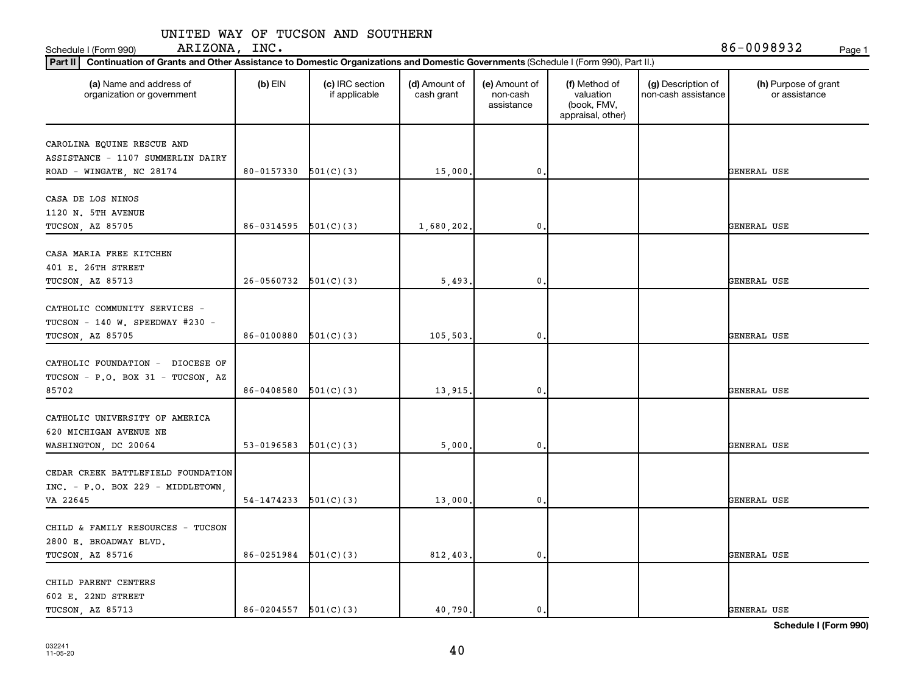**Part II Continuation of Grants and Other Assistance to Domestic Organizations and Domestic Government of Grants and Other Assistance to Domestic Organizations and Domestic Governments of Grants and Other Assistance to Dom** 

| Continuation of Grants and Other Assistance to Domestic Organizations and Domestic Governments (Schedule I (Form 990), Part II.)<br>Part II |                            |                                  |                             |                                         |                                                                |                                           |                                       |
|---------------------------------------------------------------------------------------------------------------------------------------------|----------------------------|----------------------------------|-----------------------------|-----------------------------------------|----------------------------------------------------------------|-------------------------------------------|---------------------------------------|
| (a) Name and address of<br>organization or government                                                                                       | $(b)$ EIN                  | (c) IRC section<br>if applicable | (d) Amount of<br>cash grant | (e) Amount of<br>non-cash<br>assistance | (f) Method of<br>valuation<br>(book, FMV,<br>appraisal, other) | (g) Description of<br>non-cash assistance | (h) Purpose of grant<br>or assistance |
| CAROLINA EQUINE RESCUE AND<br>ASSISTANCE - 1107 SUMMERLIN DAIRY<br>ROAD - WINGATE, NC 28174                                                 | 80-0157330                 | 501(C)(3)                        | 15,000                      | $\mathbf 0$ .                           |                                                                |                                           | GENERAL USE                           |
| CASA DE LOS NINOS<br>1120 N. 5TH AVENUE<br>TUCSON, AZ 85705                                                                                 | 86-0314595                 | 501(C)(3)                        | 1,680,202.                  | 0                                       |                                                                |                                           | GENERAL USE                           |
| CASA MARIA FREE KITCHEN<br>401 E. 26TH STREET<br>TUCSON, AZ 85713                                                                           | 26-0560732                 | 501(C)(3)                        | 5,493                       | 0                                       |                                                                |                                           | GENERAL USE                           |
| CATHOLIC COMMUNITY SERVICES -<br>TUCSON - 140 W. SPEEDWAY $#230$ -<br>TUCSON, AZ 85705                                                      | 86-0100880                 | 501(C)(3)                        | 105,503,                    | $\mathbf 0$ .                           |                                                                |                                           | GENERAL USE                           |
| CATHOLIC FOUNDATION - DIOCESE OF<br>TUCSON - P.O. BOX 31 - TUCSON, AZ<br>85702                                                              | 86-0408580                 | 501(C)(3)                        | 13,915.                     | 0                                       |                                                                |                                           | GENERAL USE                           |
| CATHOLIC UNIVERSITY OF AMERICA<br>620 MICHIGAN AVENUE NE<br>WASHINGTON, DC 20064                                                            | 53-0196583                 | 501(C)(3)                        | 5,000                       | 0                                       |                                                                |                                           | GENERAL USE                           |
| CEDAR CREEK BATTLEFIELD FOUNDATION<br>$INC. - P.0. BOX 229 - MIDDLETOWN,$<br>VA 22645                                                       | 54-1474233                 | 501(C)(3)                        | 13,000                      | 0.                                      |                                                                |                                           | GENERAL USE                           |
| CHILD & FAMILY RESOURCES - TUCSON<br>2800 E. BROADWAY BLVD.<br>TUCSON, AZ 85716                                                             | 86-0251984                 | 501(C)(3)                        | 812,403.                    | $\mathbf 0$ .                           |                                                                |                                           | GENERAL USE                           |
| CHILD PARENT CENTERS<br>602 E. 22ND STREET<br>TUCSON, AZ 85713                                                                              | $86 - 0204557$ $501(C)(3)$ |                                  | 40.790.                     | 0.                                      |                                                                |                                           | GENERAL USE                           |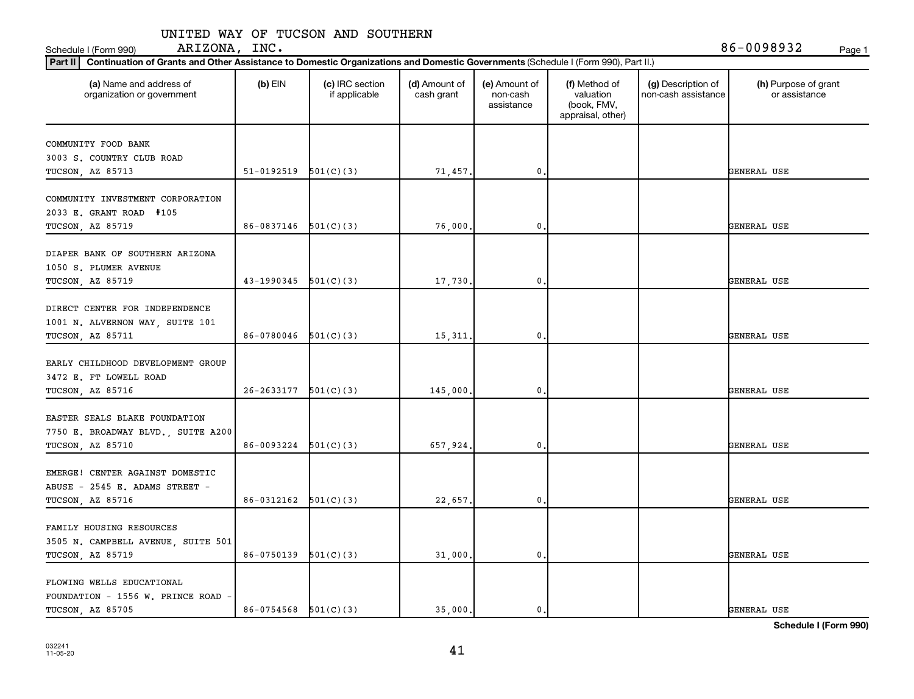**Part II Continuation of Grants and Other Assistance to Domestic Organizations and Domestic Government of Grants and Other Assistance to Domestic Organizations and Domestic Governments of Grants and Other Assistance to Dom** 

| Continuation of Grants and Other Assistance to Domestic Organizations and Domestic Governments (Schedule I (Form 990), Part II.)<br>Part II |                          |                                  |                             |                                         |                                                                |                                           |                                       |
|---------------------------------------------------------------------------------------------------------------------------------------------|--------------------------|----------------------------------|-----------------------------|-----------------------------------------|----------------------------------------------------------------|-------------------------------------------|---------------------------------------|
| (a) Name and address of<br>organization or government                                                                                       | $(b)$ EIN                | (c) IRC section<br>if applicable | (d) Amount of<br>cash grant | (e) Amount of<br>non-cash<br>assistance | (f) Method of<br>valuation<br>(book, FMV,<br>appraisal, other) | (g) Description of<br>non-cash assistance | (h) Purpose of grant<br>or assistance |
| COMMUNITY FOOD BANK<br>3003 S. COUNTRY CLUB ROAD<br>TUCSON, AZ 85713                                                                        | 51-0192519               | 501(C)(3)                        | 71,457.                     | 0,                                      |                                                                |                                           | GENERAL USE                           |
| COMMUNITY INVESTMENT CORPORATION<br>2033 E. GRANT ROAD #105<br>TUCSON, AZ 85719                                                             | $86-0837146$ $501(C)(3)$ |                                  | 76,000.                     | $\mathbf 0$ .                           |                                                                |                                           | GENERAL USE                           |
| DIAPER BANK OF SOUTHERN ARIZONA<br>1050 S. PLUMER AVENUE<br>TUCSON, AZ 85719                                                                | 43-1990345               | 501(C)(3)                        | 17,730                      | $\mathbf 0$                             |                                                                |                                           | GENERAL USE                           |
| DIRECT CENTER FOR INDEPENDENCE<br>1001 N. ALVERNON WAY, SUITE 101<br>TUCSON, AZ 85711                                                       | 86-0780046               | 501(C)(3)                        | 15,311                      | 0,                                      |                                                                |                                           | GENERAL USE                           |
| EARLY CHILDHOOD DEVELOPMENT GROUP<br>3472 E. FT LOWELL ROAD<br>TUCSON, AZ 85716                                                             | $26-2633177$ $501(C)(3)$ |                                  | 145,000,                    | $\mathbf{0}$ .                          |                                                                |                                           | GENERAL USE                           |
| EASTER SEALS BLAKE FOUNDATION<br>7750 E. BROADWAY BLVD., SUITE A200<br>TUCSON, AZ 85710                                                     | 86-0093224               | 501(C)(3)                        | 657,924.                    | $\mathbf 0$                             |                                                                |                                           | GENERAL USE                           |
| EMERGE! CENTER AGAINST DOMESTIC<br>ABUSE - 2545 E. ADAMS STREET -<br>TUCSON, AZ 85716                                                       | 86-0312162               | 501(C)(3)                        | 22,657.                     | 0,                                      |                                                                |                                           | GENERAL USE                           |
| FAMILY HOUSING RESOURCES<br>3505 N. CAMPBELL AVENUE, SUITE 501<br>TUCSON, AZ 85719                                                          | $86-0750139$ $501(C)(3)$ |                                  | 31,000.                     | $\mathbf 0$ .                           |                                                                |                                           | GENERAL USE                           |
| FLOWING WELLS EDUCATIONAL<br>FOUNDATION - 1556 W. PRINCE ROAD<br>TUCSON, AZ 85705                                                           | $86-0754568$ $501(C)(3)$ |                                  | 35,000.                     | 0.                                      |                                                                |                                           | GENERAL USE                           |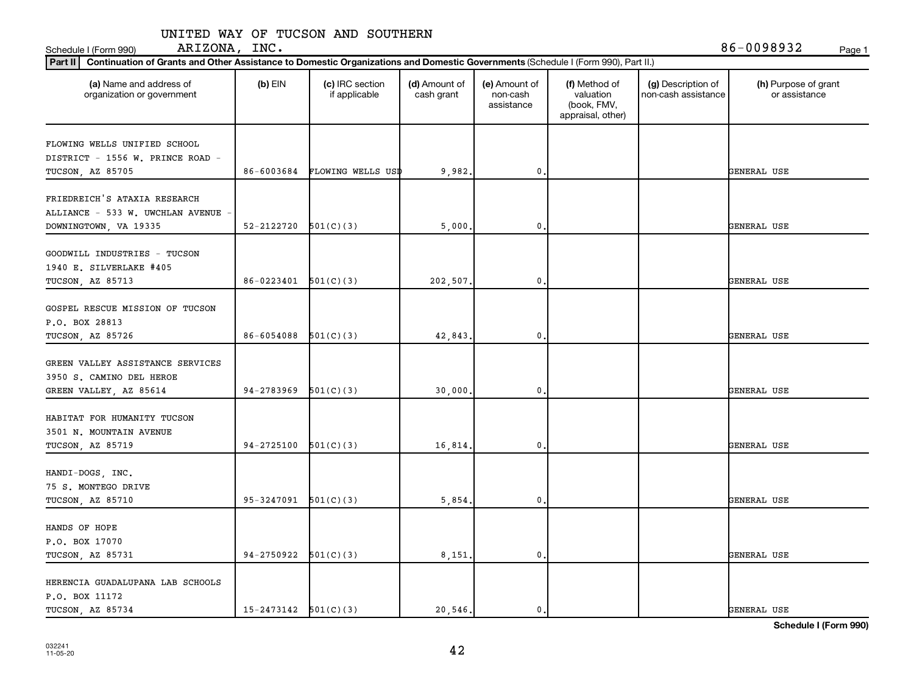| (a) Name and address of<br>organization or government                                     | $(b)$ EIN                  | (c) IRC section<br>if applicable | (d) Amount of<br>cash grant | (e) Amount of<br>non-cash<br>assistance | (f) Method of<br>valuation<br>(book, FMV,<br>appraisal, other) | (g) Description of<br>non-cash assistance | (h) Purpose of grant<br>or assistance |
|-------------------------------------------------------------------------------------------|----------------------------|----------------------------------|-----------------------------|-----------------------------------------|----------------------------------------------------------------|-------------------------------------------|---------------------------------------|
| FLOWING WELLS UNIFIED SCHOOL<br>DISTRICT - 1556 W. PRINCE ROAD -                          |                            |                                  |                             |                                         |                                                                |                                           |                                       |
| TUCSON, AZ 85705                                                                          | 86-6003684                 | FLOWING WELLS USD                | 9,982                       | $\mathbf{0}$                            |                                                                |                                           | GENERAL USE                           |
| FRIEDREICH'S ATAXIA RESEARCH<br>ALLIANCE - 533 W. UWCHLAN AVENUE<br>DOWNINGTOWN, VA 19335 | 52-2122720                 | 501(C)(3)                        | 5,000                       | 0                                       |                                                                |                                           | GENERAL USE                           |
| GOODWILL INDUSTRIES - TUCSON<br>1940 E. SILVERLAKE #405<br>TUCSON, AZ 85713               | $86 - 0223401$ $501(C)(3)$ |                                  | 202,507.                    | $\mathbf 0$                             |                                                                |                                           | GENERAL USE                           |
| GOSPEL RESCUE MISSION OF TUCSON<br>P.O. BOX 28813<br>TUCSON, AZ 85726                     | 86-6054088                 | 501(C)(3)                        | 42,843                      | $\mathbf 0$                             |                                                                |                                           | GENERAL USE                           |
| GREEN VALLEY ASSISTANCE SERVICES<br>3950 S. CAMINO DEL HEROE<br>GREEN VALLEY, AZ 85614    | 94-2783969                 | 501(C)(3)                        | 30,000                      | $\mathbf{0}$                            |                                                                |                                           | GENERAL USE                           |
| HABITAT FOR HUMANITY TUCSON<br>3501 N. MOUNTAIN AVENUE<br>TUCSON, AZ 85719                | 94-2725100                 | 501(C)(3)                        | 16,814                      | $\mathbf{0}$                            |                                                                |                                           | GENERAL USE                           |
| HANDI-DOGS, INC.<br>75 S. MONTEGO DRIVE<br>TUCSON, AZ 85710                               | $95-3247091$ $501(C)(3)$   |                                  | 5,854                       | $\mathbf{0}$                            |                                                                |                                           | GENERAL USE                           |
| HANDS OF HOPE<br>P.O. BOX 17070<br>TUCSON, AZ 85731                                       | 94-2750922                 | 501(C)(3)                        | 8,151,                      | $\mathbf 0$                             |                                                                |                                           | GENERAL USE                           |
| HERENCIA GUADALUPANA LAB SCHOOLS<br>P.O. BOX 11172<br>TUCSON, AZ 85734                    | $15-2473142$ $501(C)(3)$   |                                  | 20.546.                     | $\mathbf{0}$ .                          |                                                                |                                           | GENERAL USE                           |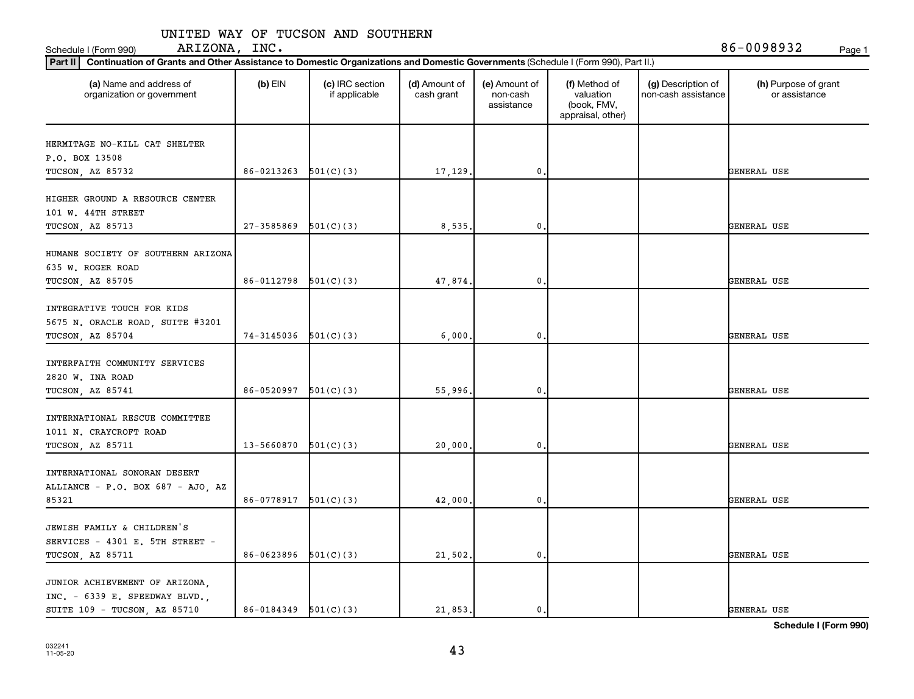| (a) Name and address of<br>organization or government                                              | $(b)$ EIN                | (c) IRC section<br>if applicable | (d) Amount of<br>cash grant | (e) Amount of<br>non-cash<br>assistance | (f) Method of<br>valuation<br>(book, FMV,<br>appraisal, other) | (g) Description of<br>non-cash assistance | (h) Purpose of grant<br>or assistance |
|----------------------------------------------------------------------------------------------------|--------------------------|----------------------------------|-----------------------------|-----------------------------------------|----------------------------------------------------------------|-------------------------------------------|---------------------------------------|
| HERMITAGE NO-KILL CAT SHELTER                                                                      |                          |                                  |                             |                                         |                                                                |                                           |                                       |
| P.O. BOX 13508                                                                                     |                          |                                  |                             |                                         |                                                                |                                           |                                       |
| TUCSON, AZ 85732                                                                                   | 86-0213263               | 501(C)(3)                        | 17,129.                     | 0                                       |                                                                |                                           | GENERAL USE                           |
| HIGHER GROUND A RESOURCE CENTER<br>101 W. 44TH STREET                                              |                          |                                  |                             |                                         |                                                                |                                           |                                       |
| TUCSON, AZ 85713                                                                                   | 27-3585869               | 501(C)(3)                        | 8,535                       | 0                                       |                                                                |                                           | GENERAL USE                           |
| HUMANE SOCIETY OF SOUTHERN ARIZONA<br>635 W. ROGER ROAD                                            |                          |                                  |                             |                                         |                                                                |                                           |                                       |
| TUCSON, AZ 85705                                                                                   | 86-0112798               | 501(C)(3)                        | 47,874                      | 0                                       |                                                                |                                           | GENERAL USE                           |
| INTEGRATIVE TOUCH FOR KIDS<br>5675 N. ORACLE ROAD, SUITE #3201                                     |                          |                                  |                             |                                         |                                                                |                                           |                                       |
| TUCSON, AZ 85704                                                                                   | $74-3145036$ $501(C)(3)$ |                                  | 6,000                       | $\mathbf 0$ .                           |                                                                |                                           | GENERAL USE                           |
| INTERFAITH COMMUNITY SERVICES<br>2820 W. INA ROAD                                                  |                          |                                  |                             |                                         |                                                                |                                           |                                       |
| TUCSON, AZ 85741                                                                                   | 86-0520997               | 501(C)(3)                        | 55,996.                     | 0                                       |                                                                |                                           | GENERAL USE                           |
| INTERNATIONAL RESCUE COMMITTEE<br>1011 N. CRAYCROFT ROAD<br>TUCSON, AZ 85711                       | 13-5660870               | 501(C)(3)                        | 20,000                      | 0                                       |                                                                |                                           | GENERAL USE                           |
| INTERNATIONAL SONORAN DESERT<br>ALLIANCE - P.O. BOX 687 - AJO, AZ                                  |                          |                                  |                             |                                         |                                                                |                                           |                                       |
| 85321                                                                                              | 86-0778917               | 501(C)(3)                        | 42,000                      | 0                                       |                                                                |                                           | GENERAL USE                           |
| JEWISH FAMILY & CHILDREN'S<br>SERVICES - 4301 E. 5TH STREET -<br><b>TUCSON, AZ 85711</b>           | 86-0623896               | 501(C)(3)                        | 21,502.                     | $\mathbf{0}$                            |                                                                |                                           | GENERAL USE                           |
|                                                                                                    |                          |                                  |                             |                                         |                                                                |                                           |                                       |
| JUNIOR ACHIEVEMENT OF ARIZONA,<br>INC. - $6339$ E. SPEEDWAY BLVD.,<br>SUITE 109 - TUCSON, AZ 85710 | $86-0184349$ $501(C)(3)$ |                                  | 21.853.                     | $\mathbf 0$ .                           |                                                                |                                           | <b>GENERAL USE</b>                    |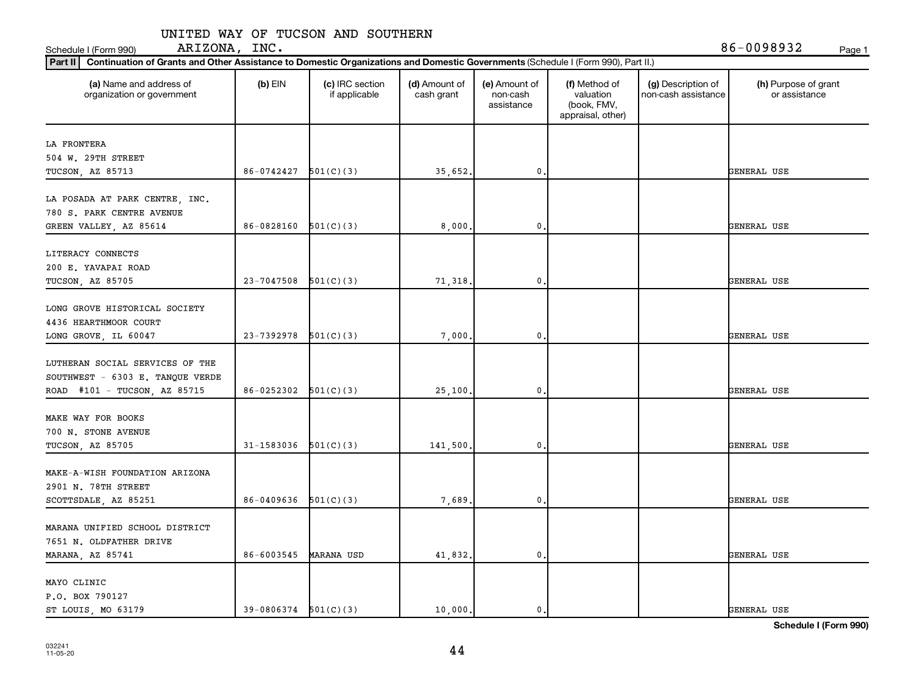| (a) Name and address of<br>organization or government               | $(b)$ EIN                | (c) IRC section<br>if applicable | (d) Amount of<br>cash grant | (e) Amount of<br>non-cash<br>assistance | (f) Method of<br>valuation<br>(book, FMV,<br>appraisal, other) | (g) Description of<br>non-cash assistance | (h) Purpose of grant<br>or assistance |
|---------------------------------------------------------------------|--------------------------|----------------------------------|-----------------------------|-----------------------------------------|----------------------------------------------------------------|-------------------------------------------|---------------------------------------|
| LA FRONTERA                                                         |                          |                                  |                             |                                         |                                                                |                                           |                                       |
| 504 W. 29TH STREET                                                  |                          |                                  |                             |                                         |                                                                |                                           |                                       |
| TUCSON, AZ 85713                                                    | 86-0742427               | 501(C)(3)                        | 35,652.                     | 0.                                      |                                                                |                                           | GENERAL USE                           |
| LA POSADA AT PARK CENTRE, INC.<br>780 S. PARK CENTRE AVENUE         |                          |                                  |                             |                                         |                                                                |                                           |                                       |
| GREEN VALLEY, AZ 85614                                              | 86-0828160               | 501(C)(3)                        | 8,000.                      | $\mathbf 0$ .                           |                                                                |                                           | GENERAL USE                           |
| LITERACY CONNECTS<br>200 E. YAVAPAI ROAD<br>TUCSON, AZ 85705        | 23-7047508               | 501(C)(3)                        | 71,318.                     | 0.                                      |                                                                |                                           | GENERAL USE                           |
|                                                                     |                          |                                  |                             |                                         |                                                                |                                           |                                       |
| LONG GROVE HISTORICAL SOCIETY                                       |                          |                                  |                             |                                         |                                                                |                                           |                                       |
| 4436 HEARTHMOOR COURT                                               |                          |                                  |                             |                                         |                                                                |                                           |                                       |
| LONG GROVE, IL 60047                                                | 23-7392978               | 501(C)(3)                        | 7,000                       | $\mathbf 0$ .                           |                                                                |                                           | GENERAL USE                           |
| LUTHERAN SOCIAL SERVICES OF THE<br>SOUTHWEST - 6303 E. TANQUE VERDE |                          |                                  |                             |                                         |                                                                |                                           |                                       |
| ROAD #101 - TUCSON, AZ 85715                                        | 86-0252302               | 501(C)(3)                        | 25,100.                     | 0.                                      |                                                                |                                           | GENERAL USE                           |
| MAKE WAY FOR BOOKS<br>700 N. STONE AVENUE                           |                          |                                  |                             |                                         |                                                                |                                           |                                       |
| TUCSON, AZ 85705                                                    | 31-1583036               | 501(C)(3)                        | 141,500.                    | $\mathbf 0$ .                           |                                                                |                                           | GENERAL USE                           |
| MAKE-A-WISH FOUNDATION ARIZONA<br>2901 N. 78TH STREET               |                          |                                  |                             |                                         |                                                                |                                           |                                       |
| SCOTTSDALE, AZ 85251                                                | 86-0409636               | 501(C)(3)                        | 7,689.                      | 0.                                      |                                                                |                                           | GENERAL USE                           |
| MARANA UNIFIED SCHOOL DISTRICT                                      |                          |                                  |                             |                                         |                                                                |                                           |                                       |
| 7651 N. OLDFATHER DRIVE<br>MARANA, AZ 85741                         | 86-6003545               | <b>MARANA USD</b>                | 41,832.                     | 0.                                      |                                                                |                                           | GENERAL USE                           |
| MAYO CLINIC<br>P.O. BOX 790127                                      |                          |                                  |                             |                                         |                                                                |                                           |                                       |
| ST LOUIS, MO 63179                                                  | $39-0806374$ $501(C)(3)$ |                                  | 10,000.                     | $\mathbf{0}$ .                          |                                                                |                                           | <b>GENERAL USE</b>                    |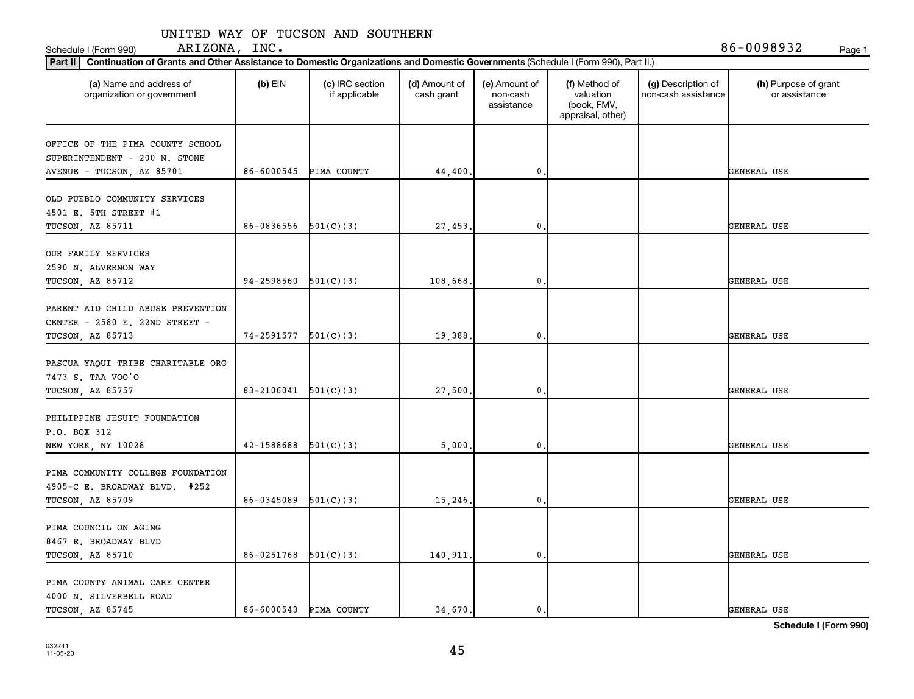Schedule I (Form 990) ARIZONA, INC . 86-0098932 <sub>Page 1</sub>

| (a) Name and address of<br>organization or government                                          | $(b)$ EIN                | (c) IRC section<br>if applicable | (d) Amount of<br>cash grant | (e) Amount of<br>non-cash<br>assistance | (f) Method of<br>valuation<br>(book, FMV,<br>appraisal, other) | (g) Description of<br>non-cash assistance | (h) Purpose of grant<br>or assistance |
|------------------------------------------------------------------------------------------------|--------------------------|----------------------------------|-----------------------------|-----------------------------------------|----------------------------------------------------------------|-------------------------------------------|---------------------------------------|
| OFFICE OF THE PIMA COUNTY SCHOOL<br>SUPERINTENDENT - 200 N. STONE                              |                          |                                  |                             |                                         |                                                                |                                           |                                       |
| AVENUE - TUCSON, AZ 85701                                                                      | 86-6000545               | PIMA COUNTY                      | 44,400.                     | $\mathbf{0}$                            |                                                                |                                           | GENERAL USE                           |
| OLD PUEBLO COMMUNITY SERVICES<br>4501 E. 5TH STREET #1<br><b>TUCSON, AZ 85711</b>              | 86-0836556               | 501(C)(3)                        | 27, 453.                    | $\mathbf{0}$                            |                                                                |                                           | GENERAL USE                           |
| OUR FAMILY SERVICES<br>2590 N. ALVERNON WAY                                                    |                          |                                  |                             |                                         |                                                                |                                           |                                       |
| TUCSON, AZ 85712<br>PARENT AID CHILD ABUSE PREVENTION<br>CENTER - 2580 E. 22ND STREET -        | 94-2598560<br>74-2591577 | 501(C)(3)                        | 108,668.                    | $\mathfrak o$ .<br>0.                   |                                                                |                                           | GENERAL USE<br>GENERAL USE            |
| TUCSON, AZ 85713<br>PASCUA YAQUI TRIBE CHARITABLE ORG<br>7473 S. TAA VOO'O<br>TUCSON, AZ 85757 | 83-2106041               | 501(C)(3)<br>501(C)(3)           | 19,388.<br>27,500.          | $\mathbf{0}$                            |                                                                |                                           | GENERAL USE                           |
| PHILIPPINE JESUIT FOUNDATION<br>P.O. BOX 312<br>NEW YORK, NY 10028                             | 42-1588688               | 501(C)(3)                        | 5,000,                      | $\mathbf 0$ .                           |                                                                |                                           | GENERAL USE                           |
| PIMA COMMUNITY COLLEGE FOUNDATION<br>4905-C E. BROADWAY BLVD. #252<br>TUCSON, AZ 85709         | 86-0345089               | 501(C)(3)                        | 15,246.                     | $\mathbf 0$                             |                                                                |                                           | GENERAL USE                           |
| PIMA COUNCIL ON AGING<br>8467 E. BROADWAY BLVD<br>TUCSON, AZ 85710                             | 86-0251768               | 501(C)(3)                        | 140,911.                    | $\mathbf{0}$                            |                                                                |                                           | GENERAL USE                           |
| PIMA COUNTY ANIMAL CARE CENTER<br>4000 N. SILVERBELL ROAD<br>TUCSON, AZ 85745                  |                          | 86-6000543 PIMA COUNTY           | 34,670.                     | $\mathbf{0}$ .                          |                                                                |                                           | <b>GENERAL USE</b>                    |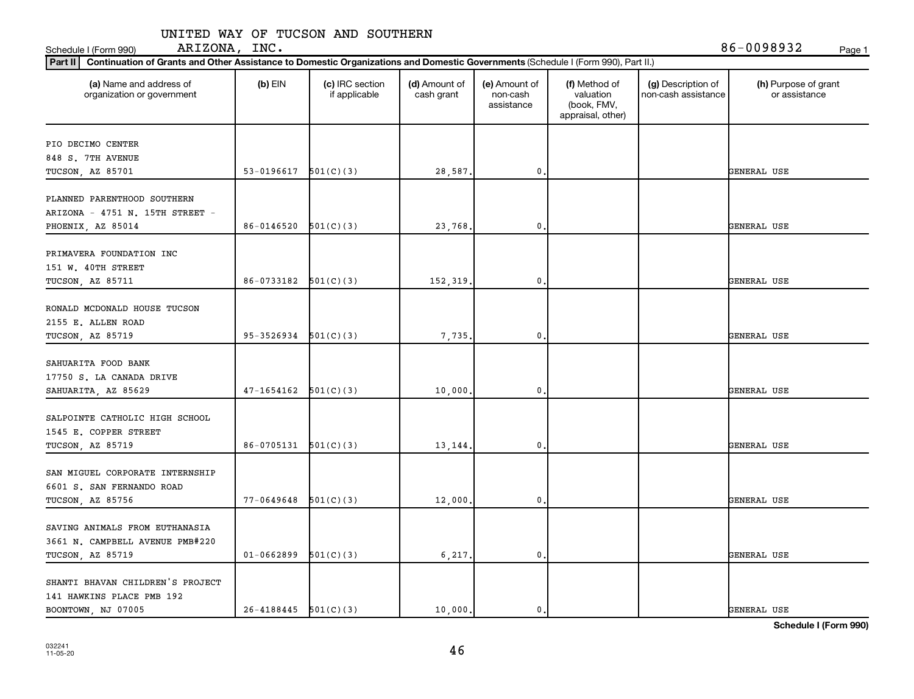| (a) Name and address of<br>organization or government | $(b)$ EIN                | (c) IRC section<br>if applicable | (d) Amount of<br>cash grant | (e) Amount of<br>non-cash<br>assistance | (f) Method of<br>valuation<br>(book, FMV,<br>appraisal, other) | (g) Description of<br>non-cash assistance | (h) Purpose of grant<br>or assistance |
|-------------------------------------------------------|--------------------------|----------------------------------|-----------------------------|-----------------------------------------|----------------------------------------------------------------|-------------------------------------------|---------------------------------------|
| PIO DECIMO CENTER                                     |                          |                                  |                             |                                         |                                                                |                                           |                                       |
| 848 S. 7TH AVENUE                                     |                          |                                  |                             |                                         |                                                                |                                           |                                       |
| TUCSON, AZ 85701                                      | 53-0196617               | 501(C)(3)                        | 28,587.                     | 0                                       |                                                                |                                           | GENERAL USE                           |
| PLANNED PARENTHOOD SOUTHERN                           |                          |                                  |                             |                                         |                                                                |                                           |                                       |
| ARIZONA - 4751 N. 15TH STREET -                       |                          |                                  |                             |                                         |                                                                |                                           |                                       |
| PHOENIX, AZ 85014                                     | 86-0146520               | 501(C)(3)                        | 23,768.                     | 0                                       |                                                                |                                           | GENERAL USE                           |
|                                                       |                          |                                  |                             |                                         |                                                                |                                           |                                       |
| PRIMAVERA FOUNDATION INC<br>151 W. 40TH STREET        |                          |                                  |                             |                                         |                                                                |                                           |                                       |
| TUCSON, AZ 85711                                      | 86-0733182               | 501(C)(3)                        | 152,319                     | 0                                       |                                                                |                                           | GENERAL USE                           |
|                                                       |                          |                                  |                             |                                         |                                                                |                                           |                                       |
| RONALD MCDONALD HOUSE TUCSON                          |                          |                                  |                             |                                         |                                                                |                                           |                                       |
| 2155 E. ALLEN ROAD                                    |                          |                                  |                             |                                         |                                                                |                                           |                                       |
| TUCSON, AZ 85719                                      | 95-3526934               | 501(C)(3)                        | 7,735                       | $\mathbf 0$                             |                                                                |                                           | GENERAL USE                           |
|                                                       |                          |                                  |                             |                                         |                                                                |                                           |                                       |
| SAHUARITA FOOD BANK                                   |                          |                                  |                             |                                         |                                                                |                                           |                                       |
| 17750 S. LA CANADA DRIVE                              |                          |                                  |                             |                                         |                                                                |                                           |                                       |
| SAHUARITA, AZ 85629                                   | $47 - 1654162$           | 501(C)(3)                        | 10,000                      | 0                                       |                                                                |                                           | GENERAL USE                           |
| SALPOINTE CATHOLIC HIGH SCHOOL                        |                          |                                  |                             |                                         |                                                                |                                           |                                       |
| 1545 E. COPPER STREET                                 |                          |                                  |                             |                                         |                                                                |                                           |                                       |
| TUCSON, AZ 85719                                      | 86-0705131               | 501(C)(3)                        | 13,144                      | 0                                       |                                                                |                                           | GENERAL USE                           |
|                                                       |                          |                                  |                             |                                         |                                                                |                                           |                                       |
| SAN MIGUEL CORPORATE INTERNSHIP                       |                          |                                  |                             |                                         |                                                                |                                           |                                       |
| 6601 S. SAN FERNANDO ROAD                             |                          |                                  |                             |                                         |                                                                |                                           |                                       |
| TUCSON, AZ 85756                                      | 77-0649648               | 501(C)(3)                        | 12,000                      | $\mathbf 0$                             |                                                                |                                           | GENERAL USE                           |
| SAVING ANIMALS FROM EUTHANASIA                        |                          |                                  |                             |                                         |                                                                |                                           |                                       |
| 3661 N. CAMPBELL AVENUE PMB#220                       |                          |                                  |                             |                                         |                                                                |                                           |                                       |
| TUCSON, AZ 85719                                      | $01 - 0662899$           | 501(C)(3)                        | 6,217.                      | $\mathbf 0$                             |                                                                |                                           | GENERAL USE                           |
|                                                       |                          |                                  |                             |                                         |                                                                |                                           |                                       |
| SHANTI BHAVAN CHILDREN'S PROJECT                      |                          |                                  |                             |                                         |                                                                |                                           |                                       |
| 141 HAWKINS PLACE PMB 192                             |                          |                                  |                             |                                         |                                                                |                                           |                                       |
| BOONTOWN, NJ 07005                                    | $26-4188445$ $501(C)(3)$ |                                  | 10,000,                     | 0.                                      |                                                                |                                           | <b>GENERAL USE</b>                    |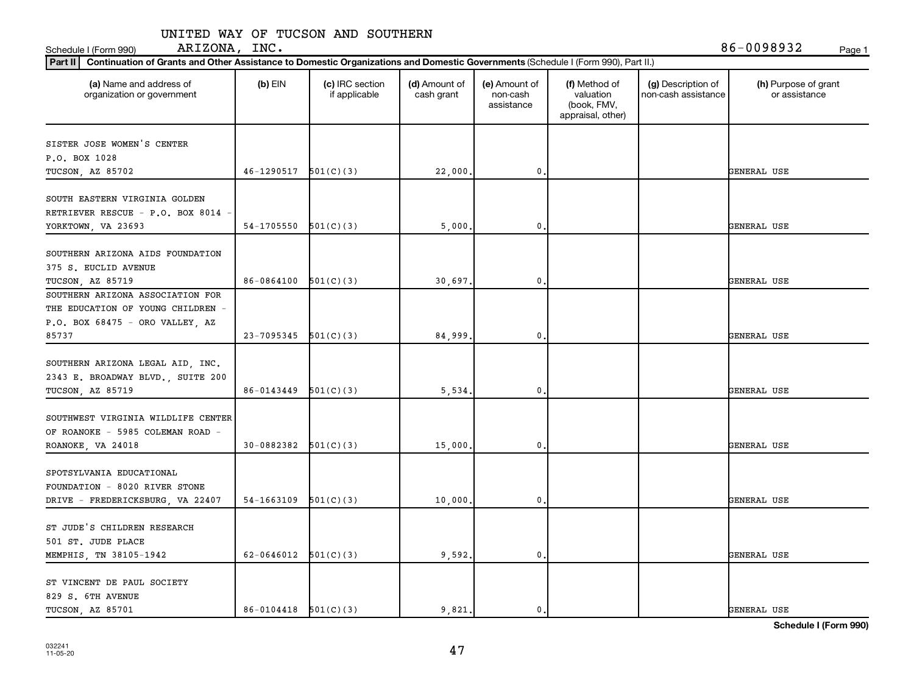| (a) Name and address of<br>organization or government                                                      | $(b)$ EIN                | (c) IRC section<br>if applicable | (d) Amount of<br>cash grant | (e) Amount of<br>non-cash<br>assistance | (f) Method of<br>valuation<br>(book, FMV,<br>appraisal, other) | (g) Description of<br>non-cash assistance | (h) Purpose of grant<br>or assistance |
|------------------------------------------------------------------------------------------------------------|--------------------------|----------------------------------|-----------------------------|-----------------------------------------|----------------------------------------------------------------|-------------------------------------------|---------------------------------------|
| SISTER JOSE WOMEN'S CENTER                                                                                 |                          |                                  |                             |                                         |                                                                |                                           |                                       |
| P.O. BOX 1028                                                                                              |                          |                                  |                             |                                         |                                                                |                                           |                                       |
| TUCSON, AZ 85702                                                                                           | 46-1290517               | 501(C)(3)                        | 22,000                      | $\mathbf{0}$                            |                                                                |                                           | GENERAL USE                           |
| SOUTH EASTERN VIRGINIA GOLDEN<br>RETRIEVER RESCUE - P.O. BOX 8014 -<br>YORKTOWN, VA 23693                  | 54-1705550               | 501(C)(3)                        | 5,000                       | $\mathbf{0}$                            |                                                                |                                           | GENERAL USE                           |
|                                                                                                            |                          |                                  |                             |                                         |                                                                |                                           |                                       |
| SOUTHERN ARIZONA AIDS FOUNDATION<br>375 S. EUCLID AVENUE<br>TUCSON, AZ 85719                               | 86-0864100               | 501(C)(3)                        | 30,697                      | $\pmb{0}$                               |                                                                |                                           | GENERAL USE                           |
| SOUTHERN ARIZONA ASSOCIATION FOR<br>THE EDUCATION OF YOUNG CHILDREN -<br>$P.O.$ BOX 68475 - ORO VALLEY, AZ |                          |                                  |                             |                                         |                                                                |                                           |                                       |
| 85737                                                                                                      | $23-7095345$ $501(C)(3)$ |                                  | 84,999                      | $\pmb{0}$                               |                                                                |                                           | GENERAL USE                           |
| SOUTHERN ARIZONA LEGAL AID, INC.<br>2343 E. BROADWAY BLVD., SUITE 200<br>TUCSON, AZ 85719                  | 86-0143449               | 501(C)(3)                        | 5,534.                      | $\mathbf 0$                             |                                                                |                                           | GENERAL USE                           |
| SOUTHWEST VIRGINIA WILDLIFE CENTER<br>OF ROANOKE - 5985 COLEMAN ROAD -<br>ROANOKE, VA 24018                | 30-0882382               | 501(C)(3)                        | 15,000                      | $\mathbf{0}$                            |                                                                |                                           | GENERAL USE                           |
| SPOTSYLVANIA EDUCATIONAL                                                                                   |                          |                                  |                             |                                         |                                                                |                                           |                                       |
| FOUNDATION - 8020 RIVER STONE<br>DRIVE - FREDERICKSBURG, VA 22407                                          | 54-1663109               | 501(C)(3)                        | 10,000                      | $\mathbf 0$                             |                                                                |                                           | GENERAL USE                           |
| ST JUDE'S CHILDREN RESEARCH<br>501 ST. JUDE PLACE<br>MEMPHIS, TN 38105-1942                                | 62-0646012 $501(C)(3)$   |                                  | 9,592.                      | $\mathbf{0}$ .                          |                                                                |                                           | GENERAL USE                           |
| ST VINCENT DE PAUL SOCIETY                                                                                 |                          |                                  |                             |                                         |                                                                |                                           |                                       |
| 829 S. 6TH AVENUE<br>TUCSON, AZ 85701                                                                      | $86-0104418$ $501(C)(3)$ |                                  | 9.821.                      | 0.                                      |                                                                |                                           | <b>GENERAL USE</b>                    |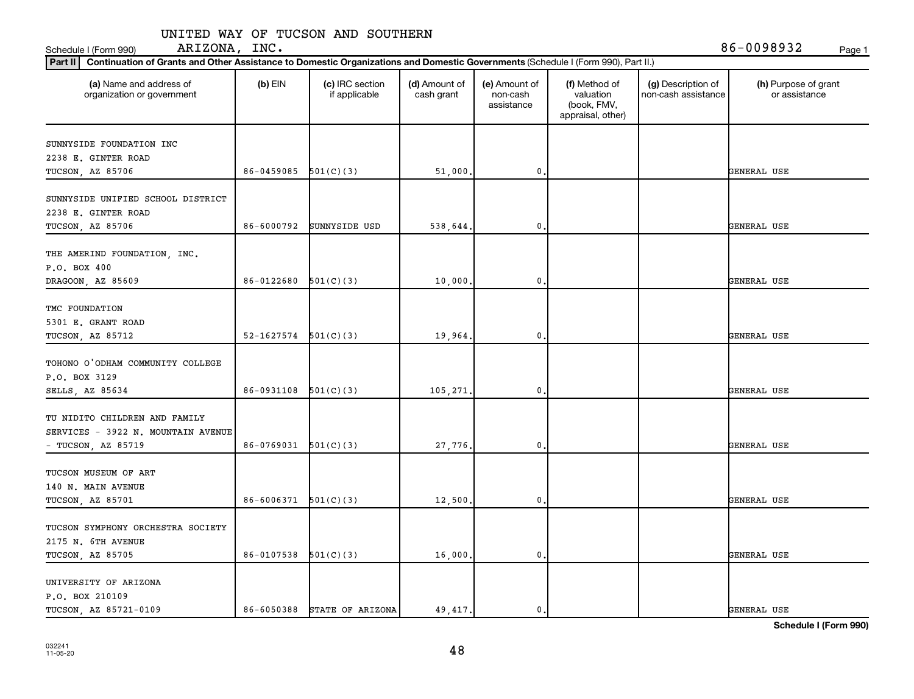| (a) Name and address of<br>organization or government                                     | $(b)$ EIN  | (c) IRC section<br>if applicable | (d) Amount of<br>cash grant | (e) Amount of<br>non-cash<br>assistance | (f) Method of<br>valuation<br>(book, FMV,<br>appraisal, other) | (g) Description of<br>non-cash assistance | (h) Purpose of grant<br>or assistance |
|-------------------------------------------------------------------------------------------|------------|----------------------------------|-----------------------------|-----------------------------------------|----------------------------------------------------------------|-------------------------------------------|---------------------------------------|
| SUNNYSIDE FOUNDATION INC                                                                  |            |                                  |                             |                                         |                                                                |                                           |                                       |
| 2238 E. GINTER ROAD                                                                       |            |                                  |                             |                                         |                                                                |                                           |                                       |
| TUCSON, AZ 85706                                                                          | 86-0459085 | 501(C)(3)                        | 51,000                      | 0                                       |                                                                |                                           | GENERAL USE                           |
| SUNNYSIDE UNIFIED SCHOOL DISTRICT<br>2238 E. GINTER ROAD                                  |            |                                  |                             |                                         |                                                                |                                           |                                       |
| TUCSON, AZ 85706                                                                          | 86-6000792 | SUNNYSIDE USD                    | 538,644.                    | 0                                       |                                                                |                                           | GENERAL USE                           |
| THE AMERIND FOUNDATION, INC.<br>P.O. BOX 400                                              |            |                                  |                             |                                         |                                                                |                                           |                                       |
| DRAGOON, AZ 85609                                                                         | 86-0122680 | 501(C)(3)                        | 10,000                      | 0                                       |                                                                |                                           | GENERAL USE                           |
| TMC FOUNDATION<br>5301 E. GRANT ROAD<br>TUCSON, AZ 85712                                  | 52-1627574 | 501(C)(3)                        | 19,964.                     | $\mathbf 0$                             |                                                                |                                           | GENERAL USE                           |
| TOHONO O'ODHAM COMMUNITY COLLEGE<br>P.O. BOX 3129                                         |            |                                  |                             |                                         |                                                                |                                           |                                       |
| SELLS, AZ 85634                                                                           | 86-0931108 | 501(C)(3)                        | 105,271.                    | 0                                       |                                                                |                                           | GENERAL USE                           |
| TU NIDITO CHILDREN AND FAMILY<br>SERVICES - 3922 N. MOUNTAIN AVENUE<br>- TUCSON, AZ 85719 | 86-0769031 | 501(C)(3)                        | 27,776                      | 0                                       |                                                                |                                           | GENERAL USE                           |
| TUCSON MUSEUM OF ART<br>140 N. MAIN AVENUE                                                |            |                                  |                             |                                         |                                                                |                                           |                                       |
| TUCSON, AZ 85701                                                                          | 86-6006371 | 501(C)(3)                        | 12,500                      | $\mathbf 0$                             |                                                                |                                           | GENERAL USE                           |
| TUCSON SYMPHONY ORCHESTRA SOCIETY<br>2175 N. 6TH AVENUE<br>TUCSON, AZ 85705               | 86-0107538 | 501(C)(3)                        | 16,000,                     | $\mathbf 0$                             |                                                                |                                           | GENERAL USE                           |
| UNIVERSITY OF ARIZONA<br>P.O. BOX 210109                                                  |            |                                  |                             |                                         |                                                                |                                           |                                       |
| TUCSON, AZ 85721-0109                                                                     | 86-6050388 | STATE OF ARIZONA                 | 49, 417.                    | 0.                                      |                                                                |                                           | <b>GENERAL USE</b>                    |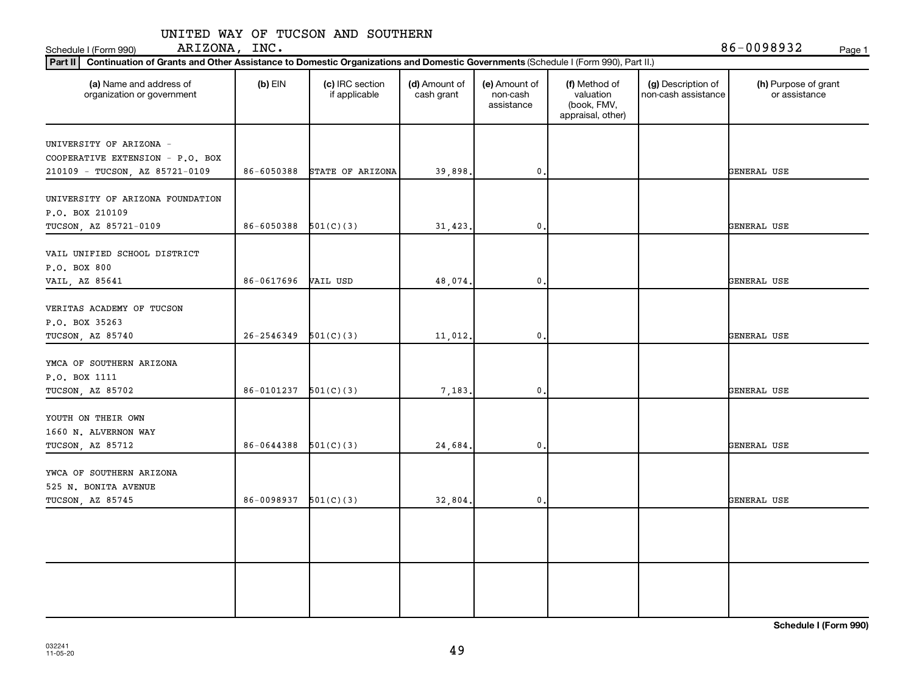| (a) Name and address of<br>organization or government              | $(b)$ EIN                | (c) IRC section<br>if applicable | (d) Amount of<br>cash grant | (e) Amount of<br>non-cash<br>assistance | (f) Method of<br>valuation<br>(book, FMV,<br>appraisal, other) | (g) Description of<br>non-cash assistance | (h) Purpose of grant<br>or assistance |
|--------------------------------------------------------------------|--------------------------|----------------------------------|-----------------------------|-----------------------------------------|----------------------------------------------------------------|-------------------------------------------|---------------------------------------|
| UNIVERSITY OF ARIZONA -                                            |                          |                                  |                             |                                         |                                                                |                                           |                                       |
| COOPERATIVE EXTENSION - P.O. BOX<br>210109 - TUCSON, AZ 85721-0109 | 86-6050388               | STATE OF ARIZONA                 | 39,898.                     | $\mathbf{0}$                            |                                                                |                                           | GENERAL USE                           |
| UNIVERSITY OF ARIZONA FOUNDATION<br>P.O. BOX 210109                |                          |                                  |                             |                                         |                                                                |                                           |                                       |
| TUCSON, AZ 85721-0109                                              | 86-6050388               | 501(C)(3)                        | 31, 423.                    | 0                                       |                                                                |                                           | GENERAL USE                           |
| VAIL UNIFIED SCHOOL DISTRICT<br>P.O. BOX 800                       | 86-0617696               |                                  |                             |                                         |                                                                |                                           |                                       |
| VAIL, AZ 85641                                                     |                          | VAIL USD                         | 48,074                      | $\mathbf{0}$                            |                                                                |                                           | GENERAL USE                           |
| VERITAS ACADEMY OF TUCSON<br>P.O. BOX 35263                        | 26-2546349               | 501(C)(3)                        |                             | $\mathbf{0}$                            |                                                                |                                           | GENERAL USE                           |
| TUCSON, AZ 85740                                                   |                          |                                  | 11,012.                     |                                         |                                                                |                                           |                                       |
| YMCA OF SOUTHERN ARIZONA<br>P.O. BOX 1111                          |                          |                                  |                             |                                         |                                                                |                                           |                                       |
| TUCSON, AZ 85702                                                   | 86-0101237               | 501(C)(3)                        | 7,183.                      | $\mathbf{0}$                            |                                                                |                                           | GENERAL USE                           |
| YOUTH ON THEIR OWN<br>1660 N. ALVERNON WAY<br>TUCSON, AZ 85712     | 86-0644388               | 501(C)(3)                        | 24,684.                     | $\mathbf{0}$                            |                                                                |                                           | GENERAL USE                           |
| YWCA OF SOUTHERN ARIZONA<br>525 N. BONITA AVENUE                   |                          |                                  |                             |                                         |                                                                |                                           |                                       |
| TUCSON, AZ 85745                                                   | $86-0098937$ $501(C)(3)$ |                                  | 32,804.                     | $\mathbf{0}$                            |                                                                |                                           | GENERAL USE                           |
|                                                                    |                          |                                  |                             |                                         |                                                                |                                           |                                       |
|                                                                    |                          |                                  |                             |                                         |                                                                |                                           |                                       |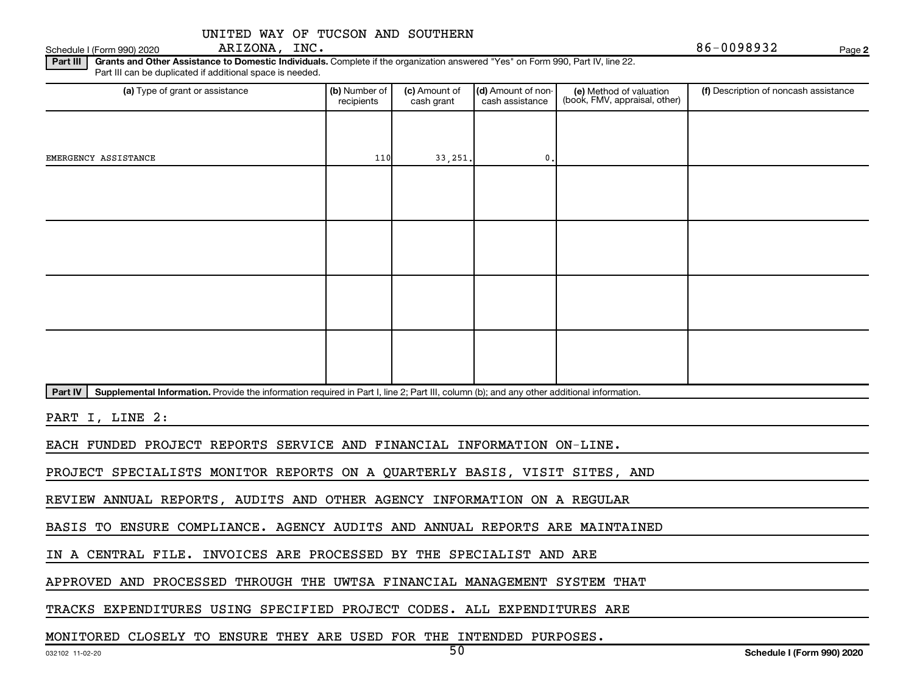Schedule I (Form 990) 2020  $ARIZONA$ ,  $INC.$ ARIZONA, INC.

**2**

Part III | Grants and Other Assistance to Domestic Individuals. Complete if the organization answered "Yes" on Form 990, Part IV, line 22. Part III can be duplicated if additional space is needed.

| (a) Type of grant or assistance                                                                                                                      | (b) Number of<br>recipients | (c) Amount of<br>cash grant | (d) Amount of non-<br>cash assistance | (e) Method of valuation<br>(book, FMV, appraisal, other) | (f) Description of noncash assistance |
|------------------------------------------------------------------------------------------------------------------------------------------------------|-----------------------------|-----------------------------|---------------------------------------|----------------------------------------------------------|---------------------------------------|
|                                                                                                                                                      |                             |                             |                                       |                                                          |                                       |
| EMERGENCY ASSISTANCE                                                                                                                                 | 110                         | 33, 251.                    | 0.                                    |                                                          |                                       |
|                                                                                                                                                      |                             |                             |                                       |                                                          |                                       |
|                                                                                                                                                      |                             |                             |                                       |                                                          |                                       |
|                                                                                                                                                      |                             |                             |                                       |                                                          |                                       |
|                                                                                                                                                      |                             |                             |                                       |                                                          |                                       |
|                                                                                                                                                      |                             |                             |                                       |                                                          |                                       |
|                                                                                                                                                      |                             |                             |                                       |                                                          |                                       |
|                                                                                                                                                      |                             |                             |                                       |                                                          |                                       |
|                                                                                                                                                      |                             |                             |                                       |                                                          |                                       |
| Supplemental Information. Provide the information required in Part I, line 2; Part III, column (b); and any other additional information.<br>Part IV |                             |                             |                                       |                                                          |                                       |
| PART I, LINE 2:                                                                                                                                      |                             |                             |                                       |                                                          |                                       |
| EACH FUNDED PROJECT REPORTS SERVICE AND FINANCIAL INFORMATION ON-LINE.                                                                               |                             |                             |                                       |                                                          |                                       |

PROJECT SPECIALISTS MONITOR REPORTS ON A QUARTERLY BASIS, VISIT SITES, AND

REVIEW ANNUAL REPORTS, AUDITS AND OTHER AGENCY INFORMATION ON A REGULAR

BASIS TO ENSURE COMPLIANCE. AGENCY AUDITS AND ANNUAL REPORTS ARE MAINTAINED

IN A CENTRAL FILE. INVOICES ARE PROCESSED BY THE SPECIALIST AND ARE

APPROVED AND PROCESSED THROUGH THE UWTSA FINANCIAL MANAGEMENT SYSTEM THAT

TRACKS EXPENDITURES USING SPECIFIED PROJECT CODES. ALL EXPENDITURES ARE

MONITORED CLOSELY TO ENSURE THEY ARE USED FOR THE INTENDED PURPOSES.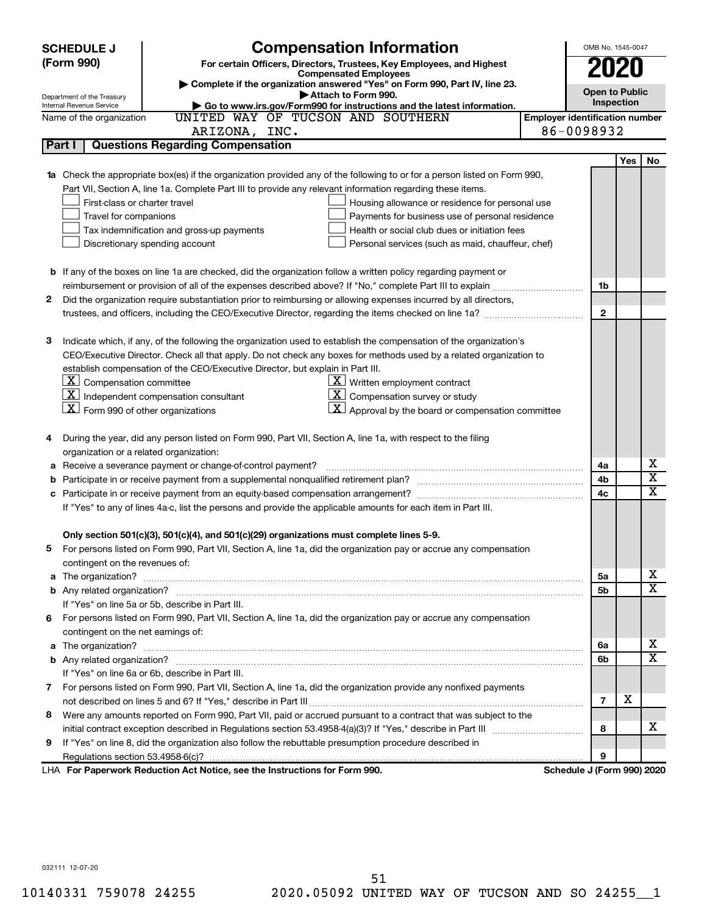|    | <b>Compensation Information</b><br><b>SCHEDULE J</b>                                                                                        |                            | OMB No. 1545-0047                     |     |                         |  |  |
|----|---------------------------------------------------------------------------------------------------------------------------------------------|----------------------------|---------------------------------------|-----|-------------------------|--|--|
|    | (Form 990)<br>For certain Officers, Directors, Trustees, Key Employees, and Highest                                                         |                            | 2020                                  |     |                         |  |  |
|    | <b>Compensated Employees</b>                                                                                                                |                            |                                       |     |                         |  |  |
|    | Complete if the organization answered "Yes" on Form 990, Part IV, line 23.<br>Attach to Form 990.                                           |                            | <b>Open to Public</b>                 |     |                         |  |  |
|    | Department of the Treasury<br>Go to www.irs.gov/Form990 for instructions and the latest information.<br>Internal Revenue Service            |                            | Inspection                            |     |                         |  |  |
|    | UNITED WAY OF TUCSON AND SOUTHERN<br>Name of the organization                                                                               |                            | <b>Employer identification number</b> |     |                         |  |  |
|    | ARIZONA, INC.                                                                                                                               | 86-0098932                 |                                       |     |                         |  |  |
|    | <b>Questions Regarding Compensation</b><br>Part I                                                                                           |                            |                                       |     |                         |  |  |
|    |                                                                                                                                             |                            |                                       | Yes | No                      |  |  |
|    | 1a Check the appropriate box(es) if the organization provided any of the following to or for a person listed on Form 990,                   |                            |                                       |     |                         |  |  |
|    | Part VII, Section A, line 1a. Complete Part III to provide any relevant information regarding these items.                                  |                            |                                       |     |                         |  |  |
|    | First-class or charter travel<br>Housing allowance or residence for personal use                                                            |                            |                                       |     |                         |  |  |
|    | Travel for companions<br>Payments for business use of personal residence                                                                    |                            |                                       |     |                         |  |  |
|    | Health or social club dues or initiation fees<br>Tax indemnification and gross-up payments                                                  |                            |                                       |     |                         |  |  |
|    | Discretionary spending account<br>Personal services (such as maid, chauffeur, chef)                                                         |                            |                                       |     |                         |  |  |
|    |                                                                                                                                             |                            |                                       |     |                         |  |  |
|    | <b>b</b> If any of the boxes on line 1a are checked, did the organization follow a written policy regarding payment or                      |                            |                                       |     |                         |  |  |
|    | reimbursement or provision of all of the expenses described above? If "No," complete Part III to explain                                    |                            | 1b                                    |     |                         |  |  |
| 2  | Did the organization require substantiation prior to reimbursing or allowing expenses incurred by all directors,                            |                            |                                       |     |                         |  |  |
|    |                                                                                                                                             |                            | $\mathbf{2}$                          |     |                         |  |  |
|    |                                                                                                                                             |                            |                                       |     |                         |  |  |
| з  | Indicate which, if any, of the following the organization used to establish the compensation of the organization's                          |                            |                                       |     |                         |  |  |
|    | CEO/Executive Director. Check all that apply. Do not check any boxes for methods used by a related organization to                          |                            |                                       |     |                         |  |  |
|    | establish compensation of the CEO/Executive Director, but explain in Part III.                                                              |                            |                                       |     |                         |  |  |
|    | $ \mathbf{X} $ Compensation committee<br>$\underline{\mathbf{X}}$ Written employment contract                                               |                            |                                       |     |                         |  |  |
|    | $\lfloor x \rfloor$ Independent compensation consultant<br>$\underline{\textbf{X}}$ Compensation survey or study                            |                            |                                       |     |                         |  |  |
|    | $\lfloor \underline{X} \rfloor$ Form 990 of other organizations<br>$\underline{\mathbf{X}}$ Approval by the board or compensation committee |                            |                                       |     |                         |  |  |
|    |                                                                                                                                             |                            |                                       |     |                         |  |  |
| 4  | During the year, did any person listed on Form 990, Part VII, Section A, line 1a, with respect to the filing                                |                            |                                       |     |                         |  |  |
|    | organization or a related organization:                                                                                                     |                            |                                       |     |                         |  |  |
| а  | Receive a severance payment or change-of-control payment?                                                                                   |                            | 4a                                    |     | х                       |  |  |
| b  |                                                                                                                                             |                            | 4b                                    |     | $\overline{\mathbf{X}}$ |  |  |
|    |                                                                                                                                             |                            | 4c                                    |     | $\mathbf x$             |  |  |
|    | If "Yes" to any of lines 4a-c, list the persons and provide the applicable amounts for each item in Part III.                               |                            |                                       |     |                         |  |  |
|    |                                                                                                                                             |                            |                                       |     |                         |  |  |
|    | Only section 501(c)(3), 501(c)(4), and 501(c)(29) organizations must complete lines 5-9.                                                    |                            |                                       |     |                         |  |  |
|    | For persons listed on Form 990, Part VII, Section A, line 1a, did the organization pay or accrue any compensation                           |                            |                                       |     |                         |  |  |
|    | contingent on the revenues of:                                                                                                              |                            |                                       |     |                         |  |  |
| a  |                                                                                                                                             |                            | 5a                                    |     | х                       |  |  |
|    |                                                                                                                                             |                            | 5b                                    |     | X                       |  |  |
|    | If "Yes" on line 5a or 5b, describe in Part III.                                                                                            |                            |                                       |     |                         |  |  |
| 6. | For persons listed on Form 990, Part VII, Section A, line 1a, did the organization pay or accrue any compensation                           |                            |                                       |     |                         |  |  |
|    | contingent on the net earnings of:                                                                                                          |                            |                                       |     |                         |  |  |
| a  |                                                                                                                                             |                            | 6a                                    |     | х                       |  |  |
|    |                                                                                                                                             |                            | 6b                                    |     | $\overline{\mathbf{X}}$ |  |  |
|    | If "Yes" on line 6a or 6b, describe in Part III.                                                                                            |                            |                                       |     |                         |  |  |
|    | 7 For persons listed on Form 990, Part VII, Section A, line 1a, did the organization provide any nonfixed payments                          |                            |                                       |     |                         |  |  |
|    |                                                                                                                                             |                            | $\overline{7}$                        | х   |                         |  |  |
| 8  | Were any amounts reported on Form 990, Part VII, paid or accrued pursuant to a contract that was subject to the                             |                            |                                       |     |                         |  |  |
|    |                                                                                                                                             |                            | 8                                     |     | x.                      |  |  |
| 9  | If "Yes" on line 8, did the organization also follow the rebuttable presumption procedure described in                                      |                            |                                       |     |                         |  |  |
|    |                                                                                                                                             |                            | 9                                     |     |                         |  |  |
|    | LHA For Paperwork Reduction Act Notice, see the Instructions for Form 990.                                                                  | Schedule J (Form 990) 2020 |                                       |     |                         |  |  |

032111 12-07-20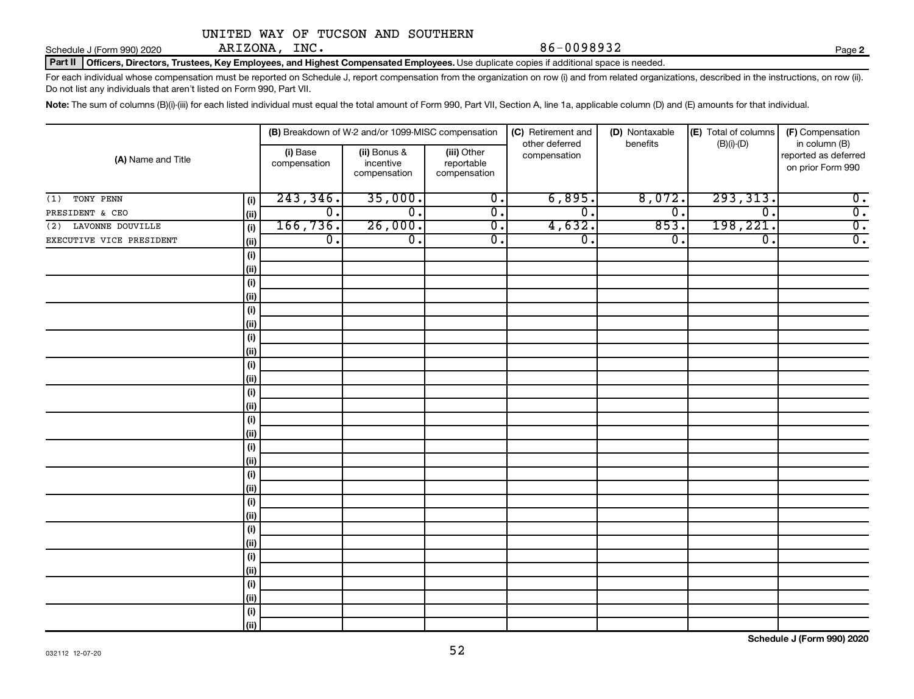Schedule J (Form 990) 2020  $ARIZONA, INC.$   $86-0098932$ ARIZONA, INC.

**2**

Part II | Officers, Directors, Trustees, Key Employees, and Highest Compensated Employees. Use duplicate copies if additional space is needed.

For each individual whose compensation must be reported on Schedule J, report compensation from the organization on row (i) and from related organizations, described in the instructions, on row (ii). Do not list any individuals that aren't listed on Form 990, Part VII.

Note: The sum of columns (B)(i)-(iii) for each listed individual must equal the total amount of Form 990, Part VII, Section A, line 1a, applicable column (D) and (E) amounts for that individual.

|                                  |                             | (B) Breakdown of W-2 and/or 1099-MISC compensation |                                           | (C) Retirement and             | (D) Nontaxable | (E) Total of columns        | (F) Compensation                                           |  |
|----------------------------------|-----------------------------|----------------------------------------------------|-------------------------------------------|--------------------------------|----------------|-----------------------------|------------------------------------------------------------|--|
| (A) Name and Title               | (i) Base<br>compensation    | (ii) Bonus &<br>incentive<br>compensation          | (iii) Other<br>reportable<br>compensation | other deferred<br>compensation | benefits       | $(B)(i)-(D)$                | in column (B)<br>reported as deferred<br>on prior Form 990 |  |
| TONY PENN<br>(i)<br>(1)          | 243, 346.                   | 35,000.                                            | $\overline{0}$ .                          | 6,895.                         | 8,072.         | 293, 313.                   | $\overline{\mathbf{0}}$ .                                  |  |
| (ii)<br>PRESIDENT & CEO          | $\overline{\mathfrak{o}}$ . | $\overline{0}$ .                                   | $\overline{0}$ .                          | $\overline{\mathfrak{o}}$ .    | $\overline{0}$ | $\overline{\mathfrak{o}}$ . | $\overline{0}$ .                                           |  |
| (2) LAVONNE DOUVILLE<br>(i)      | 166, 736.                   | 26,000.                                            | $\overline{0}$ .                          | 4,632.                         | 853            | 198,221.                    | $\overline{0}$ .                                           |  |
| EXECUTIVE VICE PRESIDENT<br>(ii) | $\overline{\mathbf{0}}$ .   | $\overline{\mathfrak{o}}$ .                        | $\overline{0}$ .                          | $\overline{0}$ .               | $\overline{0}$ | $\overline{\mathbf{0}}$ .   | $\overline{0}$ .                                           |  |
| (i)                              |                             |                                                    |                                           |                                |                |                             |                                                            |  |
| (ii)                             |                             |                                                    |                                           |                                |                |                             |                                                            |  |
| (i)                              |                             |                                                    |                                           |                                |                |                             |                                                            |  |
| (ii)                             |                             |                                                    |                                           |                                |                |                             |                                                            |  |
| (i)                              |                             |                                                    |                                           |                                |                |                             |                                                            |  |
| (ii)                             |                             |                                                    |                                           |                                |                |                             |                                                            |  |
| (i)                              |                             |                                                    |                                           |                                |                |                             |                                                            |  |
| (ii)                             |                             |                                                    |                                           |                                |                |                             |                                                            |  |
| (i)                              |                             |                                                    |                                           |                                |                |                             |                                                            |  |
| (ii)                             |                             |                                                    |                                           |                                |                |                             |                                                            |  |
| (i)                              |                             |                                                    |                                           |                                |                |                             |                                                            |  |
| (ii)                             |                             |                                                    |                                           |                                |                |                             |                                                            |  |
| (i)                              |                             |                                                    |                                           |                                |                |                             |                                                            |  |
| (ii)                             |                             |                                                    |                                           |                                |                |                             |                                                            |  |
| (i)                              |                             |                                                    |                                           |                                |                |                             |                                                            |  |
| (ii)                             |                             |                                                    |                                           |                                |                |                             |                                                            |  |
| (i)                              |                             |                                                    |                                           |                                |                |                             |                                                            |  |
| (ii)                             |                             |                                                    |                                           |                                |                |                             |                                                            |  |
| (i)<br>(ii)                      |                             |                                                    |                                           |                                |                |                             |                                                            |  |
| (i)                              |                             |                                                    |                                           |                                |                |                             |                                                            |  |
| (ii)                             |                             |                                                    |                                           |                                |                |                             |                                                            |  |
| (i)                              |                             |                                                    |                                           |                                |                |                             |                                                            |  |
| (ii)                             |                             |                                                    |                                           |                                |                |                             |                                                            |  |
| (i)                              |                             |                                                    |                                           |                                |                |                             |                                                            |  |
| (ii)                             |                             |                                                    |                                           |                                |                |                             |                                                            |  |
| (i)                              |                             |                                                    |                                           |                                |                |                             |                                                            |  |
| (iii)                            |                             |                                                    |                                           |                                |                |                             |                                                            |  |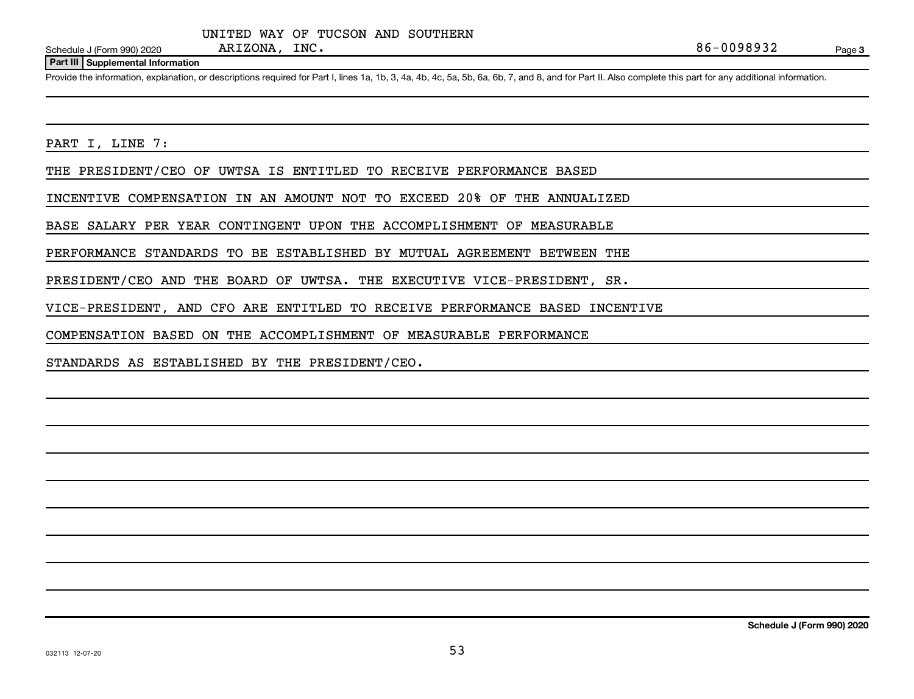#### **Part III Supplemental Information**

Provide the information, explanation, or descriptions required for Part I, lines 1a, 1b, 3, 4a, 4b, 4c, 5a, 5b, 6a, 6b, 7, and 8, and for Part II. Also complete this part for any additional information.

PART I, LINE 7:

THE PRESIDENT/CEO OF UWTSA IS ENTITLED TO RECEIVE PERFORMANCE BASED

INCENTIVE COMPENSATION IN AN AMOUNT NOT TO EXCEED 20% OF THE ANNUALIZED

BASE SALARY PER YEAR CONTINGENT UPON THE ACCOMPLISHMENT OF MEASURABLE

PERFORMANCE STANDARDS TO BE ESTABLISHED BY MUTUAL AGREEMENT BETWEEN THE

PRESIDENT/CEO AND THE BOARD OF UWTSA. THE EXECUTIVE VICE-PRESIDENT, SR.

VICE-PRESIDENT, AND CFO ARE ENTITLED TO RECEIVE PERFORMANCE BASED INCENTIVE

COMPENSATION BASED ON THE ACCOMPLISHMENT OF MEASURABLE PERFORMANCE

STANDARDS AS ESTABLISHED BY THE PRESIDENT/CEO.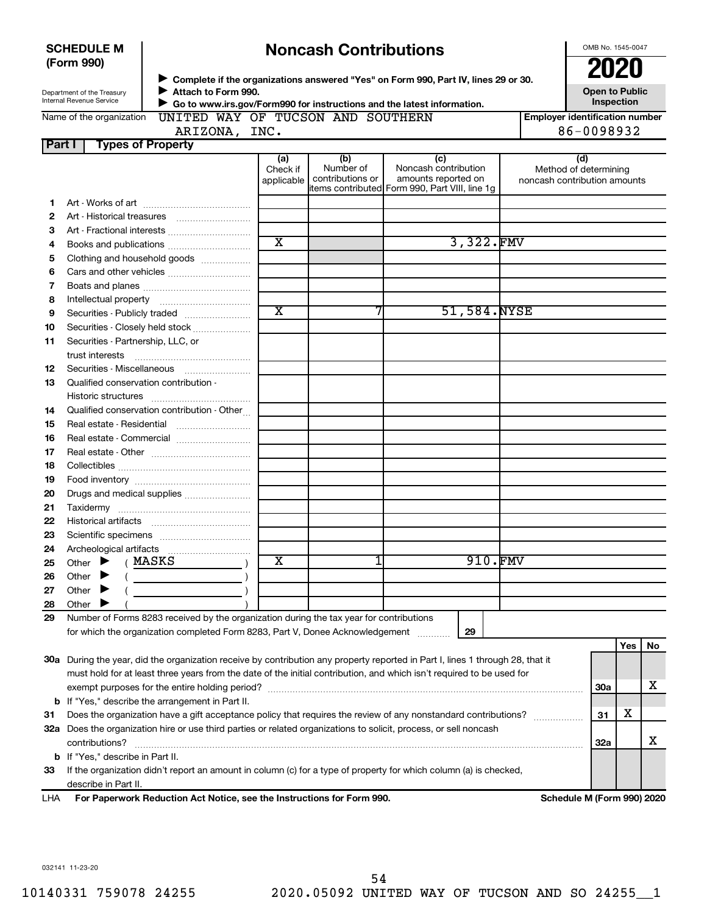| <b>Noncash Contributions</b><br><b>SCHEDULE M</b> |                                                                                                        |                                                                                                                                |                         |                               |                                                                                               |  | OMB No. 1545-0047                                     |     |    |
|---------------------------------------------------|--------------------------------------------------------------------------------------------------------|--------------------------------------------------------------------------------------------------------------------------------|-------------------------|-------------------------------|-----------------------------------------------------------------------------------------------|--|-------------------------------------------------------|-----|----|
|                                                   | (Form 990)                                                                                             |                                                                                                                                |                         |                               |                                                                                               |  | 2020                                                  |     |    |
|                                                   |                                                                                                        |                                                                                                                                |                         |                               | Complete if the organizations answered "Yes" on Form 990, Part IV, lines 29 or 30.            |  |                                                       |     |    |
|                                                   | Department of the Treasury<br>Internal Revenue Service                                                 | Attach to Form 990.                                                                                                            |                         |                               | Go to www.irs.gov/Form990 for instructions and the latest information.                        |  | <b>Open to Public</b><br>Inspection                   |     |    |
|                                                   | UNITED WAY OF TUCSON AND SOUTHERN<br><b>Employer identification number</b><br>Name of the organization |                                                                                                                                |                         |                               |                                                                                               |  |                                                       |     |    |
|                                                   |                                                                                                        | ARIZONA, INC.                                                                                                                  |                         |                               |                                                                                               |  | 86-0098932                                            |     |    |
| <b>Part I</b>                                     |                                                                                                        | <b>Types of Property</b>                                                                                                       |                         |                               |                                                                                               |  |                                                       |     |    |
|                                                   |                                                                                                        |                                                                                                                                | (a)                     | (b)                           | (c)                                                                                           |  | (d)                                                   |     |    |
|                                                   |                                                                                                        |                                                                                                                                | Check if<br>applicable  | Number of<br>contributions or | Noncash contribution<br>amounts reported on<br>items contributed Form 990, Part VIII, line 1g |  | Method of determining<br>noncash contribution amounts |     |    |
| 1                                                 |                                                                                                        |                                                                                                                                |                         |                               |                                                                                               |  |                                                       |     |    |
| 2                                                 |                                                                                                        |                                                                                                                                |                         |                               |                                                                                               |  |                                                       |     |    |
| З                                                 |                                                                                                        |                                                                                                                                |                         |                               |                                                                                               |  |                                                       |     |    |
| 4                                                 |                                                                                                        | Books and publications                                                                                                         | $\overline{\text{x}}$   |                               | 3,322.FMV                                                                                     |  |                                                       |     |    |
| 5                                                 |                                                                                                        | Clothing and household goods                                                                                                   |                         |                               |                                                                                               |  |                                                       |     |    |
| 6                                                 |                                                                                                        |                                                                                                                                |                         |                               |                                                                                               |  |                                                       |     |    |
| 7                                                 |                                                                                                        |                                                                                                                                |                         |                               |                                                                                               |  |                                                       |     |    |
| 8                                                 |                                                                                                        |                                                                                                                                |                         |                               |                                                                                               |  |                                                       |     |    |
| 9                                                 |                                                                                                        |                                                                                                                                | $\overline{\text{x}}$   |                               | 51,584.NYSE                                                                                   |  |                                                       |     |    |
| 10                                                |                                                                                                        | Securities - Closely held stock                                                                                                |                         |                               |                                                                                               |  |                                                       |     |    |
| 11                                                | Securities - Partnership, LLC, or                                                                      |                                                                                                                                |                         |                               |                                                                                               |  |                                                       |     |    |
|                                                   | trust interests                                                                                        |                                                                                                                                |                         |                               |                                                                                               |  |                                                       |     |    |
| 12                                                | Securities - Miscellaneous                                                                             |                                                                                                                                |                         |                               |                                                                                               |  |                                                       |     |    |
| 13                                                |                                                                                                        | Qualified conservation contribution -                                                                                          |                         |                               |                                                                                               |  |                                                       |     |    |
|                                                   |                                                                                                        |                                                                                                                                |                         |                               |                                                                                               |  |                                                       |     |    |
| 14                                                |                                                                                                        | Qualified conservation contribution - Other                                                                                    |                         |                               |                                                                                               |  |                                                       |     |    |
| 15                                                |                                                                                                        | Real estate - Residential                                                                                                      |                         |                               |                                                                                               |  |                                                       |     |    |
| 16                                                |                                                                                                        | Real estate - Commercial                                                                                                       |                         |                               |                                                                                               |  |                                                       |     |    |
| 17                                                |                                                                                                        |                                                                                                                                |                         |                               |                                                                                               |  |                                                       |     |    |
| 18                                                |                                                                                                        |                                                                                                                                |                         |                               |                                                                                               |  |                                                       |     |    |
| 19                                                |                                                                                                        |                                                                                                                                |                         |                               |                                                                                               |  |                                                       |     |    |
| 20<br>21                                          |                                                                                                        | Drugs and medical supplies                                                                                                     |                         |                               |                                                                                               |  |                                                       |     |    |
| 22                                                | <b>Historical artifacts</b>                                                                            |                                                                                                                                |                         |                               |                                                                                               |  |                                                       |     |    |
| 23                                                |                                                                                                        |                                                                                                                                |                         |                               |                                                                                               |  |                                                       |     |    |
| 24                                                |                                                                                                        |                                                                                                                                |                         |                               |                                                                                               |  |                                                       |     |    |
| 25                                                | Other                                                                                                  | MASKS                                                                                                                          | $\overline{\textbf{x}}$ |                               | 910.FMV                                                                                       |  |                                                       |     |    |
| 26                                                | Other                                                                                                  |                                                                                                                                |                         |                               |                                                                                               |  |                                                       |     |    |
| 27                                                | Other                                                                                                  |                                                                                                                                |                         |                               |                                                                                               |  |                                                       |     |    |
| 28                                                | Other                                                                                                  |                                                                                                                                |                         |                               |                                                                                               |  |                                                       |     |    |
| 29                                                |                                                                                                        | Number of Forms 8283 received by the organization during the tax year for contributions                                        |                         |                               |                                                                                               |  |                                                       |     |    |
|                                                   |                                                                                                        | for which the organization completed Form 8283, Part V, Donee Acknowledgement                                                  |                         |                               | 29                                                                                            |  |                                                       |     |    |
|                                                   |                                                                                                        |                                                                                                                                |                         |                               |                                                                                               |  |                                                       | Yes | No |
|                                                   |                                                                                                        | 30a During the year, did the organization receive by contribution any property reported in Part I, lines 1 through 28, that it |                         |                               |                                                                                               |  |                                                       |     |    |
|                                                   |                                                                                                        | must hold for at least three years from the date of the initial contribution, and which isn't required to be used for          |                         |                               |                                                                                               |  |                                                       |     |    |
|                                                   |                                                                                                        |                                                                                                                                |                         |                               |                                                                                               |  | 30a                                                   |     | x  |
| b                                                 |                                                                                                        | If "Yes," describe the arrangement in Part II.                                                                                 |                         |                               |                                                                                               |  |                                                       |     |    |
| 31                                                |                                                                                                        | Does the organization have a gift acceptance policy that requires the review of any nonstandard contributions?                 |                         |                               |                                                                                               |  | 31                                                    | х   |    |
|                                                   |                                                                                                        | 32a Does the organization hire or use third parties or related organizations to solicit, process, or sell noncash              |                         |                               |                                                                                               |  |                                                       |     |    |
|                                                   | contributions?                                                                                         |                                                                                                                                |                         |                               |                                                                                               |  | 32a                                                   |     | х  |
| b                                                 | If "Yes," describe in Part II.                                                                         |                                                                                                                                |                         |                               |                                                                                               |  |                                                       |     |    |
| 33                                                |                                                                                                        | If the organization didn't report an amount in column (c) for a type of property for which column (a) is checked,              |                         |                               |                                                                                               |  |                                                       |     |    |
|                                                   | describe in Part II.                                                                                   |                                                                                                                                |                         |                               |                                                                                               |  |                                                       |     |    |

LHA For Paperwork Reduction Act Notice, see the Instructions for Form 990. **In the Solution Schedule M (Form 990) 2020** 

032141 11-23-20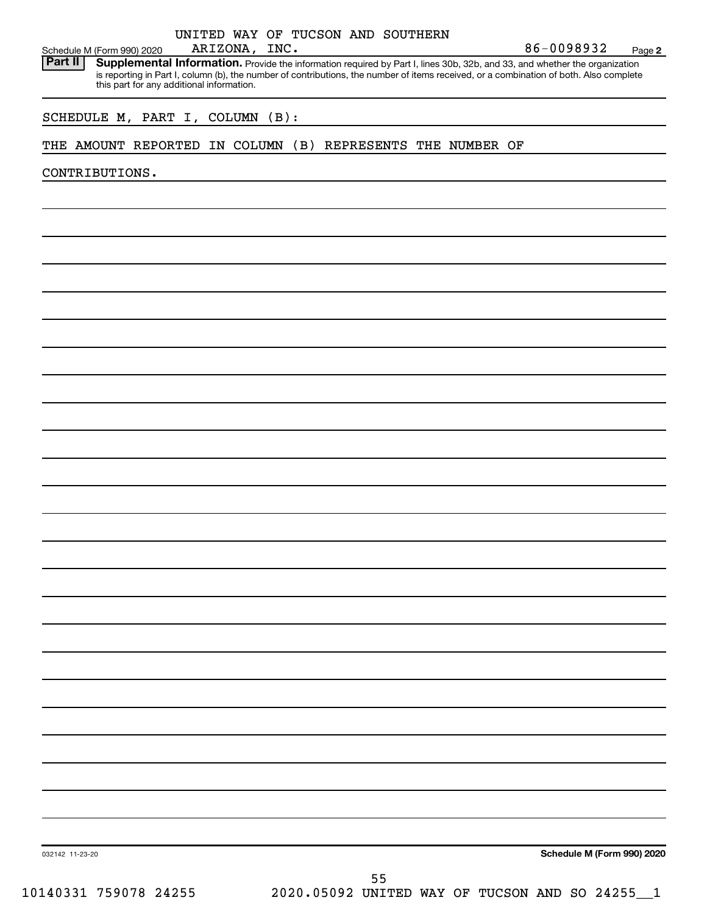| Schedule M (Form 990) 2020 |                                                                                                                                                                                                                                                                                                                   | ARIZONA, INC. |  | UNITED WAY OF TUCSON AND SOUTHERN |                                                | 86-0098932 | Page 2                     |
|----------------------------|-------------------------------------------------------------------------------------------------------------------------------------------------------------------------------------------------------------------------------------------------------------------------------------------------------------------|---------------|--|-----------------------------------|------------------------------------------------|------------|----------------------------|
| Part II                    | Supplemental Information. Provide the information required by Part I, lines 30b, 32b, and 33, and whether the organization<br>is reporting in Part I, column (b), the number of contributions, the number of items received, or a combination of both. Also complete<br>this part for any additional information. |               |  |                                   |                                                |            |                            |
|                            |                                                                                                                                                                                                                                                                                                                   |               |  |                                   |                                                |            |                            |
|                            | SCHEDULE M, PART I, COLUMN (B):                                                                                                                                                                                                                                                                                   |               |  |                                   |                                                |            |                            |
|                            | THE AMOUNT REPORTED IN COLUMN (B) REPRESENTS THE NUMBER OF                                                                                                                                                                                                                                                        |               |  |                                   |                                                |            |                            |
| CONTRIBUTIONS.             |                                                                                                                                                                                                                                                                                                                   |               |  |                                   |                                                |            |                            |
|                            |                                                                                                                                                                                                                                                                                                                   |               |  |                                   |                                                |            |                            |
|                            |                                                                                                                                                                                                                                                                                                                   |               |  |                                   |                                                |            |                            |
|                            |                                                                                                                                                                                                                                                                                                                   |               |  |                                   |                                                |            |                            |
|                            |                                                                                                                                                                                                                                                                                                                   |               |  |                                   |                                                |            |                            |
|                            |                                                                                                                                                                                                                                                                                                                   |               |  |                                   |                                                |            |                            |
|                            |                                                                                                                                                                                                                                                                                                                   |               |  |                                   |                                                |            |                            |
|                            |                                                                                                                                                                                                                                                                                                                   |               |  |                                   |                                                |            |                            |
|                            |                                                                                                                                                                                                                                                                                                                   |               |  |                                   |                                                |            |                            |
|                            |                                                                                                                                                                                                                                                                                                                   |               |  |                                   |                                                |            |                            |
|                            |                                                                                                                                                                                                                                                                                                                   |               |  |                                   |                                                |            |                            |
|                            |                                                                                                                                                                                                                                                                                                                   |               |  |                                   |                                                |            |                            |
|                            |                                                                                                                                                                                                                                                                                                                   |               |  |                                   |                                                |            |                            |
|                            |                                                                                                                                                                                                                                                                                                                   |               |  |                                   |                                                |            |                            |
|                            |                                                                                                                                                                                                                                                                                                                   |               |  |                                   |                                                |            |                            |
|                            |                                                                                                                                                                                                                                                                                                                   |               |  |                                   |                                                |            |                            |
|                            |                                                                                                                                                                                                                                                                                                                   |               |  |                                   |                                                |            |                            |
|                            |                                                                                                                                                                                                                                                                                                                   |               |  |                                   |                                                |            |                            |
|                            |                                                                                                                                                                                                                                                                                                                   |               |  |                                   |                                                |            |                            |
|                            |                                                                                                                                                                                                                                                                                                                   |               |  |                                   |                                                |            |                            |
|                            |                                                                                                                                                                                                                                                                                                                   |               |  |                                   |                                                |            |                            |
|                            |                                                                                                                                                                                                                                                                                                                   |               |  |                                   |                                                |            |                            |
|                            |                                                                                                                                                                                                                                                                                                                   |               |  |                                   |                                                |            |                            |
|                            |                                                                                                                                                                                                                                                                                                                   |               |  |                                   |                                                |            |                            |
|                            |                                                                                                                                                                                                                                                                                                                   |               |  |                                   |                                                |            |                            |
|                            |                                                                                                                                                                                                                                                                                                                   |               |  |                                   |                                                |            |                            |
|                            |                                                                                                                                                                                                                                                                                                                   |               |  |                                   |                                                |            |                            |
|                            |                                                                                                                                                                                                                                                                                                                   |               |  |                                   |                                                |            |                            |
|                            |                                                                                                                                                                                                                                                                                                                   |               |  |                                   |                                                |            |                            |
| 032142 11-23-20            |                                                                                                                                                                                                                                                                                                                   |               |  |                                   |                                                |            | Schedule M (Form 990) 2020 |
|                            | 10140331 759078 24255                                                                                                                                                                                                                                                                                             |               |  | 55                                | 2020.05092 UNITED WAY OF TUCSON AND SO 24255_1 |            |                            |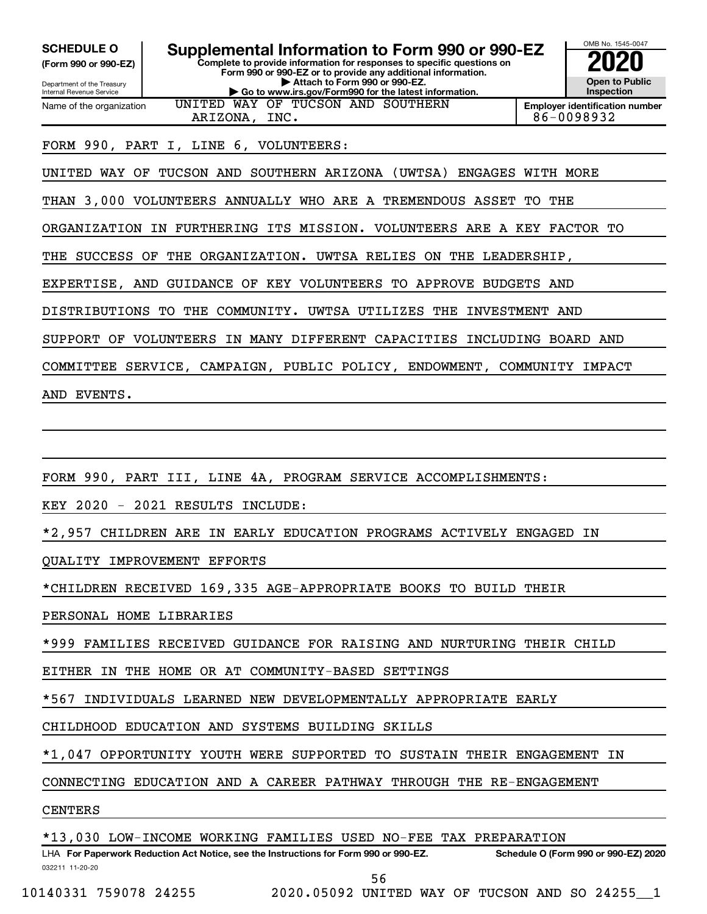**(Form 990 or 990-EZ)**

Department of the Treasury Internal Revenue Service Name of the organization

**Complete to provide information for responses to specific questions on Form 990 or 990-EZ or to provide any additional information. | Attach to Form 990 or 990-EZ. | Go to www.irs.gov/Form990 for the latest information. SCHEDULE O Supplemental Information to Form 990 or 990-EZ 2020**<br>(Form 990 or 990-EZ) UNITED WAY OF TUCSON AND SOUTHERN



**Employer identification number** ARIZONA, INC. 86-0098932

#### FORM 990, PART I, LINE 6, VOLUNTEERS:

UNITED WAY OF TUCSON AND SOUTHERN ARIZONA (UWTSA) ENGAGES WITH MORE

THAN 3,000 VOLUNTEERS ANNUALLY WHO ARE A TREMENDOUS ASSET TO THE

ORGANIZATION IN FURTHERING ITS MISSION. VOLUNTEERS ARE A KEY FACTOR TO

THE SUCCESS OF THE ORGANIZATION. UWTSA RELIES ON THE LEADERSHIP,

EXPERTISE, AND GUIDANCE OF KEY VOLUNTEERS TO APPROVE BUDGETS AND

DISTRIBUTIONS TO THE COMMUNITY. UWTSA UTILIZES THE INVESTMENT AND

SUPPORT OF VOLUNTEERS IN MANY DIFFERENT CAPACITIES INCLUDING BOARD AND

COMMITTEE SERVICE, CAMPAIGN, PUBLIC POLICY, ENDOWMENT, COMMUNITY IMPACT

AND EVENTS.

FORM 990, PART III, LINE 4A, PROGRAM SERVICE ACCOMPLISHMENTS:

KEY 2020 - 2021 RESULTS INCLUDE:

\*2,957 CHILDREN ARE IN EARLY EDUCATION PROGRAMS ACTIVELY ENGAGED IN

QUALITY IMPROVEMENT EFFORTS

\*CHILDREN RECEIVED 169,335 AGE-APPROPRIATE BOOKS TO BUILD THEIR

PERSONAL HOME LIBRARIES

\*999 FAMILIES RECEIVED GUIDANCE FOR RAISING AND NURTURING THEIR CHILD

EITHER IN THE HOME OR AT COMMUNITY-BASED SETTINGS

\*567 INDIVIDUALS LEARNED NEW DEVELOPMENTALLY APPROPRIATE EARLY

CHILDHOOD EDUCATION AND SYSTEMS BUILDING SKILLS

\*1,047 OPPORTUNITY YOUTH WERE SUPPORTED TO SUSTAIN THEIR ENGAGEMENT IN

CONNECTING EDUCATION AND A CAREER PATHWAY THROUGH THE RE-ENGAGEMENT

#### CENTERS

\*13,030 LOW-INCOME WORKING FAMILIES USED NO-FEE TAX PREPARATION

032211 11-20-20 **For Paperwork Reduction Act Notice, see the Instructions for Form 990 or 990-EZ. Schedule O (Form 990 or 990-EZ) 2020** LHA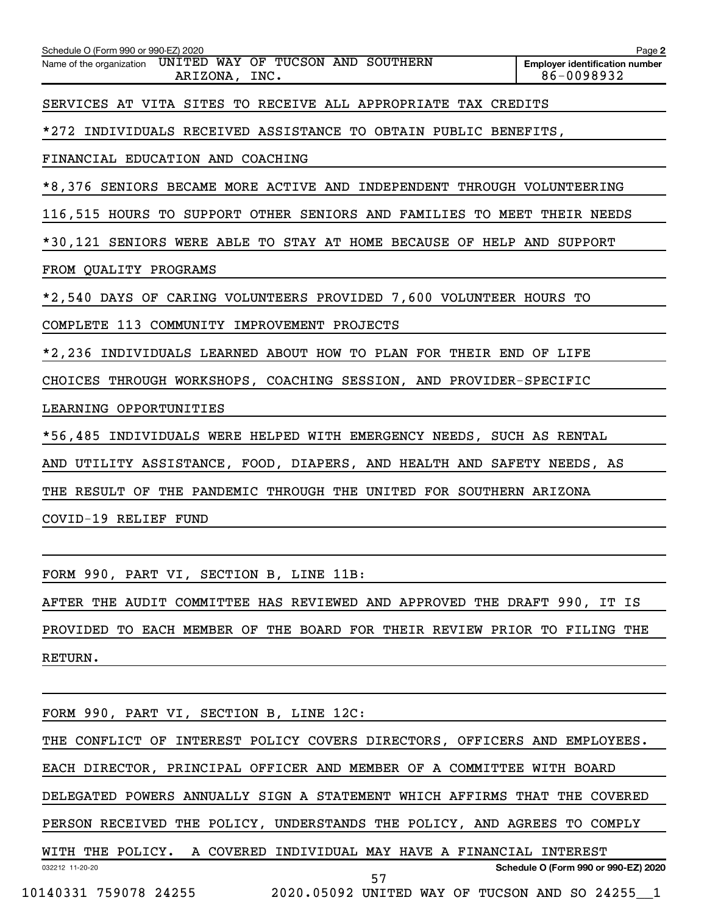| Schedule O (Form 990 or 990-EZ) 2020                                        | Page 2                                              |
|-----------------------------------------------------------------------------|-----------------------------------------------------|
| Name of the organization UNITED WAY OF TUCSON AND SOUTHERN<br>ARIZONA, INC. | <b>Employer identification number</b><br>86-0098932 |
| SERVICES AT VITA SITES TO RECEIVE ALL APPROPRIATE TAX CREDITS               |                                                     |
| *272 INDIVIDUALS RECEIVED ASSISTANCE TO OBTAIN PUBLIC BENEFITS,             |                                                     |
| FINANCIAL EDUCATION AND COACHING                                            |                                                     |
| *8,376 SENIORS BECAME MORE ACTIVE AND INDEPENDENT THROUGH VOLUNTEERING      |                                                     |
| 116,515 HOURS TO SUPPORT OTHER SENIORS AND FAMILIES TO MEET THEIR NEEDS     |                                                     |
| *30,121 SENIORS WERE ABLE TO STAY AT HOME BECAUSE OF HELP AND SUPPORT       |                                                     |
| FROM QUALITY PROGRAMS                                                       |                                                     |
| *2,540 DAYS OF CARING VOLUNTEERS PROVIDED 7,600 VOLUNTEER HOURS TO          |                                                     |
| COMPLETE 113 COMMUNITY IMPROVEMENT PROJECTS                                 |                                                     |
| *2,236 INDIVIDUALS LEARNED ABOUT HOW TO PLAN FOR THEIR END OF LIFE          |                                                     |
| CHOICES THROUGH WORKSHOPS, COACHING SESSION, AND PROVIDER-SPECIFIC          |                                                     |
| LEARNING OPPORTUNITIES                                                      |                                                     |
| *56,485 INDIVIDUALS WERE HELPED WITH EMERGENCY NEEDS, SUCH AS RENTAL        |                                                     |
| AND UTILITY ASSISTANCE, FOOD, DIAPERS, AND HEALTH AND SAFETY NEEDS, AS      |                                                     |
| THE RESULT OF THE PANDEMIC THROUGH THE UNITED FOR SOUTHERN ARIZONA          |                                                     |
| COVID-19 RELIEF FUND                                                        |                                                     |
|                                                                             |                                                     |
| FORM 990, PART VI, SECTION B, LINE 11B:                                     |                                                     |

AFTER THE AUDIT COMMITTEE HAS REVIEWED AND APPROVED THE DRAFT 990, IT IS PROVIDED TO EACH MEMBER OF THE BOARD FOR THEIR REVIEW PRIOR TO FILING THE

RETURN.

032212 11-20-20 **Schedule O (Form 990 or 990-EZ) 2020** FORM 990, PART VI, SECTION B, LINE 12C: THE CONFLICT OF INTEREST POLICY COVERS DIRECTORS, OFFICERS AND EMPLOYEES. EACH DIRECTOR, PRINCIPAL OFFICER AND MEMBER OF A COMMITTEE WITH BOARD DELEGATED POWERS ANNUALLY SIGN A STATEMENT WHICH AFFIRMS THAT THE COVERED PERSON RECEIVED THE POLICY, UNDERSTANDS THE POLICY, AND AGREES TO COMPLY WITH THE POLICY. A COVERED INDIVIDUAL MAY HAVE A FINANCIAL INTEREST 10140331 759078 24255 2020.05092 UNITED WAY OF TUCSON AND SO 24255\_\_1 57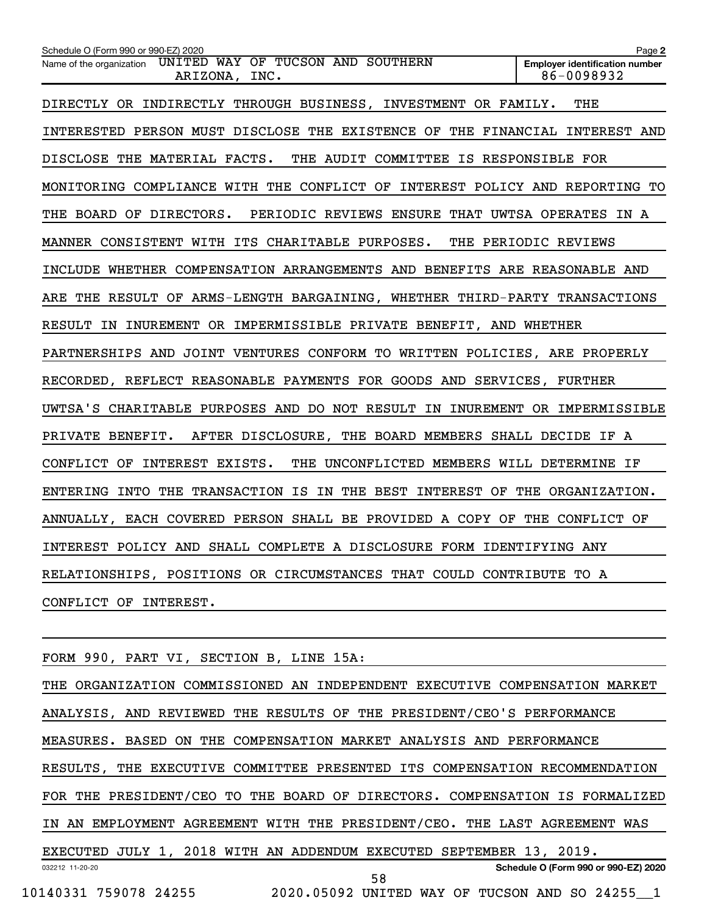| Schedule O (Form 990 or 990-EZ) 2020                                        | Page 2                                              |
|-----------------------------------------------------------------------------|-----------------------------------------------------|
| Name of the organization UNITED WAY OF TUCSON AND SOUTHERN<br>ARIZONA, INC. | <b>Employer identification number</b><br>86-0098932 |
| DIRECTLY OR INDIRECTLY THROUGH BUSINESS, INVESTMENT OR FAMILY.              | THE                                                 |
| INTERESTED PERSON MUST DISCLOSE THE EXISTENCE OF THE FINANCIAL INTEREST AND |                                                     |
| DISCLOSE THE MATERIAL FACTS. THE AUDIT COMMITTEE IS RESPONSIBLE FOR         |                                                     |
| MONITORING COMPLIANCE WITH THE CONFLICT OF INTEREST POLICY AND REPORTING TO |                                                     |
| THE BOARD OF DIRECTORS. PERIODIC REVIEWS ENSURE THAT UWTSA OPERATES IN A    |                                                     |
| MANNER CONSISTENT WITH ITS CHARITABLE PURPOSES. THE PERIODIC REVIEWS        |                                                     |
| INCLUDE WHETHER COMPENSATION ARRANGEMENTS AND BENEFITS ARE REASONABLE AND   |                                                     |
| ARE THE RESULT OF ARMS-LENGTH BARGAINING, WHETHER THIRD-PARTY TRANSACTIONS  |                                                     |
| RESULT IN INUREMENT OR IMPERMISSIBLE PRIVATE BENEFIT, AND WHETHER           |                                                     |
| PARTNERSHIPS AND JOINT VENTURES CONFORM TO WRITTEN POLICIES, ARE PROPERLY   |                                                     |
| RECORDED, REFLECT REASONABLE PAYMENTS FOR GOODS AND SERVICES, FURTHER       |                                                     |
| UWTSA'S CHARITABLE PURPOSES AND DO NOT RESULT IN INUREMENT OR IMPERMISSIBLE |                                                     |
| PRIVATE BENEFIT. AFTER DISCLOSURE, THE BOARD MEMBERS SHALL DECIDE IF A      |                                                     |
| CONFLICT OF INTEREST EXISTS. THE UNCONFLICTED MEMBERS WILL DETERMINE IF     |                                                     |
| ENTERING INTO THE TRANSACTION IS IN THE BEST INTEREST OF THE ORGANIZATION.  |                                                     |
| ANNUALLY, EACH COVERED PERSON SHALL BE PROVIDED A COPY OF THE CONFLICT OF   |                                                     |
| INTEREST POLICY AND SHALL COMPLETE A DISCLOSURE FORM IDENTIFYING ANY        |                                                     |
| RELATIONSHIPS, POSITIONS OR CIRCUMSTANCES THAT COULD CONTRIBUTE TO A        |                                                     |
| CONFLICT OF INTEREST.                                                       |                                                     |
|                                                                             |                                                     |

FORM 990, PART VI, SECTION B, LINE 15A:

032212 11-20-20 **Schedule O (Form 990 or 990-EZ) 2020** THE ORGANIZATION COMMISSIONED AN INDEPENDENT EXECUTIVE COMPENSATION MARKET ANALYSIS, AND REVIEWED THE RESULTS OF THE PRESIDENT/CEO'S PERFORMANCE MEASURES. BASED ON THE COMPENSATION MARKET ANALYSIS AND PERFORMANCE RESULTS, THE EXECUTIVE COMMITTEE PRESENTED ITS COMPENSATION RECOMMENDATION FOR THE PRESIDENT/CEO TO THE BOARD OF DIRECTORS. COMPENSATION IS FORMALIZED IN AN EMPLOYMENT AGREEMENT WITH THE PRESIDENT/CEO. THE LAST AGREEMENT WAS EXECUTED JULY 1, 2018 WITH AN ADDENDUM EXECUTED SEPTEMBER 13, 2019. 10140331 759078 24255 2020.05092 UNITED WAY OF TUCSON AND SO 24255\_\_1 58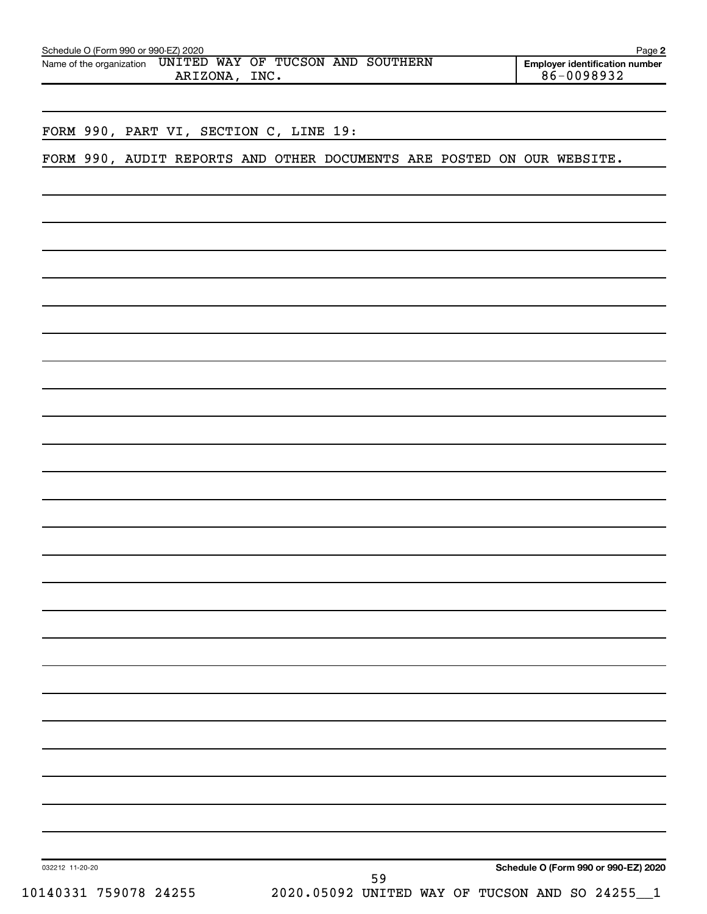| Schedule O (Form 990 or 990-EZ) 2020<br>UNITED WAY OF TUCSON AND SOUTHERN<br>Name of the organization<br>ARIZONA, INC. | Page 2<br><b>Employer identification number</b><br>$6 - 0098932$                     |
|------------------------------------------------------------------------------------------------------------------------|--------------------------------------------------------------------------------------|
|                                                                                                                        |                                                                                      |
| FORM 990, PART VI, SECTION C, LINE 19:                                                                                 |                                                                                      |
| FORM 990, AUDIT REPORTS AND OTHER DOCUMENTS ARE POSTED ON OUR WEBSITE.                                                 |                                                                                      |
|                                                                                                                        |                                                                                      |
|                                                                                                                        |                                                                                      |
|                                                                                                                        |                                                                                      |
|                                                                                                                        |                                                                                      |
|                                                                                                                        |                                                                                      |
|                                                                                                                        |                                                                                      |
|                                                                                                                        |                                                                                      |
|                                                                                                                        |                                                                                      |
|                                                                                                                        |                                                                                      |
|                                                                                                                        |                                                                                      |
|                                                                                                                        |                                                                                      |
|                                                                                                                        |                                                                                      |
|                                                                                                                        |                                                                                      |
|                                                                                                                        |                                                                                      |
|                                                                                                                        |                                                                                      |
|                                                                                                                        |                                                                                      |
|                                                                                                                        |                                                                                      |
|                                                                                                                        |                                                                                      |
|                                                                                                                        |                                                                                      |
|                                                                                                                        |                                                                                      |
|                                                                                                                        |                                                                                      |
|                                                                                                                        |                                                                                      |
|                                                                                                                        |                                                                                      |
|                                                                                                                        |                                                                                      |
|                                                                                                                        |                                                                                      |
| 032212 11-20-20<br>59                                                                                                  | Schedule O (Form 990 or 990-EZ) 2020<br>2020.05092 UNITED WAY OF TUCSON AND SO 24255 |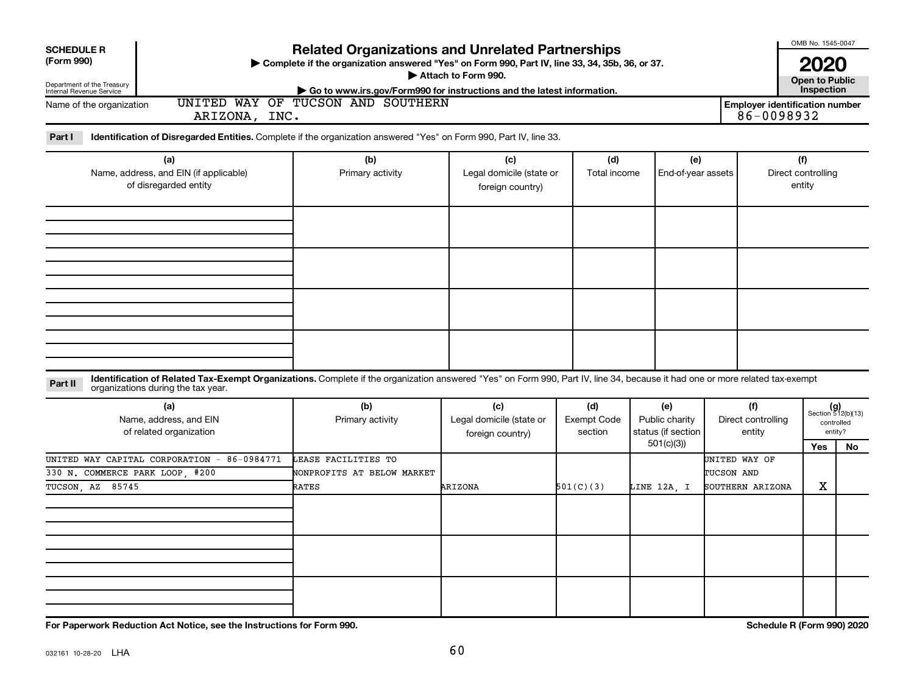| <b>SCHEDULE R</b><br>(Form 990)<br>Department of the Treasury<br>Internal Revenue Service                                                                                                                                     | <b>Related Organizations and Unrelated Partnerships</b><br>> Complete if the organization answered "Yes" on Form 990, Part IV, line 33, 34, 35b, 36, or 37.<br>Attach to Form 990.<br>Go to www.irs.gov/Form990 for instructions and the latest information. |                                                     |                                      |                                                          |                                                 |                                                     |                                                      |  |
|-------------------------------------------------------------------------------------------------------------------------------------------------------------------------------------------------------------------------------|--------------------------------------------------------------------------------------------------------------------------------------------------------------------------------------------------------------------------------------------------------------|-----------------------------------------------------|--------------------------------------|----------------------------------------------------------|-------------------------------------------------|-----------------------------------------------------|------------------------------------------------------|--|
| Name of the organization<br>ARIZONA, INC.                                                                                                                                                                                     | UNITED WAY OF TUCSON AND SOUTHERN                                                                                                                                                                                                                            |                                                     |                                      |                                                          |                                                 | <b>Employer identification number</b><br>86-0098932 |                                                      |  |
| Part I<br>Identification of Disregarded Entities. Complete if the organization answered "Yes" on Form 990, Part IV, line 33.                                                                                                  |                                                                                                                                                                                                                                                              |                                                     |                                      |                                                          |                                                 |                                                     |                                                      |  |
| (a)<br>Name, address, and EIN (if applicable)<br>of disregarded entity                                                                                                                                                        | (b)<br>Primary activity                                                                                                                                                                                                                                      | (c)<br>Legal domicile (state or<br>foreign country) | (d)<br>Total income                  | (e)<br>End-of-year assets                                |                                                 | (f)<br>Direct controlling<br>entity                 |                                                      |  |
|                                                                                                                                                                                                                               |                                                                                                                                                                                                                                                              |                                                     |                                      |                                                          |                                                 |                                                     |                                                      |  |
|                                                                                                                                                                                                                               |                                                                                                                                                                                                                                                              |                                                     |                                      |                                                          |                                                 |                                                     |                                                      |  |
| Identification of Related Tax-Exempt Organizations. Complete if the organization answered "Yes" on Form 990, Part IV, line 34, because it had one or more related tax-exempt<br>Part II<br>organizations during the tax year. |                                                                                                                                                                                                                                                              |                                                     |                                      |                                                          |                                                 |                                                     |                                                      |  |
| (a)<br>Name, address, and EIN<br>of related organization                                                                                                                                                                      | (b)<br>Primary activity                                                                                                                                                                                                                                      | (c)<br>Legal domicile (state or<br>foreign country) | (d)<br><b>Exempt Code</b><br>section | (e)<br>Public charity<br>status (if section<br>501(c)(3) | (f)<br>Direct controlling<br>entity             | Yes                                                 | $(g)$<br>Section 512(b)(13)<br>controlled<br>entity? |  |
| UNITED WAY CAPITAL CORPORATION - 86-0984771<br>330 N. COMMERCE PARK LOOP, #200<br>TUCSON, AZ 85745                                                                                                                            | LEASE FACILITIES TO<br>NONPROFITS AT BELOW MARKET<br><b>RATES</b>                                                                                                                                                                                            | ARIZONA                                             | 501(C)(3)                            | LINE 12A, I                                              | UNITED WAY OF<br>TUCSON AND<br>SOUTHERN ARIZONA | X                                                   | No                                                   |  |
|                                                                                                                                                                                                                               |                                                                                                                                                                                                                                                              |                                                     |                                      |                                                          |                                                 |                                                     |                                                      |  |
|                                                                                                                                                                                                                               |                                                                                                                                                                                                                                                              |                                                     |                                      |                                                          |                                                 |                                                     |                                                      |  |
| For Paperwork Reduction Act Notice, see the Instructions for Form 990.                                                                                                                                                        |                                                                                                                                                                                                                                                              |                                                     |                                      |                                                          |                                                 | Schedule R (Form 990) 2020                          |                                                      |  |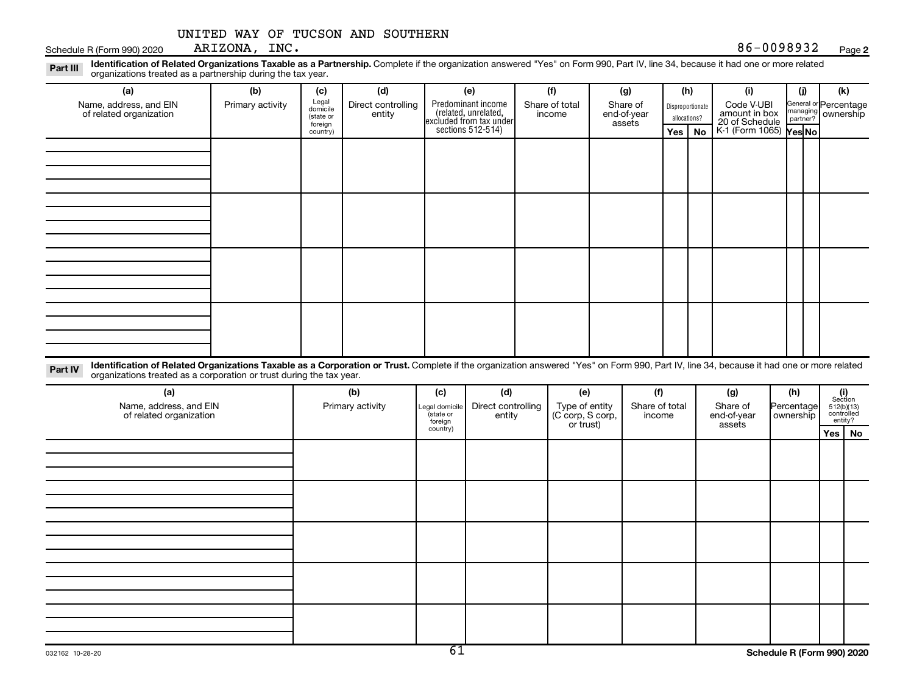Schedule R (Form 990) 2020 ARIZONA, INC.  $86-0098932$ 

**2**

Disproportionate allocations? Legal domicile (state or foreign country) General or Percentage managing partner? Part III Identification of Related Organizations Taxable as a Partnership. Complete if the organization answered "Yes" on Form 990, Part IV, line 34, because it had one or more related<br>Part III International tracted as a p **(a) (b) (c) (d) (e) (f) (g) (h) (i) (j) (k) Yes | No |** K-1 (Form 1065) **|Yes|No** Predominant income (related, unrelated, excluded from tax under sections 512-514) organizations treated as a partnership during the tax year. Name, address, and EIN of related organization Primary activity  $\left| \begin{array}{c} \text{Legal} \\ \text{demiilla} \end{array} \right|$  Direct controlling entity Share of total income Share of end-of-year assets Code V-UBI<br>amount in box 20 of Schedule ownership

Part IV Identification of Related Organizations Taxable as a Corporation or Trust. Complete if the organization answered "Yes" on Form 990, Part IV, line 34, because it had one or more related organizations treated as a corporation or trust during the tax year.

| (a)<br>Name, address, and EIN<br>of related organization | (b)<br>Primary activity | (c)<br>Legal domicile<br>(state or<br>foreign | (d)<br>Direct controlling<br>entity | (e)<br>Type of entity<br>(C corp, S corp,<br>or trust) | (f)<br>Share of total<br>income | (g)<br>Share of<br>end-of-year<br>assets | (h)<br>Percentage<br>  ownership | $\begin{array}{c} \textbf{(i)}\\ \text{Section}\\ 5\,12 \text{(b)} \text{(13)}\\ \text{controlled}\\ \text{entity?} \end{array}$ |
|----------------------------------------------------------|-------------------------|-----------------------------------------------|-------------------------------------|--------------------------------------------------------|---------------------------------|------------------------------------------|----------------------------------|----------------------------------------------------------------------------------------------------------------------------------|
|                                                          |                         | country)                                      |                                     |                                                        |                                 |                                          |                                  | Yes   No                                                                                                                         |
|                                                          |                         |                                               |                                     |                                                        |                                 |                                          |                                  |                                                                                                                                  |
|                                                          |                         |                                               |                                     |                                                        |                                 |                                          |                                  |                                                                                                                                  |
|                                                          |                         |                                               |                                     |                                                        |                                 |                                          |                                  |                                                                                                                                  |
|                                                          |                         |                                               |                                     |                                                        |                                 |                                          |                                  |                                                                                                                                  |
|                                                          |                         |                                               |                                     |                                                        |                                 |                                          |                                  |                                                                                                                                  |
|                                                          |                         |                                               |                                     |                                                        |                                 |                                          |                                  |                                                                                                                                  |
|                                                          |                         |                                               |                                     |                                                        |                                 |                                          |                                  |                                                                                                                                  |
|                                                          |                         |                                               |                                     |                                                        |                                 |                                          |                                  |                                                                                                                                  |
|                                                          |                         |                                               |                                     |                                                        |                                 |                                          |                                  |                                                                                                                                  |
|                                                          |                         |                                               |                                     |                                                        |                                 |                                          |                                  |                                                                                                                                  |
|                                                          |                         |                                               |                                     |                                                        |                                 |                                          |                                  |                                                                                                                                  |
|                                                          |                         |                                               |                                     |                                                        |                                 |                                          |                                  |                                                                                                                                  |
|                                                          |                         |                                               |                                     |                                                        |                                 |                                          |                                  |                                                                                                                                  |
|                                                          |                         |                                               |                                     |                                                        |                                 |                                          |                                  |                                                                                                                                  |
|                                                          |                         |                                               |                                     |                                                        |                                 |                                          |                                  |                                                                                                                                  |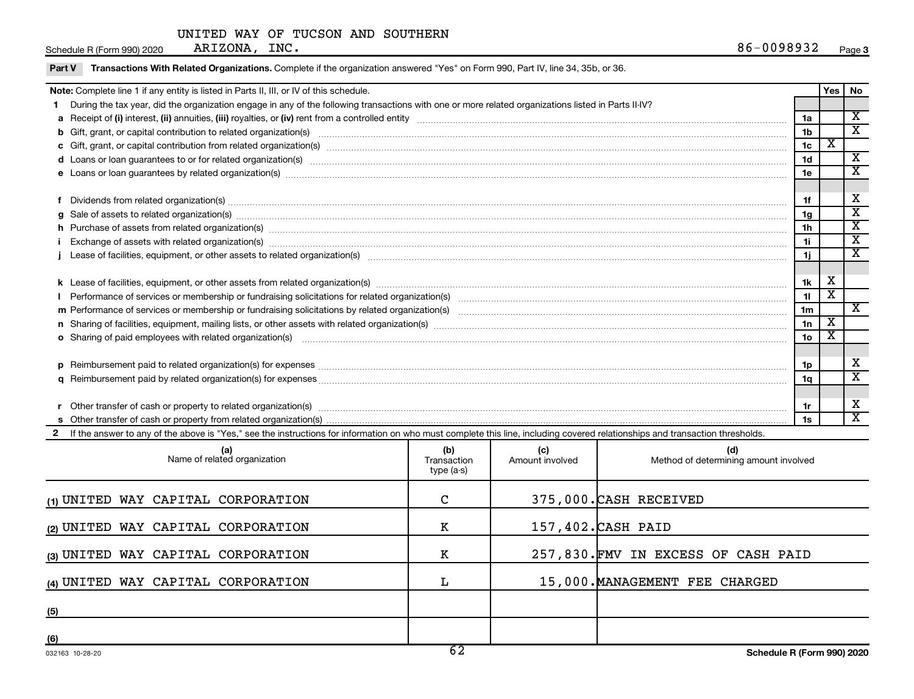Schedule R (Form 990) 2020 ARIZONA, INC.  $86-0098932$ 

 $\overline{\phantom{a}}$ 

Part V Transactions With Related Organizations. Complete if the organization answered "Yes" on Form 990, Part IV, line 34, 35b, or 36.

| Note: Complete line 1 if any entity is listed in Parts II, III, or IV of this schedule.                                                                                                                                        |                 | Yes                     | No                          |
|--------------------------------------------------------------------------------------------------------------------------------------------------------------------------------------------------------------------------------|-----------------|-------------------------|-----------------------------|
| During the tax year, did the organization engage in any of the following transactions with one or more related organizations listed in Parts II-IV?                                                                            |                 |                         |                             |
|                                                                                                                                                                                                                                | 1a              |                         | $\overline{\textbf{x}}$     |
|                                                                                                                                                                                                                                | 1 <sub>b</sub>  |                         | $\overline{\textbf{x}}$     |
|                                                                                                                                                                                                                                | 1 <sub>c</sub>  | $\overline{\textbf{x}}$ |                             |
| d Loans or loan guarantees to or for related organization(s) www.communities.com/www.communities.com/www.communities-                                                                                                          | 1 <sub>d</sub>  |                         | $\mathbf x$                 |
| e Loans or loan guarantees by related organization(s) machinesimam machinesimam machinesimam machinesimam machinesimam machinesimam machinesimam machinesima.                                                                  | 1e              |                         | X                           |
|                                                                                                                                                                                                                                |                 |                         |                             |
|                                                                                                                                                                                                                                | 1f              |                         | х                           |
| g Sale of assets to related organization(s) material content of the content of the content of the content of the content of the content of the content of the content of the content of the content of the content of the cont | 1 <sub>q</sub>  |                         | X                           |
| h Purchase of assets from related organization(s) manufactured content to the content of the content of the content of the content of the content of the content of the content of the content of the content of the content o | 1 <sub>h</sub>  |                         | $\overline{\textbf{x}}$     |
| Exchange of assets with related organization(s) www.assettion.com/www.assettion.com/www.assettion.com/www.assettion.com/www.assettion.com/www.assettion.com/www.assettion.com/www.assettion.com/www.assettion.com/www.assettio | 1i              |                         | $\mathbf x$                 |
|                                                                                                                                                                                                                                | 1j              |                         | $\mathbf x$                 |
|                                                                                                                                                                                                                                |                 |                         |                             |
|                                                                                                                                                                                                                                | 1k              | х                       |                             |
|                                                                                                                                                                                                                                | 11              | x                       |                             |
|                                                                                                                                                                                                                                | 1 <sub>m</sub>  |                         | X                           |
|                                                                                                                                                                                                                                | 1n              | X                       |                             |
| <b>o</b> Sharing of paid employees with related organization(s)                                                                                                                                                                | 10 <sub>o</sub> | х                       |                             |
|                                                                                                                                                                                                                                |                 |                         |                             |
|                                                                                                                                                                                                                                | 1p              |                         | х                           |
|                                                                                                                                                                                                                                | 1q              |                         | $\overline{\textnormal{x}}$ |
|                                                                                                                                                                                                                                |                 |                         |                             |
|                                                                                                                                                                                                                                | 1r              |                         | х                           |
| r Other transfer of cash or property to related organization(s) encourance contains an example of cash or property from related organization(s) encourance contains and the transfer of cash or property from related organiza | 1s              |                         | $\overline{\mathbf{X}}$     |
| 2 If the answer to any of the above is "Yes," see the instructions for information on who must complete this line, including covered relationships and transaction thresholds.                                                 |                 |                         |                             |

| (a)<br>Name of related organization | (b)<br>Transaction<br>type (a-s) | (c)<br>Amount involved | (d)<br>Method of determining amount involved |
|-------------------------------------|----------------------------------|------------------------|----------------------------------------------|
| (1) UNITED WAY CAPITAL CORPORATION  | C                                |                        | 375,000.CASH RECEIVED                        |
| (2) UNITED WAY CAPITAL CORPORATION  | к                                |                        | 157,402. CASH PAID                           |
| (3) UNITED WAY CAPITAL CORPORATION  | к                                |                        | 257,830. FMV IN EXCESS OF CASH PAID          |
| (4) UNITED WAY CAPITAL CORPORATION  |                                  |                        | 15,000. MANAGEMENT FEE CHARGED               |
| (5)                                 |                                  |                        |                                              |
| (6)                                 | $\overline{\phantom{a}}$         |                        |                                              |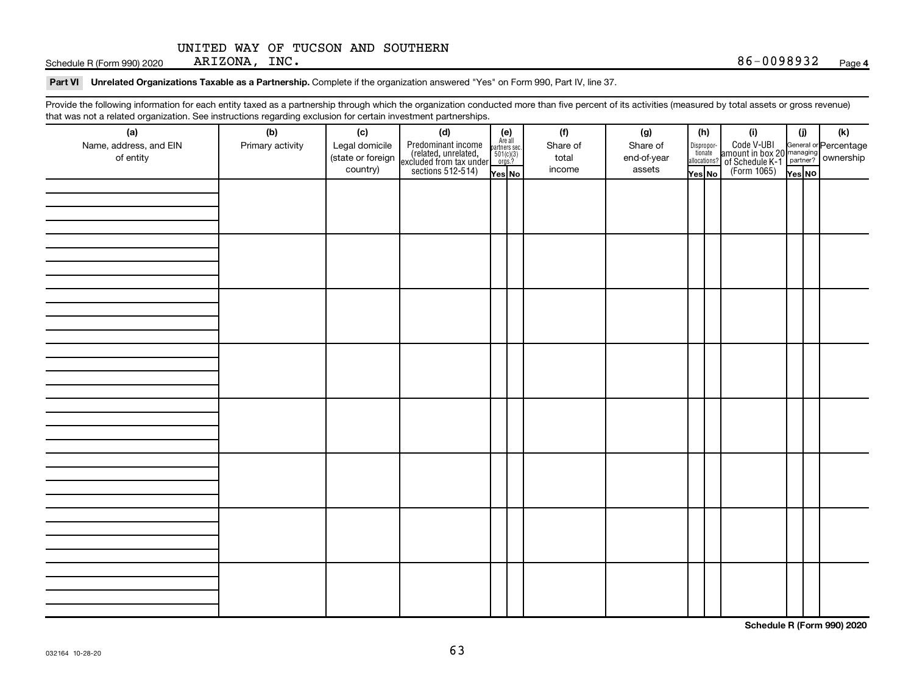Schedule R (Form 990) 2020 ARIZONA, INC.  $86-0098932$ 

#### Part VI Unrelated Organizations Taxable as a Partnership. Complete if the organization answered "Yes" on Form 990, Part IV, line 37.

Provide the following information for each entity taxed as a partnership through which the organization conducted more than five percent of its activities (measured by total assets or gross revenue) that was not a related organization. See instructions regarding exclusion for certain investment partnerships.

| that was not a related eigenization. Occ includitions regarding exclusion for cortain investment partnerships.<br>(a) | (b)              | (c)                                             |                                                                                                                                                                                                                                                                                  |  | (f)                         | (g)                               | (h)    | (i)                                                                                                                                    | (i)    | $(\mathsf{k})$ |
|-----------------------------------------------------------------------------------------------------------------------|------------------|-------------------------------------------------|----------------------------------------------------------------------------------------------------------------------------------------------------------------------------------------------------------------------------------------------------------------------------------|--|-----------------------------|-----------------------------------|--------|----------------------------------------------------------------------------------------------------------------------------------------|--------|----------------|
| Name, address, and EIN<br>of entity                                                                                   | Primary activity | Legal domicile<br>(state or foreign<br>country) | (d)<br>Predominant income<br>(related, unrelated, $\begin{bmatrix} \mathbf{e} \\ \text{Areaall} \\ \text{sccluded from tax under} \\ \text{sections 512-514} \end{bmatrix}$<br>$\begin{bmatrix} \mathbf{e} \\ \mathbf{se} \\ \text{for } 10(1/3) \\ \text{mes } 2 \end{bmatrix}$ |  | Share of<br>total<br>income | Share of<br>end-of-year<br>assets | Yes No | Dispropor-<br>Code V-UBI<br>allocations? annount in box 20 managing<br>allocations? of Schedule K-1<br>Yes No<br>(Form 1065)<br>Yes No | Yes No |                |
|                                                                                                                       |                  |                                                 |                                                                                                                                                                                                                                                                                  |  |                             |                                   |        |                                                                                                                                        |        |                |
|                                                                                                                       |                  |                                                 |                                                                                                                                                                                                                                                                                  |  |                             |                                   |        |                                                                                                                                        |        |                |
|                                                                                                                       |                  |                                                 |                                                                                                                                                                                                                                                                                  |  |                             |                                   |        |                                                                                                                                        |        |                |
|                                                                                                                       |                  |                                                 |                                                                                                                                                                                                                                                                                  |  |                             |                                   |        |                                                                                                                                        |        |                |
|                                                                                                                       |                  |                                                 |                                                                                                                                                                                                                                                                                  |  |                             |                                   |        |                                                                                                                                        |        |                |
|                                                                                                                       |                  |                                                 |                                                                                                                                                                                                                                                                                  |  |                             |                                   |        |                                                                                                                                        |        |                |
|                                                                                                                       |                  |                                                 |                                                                                                                                                                                                                                                                                  |  |                             |                                   |        |                                                                                                                                        |        |                |
|                                                                                                                       |                  |                                                 |                                                                                                                                                                                                                                                                                  |  |                             |                                   |        |                                                                                                                                        |        |                |
|                                                                                                                       |                  |                                                 |                                                                                                                                                                                                                                                                                  |  |                             |                                   |        |                                                                                                                                        |        |                |
|                                                                                                                       |                  |                                                 |                                                                                                                                                                                                                                                                                  |  |                             |                                   |        |                                                                                                                                        |        |                |
|                                                                                                                       |                  |                                                 |                                                                                                                                                                                                                                                                                  |  |                             |                                   |        |                                                                                                                                        |        |                |
|                                                                                                                       |                  |                                                 |                                                                                                                                                                                                                                                                                  |  |                             |                                   |        |                                                                                                                                        |        |                |
|                                                                                                                       |                  |                                                 |                                                                                                                                                                                                                                                                                  |  |                             |                                   |        |                                                                                                                                        |        |                |
|                                                                                                                       |                  |                                                 |                                                                                                                                                                                                                                                                                  |  |                             |                                   |        |                                                                                                                                        |        |                |
|                                                                                                                       |                  |                                                 |                                                                                                                                                                                                                                                                                  |  |                             |                                   |        |                                                                                                                                        |        |                |
|                                                                                                                       |                  |                                                 |                                                                                                                                                                                                                                                                                  |  |                             |                                   |        |                                                                                                                                        |        |                |
|                                                                                                                       |                  |                                                 |                                                                                                                                                                                                                                                                                  |  |                             |                                   |        |                                                                                                                                        |        |                |
|                                                                                                                       |                  |                                                 |                                                                                                                                                                                                                                                                                  |  |                             |                                   |        |                                                                                                                                        |        |                |
|                                                                                                                       |                  |                                                 |                                                                                                                                                                                                                                                                                  |  |                             |                                   |        |                                                                                                                                        |        |                |
|                                                                                                                       |                  |                                                 |                                                                                                                                                                                                                                                                                  |  |                             |                                   |        |                                                                                                                                        |        |                |
|                                                                                                                       |                  |                                                 |                                                                                                                                                                                                                                                                                  |  |                             |                                   |        |                                                                                                                                        |        |                |
|                                                                                                                       |                  |                                                 |                                                                                                                                                                                                                                                                                  |  |                             |                                   |        |                                                                                                                                        |        |                |
|                                                                                                                       |                  |                                                 |                                                                                                                                                                                                                                                                                  |  |                             |                                   |        |                                                                                                                                        |        |                |
|                                                                                                                       |                  |                                                 |                                                                                                                                                                                                                                                                                  |  |                             |                                   |        |                                                                                                                                        |        |                |
|                                                                                                                       |                  |                                                 |                                                                                                                                                                                                                                                                                  |  |                             |                                   |        |                                                                                                                                        |        |                |
|                                                                                                                       |                  |                                                 |                                                                                                                                                                                                                                                                                  |  |                             |                                   |        |                                                                                                                                        |        |                |
|                                                                                                                       |                  |                                                 |                                                                                                                                                                                                                                                                                  |  |                             |                                   |        |                                                                                                                                        |        |                |